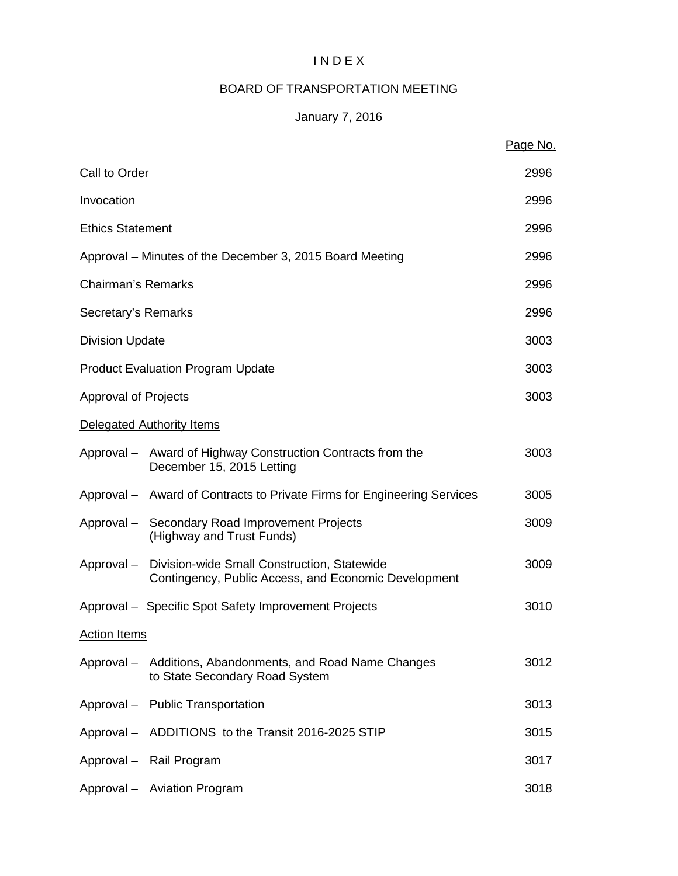## I N D E X

# BOARD OF TRANSPORTATION MEETING

# January 7, 2016

|                             |                                                                                                                | Page No. |
|-----------------------------|----------------------------------------------------------------------------------------------------------------|----------|
| Call to Order               |                                                                                                                | 2996     |
| Invocation                  |                                                                                                                | 2996     |
| <b>Ethics Statement</b>     |                                                                                                                | 2996     |
|                             | Approval – Minutes of the December 3, 2015 Board Meeting                                                       | 2996     |
| <b>Chairman's Remarks</b>   |                                                                                                                | 2996     |
| Secretary's Remarks         |                                                                                                                | 2996     |
| <b>Division Update</b>      |                                                                                                                | 3003     |
|                             | <b>Product Evaluation Program Update</b>                                                                       | 3003     |
| <b>Approval of Projects</b> |                                                                                                                | 3003     |
|                             | Delegated Authority Items                                                                                      |          |
|                             | Approval – Award of Highway Construction Contracts from the<br>December 15, 2015 Letting                       | 3003     |
|                             | Approval – Award of Contracts to Private Firms for Engineering Services                                        | 3005     |
|                             | Approval - Secondary Road Improvement Projects<br>(Highway and Trust Funds)                                    | 3009     |
|                             | Approval - Division-wide Small Construction, Statewide<br>Contingency, Public Access, and Economic Development | 3009     |
|                             | Approval - Specific Spot Safety Improvement Projects                                                           | 3010     |
| <b>Action Items</b>         |                                                                                                                |          |
|                             | Approval - Additions, Abandonments, and Road Name Changes<br>to State Secondary Road System                    | 3012     |
|                             | Approval - Public Transportation                                                                               | 3013     |
|                             | Approval - ADDITIONS to the Transit 2016-2025 STIP                                                             | 3015     |
|                             | Approval - Rail Program                                                                                        | 3017     |
|                             | Approval - Aviation Program                                                                                    | 3018     |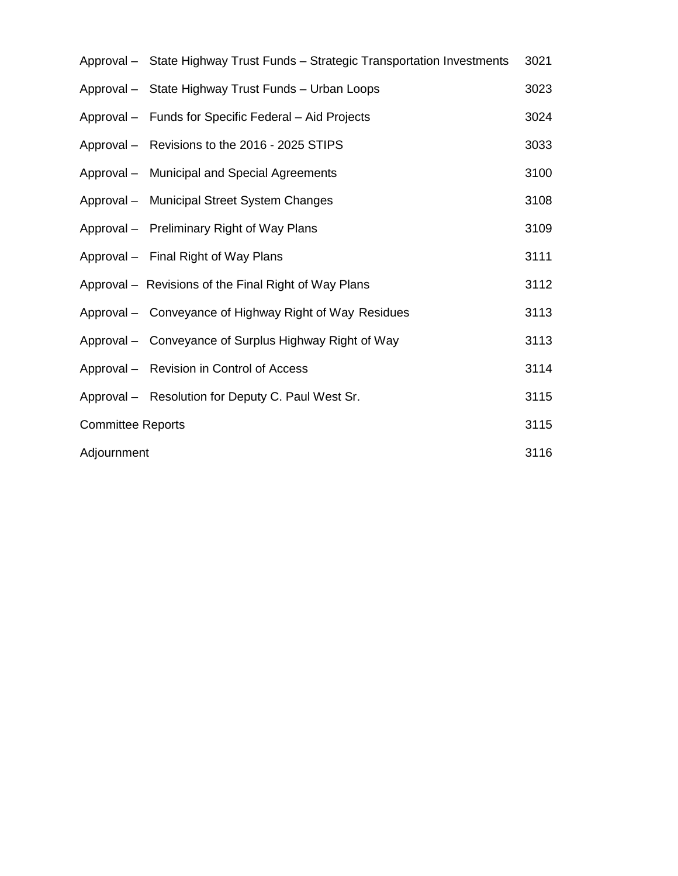|                          | Approval - State Highway Trust Funds - Strategic Transportation Investments | 3021 |
|--------------------------|-----------------------------------------------------------------------------|------|
|                          | Approval - State Highway Trust Funds - Urban Loops                          | 3023 |
|                          | Approval – Funds for Specific Federal – Aid Projects                        | 3024 |
|                          | Approval - Revisions to the 2016 - 2025 STIPS                               | 3033 |
|                          | Approval - Municipal and Special Agreements                                 | 3100 |
|                          | Approval - Municipal Street System Changes                                  | 3108 |
|                          | Approval - Preliminary Right of Way Plans                                   | 3109 |
|                          | Approval - Final Right of Way Plans                                         | 3111 |
|                          | Approval - Revisions of the Final Right of Way Plans                        | 3112 |
|                          | Approval – Conveyance of Highway Right of Way Residues                      | 3113 |
|                          | Approval - Conveyance of Surplus Highway Right of Way                       | 3113 |
|                          | Approval - Revision in Control of Access                                    | 3114 |
|                          | Approval - Resolution for Deputy C. Paul West Sr.                           | 3115 |
| <b>Committee Reports</b> |                                                                             | 3115 |
| Adjournment              |                                                                             | 3116 |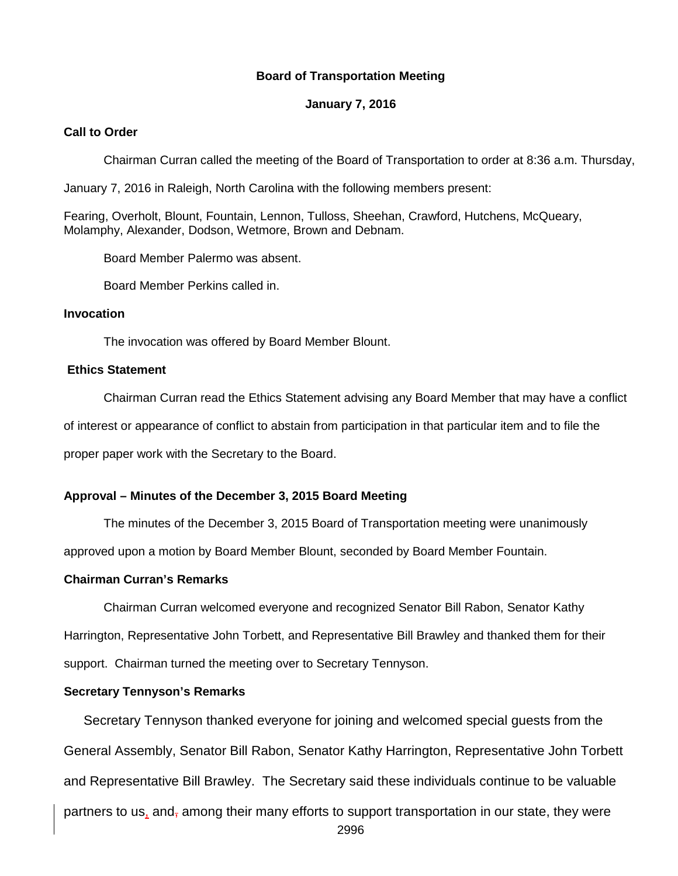#### **Board of Transportation Meeting**

#### **January 7, 2016**

#### **Call to Order**

Chairman Curran called the meeting of the Board of Transportation to order at 8:36 a.m. Thursday,

January 7, 2016 in Raleigh, North Carolina with the following members present:

Fearing, Overholt, Blount, Fountain, Lennon, Tulloss, Sheehan, Crawford, Hutchens, McQueary, Molamphy, Alexander, Dodson, Wetmore, Brown and Debnam.

Board Member Palermo was absent.

Board Member Perkins called in.

#### **Invocation**

The invocation was offered by Board Member Blount.

#### **Ethics Statement**

Chairman Curran read the Ethics Statement advising any Board Member that may have a conflict of interest or appearance of conflict to abstain from participation in that particular item and to file the proper paper work with the Secretary to the Board.

## **Approval – Minutes of the December 3, 2015 Board Meeting**

The minutes of the December 3, 2015 Board of Transportation meeting were unanimously

approved upon a motion by Board Member Blount, seconded by Board Member Fountain.

#### **Chairman Curran's Remarks**

Chairman Curran welcomed everyone and recognized Senator Bill Rabon, Senator Kathy Harrington, Representative John Torbett, and Representative Bill Brawley and thanked them for their support. Chairman turned the meeting over to Secretary Tennyson.

## **Secretary Tennyson's Remarks**

Secretary Tennyson thanked everyone for joining and welcomed special guests from the General Assembly, Senator Bill Rabon, Senator Kathy Harrington, Representative John Torbett and Representative Bill Brawley. The Secretary said these individuals continue to be valuable partners to us, and, among their many efforts to support transportation in our state, they were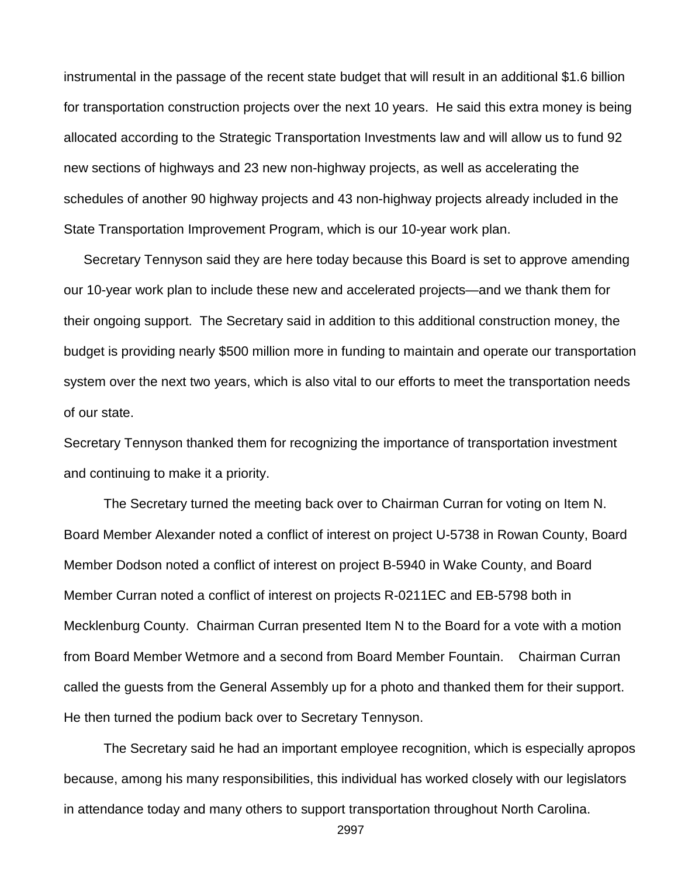instrumental in the passage of the recent state budget that will result in an additional \$1.6 billion for transportation construction projects over the next 10 years. He said this extra money is being allocated according to the Strategic Transportation Investments law and will allow us to fund 92 new sections of highways and 23 new non-highway projects, as well as accelerating the schedules of another 90 highway projects and 43 non-highway projects already included in the State Transportation Improvement Program, which is our 10-year work plan.

Secretary Tennyson said they are here today because this Board is set to approve amending our 10-year work plan to include these new and accelerated projects—and we thank them for their ongoing support. The Secretary said in addition to this additional construction money, the budget is providing nearly \$500 million more in funding to maintain and operate our transportation system over the next two years, which is also vital to our efforts to meet the transportation needs of our state.

Secretary Tennyson thanked them for recognizing the importance of transportation investment and continuing to make it a priority.

The Secretary turned the meeting back over to Chairman Curran for voting on Item N. Board Member Alexander noted a conflict of interest on project U-5738 in Rowan County, Board Member Dodson noted a conflict of interest on project B-5940 in Wake County, and Board Member Curran noted a conflict of interest on projects R-0211EC and EB-5798 both in Mecklenburg County. Chairman Curran presented Item N to the Board for a vote with a motion from Board Member Wetmore and a second from Board Member Fountain. Chairman Curran called the guests from the General Assembly up for a photo and thanked them for their support. He then turned the podium back over to Secretary Tennyson.

The Secretary said he had an important employee recognition, which is especially apropos because, among his many responsibilities, this individual has worked closely with our legislators in attendance today and many others to support transportation throughout North Carolina.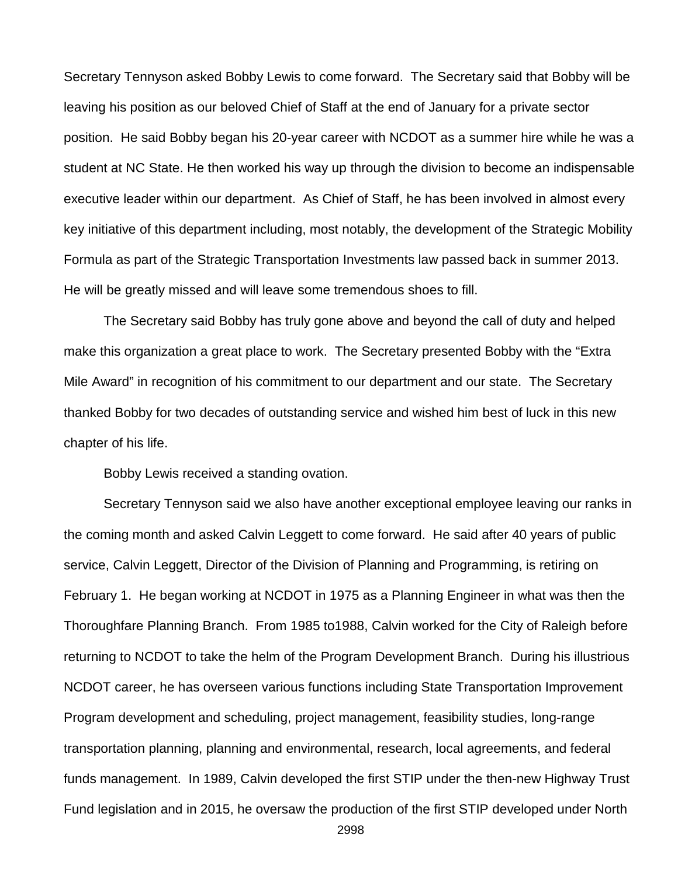Secretary Tennyson asked Bobby Lewis to come forward. The Secretary said that Bobby will be leaving his position as our beloved Chief of Staff at the end of January for a private sector position. He said Bobby began his 20-year career with NCDOT as a summer hire while he was a student at NC State. He then worked his way up through the division to become an indispensable executive leader within our department. As Chief of Staff, he has been involved in almost every key initiative of this department including, most notably, the development of the Strategic Mobility Formula as part of the Strategic Transportation Investments law passed back in summer 2013. He will be greatly missed and will leave some tremendous shoes to fill.

The Secretary said Bobby has truly gone above and beyond the call of duty and helped make this organization a great place to work. The Secretary presented Bobby with the "Extra Mile Award" in recognition of his commitment to our department and our state. The Secretary thanked Bobby for two decades of outstanding service and wished him best of luck in this new chapter of his life.

Bobby Lewis received a standing ovation.

Secretary Tennyson said we also have another exceptional employee leaving our ranks in the coming month and asked Calvin Leggett to come forward. He said after 40 years of public service, Calvin Leggett, Director of the Division of Planning and Programming, is retiring on February 1. He began working at NCDOT in 1975 as a Planning Engineer in what was then the Thoroughfare Planning Branch. From 1985 to1988, Calvin worked for the City of Raleigh before returning to NCDOT to take the helm of the Program Development Branch. During his illustrious NCDOT career, he has overseen various functions including State Transportation Improvement Program development and scheduling, project management, feasibility studies, long-range transportation planning, planning and environmental, research, local agreements, and federal funds management. In 1989, Calvin developed the first STIP under the then-new Highway Trust Fund legislation and in 2015, he oversaw the production of the first STIP developed under North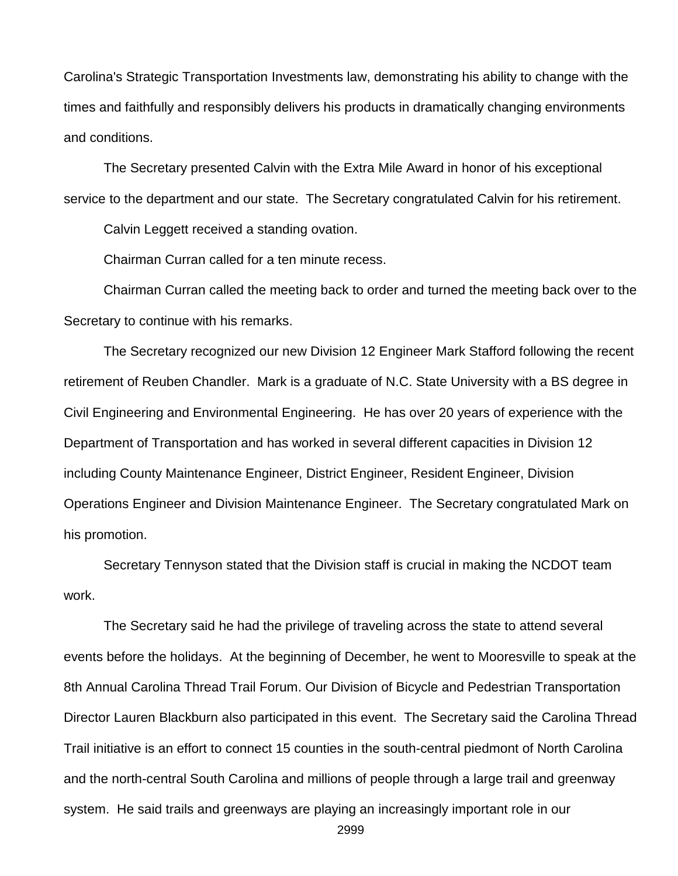Carolina's Strategic Transportation Investments law, demonstrating his ability to change with the times and faithfully and responsibly delivers his products in dramatically changing environments and conditions.

The Secretary presented Calvin with the Extra Mile Award in honor of his exceptional service to the department and our state. The Secretary congratulated Calvin for his retirement.

Calvin Leggett received a standing ovation.

Chairman Curran called for a ten minute recess.

Chairman Curran called the meeting back to order and turned the meeting back over to the Secretary to continue with his remarks.

The Secretary recognized our new Division 12 Engineer Mark Stafford following the recent retirement of Reuben Chandler. Mark is a graduate of N.C. State University with a BS degree in Civil Engineering and Environmental Engineering. He has over 20 years of experience with the Department of Transportation and has worked in several different capacities in Division 12 including County Maintenance Engineer, District Engineer, Resident Engineer, Division Operations Engineer and Division Maintenance Engineer. The Secretary congratulated Mark on his promotion.

Secretary Tennyson stated that the Division staff is crucial in making the NCDOT team work.

The Secretary said he had the privilege of traveling across the state to attend several events before the holidays. At the beginning of December, he went to Mooresville to speak at the 8th Annual Carolina Thread Trail Forum. Our Division of Bicycle and Pedestrian Transportation Director Lauren Blackburn also participated in this event. The Secretary said the Carolina Thread Trail initiative is an effort to connect 15 counties in the south-central piedmont of North Carolina and the north-central South Carolina and millions of people through a large trail and greenway system. He said trails and greenways are playing an increasingly important role in our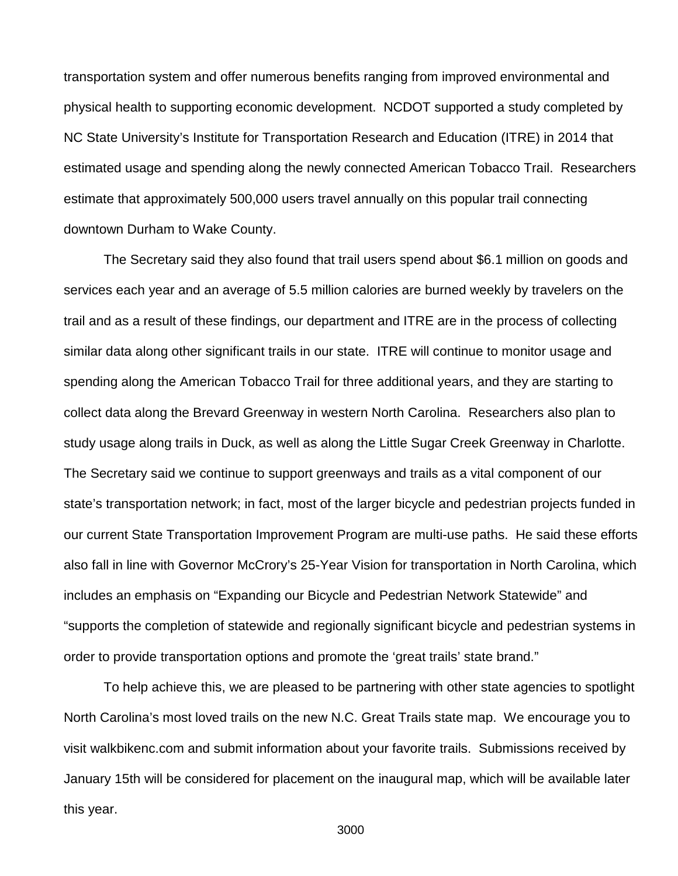transportation system and offer numerous benefits ranging from improved environmental and physical health to supporting economic development. NCDOT supported a study completed by NC State University's Institute for Transportation Research and Education (ITRE) in 2014 that estimated usage and spending along the newly connected American Tobacco Trail. Researchers estimate that approximately 500,000 users travel annually on this popular trail connecting downtown Durham to Wake County.

The Secretary said they also found that trail users spend about \$6.1 million on goods and services each year and an average of 5.5 million calories are burned weekly by travelers on the trail and as a result of these findings, our department and ITRE are in the process of collecting similar data along other significant trails in our state. ITRE will continue to monitor usage and spending along the American Tobacco Trail for three additional years, and they are starting to collect data along the Brevard Greenway in western North Carolina. Researchers also plan to study usage along trails in Duck, as well as along the Little Sugar Creek Greenway in Charlotte. The Secretary said we continue to support greenways and trails as a vital component of our state's transportation network; in fact, most of the larger bicycle and pedestrian projects funded in our current State Transportation Improvement Program are multi-use paths. He said these efforts also fall in line with Governor McCrory's 25-Year Vision for transportation in North Carolina, which includes an emphasis on "Expanding our Bicycle and Pedestrian Network Statewide" and "supports the completion of statewide and regionally significant bicycle and pedestrian systems in order to provide transportation options and promote the 'great trails' state brand."

To help achieve this, we are pleased to be partnering with other state agencies to spotlight North Carolina's most loved trails on the new N.C. Great Trails state map. We encourage you to visit walkbikenc.com and submit information about your favorite trails. Submissions received by January 15th will be considered for placement on the inaugural map, which will be available later this year.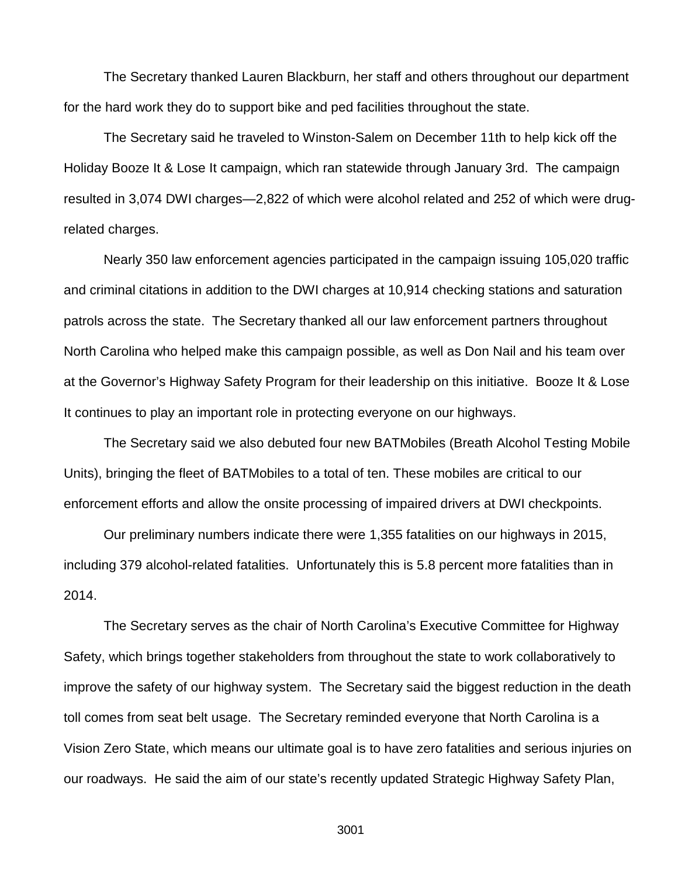The Secretary thanked Lauren Blackburn, her staff and others throughout our department for the hard work they do to support bike and ped facilities throughout the state.

The Secretary said he traveled to Winston-Salem on December 11th to help kick off the Holiday Booze It & Lose It campaign, which ran statewide through January 3rd. The campaign resulted in 3,074 DWI charges—2,822 of which were alcohol related and 252 of which were drugrelated charges.

Nearly 350 law enforcement agencies participated in the campaign issuing 105,020 traffic and criminal citations in addition to the DWI charges at 10,914 checking stations and saturation patrols across the state. The Secretary thanked all our law enforcement partners throughout North Carolina who helped make this campaign possible, as well as Don Nail and his team over at the Governor's Highway Safety Program for their leadership on this initiative. Booze It & Lose It continues to play an important role in protecting everyone on our highways.

The Secretary said we also debuted four new BATMobiles (Breath Alcohol Testing Mobile Units), bringing the fleet of BATMobiles to a total of ten. These mobiles are critical to our enforcement efforts and allow the onsite processing of impaired drivers at DWI checkpoints.

Our preliminary numbers indicate there were 1,355 fatalities on our highways in 2015, including 379 alcohol-related fatalities. Unfortunately this is 5.8 percent more fatalities than in 2014.

The Secretary serves as the chair of North Carolina's Executive Committee for Highway Safety, which brings together stakeholders from throughout the state to work collaboratively to improve the safety of our highway system. The Secretary said the biggest reduction in the death toll comes from seat belt usage. The Secretary reminded everyone that North Carolina is a Vision Zero State, which means our ultimate goal is to have zero fatalities and serious injuries on our roadways. He said the aim of our state's recently updated Strategic Highway Safety Plan,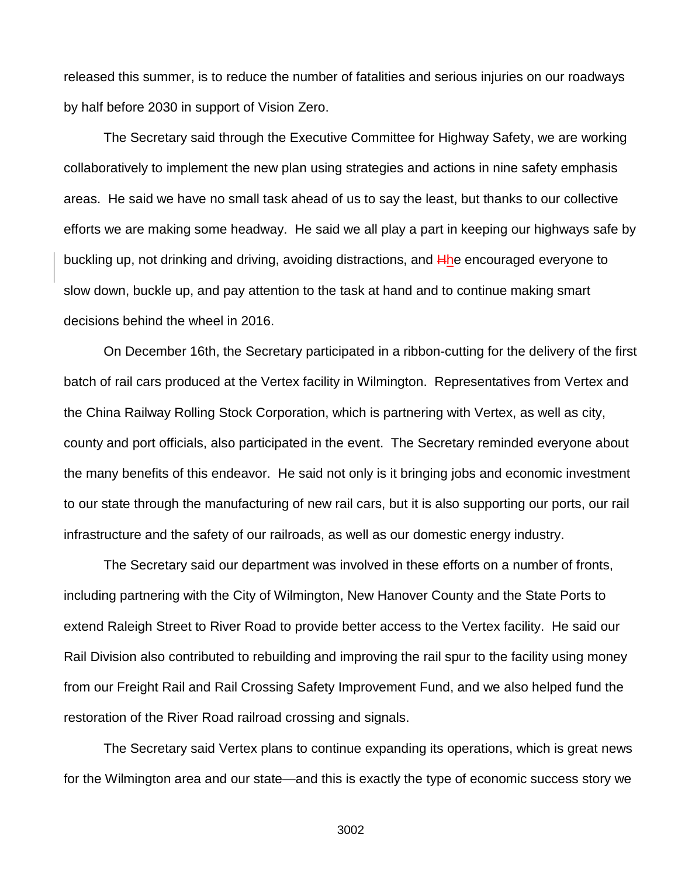released this summer, is to reduce the number of fatalities and serious injuries on our roadways by half before 2030 in support of Vision Zero.

The Secretary said through the Executive Committee for Highway Safety, we are working collaboratively to implement the new plan using strategies and actions in nine safety emphasis areas. He said we have no small task ahead of us to say the least, but thanks to our collective efforts we are making some headway. He said we all play a part in keeping our highways safe by buckling up, not drinking and driving, avoiding distractions, and  $\frac{H}{h}$ he encouraged everyone to slow down, buckle up, and pay attention to the task at hand and to continue making smart decisions behind the wheel in 2016.

On December 16th, the Secretary participated in a ribbon-cutting for the delivery of the first batch of rail cars produced at the Vertex facility in Wilmington. Representatives from Vertex and the China Railway Rolling Stock Corporation, which is partnering with Vertex, as well as city, county and port officials, also participated in the event. The Secretary reminded everyone about the many benefits of this endeavor. He said not only is it bringing jobs and economic investment to our state through the manufacturing of new rail cars, but it is also supporting our ports, our rail infrastructure and the safety of our railroads, as well as our domestic energy industry.

The Secretary said our department was involved in these efforts on a number of fronts, including partnering with the City of Wilmington, New Hanover County and the State Ports to extend Raleigh Street to River Road to provide better access to the Vertex facility. He said our Rail Division also contributed to rebuilding and improving the rail spur to the facility using money from our Freight Rail and Rail Crossing Safety Improvement Fund, and we also helped fund the restoration of the River Road railroad crossing and signals.

The Secretary said Vertex plans to continue expanding its operations, which is great news for the Wilmington area and our state—and this is exactly the type of economic success story we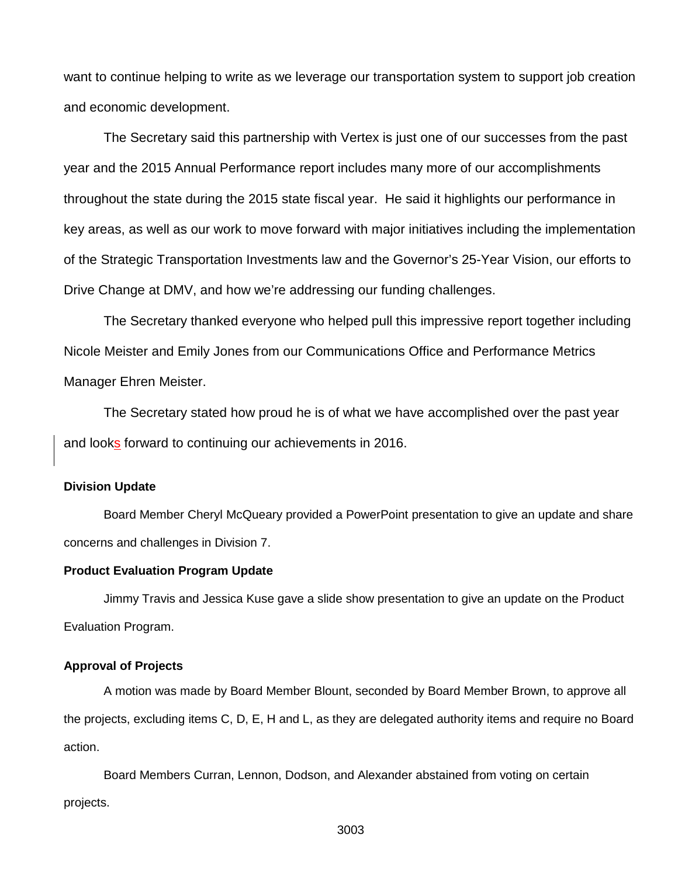want to continue helping to write as we leverage our transportation system to support job creation and economic development.

The Secretary said this partnership with Vertex is just one of our successes from the past year and the 2015 Annual Performance report includes many more of our accomplishments throughout the state during the 2015 state fiscal year. He said it highlights our performance in key areas, as well as our work to move forward with major initiatives including the implementation of the Strategic Transportation Investments law and the Governor's 25-Year Vision, our efforts to Drive Change at DMV, and how we're addressing our funding challenges.

The Secretary thanked everyone who helped pull this impressive report together including Nicole Meister and Emily Jones from our Communications Office and Performance Metrics Manager Ehren Meister.

The Secretary stated how proud he is of what we have accomplished over the past year and looks forward to continuing our achievements in 2016.

#### **Division Update**

Board Member Cheryl McQueary provided a PowerPoint presentation to give an update and share concerns and challenges in Division 7.

#### **Product Evaluation Program Update**

Jimmy Travis and Jessica Kuse gave a slide show presentation to give an update on the Product Evaluation Program.

#### **Approval of Projects**

A motion was made by Board Member Blount, seconded by Board Member Brown, to approve all the projects, excluding items C, D, E, H and L, as they are delegated authority items and require no Board action.

Board Members Curran, Lennon, Dodson, and Alexander abstained from voting on certain projects.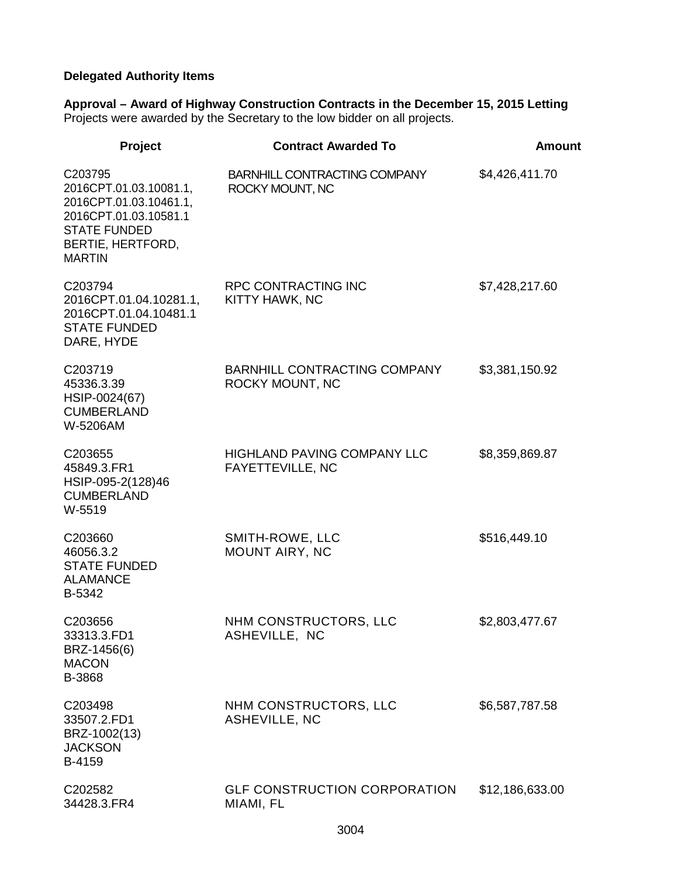# **Delegated Authority Items**

**Approval – Award of Highway Construction Contracts in the December 15, 2015 Letting** Projects were awarded by the Secretary to the low bidder on all projects.

| Project                                                                                                                                           | <b>Contract Awarded To</b>                             | Amount          |
|---------------------------------------------------------------------------------------------------------------------------------------------------|--------------------------------------------------------|-----------------|
| C203795<br>2016CPT.01.03.10081.1,<br>2016CPT.01.03.10461.1,<br>2016CPT.01.03.10581.1<br><b>STATE FUNDED</b><br>BERTIE, HERTFORD,<br><b>MARTIN</b> | BARNHILL CONTRACTING COMPANY<br>ROCKY MOUNT, NC        | \$4,426,411.70  |
| C203794<br>2016CPT.01.04.10281.1,<br>2016CPT.01.04.10481.1<br><b>STATE FUNDED</b><br>DARE, HYDE                                                   | <b>RPC CONTRACTING INC</b><br>KITTY HAWK, NC           | \$7,428,217.60  |
| C203719<br>45336.3.39<br>HSIP-0024(67)<br><b>CUMBERLAND</b><br>W-5206AM                                                                           | BARNHILL CONTRACTING COMPANY<br>ROCKY MOUNT, NC        | \$3,381,150.92  |
| C203655<br>45849.3.FR1<br>HSIP-095-2(128)46<br><b>CUMBERLAND</b><br>W-5519                                                                        | <b>HIGHLAND PAVING COMPANY LLC</b><br>FAYETTEVILLE, NC | \$8,359,869.87  |
| C203660<br>46056.3.2<br><b>STATE FUNDED</b><br><b>ALAMANCE</b><br>B-5342                                                                          | SMITH-ROWE, LLC<br>MOUNT AIRY, NC                      | \$516,449.10    |
| C203656<br>33313.3.FD1<br>BRZ-1456(6)<br><b>MACON</b><br>B-3868                                                                                   | NHM CONSTRUCTORS, LLC<br>ASHEVILLE, NC                 | \$2,803,477.67  |
| C203498<br>33507.2.FD1<br>BRZ-1002(13)<br><b>JACKSON</b><br>B-4159                                                                                | NHM CONSTRUCTORS, LLC<br>ASHEVILLE, NC                 | \$6,587,787.58  |
| C202582<br>34428.3.FR4                                                                                                                            | <b>GLF CONSTRUCTION CORPORATION</b><br>MIAMI, FL       | \$12,186,633.00 |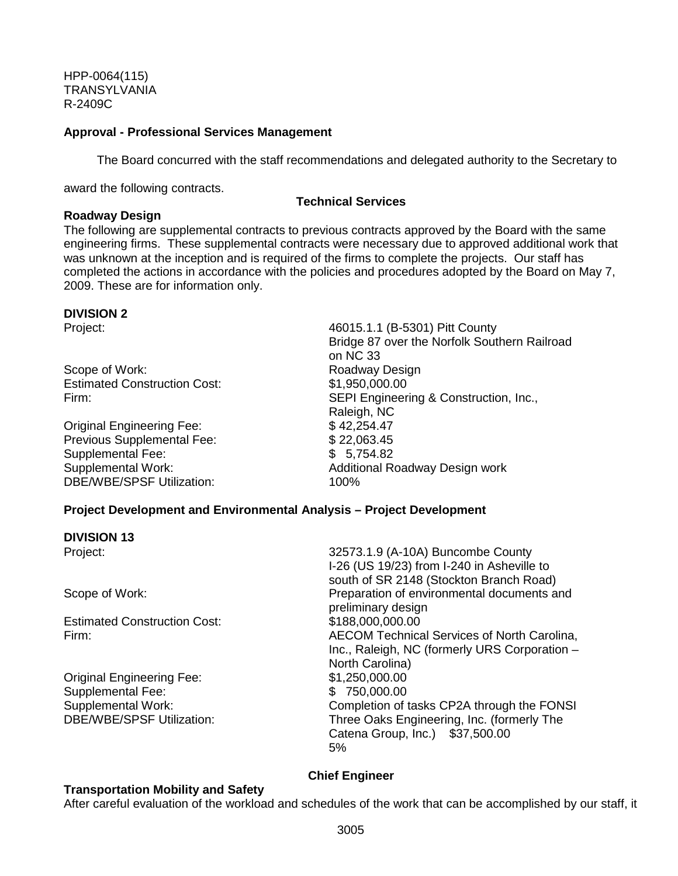HPP-0064(115) TRANSYLVANIA R-2409C

#### **Approval - Professional Services Management**

The Board concurred with the staff recommendations and delegated authority to the Secretary to

award the following contracts.

#### **Technical Services**

#### **Roadway Design**

The following are supplemental contracts to previous contracts approved by the Board with the same engineering firms. These supplemental contracts were necessary due to approved additional work that was unknown at the inception and is required of the firms to complete the projects. Our staff has completed the actions in accordance with the policies and procedures adopted by the Board on May 7, 2009. These are for information only.

# **DIVISION 2**

Scope of Work: Scope of Work: Roadway Design Estimated Construction Cost: \$1,950,000.00

Original Engineering Fee:  $$ 42,254.47$ <br>Previous Supplemental Fee:  $$ 22.063.45$ Previous Supplemental Fee: Supplemental Fee: \$ 5,754.82 DBE/WBE/SPSF Utilization: 100%

46015.1.1 (B-5301) Pitt County Bridge 87 over the Norfolk Southern Railroad on NC 33 Firm: SEPI Engineering & Construction, Inc., Raleigh, NC<br>\$42,254.47 Supplemental Work: Supplemental Work: Additional Roadway Design work

## **Project Development and Environmental Analysis – Project Development**

**DIVISION 13**

Estimated Construction Cost: \$188,000,000.00

Original Engineering Fee: \$1,250,000.00 Supplemental Fee:  $$ 750,000.00$ <br>Supplemental Work: Completion of t

Project: 32573.1.9 (A-10A) Buncombe County I-26 (US 19/23) from I-240 in Asheville to south of SR 2148 (Stockton Branch Road) Scope of Work: Preparation of environmental documents and preliminary design Firm: AECOM Technical Services of North Carolina, Inc., Raleigh, NC (formerly URS Corporation – North Carolina) Completion of tasks CP2A through the FONSI DBE/WBE/SPSF Utilization: Three Oaks Engineering, Inc. (formerly The Catena Group, Inc.) \$37,500.00 5%

## **Chief Engineer**

## **Transportation Mobility and Safety**

After careful evaluation of the workload and schedules of the work that can be accomplished by our staff, it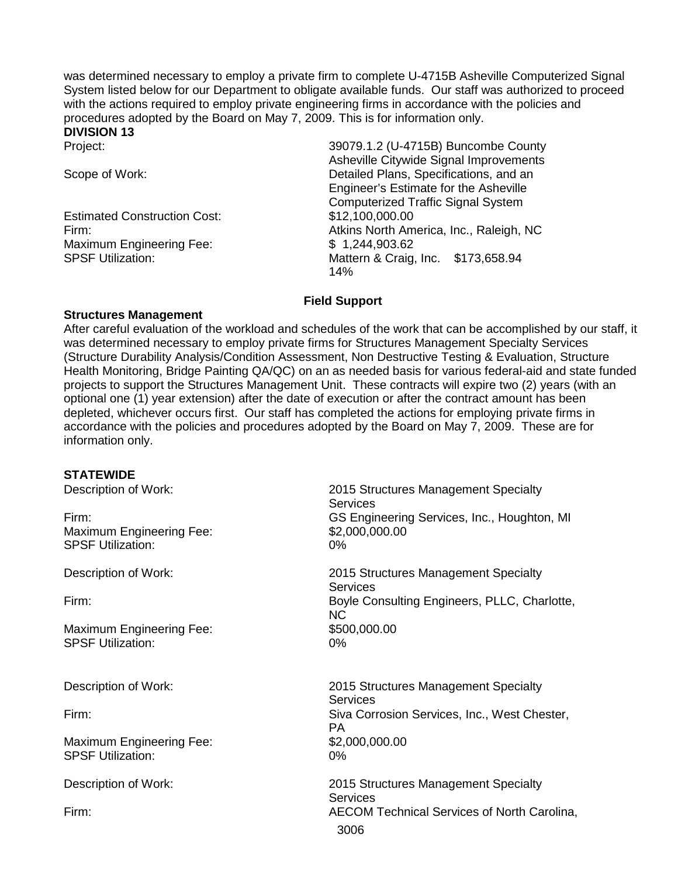was determined necessary to employ a private firm to complete U-4715B Asheville Computerized Signal System listed below for our Department to obligate available funds. Our staff was authorized to proceed with the actions required to employ private engineering firms in accordance with the policies and procedures adopted by the Board on May 7, 2009. This is for information only.

# **DIVISION 13**

Estimated Construction Cost: \$12,100,000.00 Maximum Engineering Fee:  $$ 1,244,903.62$ 

39079.1.2 (U-4715B) Buncombe County Asheville Citywide Signal Improvements Scope of Work: Detailed Plans, Specifications, and an Engineer's Estimate for the Asheville Computerized Traffic Signal System Firm: Atkins North America, Inc., Raleigh, NC SPSF Utilization: Mattern & Craig, Inc. \$173,658.94 14%

## **Field Support**

## **Structures Management**

After careful evaluation of the workload and schedules of the work that can be accomplished by our staff, it was determined necessary to employ private firms for Structures Management Specialty Services (Structure Durability Analysis/Condition Assessment, Non Destructive Testing & Evaluation, Structure Health Monitoring, Bridge Painting QA/QC) on an as needed basis for various federal-aid and state funded projects to support the Structures Management Unit. These contracts will expire two (2) years (with an optional one (1) year extension) after the date of execution or after the contract amount has been depleted, whichever occurs first. Our staff has completed the actions for employing private firms in accordance with the policies and procedures adopted by the Board on May 7, 2009. These are for information only.

#### **STATEWIDE**

| Description of Work:<br>Firm:                               | 2015 Structures Management Specialty<br>Services<br>GS Engineering Services, Inc., Houghton, MI |
|-------------------------------------------------------------|-------------------------------------------------------------------------------------------------|
| <b>Maximum Engineering Fee:</b><br><b>SPSF Utilization:</b> | \$2,000,000.00<br>0%                                                                            |
| Description of Work:                                        | 2015 Structures Management Specialty<br><b>Services</b>                                         |
| Firm:                                                       | Boyle Consulting Engineers, PLLC, Charlotte,<br><b>NC</b>                                       |
| <b>Maximum Engineering Fee:</b><br><b>SPSF Utilization:</b> | \$500,000.00<br>$0\%$                                                                           |
| Description of Work:                                        | 2015 Structures Management Specialty<br><b>Services</b>                                         |
| Firm:                                                       | Siva Corrosion Services, Inc., West Chester,<br>PA.                                             |
| <b>Maximum Engineering Fee:</b><br><b>SPSF Utilization:</b> | \$2,000,000.00<br>0%                                                                            |
| Description of Work:                                        | 2015 Structures Management Specialty<br><b>Services</b>                                         |
| Firm:                                                       | <b>AECOM Technical Services of North Carolina,</b><br>3006                                      |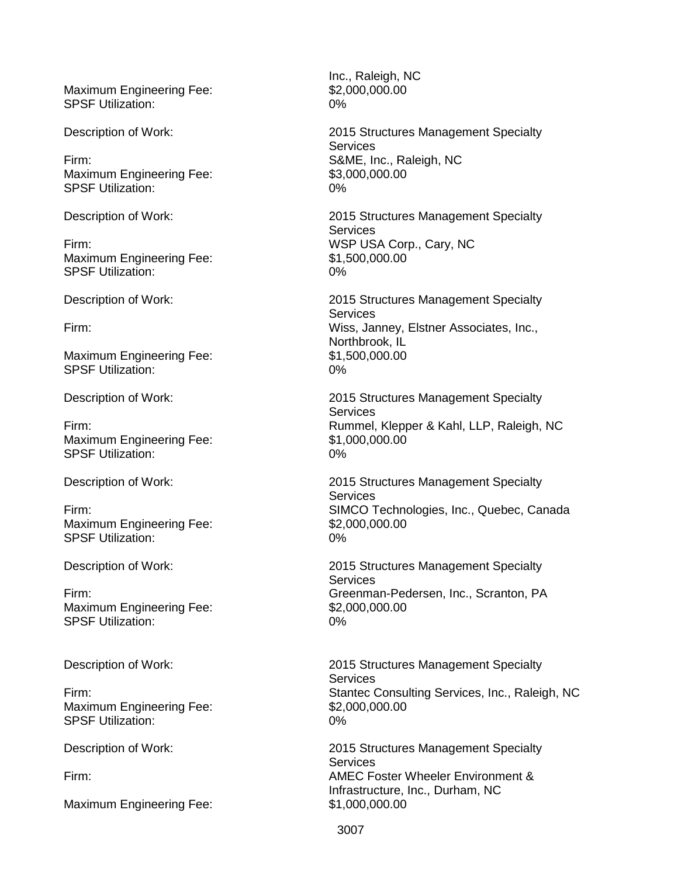Maximum Engineering Fee: \$2,000,000.000 SPSF Utilization: 0%

Maximum Engineering Fee: \$3,000,000.000 SPSF Utilization: 0%

Maximum Engineering Fee: \$1,500,000.00 SPSF Utilization: 0%

Maximum Engineering Fee: \$1,500,000.00 SPSF Utilization: 0%

Maximum Engineering Fee: SPSF Utilization: 0%

Maximum Engineering Fee: SPSF Utilization: 0%

Maximum Engineering Fee: \$2,000,000.00 SPSF Utilization: 0%

Maximum Engineering Fee: \$2,000,000.000 SPSF Utilization: 0%

Maximum Engineering Fee: \$1,000,000.000

Inc., Raleigh, NC

Description of Work: 2015 Structures Management Specialty **Services** Firm: S&ME, Inc., Raleigh, NC

Description of Work: 2015 Structures Management Specialty **Services** Firm: WSP USA Corp., Cary, NC

Description of Work: 2015 Structures Management Specialty **Services** Firm: Wiss, Janney, Elstner Associates, Inc., Northbrook, IL

Description of Work: 2015 Structures Management Specialty **Services** Firm:<br>
Maximum Engineering Fee:<br>
\$1,000,000.00<br>
\$1,000,000.00

Description of Work: 2015 Structures Management Specialty **Services** Firm:<br>
Maximum Engineering Fee:<br>
S2,000,000.00

Description of Work: 2015 Structures Management Specialty **Services** Firm: Greenman-Pedersen, Inc., Scranton, PA

Description of Work: 2015 Structures Management Specialty Services Firm: Stantec Consulting Services, Inc., Raleigh, NC

Description of Work: 2015 Structures Management Specialty **Services** Firm: AMEC Foster Wheeler Environment & Infrastructure, Inc., Durham, NC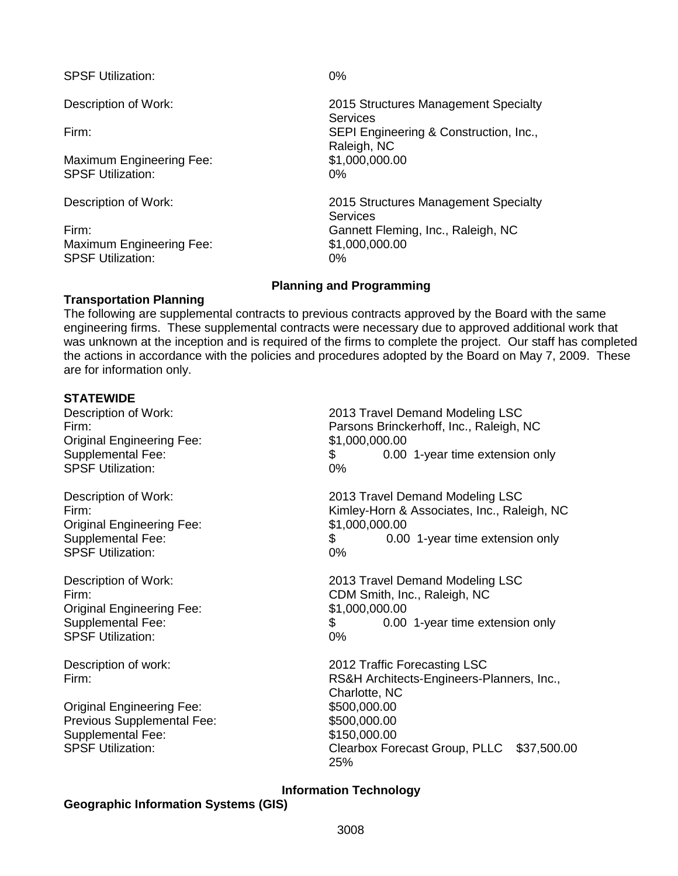SPSF Utilization: 0%

Maximum Engineering Fee: \$1,000,000.00 SPSF Utilization: 0%

Maximum Engineering Fee: \$1,000,000.000 SPSF Utilization: 0%

Description of Work: 2015 Structures Management Specialty **Services** Firm: SEPI Engineering & Construction, Inc., Raleigh, NC

Description of Work: 2015 Structures Management Specialty **Services** Firm: Gannett Fleming, Inc., Raleigh, NC

## **Planning and Programming**

## **Transportation Planning**

The following are supplemental contracts to previous contracts approved by the Board with the same engineering firms. These supplemental contracts were necessary due to approved additional work that was unknown at the inception and is required of the firms to complete the project. Our staff has completed the actions in accordance with the policies and procedures adopted by the Board on May 7, 2009. These are for information only.

## **STATEWIDE**

Original Engineering Fee: \$1,000,000.00 SPSF Utilization:

Original Engineering Fee:  $$1,000,000.00$ <br>Supplemental Fee:  $$0.00$ SPSF Utilization: 0%

Original Engineering Fee: \$1,000,000.00 SPSF Utilization:

Original Engineering Fee: \$500,000.00 Previous Supplemental Fee: \$500,000,000 Supplemental Fee:  $$150,000.00$ <br>SPSF Utilization:  $$C$ learbox For

Description of Work: 2013 Travel Demand Modeling LSC Firm: Parsons Brinckerhoff, Inc., Raleigh, NC Supplemental Fee:  $\frac{1}{2}$   $\frac{1}{2}$   $\frac{1}{2}$   $\frac{1}{2}$   $\frac{1}{2}$   $\frac{1}{2}$   $\frac{1}{2}$   $\frac{1}{2}$   $\frac{1}{2}$   $\frac{1}{2}$   $\frac{1}{2}$   $\frac{1}{2}$   $\frac{1}{2}$   $\frac{1}{2}$   $\frac{1}{2}$   $\frac{1}{2}$   $\frac{1}{2}$   $\frac{1}{2}$   $\frac{1}{2}$   $\frac{1}{2}$   $\frac{$ 

Description of Work: 2013 Travel Demand Modeling LSC Firm: Kimley-Horn & Associates, Inc., Raleigh, NC \$ 0.00 1-year time extension only

Description of Work: 2013 Travel Demand Modeling LSC Firm: CDM Smith, Inc., Raleigh, NC Supplemental Fee:  $\frac{1}{2}$   $\frac{1}{2}$   $\frac{1}{2}$   $\frac{1}{2}$   $\frac{1}{2}$   $\frac{1}{2}$   $\frac{1}{2}$   $\frac{1}{2}$   $\frac{1}{2}$   $\frac{1}{2}$   $\frac{1}{2}$   $\frac{1}{2}$   $\frac{1}{2}$   $\frac{1}{2}$   $\frac{1}{2}$   $\frac{1}{2}$   $\frac{1}{2}$   $\frac{1}{2}$   $\frac{1}{2}$   $\frac{1}{2}$   $\frac{$ 

Description of work: 2012 Traffic Forecasting LSC Firm: RS&H Architects-Engineers-Planners, Inc., Charlotte, NC Clearbox Forecast Group, PLLC \$37,500.00 25%

## **Information Technology**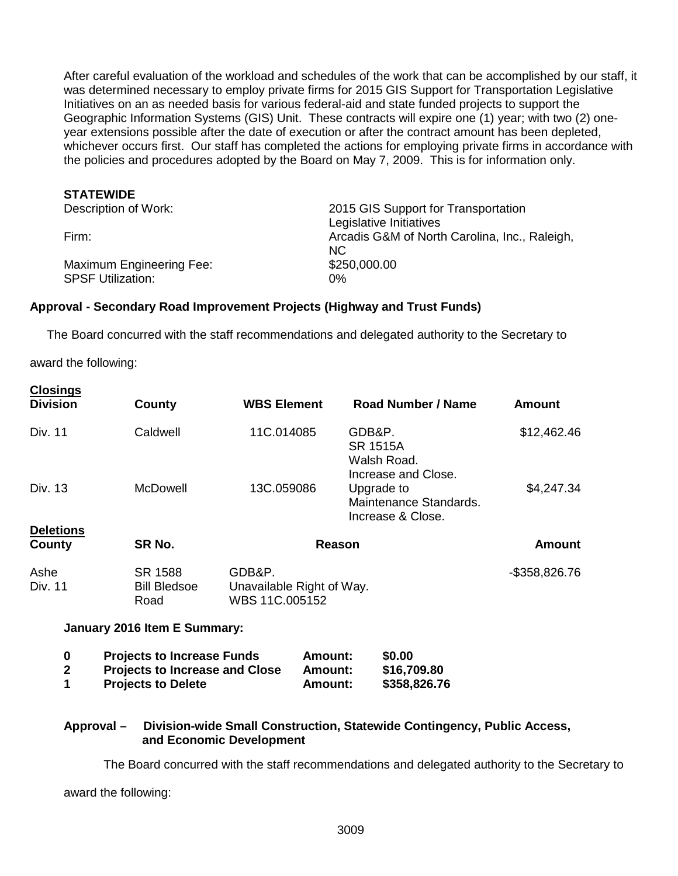After careful evaluation of the workload and schedules of the work that can be accomplished by our staff, it was determined necessary to employ private firms for 2015 GIS Support for Transportation Legislative Initiatives on an as needed basis for various federal-aid and state funded projects to support the Geographic Information Systems (GIS) Unit. These contracts will expire one (1) year; with two (2) oneyear extensions possible after the date of execution or after the contract amount has been depleted, whichever occurs first. Our staff has completed the actions for employing private firms in accordance with the policies and procedures adopted by the Board on May 7, 2009. This is for information only.

#### **STATEWIDE**

| Description of Work:     | 2015 GIS Support for Transportation           |
|--------------------------|-----------------------------------------------|
|                          | Legislative Initiatives                       |
| Firm:                    | Arcadis G&M of North Carolina, Inc., Raleigh, |
|                          | NC.                                           |
| Maximum Engineering Fee: | \$250,000.00                                  |
| <b>SPSF Utilization:</b> | 0%                                            |

#### **Approval - Secondary Road Improvement Projects (Highway and Trust Funds)**

The Board concurred with the staff recommendations and delegated authority to the Secretary to

award the following:

**Closings**

| <u></u><br><b>Division</b> | County                                 | <b>WBS Element</b>       |                           | <b>Road Number / Name</b>                                       | <b>Amount</b>    |
|----------------------------|----------------------------------------|--------------------------|---------------------------|-----------------------------------------------------------------|------------------|
| Div. 11                    | Caldwell                               | 11C.014085               |                           | GDB&P.<br><b>SR 1515A</b><br>Walsh Road.<br>Increase and Close. | \$12,462.46      |
| Div. 13                    | <b>McDowell</b>                        | 13C.059086               |                           | Upgrade to<br>Maintenance Standards.<br>Increase & Close.       | \$4,247.34       |
| <b>Deletions</b>           |                                        |                          |                           |                                                                 |                  |
| County                     | SR No.                                 |                          | <b>Reason</b>             |                                                                 | <b>Amount</b>    |
| Ashe<br>Div. 11            | SR 1588<br><b>Bill Bledsoe</b><br>Road | GDB&P.<br>WBS 11C.005152 | Unavailable Right of Way. |                                                                 | $-$ \$358,826.76 |
|                            | January 2016 Item E Summary:           |                          |                           |                                                                 |                  |
| 0                          | <b>Projects to Increase Funds</b>      |                          | Amount:                   | \$0.00                                                          |                  |
| $\overline{2}$             | <b>Projects to Increase and Close</b>  |                          | Amount:                   | \$16,709.80                                                     |                  |
| 1                          | <b>Projects to Delete</b>              |                          | Amount:                   | \$358,826.76                                                    |                  |
|                            |                                        |                          |                           |                                                                 |                  |

## **Approval – Division-wide Small Construction, Statewide Contingency, Public Access, and Economic Development**

The Board concurred with the staff recommendations and delegated authority to the Secretary to

award the following: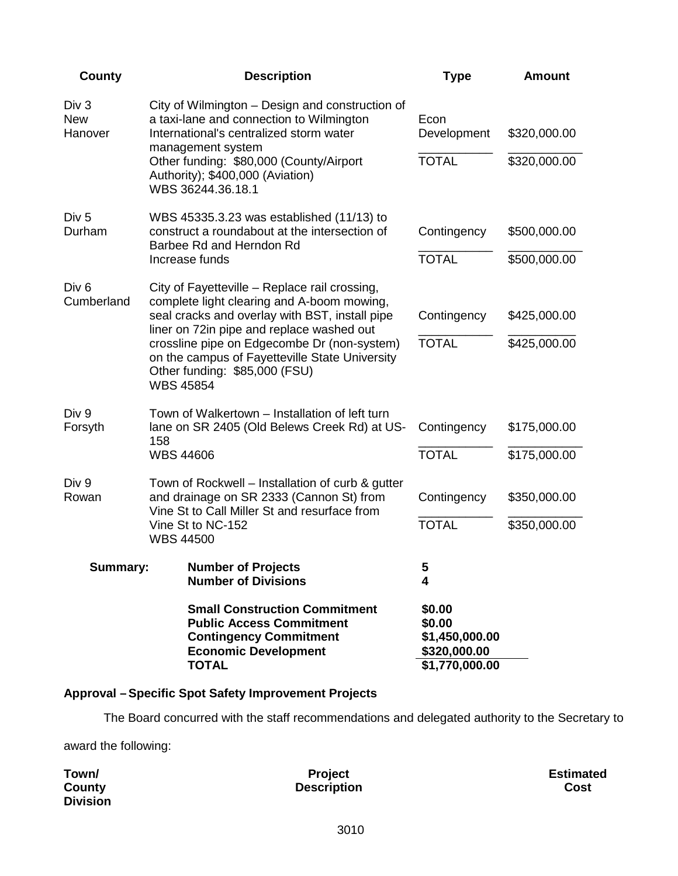| <b>County</b>                  | <b>Description</b>                                                                                                                                                                                     | <b>Type</b>                                                          | <b>Amount</b>                |
|--------------------------------|--------------------------------------------------------------------------------------------------------------------------------------------------------------------------------------------------------|----------------------------------------------------------------------|------------------------------|
| Div 3<br><b>New</b><br>Hanover | City of Wilmington - Design and construction of<br>a taxi-lane and connection to Wilmington<br>International's centralized storm water<br>management system<br>Other funding: \$80,000 (County/Airport | Econ<br>Development<br><b>TOTAL</b>                                  | \$320,000.00<br>\$320,000.00 |
|                                | Authority); \$400,000 (Aviation)<br>WBS 36244.36.18.1                                                                                                                                                  |                                                                      |                              |
| Div <sub>5</sub><br>Durham     | WBS 45335.3.23 was established (11/13) to<br>construct a roundabout at the intersection of<br>Barbee Rd and Herndon Rd                                                                                 | Contingency                                                          | \$500,000.00                 |
|                                | Increase funds                                                                                                                                                                                         | <b>TOTAL</b>                                                         | \$500,000.00                 |
| Div <sub>6</sub>               | City of Fayetteville – Replace rail crossing,                                                                                                                                                          |                                                                      |                              |
| Cumberland                     | complete light clearing and A-boom mowing,<br>seal cracks and overlay with BST, install pipe<br>liner on 72in pipe and replace washed out                                                              | Contingency                                                          | \$425,000.00                 |
|                                | crossline pipe on Edgecombe Dr (non-system)<br>on the campus of Fayetteville State University<br>Other funding: \$85,000 (FSU)<br><b>WBS 45854</b>                                                     | <b>TOTAL</b>                                                         | \$425,000.00                 |
| Div 9<br>Forsyth               | Town of Walkertown – Installation of left turn<br>lane on SR 2405 (Old Belews Creek Rd) at US-<br>158                                                                                                  | Contingency                                                          | \$175,000.00                 |
|                                | <b>WBS 44606</b>                                                                                                                                                                                       | <b>TOTAL</b>                                                         | \$175,000.00                 |
| Div 9<br>Rowan                 | Town of Rockwell – Installation of curb & gutter<br>and drainage on SR 2333 (Cannon St) from                                                                                                           | Contingency                                                          | \$350,000.00                 |
|                                | Vine St to Call Miller St and resurface from<br>Vine St to NC-152<br><b>WBS 44500</b>                                                                                                                  | <b>TOTAL</b>                                                         | \$350,000.00                 |
| Summary:                       | <b>Number of Projects</b><br><b>Number of Divisions</b>                                                                                                                                                | 5<br>4                                                               |                              |
|                                | <b>Small Construction Commitment</b><br><b>Public Access Commitment</b><br><b>Contingency Commitment</b><br><b>Economic Development</b><br><b>TOTAL</b>                                                | \$0.00<br>\$0.00<br>\$1,450,000.00<br>\$320,000.00<br>\$1,770,000.00 |                              |
|                                |                                                                                                                                                                                                        |                                                                      |                              |

# **Approval –Specific Spot Safety Improvement Projects**

The Board concurred with the staff recommendations and delegated authority to the Secretary to

award the following:

| Town/           | <b>Project</b>     | <b>Estimated</b> |
|-----------------|--------------------|------------------|
| County          | <b>Description</b> | Cost             |
| <b>Division</b> |                    |                  |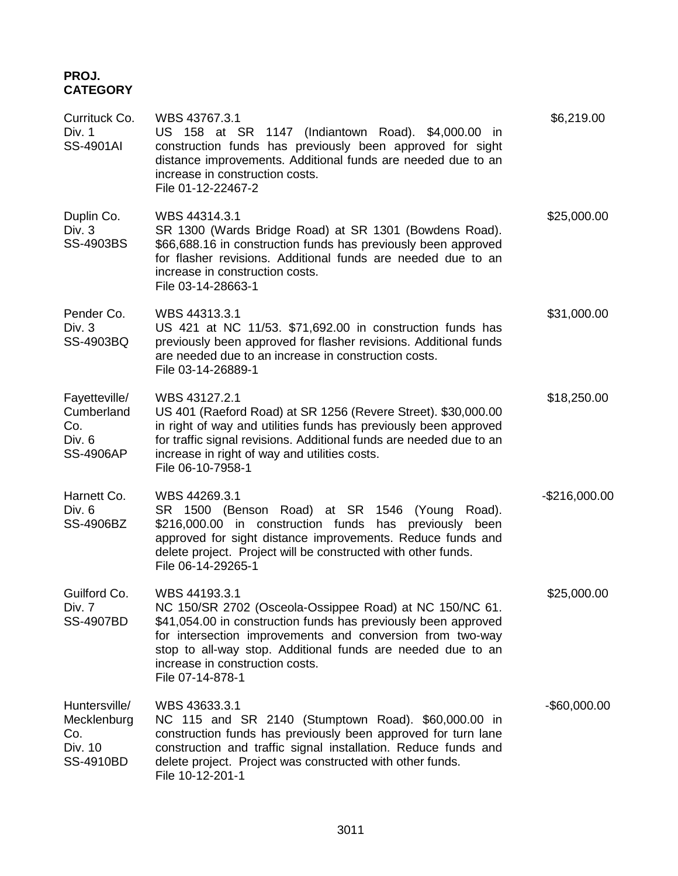# **PROJ. CATEGORY**

| Currituck Co.<br>Div. 1<br><b>SS-4901AI</b>                      | WBS 43767.3.1<br>US 158 at SR 1147 (Indiantown Road). \$4,000.00 in<br>construction funds has previously been approved for sight<br>distance improvements. Additional funds are needed due to an<br>increase in construction costs.<br>File 01-12-22467-2                                                                     | \$6,219.00      |
|------------------------------------------------------------------|-------------------------------------------------------------------------------------------------------------------------------------------------------------------------------------------------------------------------------------------------------------------------------------------------------------------------------|-----------------|
| Duplin Co.<br>Div. 3<br>SS-4903BS                                | WBS 44314.3.1<br>SR 1300 (Wards Bridge Road) at SR 1301 (Bowdens Road).<br>\$66,688.16 in construction funds has previously been approved<br>for flasher revisions. Additional funds are needed due to an<br>increase in construction costs.<br>File 03-14-28663-1                                                            | \$25,000.00     |
| Pender Co.<br>Div. 3<br>SS-4903BQ                                | WBS 44313.3.1<br>US 421 at NC 11/53. \$71,692.00 in construction funds has<br>previously been approved for flasher revisions. Additional funds<br>are needed due to an increase in construction costs.<br>File 03-14-26889-1                                                                                                  | \$31,000.00     |
| Fayetteville/<br>Cumberland<br>Co.<br>Div. 6<br><b>SS-4906AP</b> | WBS 43127.2.1<br>US 401 (Raeford Road) at SR 1256 (Revere Street). \$30,000.00<br>in right of way and utilities funds has previously been approved<br>for traffic signal revisions. Additional funds are needed due to an<br>increase in right of way and utilities costs.<br>File 06-10-7958-1                               | \$18,250.00     |
| Harnett Co.<br>Div. 6<br>SS-4906BZ                               | WBS 44269.3.1<br>SR 1500 (Benson Road) at SR 1546 (Young Road).<br>\$216,000.00 in construction funds has previously been<br>approved for sight distance improvements. Reduce funds and<br>delete project. Project will be constructed with other funds.<br>File 06-14-29265-1                                                | $-$216,000.00$  |
| Guilford Co.<br>Div. 7<br><b>SS-4907BD</b>                       | WBS 44193.3.1<br>NC 150/SR 2702 (Osceola-Ossippee Road) at NC 150/NC 61.<br>\$41,054.00 in construction funds has previously been approved<br>for intersection improvements and conversion from two-way<br>stop to all-way stop. Additional funds are needed due to an<br>increase in construction costs.<br>File 07-14-878-1 | \$25,000.00     |
| Huntersville/<br>Mecklenburg<br>Co.<br>Div. 10<br>SS-4910BD      | WBS 43633.3.1<br>NC 115 and SR 2140 (Stumptown Road). \$60,000.00 in<br>construction funds has previously been approved for turn lane<br>construction and traffic signal installation. Reduce funds and<br>delete project. Project was constructed with other funds.<br>File 10-12-201-1                                      | $-$ \$60,000.00 |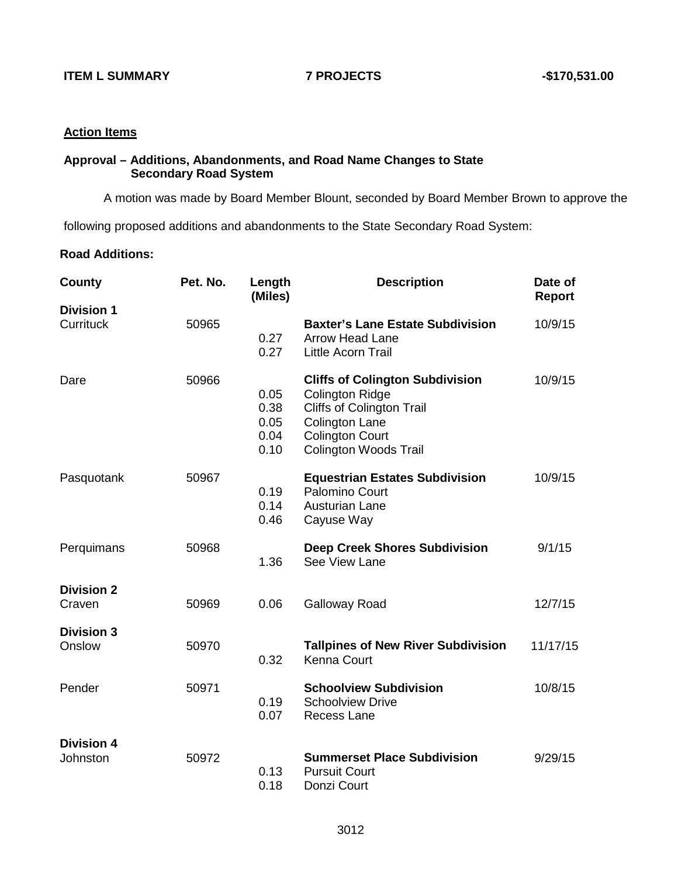#### **Action Items**

## **Approval – Additions, Abandonments, and Road Name Changes to State Secondary Road System**

A motion was made by Board Member Blount, seconded by Board Member Brown to approve the

following proposed additions and abandonments to the State Secondary Road System:

## **Road Additions:**

| County                         | Pet. No. | Length<br>(Miles)                    | <b>Description</b>                                                                                                                                                                      | Date of<br><b>Report</b> |
|--------------------------------|----------|--------------------------------------|-----------------------------------------------------------------------------------------------------------------------------------------------------------------------------------------|--------------------------|
| <b>Division 1</b><br>Currituck | 50965    | 0.27<br>0.27                         | <b>Baxter's Lane Estate Subdivision</b><br><b>Arrow Head Lane</b><br>Little Acorn Trail                                                                                                 | 10/9/15                  |
| Dare                           | 50966    | 0.05<br>0.38<br>0.05<br>0.04<br>0.10 | <b>Cliffs of Colington Subdivision</b><br><b>Colington Ridge</b><br><b>Cliffs of Colington Trail</b><br><b>Colington Lane</b><br><b>Colington Court</b><br><b>Colington Woods Trail</b> | 10/9/15                  |
| Pasquotank                     | 50967    | 0.19<br>0.14<br>0.46                 | <b>Equestrian Estates Subdivision</b><br>Palomino Court<br><b>Austurian Lane</b><br>Cayuse Way                                                                                          | 10/9/15                  |
| Perquimans                     | 50968    | 1.36                                 | <b>Deep Creek Shores Subdivision</b><br>See View Lane                                                                                                                                   | 9/1/15                   |
| <b>Division 2</b><br>Craven    | 50969    | 0.06                                 | <b>Galloway Road</b>                                                                                                                                                                    | 12/7/15                  |
| <b>Division 3</b><br>Onslow    | 50970    | 0.32                                 | <b>Tallpines of New River Subdivision</b><br>Kenna Court                                                                                                                                | 11/17/15                 |
| Pender                         | 50971    | 0.19<br>0.07                         | <b>Schoolview Subdivision</b><br><b>Schoolview Drive</b><br><b>Recess Lane</b>                                                                                                          | 10/8/15                  |
| <b>Division 4</b><br>Johnston  | 50972    | 0.13<br>0.18                         | <b>Summerset Place Subdivision</b><br><b>Pursuit Court</b><br>Donzi Court                                                                                                               | 9/29/15                  |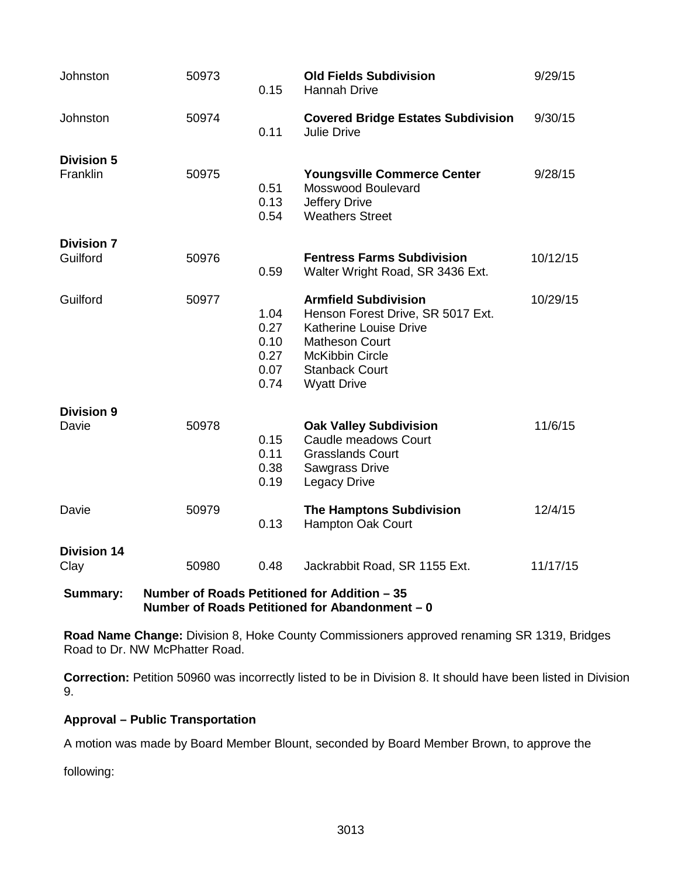| Johnston                      | 50973 | 0.15                                         | <b>Old Fields Subdivision</b><br><b>Hannah Drive</b>                                                                                                                                                | 9/29/15  |
|-------------------------------|-------|----------------------------------------------|-----------------------------------------------------------------------------------------------------------------------------------------------------------------------------------------------------|----------|
| Johnston                      | 50974 | 0.11                                         | <b>Covered Bridge Estates Subdivision</b><br><b>Julie Drive</b>                                                                                                                                     | 9/30/15  |
| <b>Division 5</b><br>Franklin | 50975 | 0.51<br>0.13<br>0.54                         | <b>Youngsville Commerce Center</b><br>Mosswood Boulevard<br>Jeffery Drive<br><b>Weathers Street</b>                                                                                                 | 9/28/15  |
| <b>Division 7</b><br>Guilford | 50976 | 0.59                                         | <b>Fentress Farms Subdivision</b><br>Walter Wright Road, SR 3436 Ext.                                                                                                                               | 10/12/15 |
| Guilford                      | 50977 | 1.04<br>0.27<br>0.10<br>0.27<br>0.07<br>0.74 | <b>Armfield Subdivision</b><br>Henson Forest Drive, SR 5017 Ext.<br><b>Katherine Louise Drive</b><br><b>Matheson Court</b><br><b>McKibbin Circle</b><br><b>Stanback Court</b><br><b>Wyatt Drive</b> | 10/29/15 |
| <b>Division 9</b><br>Davie    | 50978 | 0.15<br>0.11<br>0.38<br>0.19                 | <b>Oak Valley Subdivision</b><br>Caudle meadows Court<br><b>Grasslands Court</b><br><b>Sawgrass Drive</b><br><b>Legacy Drive</b>                                                                    | 11/6/15  |
| Davie                         | 50979 | 0.13                                         | <b>The Hamptons Subdivision</b><br>Hampton Oak Court                                                                                                                                                | 12/4/15  |
| <b>Division 14</b><br>Clay    | 50980 | 0.48                                         | Jackrabbit Road, SR 1155 Ext.                                                                                                                                                                       | 11/17/15 |
| <b>Summary:</b>               |       |                                              | Number of Roads Petitioned for Addition - 35<br>Number of Roads Petitioned for Abandonment - 0                                                                                                      |          |

**Road Name Change:** Division 8, Hoke County Commissioners approved renaming SR 1319, Bridges Road to Dr. NW McPhatter Road.

**Correction:** Petition 50960 was incorrectly listed to be in Division 8. It should have been listed in Division 9.

## **Approval – Public Transportation**

A motion was made by Board Member Blount, seconded by Board Member Brown, to approve the

following: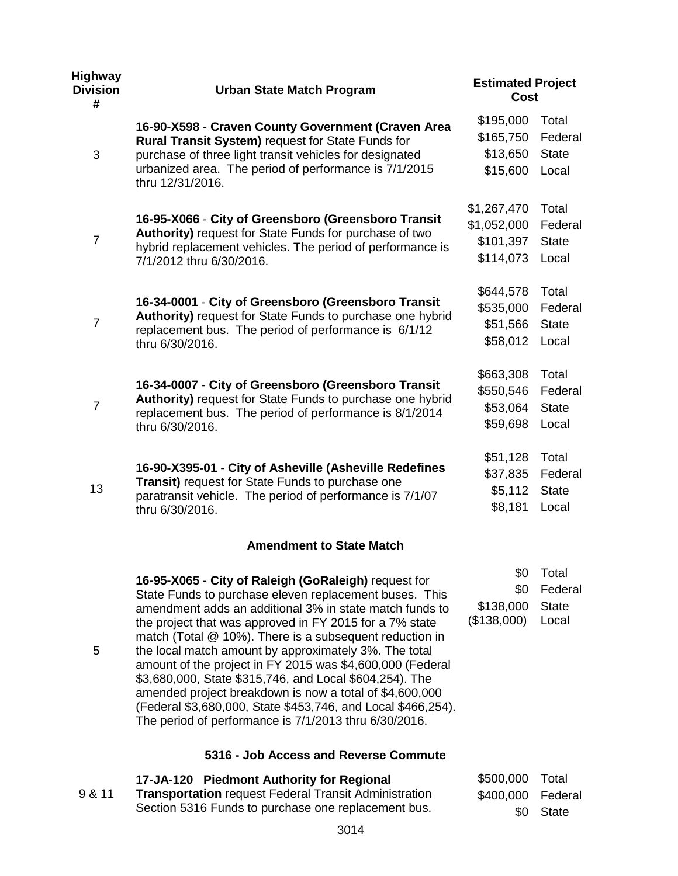| <b>Highway</b><br><b>Division</b><br># | <b>Urban State Match Program</b>                                                                                                                                                                                                                                                                                                                                                                                                                                                                                                                                                                                                                                     | <b>Estimated Project</b><br>Cost                     |                                           |  |
|----------------------------------------|----------------------------------------------------------------------------------------------------------------------------------------------------------------------------------------------------------------------------------------------------------------------------------------------------------------------------------------------------------------------------------------------------------------------------------------------------------------------------------------------------------------------------------------------------------------------------------------------------------------------------------------------------------------------|------------------------------------------------------|-------------------------------------------|--|
| 3                                      | 16-90-X598 - Craven County Government (Craven Area<br>Rural Transit System) request for State Funds for<br>purchase of three light transit vehicles for designated<br>urbanized area. The period of performance is 7/1/2015<br>thru 12/31/2016.                                                                                                                                                                                                                                                                                                                                                                                                                      | \$195,000<br>\$165,750<br>\$13,650<br>\$15,600       | Total<br>Federal<br><b>State</b><br>Local |  |
| $\overline{7}$                         | 16-95-X066 - City of Greensboro (Greensboro Transit<br>Authority) request for State Funds for purchase of two<br>hybrid replacement vehicles. The period of performance is<br>7/1/2012 thru 6/30/2016.                                                                                                                                                                                                                                                                                                                                                                                                                                                               | \$1,267,470<br>\$1,052,000<br>\$101,397<br>\$114,073 | Total<br>Federal<br><b>State</b><br>Local |  |
| $\overline{7}$                         | 16-34-0001 - City of Greensboro (Greensboro Transit<br>Authority) request for State Funds to purchase one hybrid<br>replacement bus. The period of performance is 6/1/12<br>thru 6/30/2016.                                                                                                                                                                                                                                                                                                                                                                                                                                                                          | \$644,578<br>\$535,000<br>\$51,566<br>\$58,012       | Total<br>Federal<br><b>State</b><br>Local |  |
| $\overline{7}$                         | 16-34-0007 - City of Greensboro (Greensboro Transit<br>Authority) request for State Funds to purchase one hybrid<br>replacement bus. The period of performance is 8/1/2014<br>thru 6/30/2016.                                                                                                                                                                                                                                                                                                                                                                                                                                                                        | \$663,308<br>\$550,546<br>\$53,064<br>\$59,698       | Total<br>Federal<br><b>State</b><br>Local |  |
| 13                                     | 16-90-X395-01 - City of Asheville (Asheville Redefines<br>Transit) request for State Funds to purchase one<br>paratransit vehicle. The period of performance is 7/1/07<br>thru 6/30/2016.                                                                                                                                                                                                                                                                                                                                                                                                                                                                            | \$51,128<br>\$37,835<br>\$5,112<br>\$8,181           | Total<br>Federal<br><b>State</b><br>Local |  |
|                                        | <b>Amendment to State Match</b>                                                                                                                                                                                                                                                                                                                                                                                                                                                                                                                                                                                                                                      |                                                      |                                           |  |
| 5                                      | 16-95-X065 - City of Raleigh (GoRaleigh) request for<br>State Funds to purchase eleven replacement buses. This<br>amendment adds an additional 3% in state match funds to<br>the project that was approved in FY 2015 for a 7% state<br>match (Total @ 10%). There is a subsequent reduction in<br>the local match amount by approximately 3%. The total<br>amount of the project in FY 2015 was \$4,600,000 (Federal<br>\$3,680,000, State \$315,746, and Local \$604,254). The<br>amended project breakdown is now a total of \$4,600,000<br>(Federal \$3,680,000, State \$453,746, and Local \$466,254).<br>The period of performance is 7/1/2013 thru 6/30/2016. | \$0<br>\$0<br>\$138,000<br>(\$138,000)               | Total<br>Federal<br><b>State</b><br>Local |  |
|                                        | 5316 - Job Access and Reverse Commute                                                                                                                                                                                                                                                                                                                                                                                                                                                                                                                                                                                                                                |                                                      |                                           |  |

|        | 17-JA-120 Piedmont Authority for Regional                    | \$500,000 Total   |           |
|--------|--------------------------------------------------------------|-------------------|-----------|
| 9 & 11 | <b>Transportation</b> request Federal Transit Administration | \$400,000 Federal |           |
|        | Section 5316 Funds to purchase one replacement bus.          |                   | \$0 State |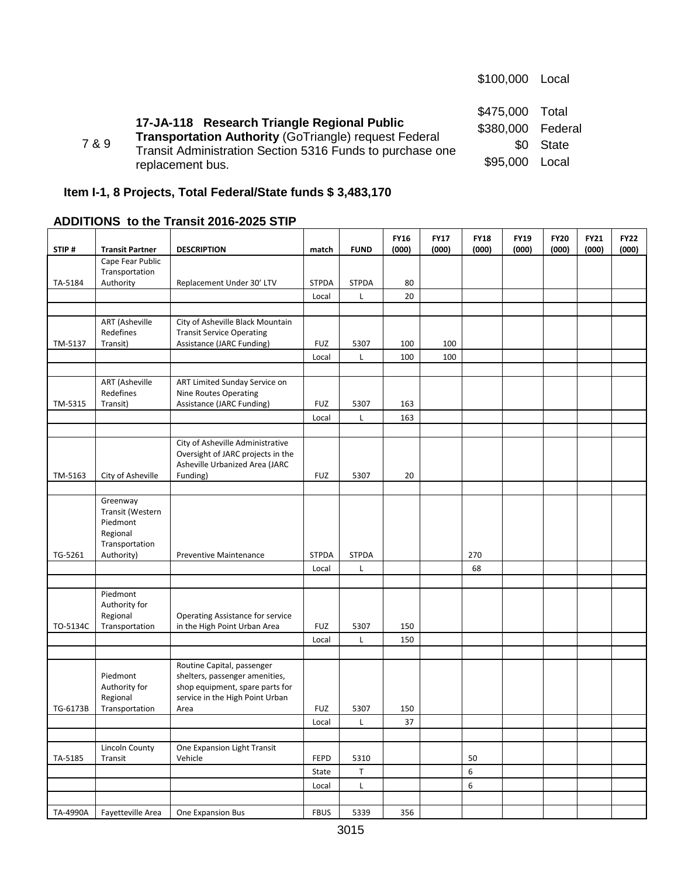|       |                                                                                                                                                                                       | \$100,000                                         | Local                          |
|-------|---------------------------------------------------------------------------------------------------------------------------------------------------------------------------------------|---------------------------------------------------|--------------------------------|
| 7 & 9 | 17-JA-118 Research Triangle Regional Public<br>Transportation Authority (GoTriangle) request Federal<br>Transit Administration Section 5316 Funds to purchase one<br>replacement bus. | \$475,000<br>\$380,000 Federal<br>SO.<br>\$95,000 | Total<br><b>State</b><br>Local |

# **Item I-1, 8 Projects, Total Federal/State funds \$ 3,483,170**

# **ADDITIONS to the Transit 2016-2025 STIP**

| STIP#    | <b>Transit Partner</b>                                                 | <b>DESCRIPTION</b>                                                                                                                 | match        | <b>FUND</b>  | <b>FY16</b><br>(000) | <b>FY17</b><br>(000) | <b>FY18</b><br>(000) | <b>FY19</b><br>(000) | <b>FY20</b><br>(000) | <b>FY21</b><br>(000) | <b>FY22</b><br>(000) |
|----------|------------------------------------------------------------------------|------------------------------------------------------------------------------------------------------------------------------------|--------------|--------------|----------------------|----------------------|----------------------|----------------------|----------------------|----------------------|----------------------|
|          | Cape Fear Public                                                       |                                                                                                                                    |              |              |                      |                      |                      |                      |                      |                      |                      |
|          | Transportation                                                         |                                                                                                                                    |              |              |                      |                      |                      |                      |                      |                      |                      |
| TA-5184  | Authority                                                              | Replacement Under 30' LTV                                                                                                          | <b>STPDA</b> | <b>STPDA</b> | 80                   |                      |                      |                      |                      |                      |                      |
|          |                                                                        |                                                                                                                                    | Local        | L            | 20                   |                      |                      |                      |                      |                      |                      |
|          |                                                                        |                                                                                                                                    |              |              |                      |                      |                      |                      |                      |                      |                      |
|          | <b>ART</b> (Asheville                                                  | City of Asheville Black Mountain                                                                                                   |              |              |                      |                      |                      |                      |                      |                      |                      |
| TM-5137  | Redefines                                                              | <b>Transit Service Operating</b>                                                                                                   |              |              | 100                  | 100                  |                      |                      |                      |                      |                      |
|          | Transit)                                                               | Assistance (JARC Funding)                                                                                                          | <b>FUZ</b>   | 5307         |                      |                      |                      |                      |                      |                      |                      |
|          |                                                                        |                                                                                                                                    | Local        | Г            | 100                  | 100                  |                      |                      |                      |                      |                      |
|          | <b>ART</b> (Asheville                                                  | ART Limited Sunday Service on                                                                                                      |              |              |                      |                      |                      |                      |                      |                      |                      |
|          | Redefines                                                              | Nine Routes Operating                                                                                                              |              |              |                      |                      |                      |                      |                      |                      |                      |
| TM-5315  | Transit)                                                               | Assistance (JARC Funding)                                                                                                          | <b>FUZ</b>   | 5307         | 163                  |                      |                      |                      |                      |                      |                      |
|          |                                                                        |                                                                                                                                    | Local        | Г            | 163                  |                      |                      |                      |                      |                      |                      |
|          |                                                                        |                                                                                                                                    |              |              |                      |                      |                      |                      |                      |                      |                      |
| TM-5163  | City of Asheville                                                      | City of Asheville Administrative<br>Oversight of JARC projects in the<br>Asheville Urbanized Area (JARC<br>Funding)                | <b>FUZ</b>   | 5307         | 20                   |                      |                      |                      |                      |                      |                      |
|          |                                                                        |                                                                                                                                    |              |              |                      |                      |                      |                      |                      |                      |                      |
|          | Greenway<br>Transit (Western<br>Piedmont<br>Regional<br>Transportation |                                                                                                                                    |              |              |                      |                      |                      |                      |                      |                      |                      |
| TG-5261  | Authority)                                                             | <b>Preventive Maintenance</b>                                                                                                      | <b>STPDA</b> | <b>STPDA</b> |                      |                      | 270                  |                      |                      |                      |                      |
|          |                                                                        |                                                                                                                                    | Local        | L            |                      |                      | 68                   |                      |                      |                      |                      |
|          |                                                                        |                                                                                                                                    |              |              |                      |                      |                      |                      |                      |                      |                      |
| TO-5134C | Piedmont<br>Authority for<br>Regional<br>Transportation                | Operating Assistance for service<br>in the High Point Urban Area                                                                   | <b>FUZ</b>   | 5307         | 150                  |                      |                      |                      |                      |                      |                      |
|          |                                                                        |                                                                                                                                    | Local        | Г            | 150                  |                      |                      |                      |                      |                      |                      |
|          | Piedmont<br>Authority for<br>Regional                                  | Routine Capital, passenger<br>shelters, passenger amenities,<br>shop equipment, spare parts for<br>service in the High Point Urban |              |              |                      |                      |                      |                      |                      |                      |                      |
| TG-6173B | Transportation                                                         | Area                                                                                                                               | <b>FUZ</b>   | 5307         | 150                  |                      |                      |                      |                      |                      |                      |
|          |                                                                        |                                                                                                                                    | Local        | L            | 37                   |                      |                      |                      |                      |                      |                      |
|          |                                                                        |                                                                                                                                    |              |              |                      |                      |                      |                      |                      |                      |                      |
| TA-5185  | <b>Lincoln County</b><br>Transit                                       | One Expansion Light Transit<br>Vehicle                                                                                             | FEPD         | 5310         |                      |                      | 50                   |                      |                      |                      |                      |
|          |                                                                        |                                                                                                                                    | State        | Τ            |                      |                      | 6                    |                      |                      |                      |                      |
|          |                                                                        |                                                                                                                                    | Local        | L            |                      |                      | $\boldsymbol{6}$     |                      |                      |                      |                      |
|          |                                                                        |                                                                                                                                    |              |              |                      |                      |                      |                      |                      |                      |                      |
| TA-4990A | Fayetteville Area                                                      | One Expansion Bus                                                                                                                  | <b>FBUS</b>  | 5339         | 356                  |                      |                      |                      |                      |                      |                      |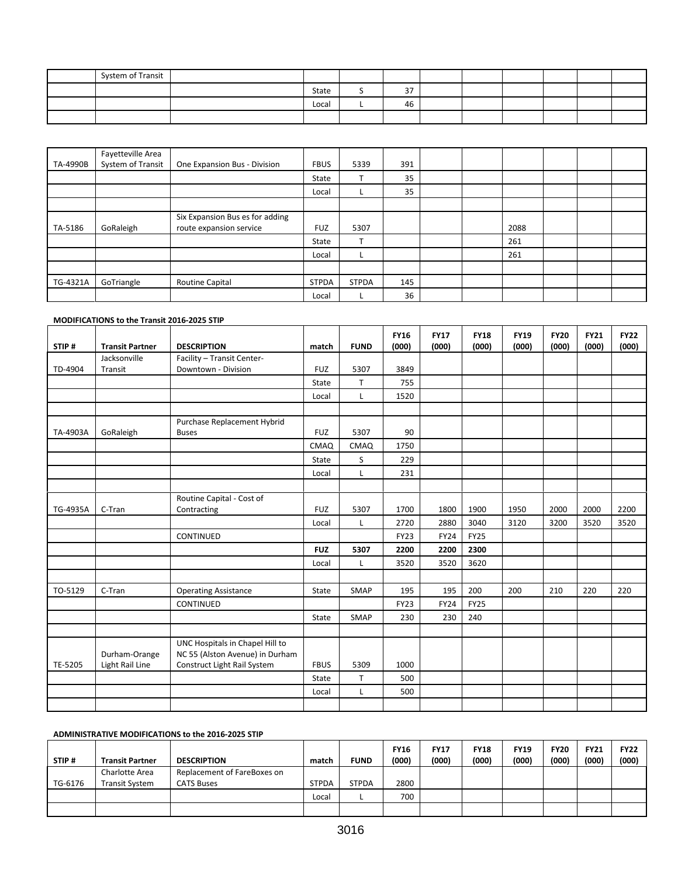| System of Transit |       |             |  |  |  |
|-------------------|-------|-------------|--|--|--|
|                   | State | $\sim$<br>ັ |  |  |  |
|                   | Local | 46          |  |  |  |
|                   |       |             |  |  |  |

|          | Fayetteville Area |                                 |              |              |     |  |      |  |  |
|----------|-------------------|---------------------------------|--------------|--------------|-----|--|------|--|--|
| TA-4990B | System of Transit | One Expansion Bus - Division    | <b>FBUS</b>  | 5339         | 391 |  |      |  |  |
|          |                   |                                 | State        | T            | 35  |  |      |  |  |
|          |                   |                                 | Local        |              | 35  |  |      |  |  |
|          |                   |                                 |              |              |     |  |      |  |  |
|          |                   | Six Expansion Bus es for adding |              |              |     |  |      |  |  |
| TA-5186  | GoRaleigh         | route expansion service         | <b>FUZ</b>   | 5307         |     |  | 2088 |  |  |
|          |                   |                                 | State        | $\mathbf$    |     |  | 261  |  |  |
|          |                   |                                 | Local        | L            |     |  | 261  |  |  |
|          |                   |                                 |              |              |     |  |      |  |  |
| TG-4321A | GoTriangle        | Routine Capital                 | <b>STPDA</b> | <b>STPDA</b> | 145 |  |      |  |  |
|          |                   |                                 | Local        |              | 36  |  |      |  |  |

#### **MODIFICATIONS to the Transit 2016-2025 STIP**

| STIP#    | <b>Transit Partner</b> | <b>DESCRIPTION</b>              | match       | <b>FUND</b> | <b>FY16</b><br>(000) | <b>FY17</b><br>(000) | <b>FY18</b><br>(000) | <b>FY19</b><br>(000) | <b>FY20</b><br>(000) | <b>FY21</b><br>(000) | <b>FY22</b><br>(000) |
|----------|------------------------|---------------------------------|-------------|-------------|----------------------|----------------------|----------------------|----------------------|----------------------|----------------------|----------------------|
|          | Jacksonville           | Facility - Transit Center-      |             |             |                      |                      |                      |                      |                      |                      |                      |
| TD-4904  | Transit                | Downtown - Division             | <b>FUZ</b>  | 5307        | 3849                 |                      |                      |                      |                      |                      |                      |
|          |                        |                                 | State       | T.          | 755                  |                      |                      |                      |                      |                      |                      |
|          |                        |                                 | Local       | L           | 1520                 |                      |                      |                      |                      |                      |                      |
|          |                        |                                 |             |             |                      |                      |                      |                      |                      |                      |                      |
|          |                        | Purchase Replacement Hybrid     |             |             |                      |                      |                      |                      |                      |                      |                      |
| TA-4903A | GoRaleigh              | <b>Buses</b>                    | <b>FUZ</b>  | 5307        | 90                   |                      |                      |                      |                      |                      |                      |
|          |                        |                                 | CMAQ        | CMAQ        | 1750                 |                      |                      |                      |                      |                      |                      |
|          |                        |                                 | State       | S.          | 229                  |                      |                      |                      |                      |                      |                      |
|          |                        |                                 | Local       | Г           | 231                  |                      |                      |                      |                      |                      |                      |
|          |                        |                                 |             |             |                      |                      |                      |                      |                      |                      |                      |
|          |                        | Routine Capital - Cost of       |             |             |                      |                      |                      |                      |                      |                      |                      |
| TG-4935A | C-Tran                 | Contracting                     | <b>FUZ</b>  | 5307        | 1700                 | 1800                 | 1900                 | 1950                 | 2000                 | 2000                 | 2200                 |
|          |                        |                                 | Local       | Г           | 2720                 | 2880                 | 3040                 | 3120                 | 3200                 | 3520                 | 3520                 |
|          |                        | CONTINUED                       |             |             | <b>FY23</b>          | <b>FY24</b>          | <b>FY25</b>          |                      |                      |                      |                      |
|          |                        |                                 | <b>FUZ</b>  | 5307        | 2200                 | 2200                 | 2300                 |                      |                      |                      |                      |
|          |                        |                                 | Local       | L           | 3520                 | 3520                 | 3620                 |                      |                      |                      |                      |
|          |                        |                                 |             |             |                      |                      |                      |                      |                      |                      |                      |
| TO-5129  | C-Tran                 | <b>Operating Assistance</b>     | State       | SMAP        | 195                  | 195                  | 200                  | 200                  | 210                  | 220                  | 220                  |
|          |                        | CONTINUED                       |             |             | <b>FY23</b>          | <b>FY24</b>          | <b>FY25</b>          |                      |                      |                      |                      |
|          |                        |                                 | State       | SMAP        | 230                  | 230                  | 240                  |                      |                      |                      |                      |
|          |                        |                                 |             |             |                      |                      |                      |                      |                      |                      |                      |
|          |                        | UNC Hospitals in Chapel Hill to |             |             |                      |                      |                      |                      |                      |                      |                      |
|          | Durham-Orange          | NC 55 (Alston Avenue) in Durham |             |             |                      |                      |                      |                      |                      |                      |                      |
| TE-5205  | Light Rail Line        | Construct Light Rail System     | <b>FBUS</b> | 5309        | 1000                 |                      |                      |                      |                      |                      |                      |
|          |                        |                                 | State       | T           | 500                  |                      |                      |                      |                      |                      |                      |
|          |                        |                                 | Local       | L           | 500                  |                      |                      |                      |                      |                      |                      |
|          |                        |                                 |             |             |                      |                      |                      |                      |                      |                      |                      |

#### **ADMINISTRATIVE MODIFICATIONS to the 2016-2025 STIP**

| STIP#   | <b>Transit Partner</b>                  | <b>DESCRIPTION</b>                               | match        | <b>FUND</b>  | <b>FY16</b><br>(000) | <b>FY17</b><br>(000) | <b>FY18</b><br>(000) | <b>FY19</b><br>(000) | <b>FY20</b><br>(000) | <b>FY21</b><br>(000) | <b>FY22</b><br>(000) |
|---------|-----------------------------------------|--------------------------------------------------|--------------|--------------|----------------------|----------------------|----------------------|----------------------|----------------------|----------------------|----------------------|
| TG-6176 | Charlotte Area<br><b>Transit System</b> | Replacement of FareBoxes on<br><b>CATS Buses</b> | <b>STPDA</b> | <b>STPDA</b> | 2800                 |                      |                      |                      |                      |                      |                      |
|         |                                         |                                                  | Local        |              | 700                  |                      |                      |                      |                      |                      |                      |
|         |                                         |                                                  |              |              |                      |                      |                      |                      |                      |                      |                      |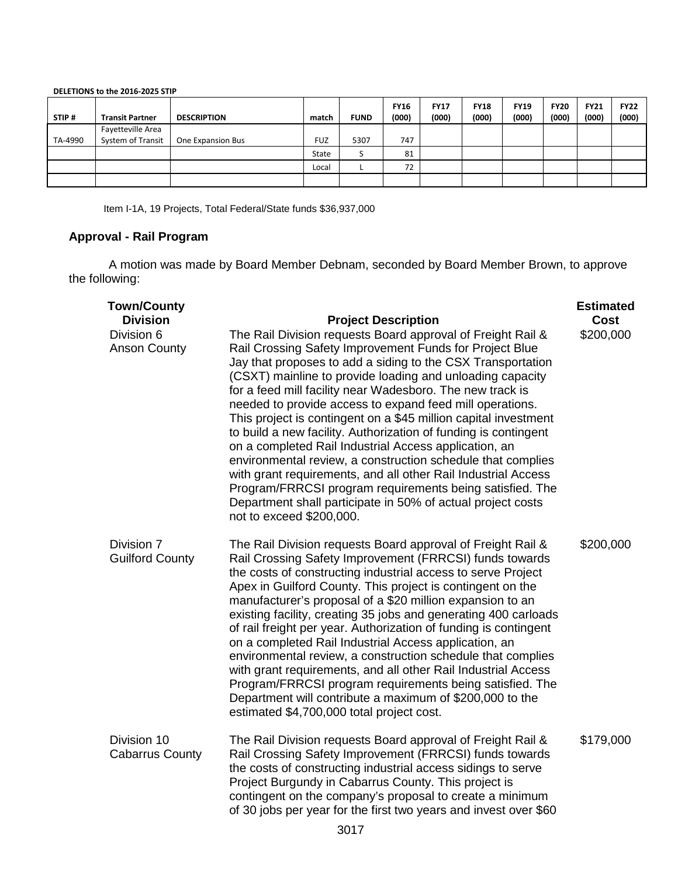| STIP#   | <b>Transit Partner</b> | <b>DESCRIPTION</b> | match      | <b>FUND</b> | <b>FY16</b><br>(000) | <b>FY17</b><br>(000) | <b>FY18</b><br>(000) | <b>FY19</b><br>(000) | <b>FY20</b><br>(000) | <b>FY21</b><br>(000) | <b>FY22</b><br>(000) |
|---------|------------------------|--------------------|------------|-------------|----------------------|----------------------|----------------------|----------------------|----------------------|----------------------|----------------------|
|         | Fayetteville Area      |                    |            |             |                      |                      |                      |                      |                      |                      |                      |
| TA-4990 | System of Transit      | One Expansion Bus  | <b>FUZ</b> | 5307        | 747                  |                      |                      |                      |                      |                      |                      |
|         |                        |                    | State      |             | 81                   |                      |                      |                      |                      |                      |                      |
|         |                        |                    | Local      |             | 72                   |                      |                      |                      |                      |                      |                      |
|         |                        |                    |            |             |                      |                      |                      |                      |                      |                      |                      |

**DELETIONS to the 2016-2025 STIP**

Item I-1A, 19 Projects, Total Federal/State funds \$36,937,000

## **Approval - Rail Program**

A motion was made by Board Member Debnam, seconded by Board Member Brown, to approve the following:

| <b>Town/County</b><br><b>Division</b> | <b>Project Description</b>                                                                                                                                                                                                                                                                                                                                                                                                                                                                                                                                                                                                                                                                                                                                                                                                                                        | <b>Estimated</b><br>Cost |
|---------------------------------------|-------------------------------------------------------------------------------------------------------------------------------------------------------------------------------------------------------------------------------------------------------------------------------------------------------------------------------------------------------------------------------------------------------------------------------------------------------------------------------------------------------------------------------------------------------------------------------------------------------------------------------------------------------------------------------------------------------------------------------------------------------------------------------------------------------------------------------------------------------------------|--------------------------|
| Division 6<br><b>Anson County</b>     | The Rail Division requests Board approval of Freight Rail &<br>Rail Crossing Safety Improvement Funds for Project Blue<br>Jay that proposes to add a siding to the CSX Transportation<br>(CSXT) mainline to provide loading and unloading capacity<br>for a feed mill facility near Wadesboro. The new track is<br>needed to provide access to expand feed mill operations.<br>This project is contingent on a \$45 million capital investment<br>to build a new facility. Authorization of funding is contingent<br>on a completed Rail Industrial Access application, an<br>environmental review, a construction schedule that complies<br>with grant requirements, and all other Rail Industrial Access<br>Program/FRRCSI program requirements being satisfied. The<br>Department shall participate in 50% of actual project costs<br>not to exceed \$200,000. | \$200,000                |
| Division 7<br><b>Guilford County</b>  | The Rail Division requests Board approval of Freight Rail &<br>Rail Crossing Safety Improvement (FRRCSI) funds towards<br>the costs of constructing industrial access to serve Project<br>Apex in Guilford County. This project is contingent on the<br>manufacturer's proposal of a \$20 million expansion to an<br>existing facility, creating 35 jobs and generating 400 carloads<br>of rail freight per year. Authorization of funding is contingent<br>on a completed Rail Industrial Access application, an<br>environmental review, a construction schedule that complies<br>with grant requirements, and all other Rail Industrial Access<br>Program/FRRCSI program requirements being satisfied. The<br>Department will contribute a maximum of \$200,000 to the<br>estimated \$4,700,000 total project cost.                                            | \$200,000                |
| Division 10<br><b>Cabarrus County</b> | The Rail Division requests Board approval of Freight Rail &<br>Rail Crossing Safety Improvement (FRRCSI) funds towards<br>the costs of constructing industrial access sidings to serve<br>Project Burgundy in Cabarrus County. This project is<br>contingent on the company's proposal to create a minimum<br>of 30 jobs per year for the first two years and invest over \$60<br>2017                                                                                                                                                                                                                                                                                                                                                                                                                                                                            | \$179,000                |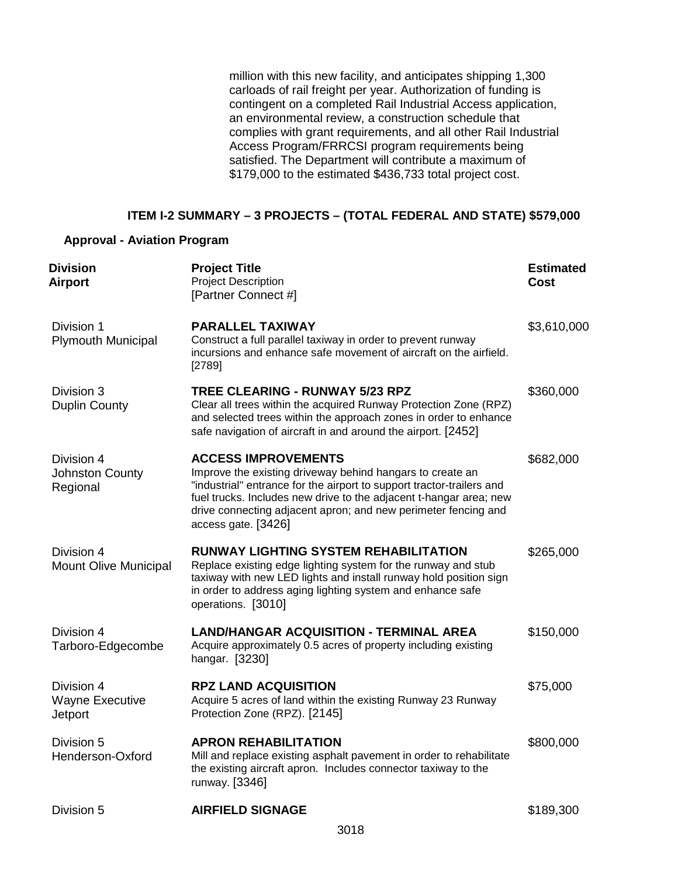million with this new facility, and anticipates shipping 1,300 carloads of rail freight per year. Authorization of funding is contingent on a completed Rail Industrial Access application, an environmental review, a construction schedule that complies with grant requirements, and all other Rail Industrial Access Program/FRRCSI program requirements being satisfied. The Department will contribute a maximum of \$179,000 to the estimated \$436,733 total project cost.

## **ITEM I-2 SUMMARY – 3 PROJECTS – (TOTAL FEDERAL AND STATE) \$579,000**

#### **Approval - Aviation Program**

| <b>Division</b><br><b>Airport</b>                      | <b>Project Title</b><br><b>Project Description</b><br>[Partner Connect #]                                                                                                                                                                                                                                                       | <b>Estimated</b><br>Cost |
|--------------------------------------------------------|---------------------------------------------------------------------------------------------------------------------------------------------------------------------------------------------------------------------------------------------------------------------------------------------------------------------------------|--------------------------|
| Division 1<br><b>Plymouth Municipal</b>                | PARALLEL TAXIWAY<br>Construct a full parallel taxiway in order to prevent runway<br>incursions and enhance safe movement of aircraft on the airfield.<br>[2789]                                                                                                                                                                 | \$3,610,000              |
| Division 3<br><b>Duplin County</b>                     | <b>TREE CLEARING - RUNWAY 5/23 RPZ</b><br>Clear all trees within the acquired Runway Protection Zone (RPZ)<br>and selected trees within the approach zones in order to enhance<br>safe navigation of aircraft in and around the airport. [2452]                                                                                 | \$360,000                |
| Division 4<br><b>Johnston County</b><br>Regional       | <b>ACCESS IMPROVEMENTS</b><br>Improve the existing driveway behind hangars to create an<br>"industrial" entrance for the airport to support tractor-trailers and<br>fuel trucks. Includes new drive to the adjacent t-hangar area; new<br>drive connecting adjacent apron; and new perimeter fencing and<br>access gate. [3426] | \$682,000                |
| Division 4<br><b>Mount Olive Municipal</b>             | <b>RUNWAY LIGHTING SYSTEM REHABILITATION</b><br>Replace existing edge lighting system for the runway and stub<br>taxiway with new LED lights and install runway hold position sign<br>in order to address aging lighting system and enhance safe<br>operations. [3010]                                                          | \$265,000                |
| Division 4<br>Tarboro-Edgecombe                        | <b>LAND/HANGAR ACQUISITION - TERMINAL AREA</b><br>Acquire approximately 0.5 acres of property including existing<br>hangar. [3230]                                                                                                                                                                                              | \$150,000                |
| Division 4<br><b>Wayne Executive</b><br><b>Jetport</b> | <b>RPZ LAND ACQUISITION</b><br>Acquire 5 acres of land within the existing Runway 23 Runway<br>Protection Zone (RPZ). [2145]                                                                                                                                                                                                    | \$75,000                 |
| Division 5<br>Henderson-Oxford                         | <b>APRON REHABILITATION</b><br>Mill and replace existing asphalt pavement in order to rehabilitate<br>the existing aircraft apron. Includes connector taxiway to the<br>runway. [3346]                                                                                                                                          | \$800,000                |
| Division 5                                             | <b>AIRFIELD SIGNAGE</b>                                                                                                                                                                                                                                                                                                         | \$189,300                |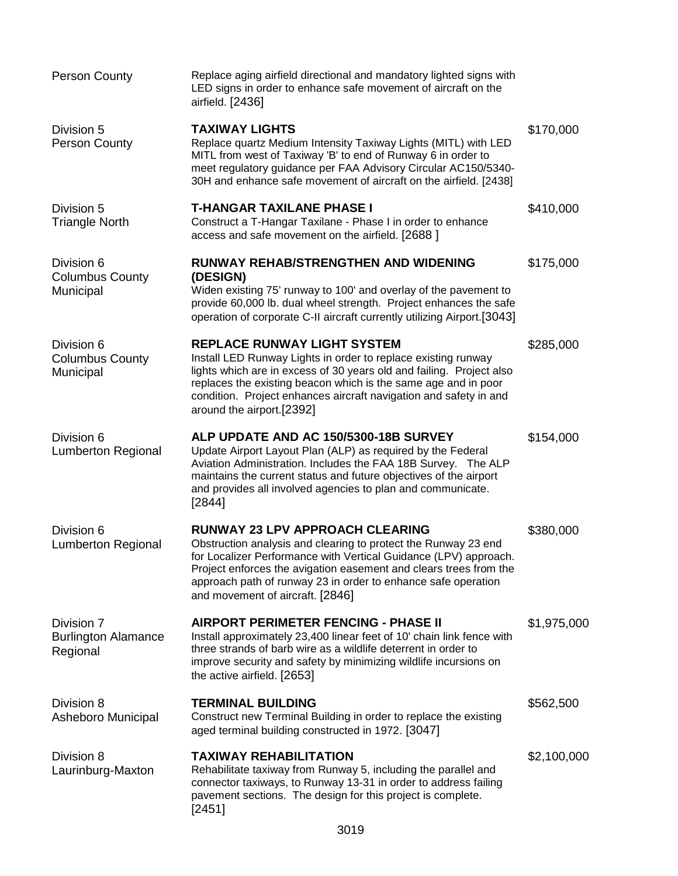| <b>Person County</b>                                 | Replace aging airfield directional and mandatory lighted signs with<br>LED signs in order to enhance safe movement of aircraft on the<br>airfield. [2436]                                                                                                                                                                                              |             |
|------------------------------------------------------|--------------------------------------------------------------------------------------------------------------------------------------------------------------------------------------------------------------------------------------------------------------------------------------------------------------------------------------------------------|-------------|
| Division 5<br><b>Person County</b>                   | <b>TAXIWAY LIGHTS</b><br>Replace quartz Medium Intensity Taxiway Lights (MITL) with LED<br>MITL from west of Taxiway 'B' to end of Runway 6 in order to<br>meet regulatory guidance per FAA Advisory Circular AC150/5340-<br>30H and enhance safe movement of aircraft on the airfield. [2438]                                                         | \$170,000   |
| Division 5<br><b>Triangle North</b>                  | T-HANGAR TAXILANE PHASE I<br>Construct a T-Hangar Taxilane - Phase I in order to enhance<br>access and safe movement on the airfield. [2688 ]                                                                                                                                                                                                          | \$410,000   |
| Division 6<br><b>Columbus County</b><br>Municipal    | <b>RUNWAY REHAB/STRENGTHEN AND WIDENING</b><br>(DESIGN)<br>Widen existing 75' runway to 100' and overlay of the pavement to<br>provide 60,000 lb. dual wheel strength. Project enhances the safe<br>operation of corporate C-II aircraft currently utilizing Airport.[3043]                                                                            | \$175,000   |
| Division 6<br><b>Columbus County</b><br>Municipal    | <b>REPLACE RUNWAY LIGHT SYSTEM</b><br>Install LED Runway Lights in order to replace existing runway<br>lights which are in excess of 30 years old and failing. Project also<br>replaces the existing beacon which is the same age and in poor<br>condition. Project enhances aircraft navigation and safety in and<br>around the airport.[2392]        | \$285,000   |
| Division 6<br><b>Lumberton Regional</b>              | ALP UPDATE AND AC 150/5300-18B SURVEY<br>Update Airport Layout Plan (ALP) as required by the Federal<br>Aviation Administration. Includes the FAA 18B Survey. The ALP<br>maintains the current status and future objectives of the airport<br>and provides all involved agencies to plan and communicate.<br>[2844]                                    | \$154,000   |
| Division 6<br><b>Lumberton Regional</b>              | <b>RUNWAY 23 LPV APPROACH CLEARING</b><br>Obstruction analysis and clearing to protect the Runway 23 end<br>for Localizer Performance with Vertical Guidance (LPV) approach.<br>Project enforces the avigation easement and clears trees from the<br>approach path of runway 23 in order to enhance safe operation<br>and movement of aircraft. [2846] | \$380,000   |
| Division 7<br><b>Burlington Alamance</b><br>Regional | <b>AIRPORT PERIMETER FENCING - PHASE II</b><br>Install approximately 23,400 linear feet of 10' chain link fence with<br>three strands of barb wire as a wildlife deterrent in order to<br>improve security and safety by minimizing wildlife incursions on<br>the active airfield. [2653]                                                              | \$1,975,000 |
| Division 8<br>Asheboro Municipal                     | <b>TERMINAL BUILDING</b><br>Construct new Terminal Building in order to replace the existing<br>aged terminal building constructed in 1972. [3047]                                                                                                                                                                                                     | \$562,500   |
| Division 8<br>Laurinburg-Maxton                      | <b>TAXIWAY REHABILITATION</b><br>Rehabilitate taxiway from Runway 5, including the parallel and<br>connector taxiways, to Runway 13-31 in order to address failing<br>pavement sections. The design for this project is complete.<br>[2451]                                                                                                            | \$2,100,000 |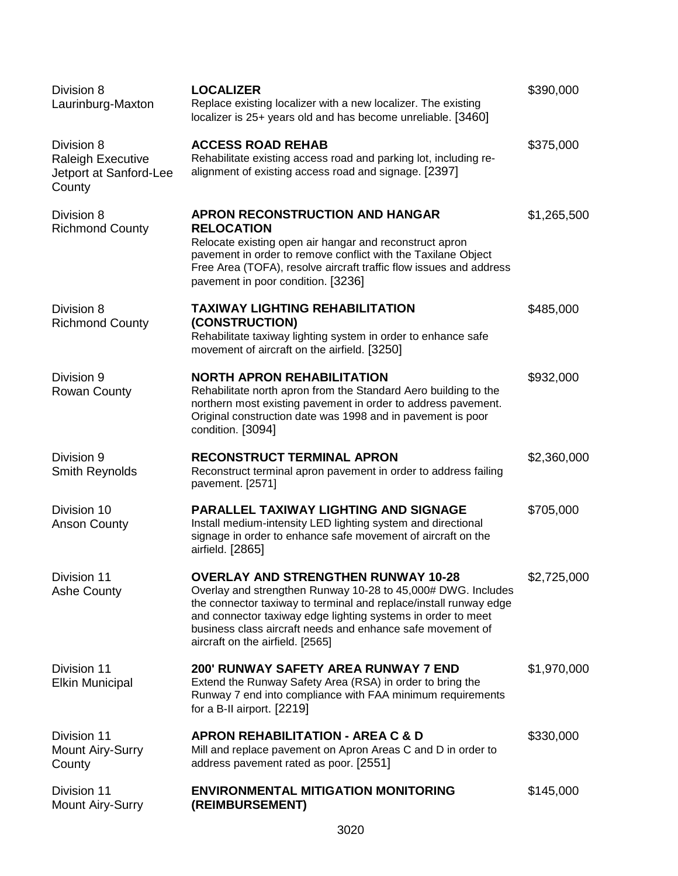| Division 8<br>Laurinburg-Maxton                                            | <b>LOCALIZER</b><br>Replace existing localizer with a new localizer. The existing<br>localizer is 25+ years old and has become unreliable. [3460]                                                                                                                                                                                                 | \$390,000   |
|----------------------------------------------------------------------------|---------------------------------------------------------------------------------------------------------------------------------------------------------------------------------------------------------------------------------------------------------------------------------------------------------------------------------------------------|-------------|
| Division 8<br><b>Raleigh Executive</b><br>Jetport at Sanford-Lee<br>County | <b>ACCESS ROAD REHAB</b><br>Rehabilitate existing access road and parking lot, including re-<br>alignment of existing access road and signage. [2397]                                                                                                                                                                                             | \$375,000   |
| Division 8<br><b>Richmond County</b>                                       | <b>APRON RECONSTRUCTION AND HANGAR</b><br><b>RELOCATION</b><br>Relocate existing open air hangar and reconstruct apron<br>pavement in order to remove conflict with the Taxilane Object<br>Free Area (TOFA), resolve aircraft traffic flow issues and address<br>pavement in poor condition. [3236]                                               | \$1,265,500 |
| Division 8<br><b>Richmond County</b>                                       | <b>TAXIWAY LIGHTING REHABILITATION</b><br>(CONSTRUCTION)<br>Rehabilitate taxiway lighting system in order to enhance safe<br>movement of aircraft on the airfield. [3250]                                                                                                                                                                         | \$485,000   |
| Division 9<br><b>Rowan County</b>                                          | <b>NORTH APRON REHABILITATION</b><br>Rehabilitate north apron from the Standard Aero building to the<br>northern most existing pavement in order to address pavement.<br>Original construction date was 1998 and in pavement is poor<br>condition. [3094]                                                                                         | \$932,000   |
| Division 9<br>Smith Reynolds                                               | <b>RECONSTRUCT TERMINAL APRON</b><br>Reconstruct terminal apron pavement in order to address failing<br>pavement. [2571]                                                                                                                                                                                                                          | \$2,360,000 |
| Division 10<br><b>Anson County</b>                                         | <b>PARALLEL TAXIWAY LIGHTING AND SIGNAGE</b><br>Install medium-intensity LED lighting system and directional<br>signage in order to enhance safe movement of aircraft on the<br>airfield. [2865]                                                                                                                                                  | \$705,000   |
| Division 11<br><b>Ashe County</b>                                          | <b>OVERLAY AND STRENGTHEN RUNWAY 10-28</b><br>Overlay and strengthen Runway 10-28 to 45,000# DWG. Includes<br>the connector taxiway to terminal and replace/install runway edge<br>and connector taxiway edge lighting systems in order to meet<br>business class aircraft needs and enhance safe movement of<br>aircraft on the airfield. [2565] | \$2,725,000 |
| Division 11<br><b>Elkin Municipal</b>                                      | <b>200' RUNWAY SAFETY AREA RUNWAY 7 END</b><br>Extend the Runway Safety Area (RSA) in order to bring the<br>Runway 7 end into compliance with FAA minimum requirements<br>for a B-II airport. [2219]                                                                                                                                              | \$1,970,000 |
| Division 11<br><b>Mount Airy-Surry</b><br>County                           | <b>APRON REHABILITATION - AREA C &amp; D</b><br>Mill and replace pavement on Apron Areas C and D in order to<br>address pavement rated as poor. [2551]                                                                                                                                                                                            | \$330,000   |
| Division 11<br>Mount Airy-Surry                                            | <b>ENVIRONMENTAL MITIGATION MONITORING</b><br>(REIMBURSEMENT)                                                                                                                                                                                                                                                                                     | \$145,000   |
|                                                                            |                                                                                                                                                                                                                                                                                                                                                   |             |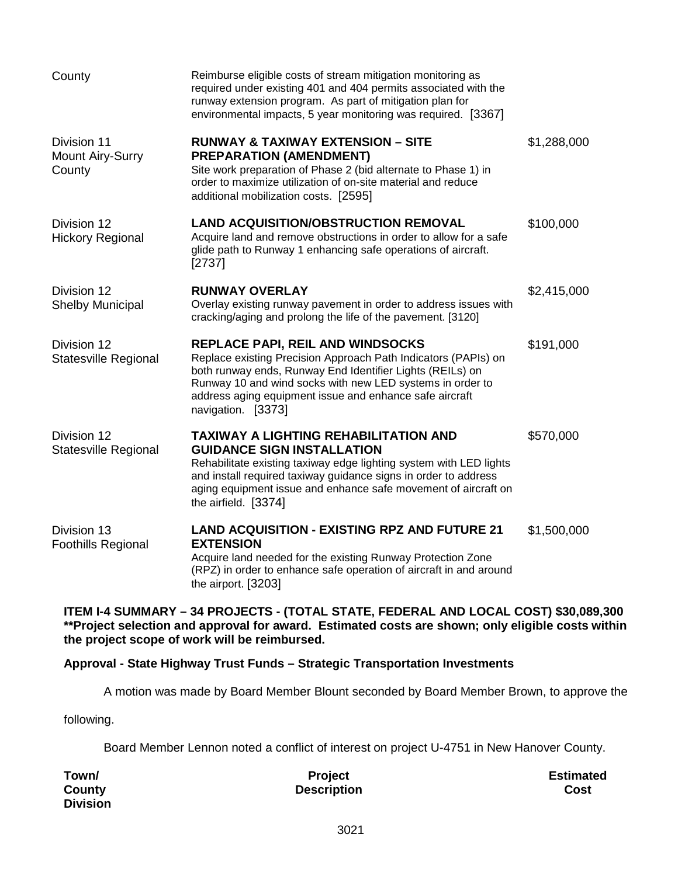| required under existing 401 and 404 permits associated with the<br>runway extension program. As part of mitigation plan for<br>environmental impacts, 5 year monitoring was required. [3367]                                                                                                                                      |
|-----------------------------------------------------------------------------------------------------------------------------------------------------------------------------------------------------------------------------------------------------------------------------------------------------------------------------------|
| <b>RUNWAY &amp; TAXIWAY EXTENSION - SITE</b><br>\$1,288,000<br><b>PREPARATION (AMENDMENT)</b><br>Site work preparation of Phase 2 (bid alternate to Phase 1) in<br>order to maximize utilization of on-site material and reduce<br>additional mobilization costs. [2595]                                                          |
| \$100,000<br><b>LAND ACQUISITION/OBSTRUCTION REMOVAL</b><br>Acquire land and remove obstructions in order to allow for a safe<br>glide path to Runway 1 enhancing safe operations of aircraft.                                                                                                                                    |
| <b>RUNWAY OVERLAY</b><br>\$2,415,000<br>Overlay existing runway pavement in order to address issues with<br>cracking/aging and prolong the life of the pavement. [3120]                                                                                                                                                           |
| <b>REPLACE PAPI, REIL AND WINDSOCKS</b><br>\$191,000<br>Replace existing Precision Approach Path Indicators (PAPIs) on<br>both runway ends, Runway End Identifier Lights (REILs) on<br>Runway 10 and wind socks with new LED systems in order to<br>address aging equipment issue and enhance safe aircraft<br>navigation. [3373] |
| <b>TAXIWAY A LIGHTING REHABILITATION AND</b><br>\$570,000<br><b>GUIDANCE SIGN INSTALLATION</b><br>Rehabilitate existing taxiway edge lighting system with LED lights<br>and install required taxiway guidance signs in order to address<br>aging equipment issue and enhance safe movement of aircraft on<br>the airfield. [3374] |
| <b>LAND ACQUISITION - EXISTING RPZ AND FUTURE 21</b><br>\$1,500,000<br><b>EXTENSION</b><br>Acquire land needed for the existing Runway Protection Zone<br>(RPZ) in order to enhance safe operation of aircraft in and around                                                                                                      |
|                                                                                                                                                                                                                                                                                                                                   |

**ITEM I-4 SUMMARY – 34 PROJECTS - (TOTAL STATE, FEDERAL AND LOCAL COST) \$30,089,300 \*\*Project selection and approval for award. Estimated costs are shown; only eligible costs within the project scope of work will be reimbursed.** 

## **Approval - State Highway Trust Funds – Strategic Transportation Investments**

A motion was made by Board Member Blount seconded by Board Member Brown, to approve the

following.

Board Member Lennon noted a conflict of interest on project U-4751 in New Hanover County.

| Town/           | <b>Project</b>     | <b>Estimated</b> |
|-----------------|--------------------|------------------|
| County          | <b>Description</b> | Cost             |
| <b>Division</b> |                    |                  |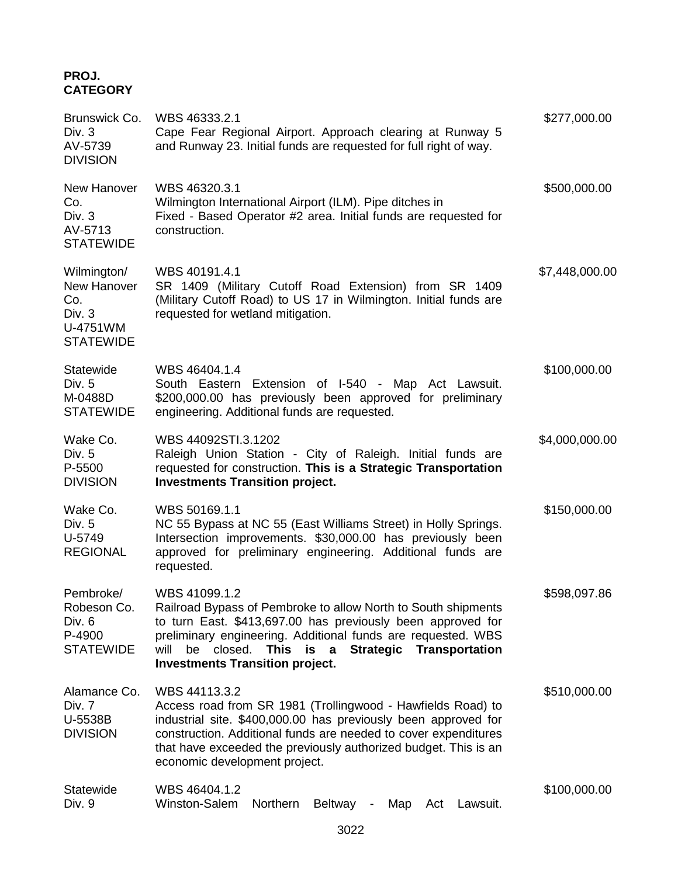# **PROJ. CATEGORY**

| Brunswick Co.<br>Div. 3<br>AV-5739<br><b>DIVISION</b>                         | WBS 46333.2.1<br>Cape Fear Regional Airport. Approach clearing at Runway 5<br>and Runway 23. Initial funds are requested for full right of way.                                                                                                                                                                                               | \$277,000.00   |
|-------------------------------------------------------------------------------|-----------------------------------------------------------------------------------------------------------------------------------------------------------------------------------------------------------------------------------------------------------------------------------------------------------------------------------------------|----------------|
| New Hanover<br>Co.<br>Div. 3<br>AV-5713<br><b>STATEWIDE</b>                   | WBS 46320.3.1<br>Wilmington International Airport (ILM). Pipe ditches in<br>Fixed - Based Operator #2 area. Initial funds are requested for<br>construction.                                                                                                                                                                                  | \$500,000.00   |
| Wilmington/<br>New Hanover<br>Co.<br>Div. $3$<br>U-4751WM<br><b>STATEWIDE</b> | WBS 40191.4.1<br>SR 1409 (Military Cutoff Road Extension) from SR 1409<br>(Military Cutoff Road) to US 17 in Wilmington. Initial funds are<br>requested for wetland mitigation.                                                                                                                                                               | \$7,448,000.00 |
| Statewide<br>Div. 5<br>M-0488D<br><b>STATEWIDE</b>                            | WBS 46404.1.4<br>South Eastern Extension of I-540 - Map Act Lawsuit.<br>\$200,000.00 has previously been approved for preliminary<br>engineering. Additional funds are requested.                                                                                                                                                             | \$100,000.00   |
| Wake Co.<br>Div. 5<br>P-5500<br><b>DIVISION</b>                               | WBS 44092STI.3.1202<br>Raleigh Union Station - City of Raleigh. Initial funds are<br>requested for construction. This is a Strategic Transportation<br><b>Investments Transition project.</b>                                                                                                                                                 | \$4,000,000.00 |
| Wake Co.<br>Div. 5<br>U-5749<br><b>REGIONAL</b>                               | WBS 50169.1.1<br>NC 55 Bypass at NC 55 (East Williams Street) in Holly Springs.<br>Intersection improvements. \$30,000.00 has previously been<br>approved for preliminary engineering. Additional funds are<br>requested.                                                                                                                     | \$150,000.00   |
| Pembroke/<br>Robeson Co.<br>Div. 6<br>P-4900<br><b>STATEWIDE</b>              | WBS 41099.1.2<br>Railroad Bypass of Pembroke to allow North to South shipments<br>to turn East. \$413,697.00 has previously been approved for<br>preliminary engineering. Additional funds are requested. WBS<br>closed.<br><b>Strategic</b><br>Transportation<br>will<br>be<br>This is<br>$\alpha$<br><b>Investments Transition project.</b> | \$598,097.86   |
| Alamance Co.<br>Div. 7<br>U-5538B<br><b>DIVISION</b>                          | WBS 44113.3.2<br>Access road from SR 1981 (Trollingwood - Hawfields Road) to<br>industrial site. \$400,000.00 has previously been approved for<br>construction. Additional funds are needed to cover expenditures<br>that have exceeded the previously authorized budget. This is an<br>economic development project.                         | \$510,000.00   |
| Statewide<br>Div. 9                                                           | WBS 46404.1.2<br>Winston-Salem<br>Northern<br><b>Beltway</b><br>Map<br>Lawsuit.<br>Act                                                                                                                                                                                                                                                        | \$100,000.00   |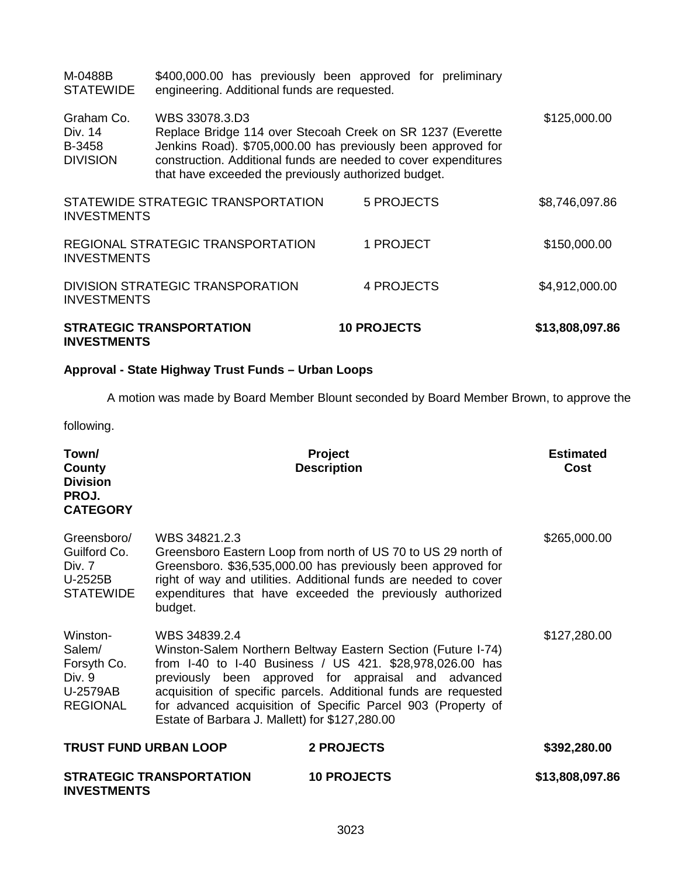| <b>INVESTMENTS</b>                                 | <b>STRATEGIC TRANSPORTATION</b>                                                                                                                                                                                                                                         | <b>10 PROJECTS</b> | \$13,808,097.86 |
|----------------------------------------------------|-------------------------------------------------------------------------------------------------------------------------------------------------------------------------------------------------------------------------------------------------------------------------|--------------------|-----------------|
| <b>INVESTMENTS</b>                                 | DIVISION STRATEGIC TRANSPORATION                                                                                                                                                                                                                                        | 4 PROJECTS         | \$4,912,000.00  |
| <b>INVESTMENTS</b>                                 | REGIONAL STRATEGIC TRANSPORTATION                                                                                                                                                                                                                                       | 1 PROJECT          | \$150,000.00    |
| <b>INVESTMENTS</b>                                 | STATEWIDE STRATEGIC TRANSPORTATION                                                                                                                                                                                                                                      | 5 PROJECTS         | \$8,746,097.86  |
| Graham Co.<br>Div. 14<br>B-3458<br><b>DIVISION</b> | WBS 33078.3.D3<br>Replace Bridge 114 over Stecoah Creek on SR 1237 (Everette<br>Jenkins Road). \$705,000.00 has previously been approved for<br>construction. Additional funds are needed to cover expenditures<br>that have exceeded the previously authorized budget. |                    | \$125,000.00    |
| M-0488B<br><b>STATEWIDE</b>                        | \$400,000.00 has previously been approved for preliminary<br>engineering. Additional funds are requested.                                                                                                                                                               |                    |                 |

# **Approval - State Highway Trust Funds – Urban Loops**

A motion was made by Board Member Blount seconded by Board Member Brown, to approve the

following.

| Town/<br>County<br><b>Division</b><br>PROJ.<br><b>CATEGORY</b>                    |                                                                 | <b>Project</b><br><b>Description</b>                                                                                                                                                                                                                                                                               | <b>Estimated</b><br><b>Cost</b> |
|-----------------------------------------------------------------------------------|-----------------------------------------------------------------|--------------------------------------------------------------------------------------------------------------------------------------------------------------------------------------------------------------------------------------------------------------------------------------------------------------------|---------------------------------|
| Greensboro/<br>Guilford Co.<br>Div. 7<br>U-2525B<br><b>STATEWIDE</b>              | WBS 34821.2.3<br>budget.                                        | Greensboro Eastern Loop from north of US 70 to US 29 north of<br>Greensboro. \$36,535,000.00 has previously been approved for<br>right of way and utilities. Additional funds are needed to cover<br>expenditures that have exceeded the previously authorized                                                     | \$265,000.00                    |
| Winston-<br>Salem/<br>Forsyth Co.<br>Div. 9<br><b>U-2579AB</b><br><b>REGIONAL</b> | WBS 34839.2.4<br>Estate of Barbara J. Mallett) for \$127,280.00 | Winston-Salem Northern Beltway Eastern Section (Future I-74)<br>from I-40 to I-40 Business / US 421. \$28,978,026.00 has<br>previously been approved for appraisal and advanced<br>acquisition of specific parcels. Additional funds are requested<br>for advanced acquisition of Specific Parcel 903 (Property of | \$127,280.00                    |
| <b>TRUST FUND URBAN LOOP</b>                                                      |                                                                 | <b>2 PROJECTS</b>                                                                                                                                                                                                                                                                                                  | \$392,280.00                    |
| <b>INVESTMENTS</b>                                                                | <b>STRATEGIC TRANSPORTATION</b>                                 | <b>10 PROJECTS</b>                                                                                                                                                                                                                                                                                                 | \$13,808,097.86                 |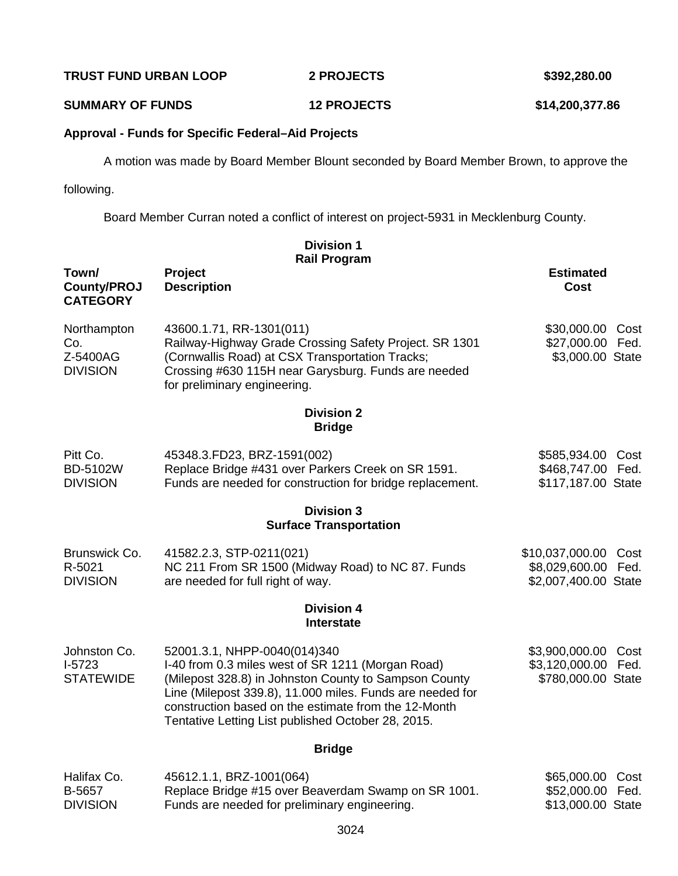**TRUST FUND URBAN LOOP 2 PROJECTS \$392,280.00**

**SUMMARY OF FUNDS 12 PROJECTS \$14,200,377.86**

## **Approval - Funds for Specific Federal–Aid Projects**

A motion was made by Board Member Blount seconded by Board Member Brown, to approve the

following.

Board Member Curran noted a conflict of interest on project-5931 in Mecklenburg County.

**Division 1**

| <b>Rail Program</b>                               |                                                                                                                                                                                                                                                                                                                       |                                                                |      |
|---------------------------------------------------|-----------------------------------------------------------------------------------------------------------------------------------------------------------------------------------------------------------------------------------------------------------------------------------------------------------------------|----------------------------------------------------------------|------|
| Town/<br><b>County/PROJ</b><br><b>CATEGORY</b>    | Project<br><b>Description</b>                                                                                                                                                                                                                                                                                         | <b>Estimated</b><br><b>Cost</b>                                |      |
| Northampton<br>Co.<br>Z-5400AG<br><b>DIVISION</b> | 43600.1.71, RR-1301(011)<br>Railway-Highway Grade Crossing Safety Project. SR 1301<br>(Cornwallis Road) at CSX Transportation Tracks;<br>Crossing #630 115H near Garysburg. Funds are needed<br>for preliminary engineering.                                                                                          | \$30,000.00 Cost<br>\$27,000.00 Fed.<br>\$3,000.00 State       |      |
|                                                   | <b>Division 2</b><br><b>Bridge</b>                                                                                                                                                                                                                                                                                    |                                                                |      |
| Pitt Co.<br>BD-5102W<br><b>DIVISION</b>           | 45348.3.FD23, BRZ-1591(002)<br>Replace Bridge #431 over Parkers Creek on SR 1591.<br>Funds are needed for construction for bridge replacement.                                                                                                                                                                        | \$585,934.00 Cost<br>\$468,747.00 Fed.<br>\$117,187.00 State   |      |
|                                                   | <b>Division 3</b><br><b>Surface Transportation</b>                                                                                                                                                                                                                                                                    |                                                                |      |
| Brunswick Co.<br>R-5021<br><b>DIVISION</b>        | 41582.2.3, STP-0211(021)<br>NC 211 From SR 1500 (Midway Road) to NC 87. Funds<br>are needed for full right of way.                                                                                                                                                                                                    | \$10,037,000.00<br>\$8,029,600.00 Fed.<br>\$2,007,400.00 State | Cost |
|                                                   | <b>Division 4</b><br>Interstate                                                                                                                                                                                                                                                                                       |                                                                |      |
| Johnston Co.<br>$I-5723$<br><b>STATEWIDE</b>      | 52001.3.1, NHPP-0040(014)340<br>I-40 from 0.3 miles west of SR 1211 (Morgan Road)<br>(Milepost 328.8) in Johnston County to Sampson County<br>Line (Milepost 339.8), 11.000 miles. Funds are needed for<br>construction based on the estimate from the 12-Month<br>Tentative Letting List published October 28, 2015. | \$3,900,000.00<br>\$3,120,000.00 Fed.<br>\$780,000.00 State    | Cost |
|                                                   | <b>Bridge</b>                                                                                                                                                                                                                                                                                                         |                                                                |      |
| Halifax Co.<br>B-5657<br><b>DIVISION</b>          | 45612.1.1, BRZ-1001(064)<br>Replace Bridge #15 over Beaverdam Swamp on SR 1001.<br>Funds are needed for preliminary engineering.                                                                                                                                                                                      | \$65,000.00<br>\$52,000.00 Fed.<br>\$13,000.00 State           | Cost |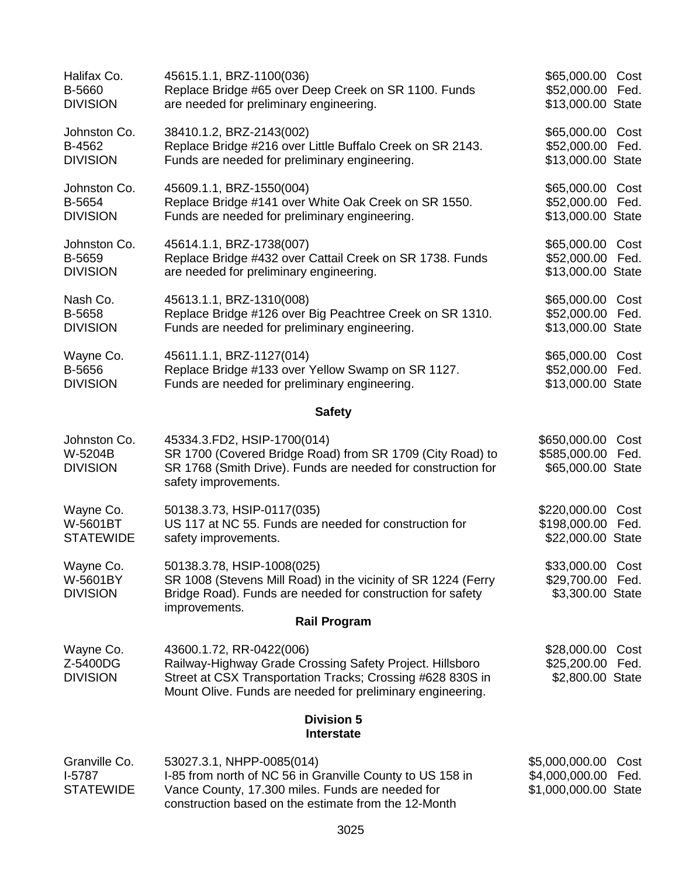| Halifax Co.<br>B-5660<br><b>DIVISION</b>      | 45615.1.1, BRZ-1100(036)<br>Replace Bridge #65 over Deep Creek on SR 1100. Funds<br>are needed for preliminary engineering.                                                                                      | \$65,000.00 Cost<br>\$52,000.00 Fed.<br>\$13,000.00 State |              |
|-----------------------------------------------|------------------------------------------------------------------------------------------------------------------------------------------------------------------------------------------------------------------|-----------------------------------------------------------|--------------|
| Johnston Co.<br>B-4562<br><b>DIVISION</b>     | 38410.1.2, BRZ-2143(002)<br>Replace Bridge #216 over Little Buffalo Creek on SR 2143.<br>Funds are needed for preliminary engineering.                                                                           | \$65,000.00 Cost<br>\$52,000.00<br>\$13,000.00 State      | Fed.         |
| Johnston Co.<br>B-5654<br><b>DIVISION</b>     | 45609.1.1, BRZ-1550(004)<br>Replace Bridge #141 over White Oak Creek on SR 1550.<br>Funds are needed for preliminary engineering.                                                                                | \$65,000.00 Cost<br>\$52,000.00 Fed.<br>\$13,000.00 State |              |
| Johnston Co.<br>B-5659<br><b>DIVISION</b>     | 45614.1.1, BRZ-1738(007)<br>Replace Bridge #432 over Cattail Creek on SR 1738. Funds<br>are needed for preliminary engineering.                                                                                  | \$65,000.00 Cost<br>\$52,000.00<br>\$13,000.00 State      | Fed.         |
| Nash Co.<br>B-5658<br><b>DIVISION</b>         | 45613.1.1, BRZ-1310(008)<br>Replace Bridge #126 over Big Peachtree Creek on SR 1310.<br>Funds are needed for preliminary engineering.                                                                            | \$65,000.00 Cost<br>\$52,000.00 Fed.<br>\$13,000.00 State |              |
| Wayne Co.<br>B-5656<br><b>DIVISION</b>        | 45611.1.1, BRZ-1127(014)<br>Replace Bridge #133 over Yellow Swamp on SR 1127.<br>Funds are needed for preliminary engineering.                                                                                   | \$65,000.00 Cost<br>\$52,000.00 Fed.<br>\$13,000.00 State |              |
|                                               | <b>Safety</b>                                                                                                                                                                                                    |                                                           |              |
| Johnston Co.<br>W-5204B<br><b>DIVISION</b>    | 45334.3.FD2, HSIP-1700(014)<br>SR 1700 (Covered Bridge Road) from SR 1709 (City Road) to<br>SR 1768 (Smith Drive). Funds are needed for construction for<br>safety improvements.                                 | \$650,000.00<br>\$585,000.00 Fed.<br>\$65,000.00 State    | Cost         |
| Wayne Co.<br>W-5601BT<br><b>STATEWIDE</b>     | 50138.3.73, HSIP-0117(035)<br>US 117 at NC 55. Funds are needed for construction for<br>safety improvements.                                                                                                     | \$220,000.00<br>\$198,000.00<br>\$22,000.00 State         | Cost<br>Fed. |
| Wayne Co.<br>W-5601BY<br><b>DIVISION</b>      | 50138.3.78, HSIP-1008(025)<br>SR 1008 (Stevens Mill Road) in the vicinity of SR 1224 (Ferry<br>Bridge Road). Funds are needed for construction for safety<br>improvements.                                       | \$33,000.00 Cost<br>\$29,700.00<br>\$3,300.00 State       | Fed.         |
|                                               | <b>Rail Program</b>                                                                                                                                                                                              |                                                           |              |
| Wayne Co.<br>Z-5400DG<br><b>DIVISION</b>      | 43600.1.72, RR-0422(006)<br>Railway-Highway Grade Crossing Safety Project. Hillsboro<br>Street at CSX Transportation Tracks; Crossing #628 830S in<br>Mount Olive. Funds are needed for preliminary engineering. | \$28,000.00<br>\$25,200.00<br>\$2,800.00 State            | Cost<br>Fed. |
|                                               | <b>Division 5</b><br><b>Interstate</b>                                                                                                                                                                           |                                                           |              |
| Granville Co.<br>$I-5787$<br><b>STATEWIDE</b> | 53027.3.1, NHPP-0085(014)<br>I-85 from north of NC 56 in Granville County to US 158 in<br>Vance County, 17.300 miles. Funds are needed for                                                                       | \$5,000,000.00<br>\$4,000,000.00<br>\$1,000,000.00 State  | Cost<br>Fed. |

construction based on the estimate from the 12-Month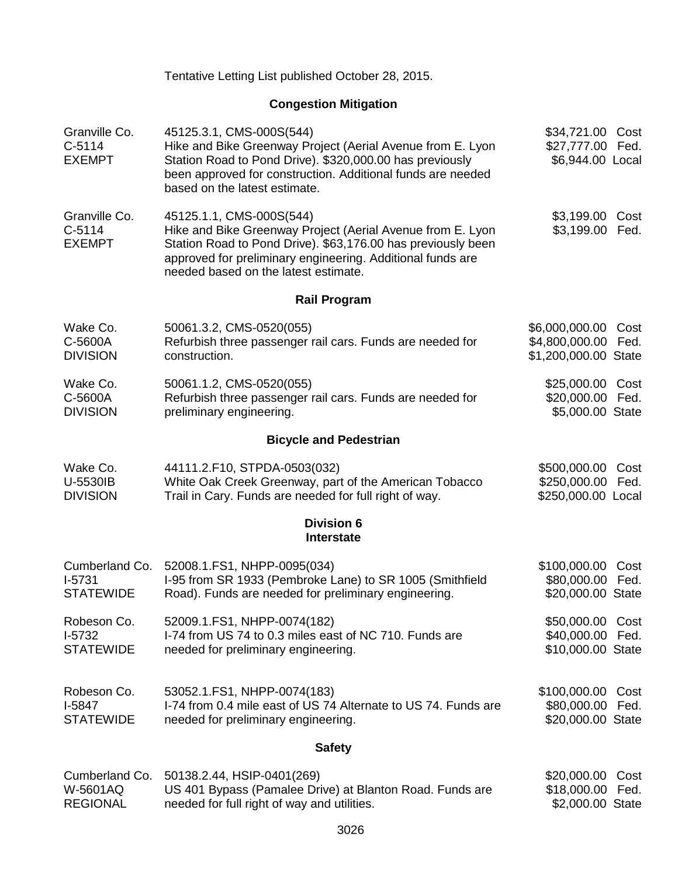| Tentative Letting List published October 28, 2015. |  |  |  |
|----------------------------------------------------|--|--|--|
|----------------------------------------------------|--|--|--|

# **Congestion Mitigation**

| Granville Co.<br>$C-5114$<br><b>EXEMPT</b>     | 45125.3.1, CMS-000S(544)<br>Hike and Bike Greenway Project (Aerial Avenue from E. Lyon<br>Station Road to Pond Drive). \$320,000.00 has previously<br>been approved for construction. Additional funds are needed<br>based on the latest estimate.           | \$34,721.00 Cost<br>\$27,777.00 Fed.<br>\$6,944.00 Local   |              |
|------------------------------------------------|--------------------------------------------------------------------------------------------------------------------------------------------------------------------------------------------------------------------------------------------------------------|------------------------------------------------------------|--------------|
| Granville Co.<br>$C-5114$<br><b>EXEMPT</b>     | 45125.1.1, CMS-000S(544)<br>Hike and Bike Greenway Project (Aerial Avenue from E. Lyon<br>Station Road to Pond Drive). \$63,176.00 has previously been<br>approved for preliminary engineering. Additional funds are<br>needed based on the latest estimate. | \$3,199.00<br>\$3,199.00                                   | Cost<br>Fed. |
|                                                | <b>Rail Program</b>                                                                                                                                                                                                                                          |                                                            |              |
| Wake Co.<br>C-5600A<br><b>DIVISION</b>         | 50061.3.2, CMS-0520(055)<br>Refurbish three passenger rail cars. Funds are needed for<br>construction.                                                                                                                                                       | \$6,000,000.00<br>\$4,800,000.00<br>\$1,200,000.00 State   | Cost<br>Fed. |
| Wake Co.<br>C-5600A<br><b>DIVISION</b>         | 50061.1.2, CMS-0520(055)<br>Refurbish three passenger rail cars. Funds are needed for<br>preliminary engineering.                                                                                                                                            | \$25,000.00<br>\$20,000.00 Fed.<br>\$5,000.00 State        | Cost         |
|                                                | <b>Bicycle and Pedestrian</b>                                                                                                                                                                                                                                |                                                            |              |
| Wake Co.<br>U-5530IB<br><b>DIVISION</b>        | 44111.2.F10, STPDA-0503(032)<br>White Oak Creek Greenway, part of the American Tobacco<br>Trail in Cary. Funds are needed for full right of way.                                                                                                             | \$500,000.00<br>\$250,000.00<br>\$250,000.00 Local         | Cost<br>Fed. |
|                                                | <b>Division 6</b><br><b>Interstate</b>                                                                                                                                                                                                                       |                                                            |              |
| Cumberland Co.<br>$1-5731$<br><b>STATEWIDE</b> | 52008.1.FS1, NHPP-0095(034)<br>I-95 from SR 1933 (Pembroke Lane) to SR 1005 (Smithfield<br>Road). Funds are needed for preliminary engineering.                                                                                                              | \$100,000.00<br>\$80,000.00 Fed.<br>\$20,000.00 State      | Cost         |
| Robeson Co.<br>$I-5732$<br><b>STATEWIDE</b>    | 52009.1.FS1, NHPP-0074(182)<br>I-74 from US 74 to 0.3 miles east of NC 710. Funds are<br>needed for preliminary engineering.                                                                                                                                 | \$50,000.00 Cost<br>\$40,000.00 Fed.<br>\$10,000.00 State  |              |
| Robeson Co.<br>$I-5847$<br><b>STATEWIDE</b>    | 53052.1.FS1, NHPP-0074(183)<br>I-74 from 0.4 mile east of US 74 Alternate to US 74. Funds are<br>needed for preliminary engineering.                                                                                                                         | \$100,000.00 Cost<br>\$80,000.00 Fed.<br>\$20,000.00 State |              |
|                                                | <b>Safety</b>                                                                                                                                                                                                                                                |                                                            |              |
| $W-5601AO$                                     | Cumberland Co. 50138.2.44, HSIP-0401(269)<br><b>U.S. 401 Bynass (Pamalee Drive) at Blanton Road, Funds are</b>                                                                                                                                               | \$20,000.00 Cost<br>$$18,000,00$ Fed                       |              |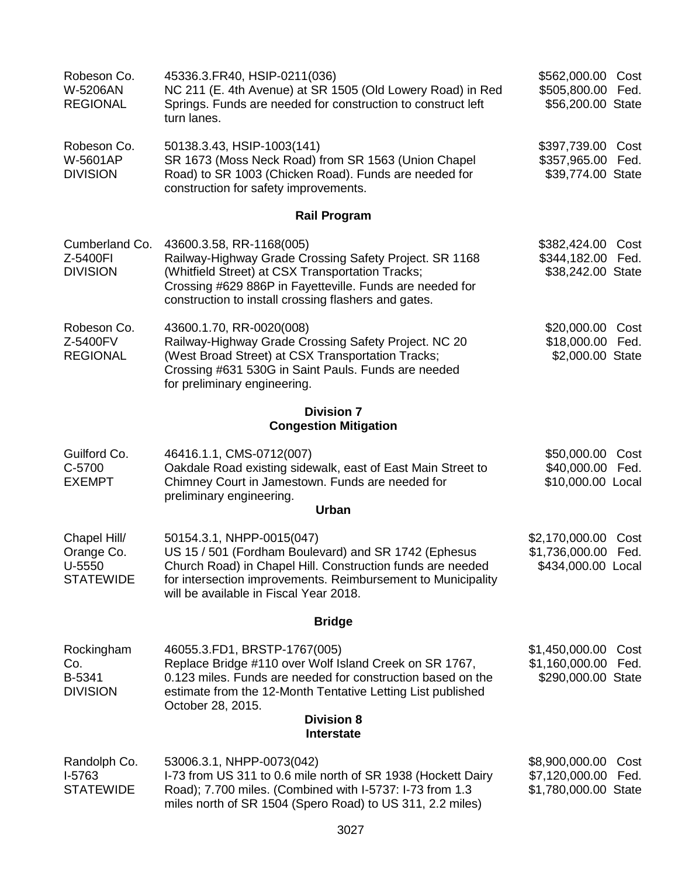| Robeson Co.<br>W-5206AN<br><b>REGIONAL</b>               | 45336.3.FR40, HSIP-0211(036)<br>NC 211 (E. 4th Avenue) at SR 1505 (Old Lowery Road) in Red<br>Springs. Funds are needed for construction to construct left<br>turn lanes.                                                                                      | \$562,000.00 Cost<br>\$505,800.00 Fed.<br>\$56,200.00 State   |              |
|----------------------------------------------------------|----------------------------------------------------------------------------------------------------------------------------------------------------------------------------------------------------------------------------------------------------------------|---------------------------------------------------------------|--------------|
| Robeson Co.<br>W-5601AP<br><b>DIVISION</b>               | 50138.3.43, HSIP-1003(141)<br>SR 1673 (Moss Neck Road) from SR 1563 (Union Chapel<br>Road) to SR 1003 (Chicken Road). Funds are needed for<br>construction for safety improvements.                                                                            | \$397,739.00 Cost<br>\$357,965.00 Fed.<br>\$39,774.00 State   |              |
|                                                          | <b>Rail Program</b>                                                                                                                                                                                                                                            |                                                               |              |
| Cumberland Co.<br>Z-5400FI<br><b>DIVISION</b>            | 43600.3.58, RR-1168(005)<br>Railway-Highway Grade Crossing Safety Project. SR 1168<br>(Whitfield Street) at CSX Transportation Tracks;<br>Crossing #629 886P in Fayetteville. Funds are needed for<br>construction to install crossing flashers and gates.     | \$382,424.00 Cost<br>\$344,182.00 Fed.<br>\$38,242.00 State   |              |
| Robeson Co.<br>Z-5400FV<br><b>REGIONAL</b>               | 43600.1.70, RR-0020(008)<br>Railway-Highway Grade Crossing Safety Project. NC 20<br>(West Broad Street) at CSX Transportation Tracks;<br>Crossing #631 530G in Saint Pauls. Funds are needed<br>for preliminary engineering.                                   | \$20,000.00<br>\$18,000.00 Fed.<br>\$2,000.00 State           | Cost         |
|                                                          | <b>Division 7</b><br><b>Congestion Mitigation</b>                                                                                                                                                                                                              |                                                               |              |
| Guilford Co.<br>C-5700<br><b>EXEMPT</b>                  | 46416.1.1, CMS-0712(007)<br>Oakdale Road existing sidewalk, east of East Main Street to<br>Chimney Court in Jamestown. Funds are needed for<br>preliminary engineering.<br><b>Urban</b>                                                                        | \$50,000.00<br>\$40,000.00 Fed.<br>\$10,000.00 Local          | Cost         |
| Chapel Hill/<br>Orange Co.<br>U-5550<br><b>STATEWIDE</b> | 50154.3.1, NHPP-0015(047)<br>US 15 / 501 (Fordham Boulevard) and SR 1742 (Ephesus<br>Church Road) in Chapel Hill. Construction funds are needed<br>for intersection improvements. Reimbursement to Municipality<br>will be available in Fiscal Year 2018.      | \$2,170,000.00<br>\$1,736,000.00 Fed.<br>\$434,000.00 Local   | Cost         |
|                                                          | <b>Bridge</b>                                                                                                                                                                                                                                                  |                                                               |              |
| Rockingham<br>Co.<br>B-5341<br><b>DIVISION</b>           | 46055.3.FD1, BRSTP-1767(005)<br>Replace Bridge #110 over Wolf Island Creek on SR 1767,<br>0.123 miles. Funds are needed for construction based on the<br>estimate from the 12-Month Tentative Letting List published<br>October 28, 2015.<br><b>Division 8</b> | \$1,450,000.00<br>\$1,160,000.00<br>\$290,000.00 State        | Cost<br>Fed. |
|                                                          | <b>Interstate</b>                                                                                                                                                                                                                                              |                                                               |              |
| Randolph Co.<br>I-5763<br><b>STATEWIDE</b>               | 53006.3.1, NHPP-0073(042)<br>I-73 from US 311 to 0.6 mile north of SR 1938 (Hockett Dairy<br>Road); 7.700 miles. (Combined with I-5737: I-73 from 1.3<br>miles north of SR 1504 (Spero Road) to US 311, 2.2 miles)                                             | \$8,900,000.00 Cost<br>\$7,120,000.00<br>\$1,780,000.00 State | Fed.         |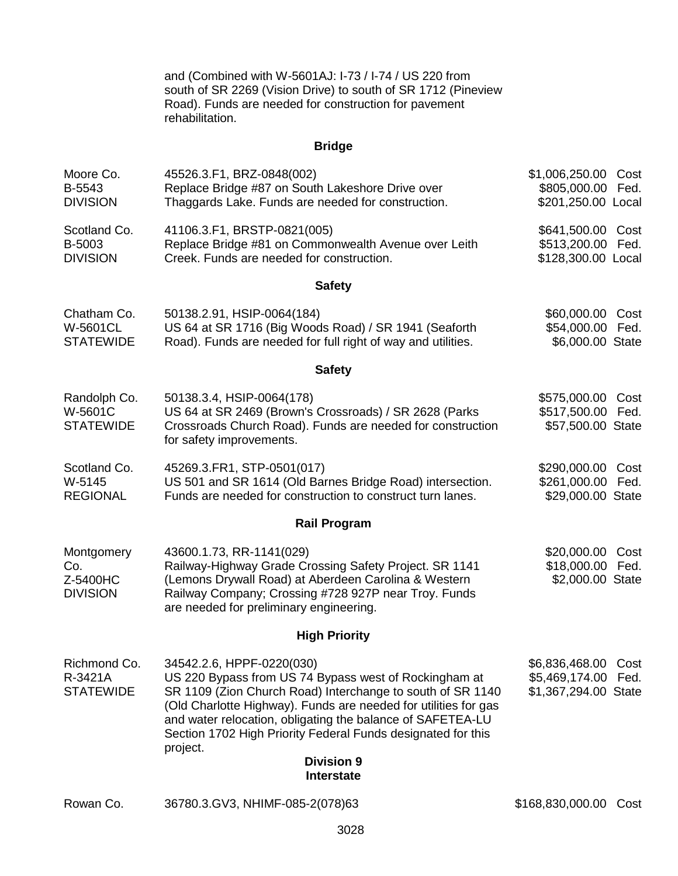and (Combined with W-5601AJ: I-73 / I-74 / US 220 from south of SR 2269 (Vision Drive) to south of SR 1712 (Pineview Road). Funds are needed for construction for pavement rehabilitation.

# **Bridge**

| Moore Co.<br>B-5543<br><b>DIVISION</b>             | 45526.3.F1, BRZ-0848(002)<br>Replace Bridge #87 on South Lakeshore Drive over<br>Thaggards Lake. Funds are needed for construction.                                                                                                                                                                                                                           | \$1,006,250.00<br>\$805,000.00<br>\$201,250.00 Local               | Cost<br>Fed. |
|----------------------------------------------------|---------------------------------------------------------------------------------------------------------------------------------------------------------------------------------------------------------------------------------------------------------------------------------------------------------------------------------------------------------------|--------------------------------------------------------------------|--------------|
| Scotland Co.<br>B-5003<br><b>DIVISION</b>          | 41106.3.F1, BRSTP-0821(005)<br>Replace Bridge #81 on Commonwealth Avenue over Leith<br>Creek. Funds are needed for construction.                                                                                                                                                                                                                              | \$641,500.00 Cost<br>\$513,200.00<br>\$128,300.00 Local            | Fed.         |
|                                                    | <b>Safety</b>                                                                                                                                                                                                                                                                                                                                                 |                                                                    |              |
| Chatham Co.<br><b>W-5601CL</b><br><b>STATEWIDE</b> | 50138.2.91, HSIP-0064(184)<br>US 64 at SR 1716 (Big Woods Road) / SR 1941 (Seaforth<br>Road). Funds are needed for full right of way and utilities.                                                                                                                                                                                                           | \$60,000.00<br>\$54,000.00<br>\$6,000.00 State                     | Cost<br>Fed. |
|                                                    | <b>Safety</b>                                                                                                                                                                                                                                                                                                                                                 |                                                                    |              |
| Randolph Co.<br>W-5601C<br><b>STATEWIDE</b>        | 50138.3.4, HSIP-0064(178)<br>US 64 at SR 2469 (Brown's Crossroads) / SR 2628 (Parks<br>Crossroads Church Road). Funds are needed for construction<br>for safety improvements.                                                                                                                                                                                 | \$575,000.00<br>\$517,500.00<br>\$57,500.00 State                  | Cost<br>Fed. |
| Scotland Co.<br>W-5145<br><b>REGIONAL</b>          | 45269.3.FR1, STP-0501(017)<br>US 501 and SR 1614 (Old Barnes Bridge Road) intersection.<br>Funds are needed for construction to construct turn lanes.                                                                                                                                                                                                         | \$290,000.00<br>\$261,000.00<br>\$29,000.00 State                  | Cost<br>Fed. |
|                                                    | <b>Rail Program</b>                                                                                                                                                                                                                                                                                                                                           |                                                                    |              |
| Montgomery<br>Co.<br>Z-5400HC<br><b>DIVISION</b>   | 43600.1.73, RR-1141(029)<br>Railway-Highway Grade Crossing Safety Project. SR 1141<br>(Lemons Drywall Road) at Aberdeen Carolina & Western<br>Railway Company; Crossing #728 927P near Troy. Funds<br>are needed for preliminary engineering.                                                                                                                 | \$20,000.00<br>\$18,000.00<br>\$2,000.00 State                     | Cost<br>Fed. |
|                                                    | <b>High Priority</b>                                                                                                                                                                                                                                                                                                                                          |                                                                    |              |
| Richmond Co.<br>R-3421A<br><b>STATEWIDE</b>        | 34542.2.6, HPPF-0220(030)<br>US 220 Bypass from US 74 Bypass west of Rockingham at<br>SR 1109 (Zion Church Road) Interchange to south of SR 1140<br>(Old Charlotte Highway). Funds are needed for utilities for gas<br>and water relocation, obligating the balance of SAFETEA-LU<br>Section 1702 High Priority Federal Funds designated for this<br>project. | \$6,836,468.00 Cost<br>\$5,469,174.00 Fed.<br>\$1,367,294.00 State |              |
|                                                    | <b>Division 9</b><br><b>Interstate</b>                                                                                                                                                                                                                                                                                                                        |                                                                    |              |
| Rowan Co.                                          | 36780.3.GV3, NHIMF-085-2(078)63                                                                                                                                                                                                                                                                                                                               | \$168,830,000.00                                                   | Cost         |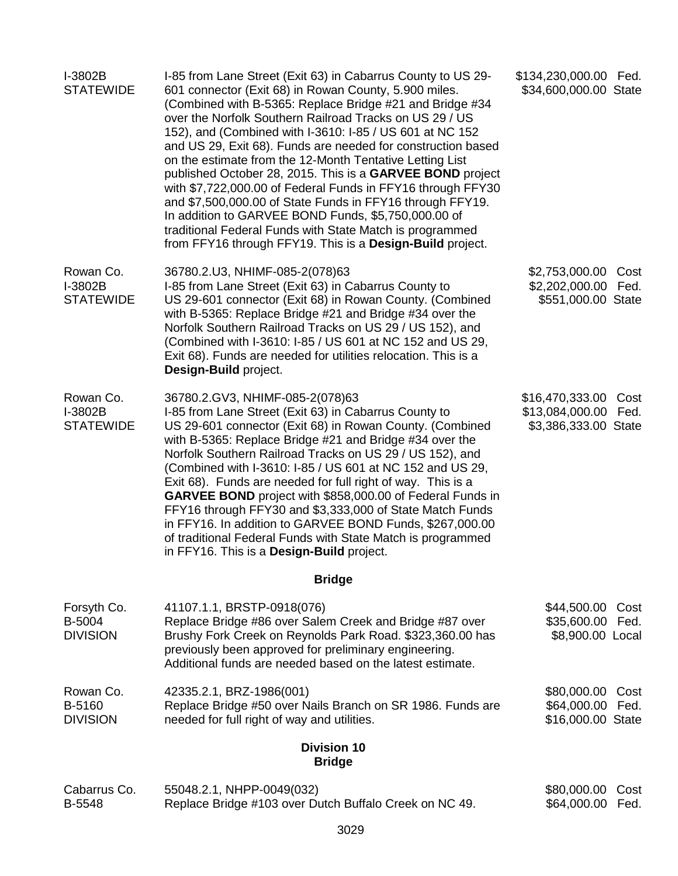| I-3802B<br><b>STATEWIDE</b>              | I-85 from Lane Street (Exit 63) in Cabarrus County to US 29-<br>601 connector (Exit 68) in Rowan County, 5.900 miles.<br>(Combined with B-5365: Replace Bridge #21 and Bridge #34<br>over the Norfolk Southern Railroad Tracks on US 29 / US<br>152), and (Combined with I-3610: I-85 / US 601 at NC 152<br>and US 29, Exit 68). Funds are needed for construction based<br>on the estimate from the 12-Month Tentative Letting List<br>published October 28, 2015. This is a GARVEE BOND project<br>with \$7,722,000.00 of Federal Funds in FFY16 through FFY30<br>and \$7,500,000.00 of State Funds in FFY16 through FFY19.<br>In addition to GARVEE BOND Funds, \$5,750,000.00 of<br>traditional Federal Funds with State Match is programmed<br>from FFY16 through FFY19. This is a Design-Build project. | \$134,230,000.00 Fed.<br>\$34,600,000.00 State                          |
|------------------------------------------|---------------------------------------------------------------------------------------------------------------------------------------------------------------------------------------------------------------------------------------------------------------------------------------------------------------------------------------------------------------------------------------------------------------------------------------------------------------------------------------------------------------------------------------------------------------------------------------------------------------------------------------------------------------------------------------------------------------------------------------------------------------------------------------------------------------|-------------------------------------------------------------------------|
| Rowan Co.<br>I-3802B<br><b>STATEWIDE</b> | 36780.2.U3, NHIMF-085-2(078)63<br>I-85 from Lane Street (Exit 63) in Cabarrus County to<br>US 29-601 connector (Exit 68) in Rowan County. (Combined<br>with B-5365: Replace Bridge #21 and Bridge #34 over the<br>Norfolk Southern Railroad Tracks on US 29 / US 152), and<br>(Combined with I-3610: I-85 / US 601 at NC 152 and US 29,<br>Exit 68). Funds are needed for utilities relocation. This is a<br>Design-Build project.                                                                                                                                                                                                                                                                                                                                                                            | \$2,753,000.00<br>Cost<br>\$2,202,000.00 Fed.<br>\$551,000.00 State     |
| Rowan Co.<br>I-3802B<br><b>STATEWIDE</b> | 36780.2.GV3, NHIMF-085-2(078)63<br>I-85 from Lane Street (Exit 63) in Cabarrus County to<br>US 29-601 connector (Exit 68) in Rowan County. (Combined<br>with B-5365: Replace Bridge #21 and Bridge #34 over the<br>Norfolk Southern Railroad Tracks on US 29 / US 152), and<br>(Combined with I-3610: I-85 / US 601 at NC 152 and US 29,<br>Exit 68). Funds are needed for full right of way. This is a<br>GARVEE BOND project with \$858,000.00 of Federal Funds in<br>FFY16 through FFY30 and \$3,333,000 of State Match Funds<br>in FFY16. In addition to GARVEE BOND Funds, \$267,000.00<br>of traditional Federal Funds with State Match is programmed<br>in FFY16. This is a Design-Build project.                                                                                                      | \$16,470,333.00<br>Cost<br>\$13,084,000.00 Fed.<br>\$3,386,333.00 State |
|                                          | <b>Bridge</b>                                                                                                                                                                                                                                                                                                                                                                                                                                                                                                                                                                                                                                                                                                                                                                                                 |                                                                         |
| Forsyth Co.<br>B-5004<br><b>DIVISION</b> | 41107.1.1, BRSTP-0918(076)<br>Replace Bridge #86 over Salem Creek and Bridge #87 over<br>Brushy Fork Creek on Reynolds Park Road. \$323,360.00 has<br>previously been approved for preliminary engineering.<br>Additional funds are needed based on the latest estimate.                                                                                                                                                                                                                                                                                                                                                                                                                                                                                                                                      | \$44,500.00<br>Cost<br>\$35,600.00 Fed.<br>\$8,900.00 Local             |
| Rowan Co.<br>B-5160<br><b>DIVISION</b>   | 42335.2.1, BRZ-1986(001)<br>Replace Bridge #50 over Nails Branch on SR 1986. Funds are<br>needed for full right of way and utilities.                                                                                                                                                                                                                                                                                                                                                                                                                                                                                                                                                                                                                                                                         | \$80,000.00<br>Cost<br>\$64,000.00 Fed.<br>\$16,000.00 State            |
|                                          | <b>Division 10</b><br><b>Bridge</b>                                                                                                                                                                                                                                                                                                                                                                                                                                                                                                                                                                                                                                                                                                                                                                           |                                                                         |
| Cabarrus Co.<br>B-5548                   | 55048.2.1, NHPP-0049(032)<br>Replace Bridge #103 over Dutch Buffalo Creek on NC 49.                                                                                                                                                                                                                                                                                                                                                                                                                                                                                                                                                                                                                                                                                                                           | \$80,000.00<br>Cost<br>\$64,000.00<br>Fed.                              |
|                                          | 3029                                                                                                                                                                                                                                                                                                                                                                                                                                                                                                                                                                                                                                                                                                                                                                                                          |                                                                         |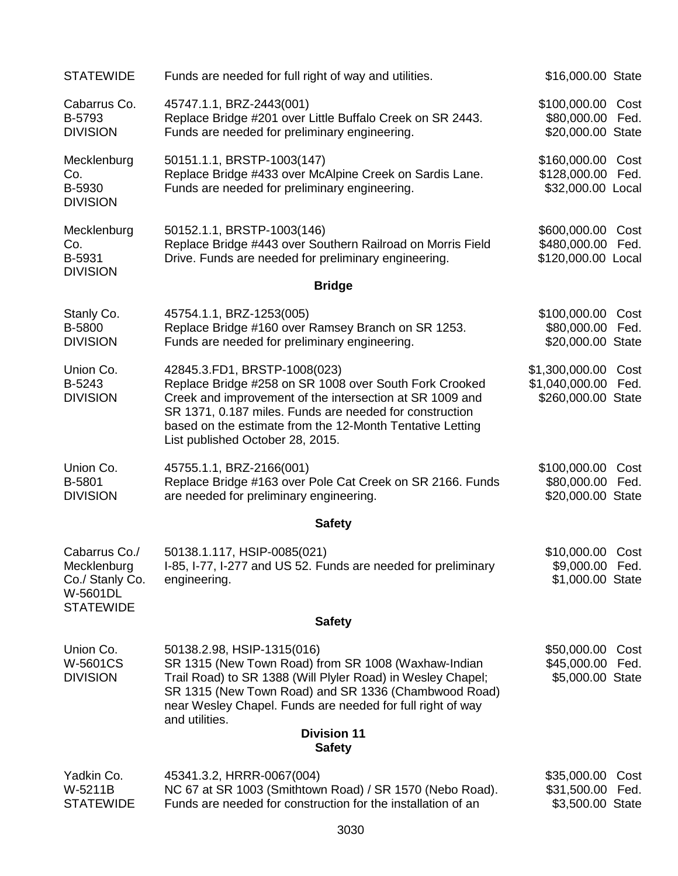| <b>STATEWIDE</b>                                                                | Funds are needed for full right of way and utilities.                                                                                                                                                                                                                                                          | \$16,000.00 State                                       |              |
|---------------------------------------------------------------------------------|----------------------------------------------------------------------------------------------------------------------------------------------------------------------------------------------------------------------------------------------------------------------------------------------------------------|---------------------------------------------------------|--------------|
| Cabarrus Co.<br>B-5793<br><b>DIVISION</b>                                       | 45747.1.1, BRZ-2443(001)<br>Replace Bridge #201 over Little Buffalo Creek on SR 2443.<br>Funds are needed for preliminary engineering.                                                                                                                                                                         | \$100,000.00 Cost<br>\$80,000.00<br>\$20,000.00 State   | Fed.         |
| Mecklenburg<br>Co.<br>B-5930<br><b>DIVISION</b>                                 | 50151.1.1, BRSTP-1003(147)<br>Replace Bridge #433 over McAlpine Creek on Sardis Lane.<br>Funds are needed for preliminary engineering.                                                                                                                                                                         | \$160,000.00<br>\$128,000.00 Fed.<br>\$32,000.00 Local  | Cost         |
| Mecklenburg<br>Co.<br>B-5931<br><b>DIVISION</b>                                 | 50152.1.1, BRSTP-1003(146)<br>Replace Bridge #443 over Southern Railroad on Morris Field<br>Drive. Funds are needed for preliminary engineering.                                                                                                                                                               | \$600,000.00<br>\$480,000.00<br>\$120,000.00 Local      | Cost<br>Fed. |
|                                                                                 | <b>Bridge</b>                                                                                                                                                                                                                                                                                                  |                                                         |              |
| Stanly Co.<br>B-5800<br><b>DIVISION</b>                                         | 45754.1.1, BRZ-1253(005)<br>Replace Bridge #160 over Ramsey Branch on SR 1253.<br>Funds are needed for preliminary engineering.                                                                                                                                                                                | \$100,000.00<br>\$80,000.00<br>\$20,000.00 State        | Cost<br>Fed. |
| Union Co.<br>B-5243<br><b>DIVISION</b>                                          | 42845.3.FD1, BRSTP-1008(023)<br>Replace Bridge #258 on SR 1008 over South Fork Crooked<br>Creek and improvement of the intersection at SR 1009 and<br>SR 1371, 0.187 miles. Funds are needed for construction<br>based on the estimate from the 12-Month Tentative Letting<br>List published October 28, 2015. | \$1,300,000.00<br>\$1,040,000.00<br>\$260,000.00 State  | Cost<br>Fed. |
| Union Co.<br>B-5801<br><b>DIVISION</b>                                          | 45755.1.1, BRZ-2166(001)<br>Replace Bridge #163 over Pole Cat Creek on SR 2166. Funds<br>are needed for preliminary engineering.                                                                                                                                                                               | \$100,000.00<br>\$80,000.00<br>\$20,000.00 State        | Cost<br>Fed. |
|                                                                                 | <b>Safety</b>                                                                                                                                                                                                                                                                                                  |                                                         |              |
| Cabarrus Co./<br>Mecklenburg<br>Co./ Stanly Co.<br>W-5601DL<br><b>STATEWIDE</b> | 50138.1.117, HSIP-0085(021)<br>I-85, I-77, I-277 and US 52. Funds are needed for preliminary<br>engineering.                                                                                                                                                                                                   | \$10,000.00 Cost<br>\$9,000.00 Fed.<br>\$1,000.00 State |              |
|                                                                                 | <b>Safety</b>                                                                                                                                                                                                                                                                                                  |                                                         |              |
| Union Co.<br>W-5601CS<br><b>DIVISION</b>                                        | 50138.2.98, HSIP-1315(016)<br>SR 1315 (New Town Road) from SR 1008 (Waxhaw-Indian<br>Trail Road) to SR 1388 (Will Plyler Road) in Wesley Chapel;<br>SR 1315 (New Town Road) and SR 1336 (Chambwood Road)<br>near Wesley Chapel. Funds are needed for full right of way<br>and utilities.                       | \$50,000.00<br>\$45,000.00<br>\$5,000.00 State          | Cost<br>Fed. |
|                                                                                 | <b>Division 11</b><br><b>Safety</b>                                                                                                                                                                                                                                                                            |                                                         |              |
| Yadkin Co.<br>W-5211B<br><b>STATEWIDE</b>                                       | 45341.3.2, HRRR-0067(004)<br>NC 67 at SR 1003 (Smithtown Road) / SR 1570 (Nebo Road).<br>Funds are needed for construction for the installation of an                                                                                                                                                          | \$35,000.00<br>\$31,500.00<br>\$3,500.00 State          | Cost<br>Fed. |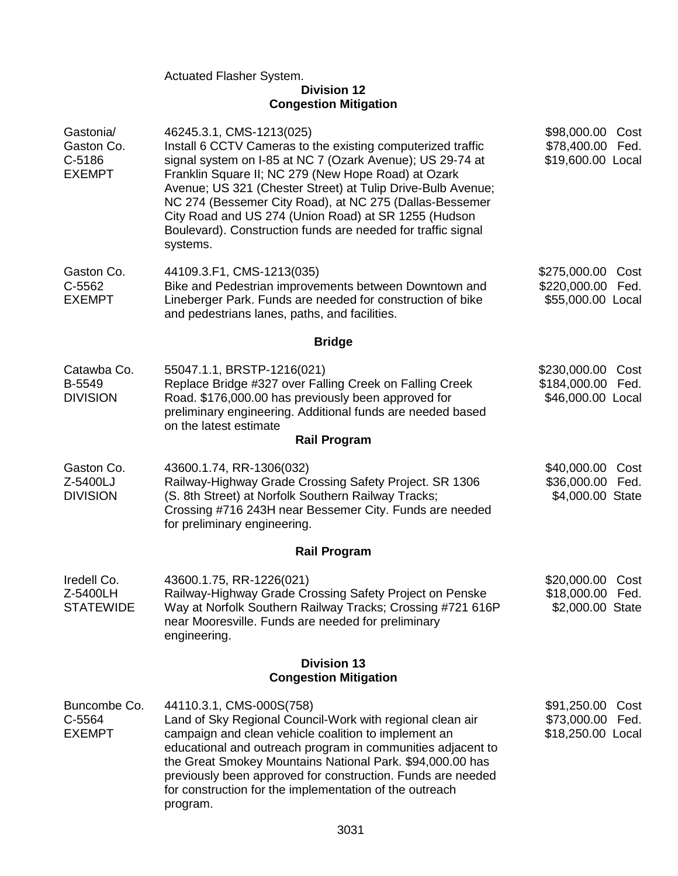Actuated Flasher System.

#### **Division 12 Congestion Mitigation**

| Gastonia/<br>Gaston Co.<br>C-5186<br><b>EXEMPT</b> | 46245.3.1, CMS-1213(025)<br>Install 6 CCTV Cameras to the existing computerized traffic<br>signal system on I-85 at NC 7 (Ozark Avenue); US 29-74 at<br>Franklin Square II; NC 279 (New Hope Road) at Ozark<br>Avenue; US 321 (Chester Street) at Tulip Drive-Bulb Avenue;<br>NC 274 (Bessemer City Road), at NC 275 (Dallas-Bessemer<br>City Road and US 274 (Union Road) at SR 1255 (Hudson<br>Boulevard). Construction funds are needed for traffic signal<br>systems. | \$98,000.00 Cost<br>\$78,400.00<br>Fed.<br>\$19,600.00 Local      |  |  |
|----------------------------------------------------|---------------------------------------------------------------------------------------------------------------------------------------------------------------------------------------------------------------------------------------------------------------------------------------------------------------------------------------------------------------------------------------------------------------------------------------------------------------------------|-------------------------------------------------------------------|--|--|
| Gaston Co.<br>C-5562<br><b>EXEMPT</b>              | 44109.3.F1, CMS-1213(035)<br>Bike and Pedestrian improvements between Downtown and<br>Lineberger Park. Funds are needed for construction of bike<br>and pedestrians lanes, paths, and facilities.                                                                                                                                                                                                                                                                         | \$275,000.00<br>Cost<br>\$220,000.00<br>Fed.<br>\$55,000.00 Local |  |  |
|                                                    | <b>Bridge</b>                                                                                                                                                                                                                                                                                                                                                                                                                                                             |                                                                   |  |  |
| Catawba Co.<br>B-5549<br><b>DIVISION</b>           | 55047.1.1, BRSTP-1216(021)<br>Replace Bridge #327 over Falling Creek on Falling Creek<br>Road. \$176,000.00 has previously been approved for<br>preliminary engineering. Additional funds are needed based<br>on the latest estimate<br><b>Rail Program</b>                                                                                                                                                                                                               | \$230,000.00<br>Cost<br>\$184,000.00<br>Fed.<br>\$46,000.00 Local |  |  |
| Gaston Co.<br>Z-5400LJ<br><b>DIVISION</b>          | 43600.1.74, RR-1306(032)<br>Railway-Highway Grade Crossing Safety Project. SR 1306<br>(S. 8th Street) at Norfolk Southern Railway Tracks;<br>Crossing #716 243H near Bessemer City. Funds are needed<br>for preliminary engineering.                                                                                                                                                                                                                                      | \$40,000.00<br>Cost<br>\$36,000.00<br>Fed.<br>\$4,000.00 State    |  |  |
|                                                    | <b>Rail Program</b>                                                                                                                                                                                                                                                                                                                                                                                                                                                       |                                                                   |  |  |
| Iredell Co.<br>Z-5400LH<br><b>STATEWIDE</b>        | 43600.1.75, RR-1226(021)<br>Railway-Highway Grade Crossing Safety Project on Penske<br>Way at Norfolk Southern Railway Tracks; Crossing #721 616P<br>near Mooresville. Funds are needed for preliminary<br>engineering.                                                                                                                                                                                                                                                   | \$20,000.00<br>Cost<br>\$18,000.00 Fed.<br>\$2,000.00 State       |  |  |
| <b>Division 13</b><br><b>Congestion Mitigation</b> |                                                                                                                                                                                                                                                                                                                                                                                                                                                                           |                                                                   |  |  |
| Buncombe Co.<br>C-5564<br><b>EXEMPT</b>            | 44110.3.1, CMS-000S(758)<br>Land of Sky Regional Council-Work with regional clean air<br>campaign and clean vehicle coalition to implement an<br>educational and outreach program in communities adjacent to<br>the Great Smokey Mountains National Park. \$94,000.00 has<br>previously been approved for construction. Funds are needed<br>for construction for the implementation of the outreach<br>program.                                                           | \$91,250.00<br>Cost<br>\$73,000.00 Fed.<br>\$18,250.00 Local      |  |  |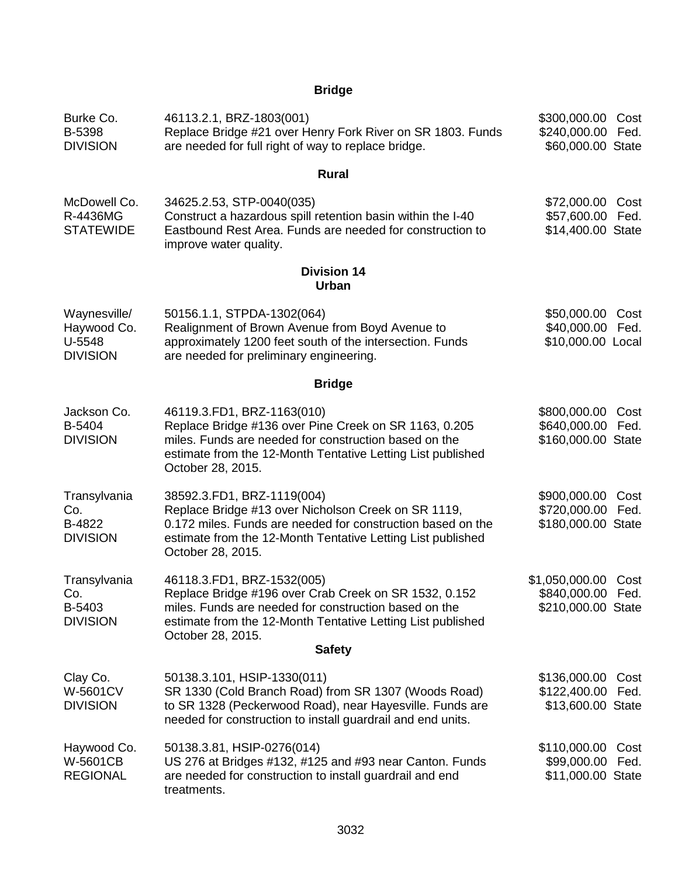# **Bridge**

| Burke Co.<br>B-5398<br><b>DIVISION</b>                   | 46113.2.1, BRZ-1803(001)<br>Replace Bridge #21 over Henry Fork River on SR 1803. Funds<br>are needed for full right of way to replace bridge.                                                                                                     | \$300,000.00 Cost<br>\$240,000.00 Fed.<br>\$60,000.00 State |              |
|----------------------------------------------------------|---------------------------------------------------------------------------------------------------------------------------------------------------------------------------------------------------------------------------------------------------|-------------------------------------------------------------|--------------|
|                                                          | <b>Rural</b>                                                                                                                                                                                                                                      |                                                             |              |
| McDowell Co.<br>R-4436MG<br><b>STATEWIDE</b>             | 34625.2.53, STP-0040(035)<br>Construct a hazardous spill retention basin within the I-40<br>Eastbound Rest Area. Funds are needed for construction to<br>improve water quality.                                                                   | \$72,000.00<br>\$57,600.00<br>\$14,400.00 State             | Cost<br>Fed. |
|                                                          | <b>Division 14</b><br><b>Urban</b>                                                                                                                                                                                                                |                                                             |              |
| Waynesville/<br>Haywood Co.<br>U-5548<br><b>DIVISION</b> | 50156.1.1, STPDA-1302(064)<br>Realignment of Brown Avenue from Boyd Avenue to<br>approximately 1200 feet south of the intersection. Funds<br>are needed for preliminary engineering.                                                              | \$50,000.00<br>\$40,000.00 Fed.<br>\$10,000.00 Local        | Cost         |
|                                                          | <b>Bridge</b>                                                                                                                                                                                                                                     |                                                             |              |
| Jackson Co.<br>B-5404<br><b>DIVISION</b>                 | 46119.3.FD1, BRZ-1163(010)<br>Replace Bridge #136 over Pine Creek on SR 1163, 0.205<br>miles. Funds are needed for construction based on the<br>estimate from the 12-Month Tentative Letting List published<br>October 28, 2015.                  | \$800,000.00<br>\$640,000.00<br>\$160,000.00 State          | Cost<br>Fed. |
| Transylvania<br>Co.<br>B-4822<br><b>DIVISION</b>         | 38592.3.FD1, BRZ-1119(004)<br>Replace Bridge #13 over Nicholson Creek on SR 1119,<br>0.172 miles. Funds are needed for construction based on the<br>estimate from the 12-Month Tentative Letting List published<br>October 28, 2015.              | \$900,000.00<br>\$720,000.00<br>\$180,000.00 State          | Cost<br>Fed. |
| Transylvania<br>Co.<br>B-5403<br><b>DIVISION</b>         | 46118.3.FD1, BRZ-1532(005)<br>Replace Bridge #196 over Crab Creek on SR 1532, 0.152<br>miles. Funds are needed for construction based on the<br>estimate from the 12-Month Tentative Letting List published<br>October 28, 2015.<br><b>Safety</b> | \$1,050,000.00<br>\$840,000.00<br>\$210,000.00 State        | Cost<br>Fed. |
| Clay Co.<br><b>W-5601CV</b><br><b>DIVISION</b>           | 50138.3.101, HSIP-1330(011)<br>SR 1330 (Cold Branch Road) from SR 1307 (Woods Road)<br>to SR 1328 (Peckerwood Road), near Hayesville. Funds are                                                                                                   | \$136,000.00<br>\$122,400.00 Fed.<br>\$13,600.00 State      | Cost         |
| Haywood Co.<br>W-5601CB<br><b>REGIONAL</b>               | needed for construction to install guardrail and end units.<br>50138.3.81, HSIP-0276(014)<br>US 276 at Bridges #132, #125 and #93 near Canton. Funds<br>are needed for construction to install guardrail and end<br>treatments.                   | \$110,000.00<br>\$99,000.00<br>\$11,000.00 State            | Cost<br>Fed. |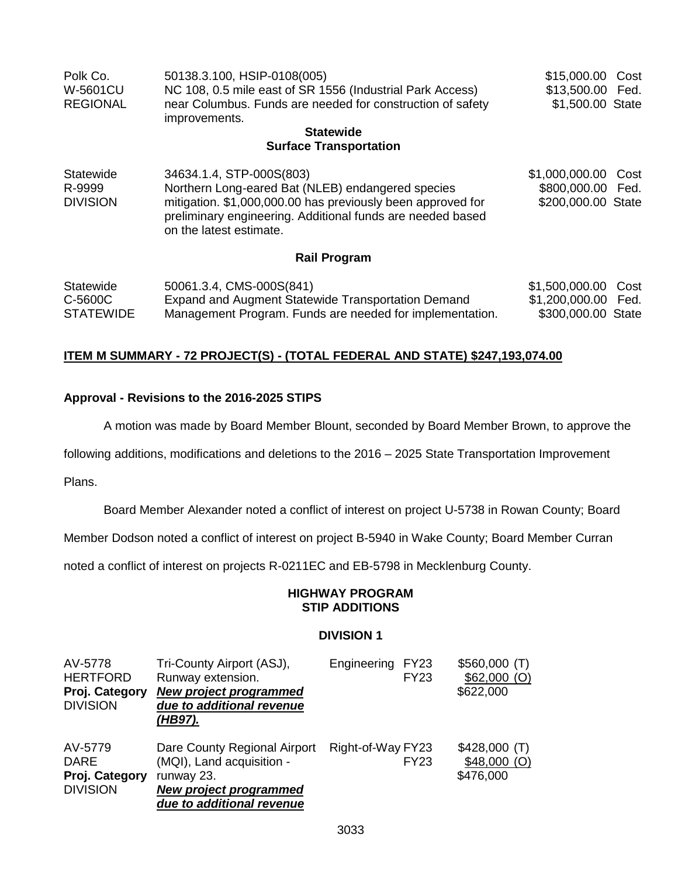| Polk Co.         | 50138.3.100, HSIP-0108(005)                                | \$15,000.00 Cost |  |
|------------------|------------------------------------------------------------|------------------|--|
| W-5601CU         | NC 108, 0.5 mile east of SR 1556 (Industrial Park Access)  | \$13,500.00 Fed. |  |
| <b>REGIONAL</b>  | near Columbus. Funds are needed for construction of safety | \$1,500.00 State |  |
|                  | improvements.                                              |                  |  |
| <b>Statewide</b> |                                                            |                  |  |

#### **Surface Transportation**

| Statewide       | 34634.1.4, STP-000S(803)                                                                                                  | \$1,000,000.00 Cost |  |
|-----------------|---------------------------------------------------------------------------------------------------------------------------|---------------------|--|
| R-9999          | Northern Long-eared Bat (NLEB) endangered species                                                                         | \$800,000.00 Fed.   |  |
| <b>DIVISION</b> | mitigation. \$1,000,000.00 has previously been approved for<br>preliminary engineering. Additional funds are needed based | \$200,000.00 State  |  |
|                 | on the latest estimate.                                                                                                   |                     |  |

#### **Rail Program**

| Statewide        | 50061.3.4, CMS-000S(841)                                 | \$1,500,000.00 Cost |  |
|------------------|----------------------------------------------------------|---------------------|--|
| C-5600C          | Expand and Augment Statewide Transportation Demand       | \$1,200,000.00 Fed. |  |
| <b>STATEWIDE</b> | Management Program. Funds are needed for implementation. | \$300,000.00 State  |  |

#### **ITEM M SUMMARY - 72 PROJECT(S) - (TOTAL FEDERAL AND STATE) \$247,193,074.00**

#### **Approval - Revisions to the 2016-2025 STIPS**

A motion was made by Board Member Blount, seconded by Board Member Brown, to approve the

following additions, modifications and deletions to the 2016 – 2025 State Transportation Improvement

Plans.

Board Member Alexander noted a conflict of interest on project U-5738 in Rowan County; Board

Member Dodson noted a conflict of interest on project B-5940 in Wake County; Board Member Curran

noted a conflict of interest on projects R-0211EC and EB-5798 in Mecklenburg County.

#### **HIGHWAY PROGRAM STIP ADDITIONS**

#### **DIVISION 1**

| AV-5778<br><b>HERTFORD</b><br>Proj. Category<br><b>DIVISION</b> | Tri-County Airport (ASJ),<br>Runway extension.<br><b>New project programmed</b><br>due to additional revenue<br>(HB97).        | Engineering       | <b>FY23</b><br><b>FY23</b> | $$560,000$ (T)<br>$$62,000$ (O)<br>\$622,000 |
|-----------------------------------------------------------------|--------------------------------------------------------------------------------------------------------------------------------|-------------------|----------------------------|----------------------------------------------|
| AV-5779<br><b>DARE</b><br>Proj. Category<br><b>DIVISION</b>     | Dare County Regional Airport<br>(MQI), Land acquisition -<br>runway 23.<br>New project programmed<br>due to additional revenue | Right-of-Way FY23 | <b>FY23</b>                | $$428,000$ (T)<br>$$48,000$ (O)<br>\$476,000 |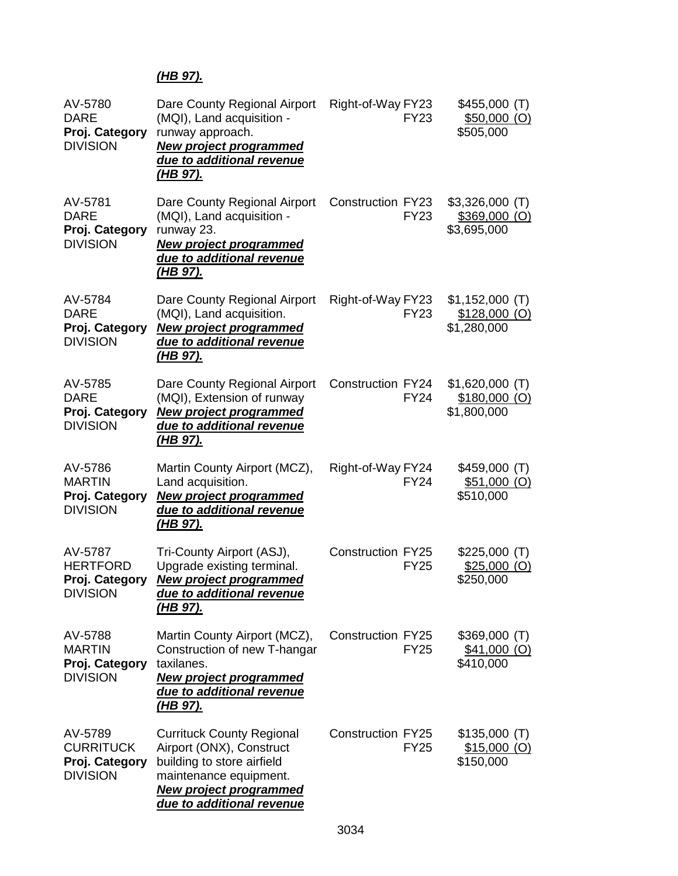## *(HB 97).*

| AV-5780<br><b>DARE</b><br>Proj. Category<br><b>DIVISION</b>      | Dare County Regional Airport<br>(MQI), Land acquisition -<br>runway approach.<br><b>New project programmed</b><br>due to additional revenue<br>(HB 97).                            | Right-of-Way FY23<br><b>FY23</b>        | \$455,000(T)<br>$$50,000$ (O)<br>\$505,000        |
|------------------------------------------------------------------|------------------------------------------------------------------------------------------------------------------------------------------------------------------------------------|-----------------------------------------|---------------------------------------------------|
| AV-5781<br><b>DARE</b><br>Proj. Category<br><b>DIVISION</b>      | Dare County Regional Airport<br>(MQI), Land acquisition -<br>runway 23.<br><b>New project programmed</b><br>due to additional revenue<br><u>(HB 97).</u>                           | <b>Construction FY23</b><br><b>FY23</b> | $$3,326,000$ (T)<br>$$369,000$ (O)<br>\$3,695,000 |
| AV-5784<br><b>DARE</b><br>Proj. Category<br><b>DIVISION</b>      | Dare County Regional Airport<br>(MQI), Land acquisition.<br><b>New project programmed</b><br>due to additional revenue<br><u>(HB 97).</u>                                          | Right-of-Way FY23<br><b>FY23</b>        | $$1,152,000$ (T)<br>$$128,000$ (O)<br>\$1,280,000 |
| AV-5785<br><b>DARE</b><br>Proj. Category<br><b>DIVISION</b>      | Dare County Regional Airport<br>(MQI), Extension of runway<br><b>New project programmed</b><br>due to additional revenue<br><u>(HB 97).</u>                                        | <b>Construction FY24</b><br><b>FY24</b> | $$1,620,000$ (T)<br>$$180,000$ (O)<br>\$1,800,000 |
| AV-5786<br><b>MARTIN</b><br>Proj. Category<br><b>DIVISION</b>    | Martin County Airport (MCZ),<br>Land acquisition.<br><b>New project programmed</b><br>due to additional revenue<br><u>(HB 97).</u>                                                 | Right-of-Way FY24<br><b>FY24</b>        | \$459,000(T)<br>$$51,000$ (O)<br>\$510,000        |
| AV-5787<br><b>HERTFORD</b><br>Proj. Category<br><b>DIVISION</b>  | Tri-County Airport (ASJ),<br>Upgrade existing terminal.<br><b>New project programmed</b><br>due to additional revenue<br>(HB 97).                                                  | <b>Construction FY25</b><br><b>FY25</b> | \$225,000(T)<br>$$25,000$ (O)<br>\$250,000        |
| AV-5788<br><b>MARTIN</b><br>Proj. Category<br><b>DIVISION</b>    | Martin County Airport (MCZ),<br>Construction of new T-hangar<br>taxilanes.<br><b>New project programmed</b><br>due to additional revenue<br><u>(HB 97).</u>                        | <b>Construction FY25</b><br><b>FY25</b> | \$369,000(T)<br>\$41,000 (O)<br>\$410,000         |
| AV-5789<br><b>CURRITUCK</b><br>Proj. Category<br><b>DIVISION</b> | <b>Currituck County Regional</b><br>Airport (ONX), Construct<br>building to store airfield<br>maintenance equipment.<br><b>New project programmed</b><br>due to additional revenue | <b>Construction FY25</b><br><b>FY25</b> | $$135,000$ (T)<br>$$15,000$ (O)<br>\$150,000      |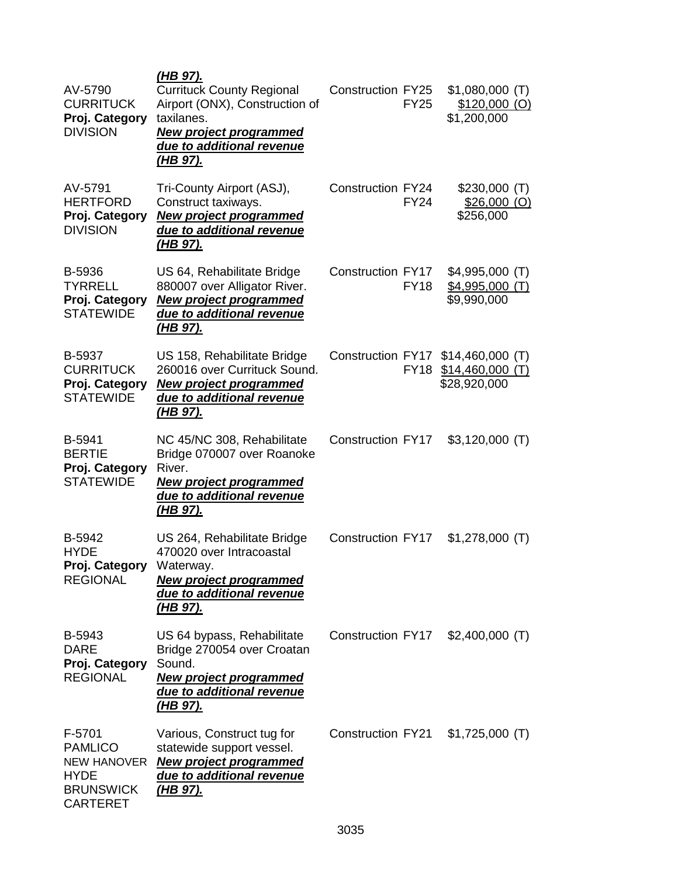| AV-5790<br><b>CURRITUCK</b><br>Proj. Category<br><b>DIVISION</b>                                     | (HB 97).<br><b>Currituck County Regional</b><br>Airport (ONX), Construction of<br>taxilanes.<br><b>New project programmed</b><br>due to additional revenue<br><u>(HB 97).</u> | <b>Construction FY25</b> | <b>FY25</b> | $$1,080,000$ (T)<br>$$120,000$ (O)<br>\$1,200,000                     |  |
|------------------------------------------------------------------------------------------------------|-------------------------------------------------------------------------------------------------------------------------------------------------------------------------------|--------------------------|-------------|-----------------------------------------------------------------------|--|
| AV-5791<br><b>HERTFORD</b><br>Proj. Category<br><b>DIVISION</b>                                      | Tri-County Airport (ASJ),<br>Construct taxiways.<br><b>New project programmed</b><br>due to additional revenue<br><u>(HB 97).</u>                                             | <b>Construction FY24</b> | <b>FY24</b> | $$230,000$ (T)<br>$$26,000$ (O)<br>\$256,000                          |  |
| B-5936<br><b>TYRRELL</b><br>Proj. Category<br><b>STATEWIDE</b>                                       | US 64, Rehabilitate Bridge<br>880007 over Alligator River.<br><b>New project programmed</b><br>due to additional revenue<br>(HB 97).                                          | <b>Construction FY17</b> | <b>FY18</b> | $$4,995,000$ (T)<br>$$4,995,000$ (T)<br>\$9,990,000                   |  |
| B-5937<br><b>CURRITUCK</b><br>Proj. Category<br><b>STATEWIDE</b>                                     | US 158, Rehabilitate Bridge<br>260016 over Currituck Sound.<br><b>New project programmed</b><br>due to additional revenue<br><u>(HB 97).</u>                                  |                          | <b>FY18</b> | Construction FY17 \$14,460,000 (T)<br>\$14,460,000(T)<br>\$28,920,000 |  |
| B-5941<br><b>BERTIE</b><br>Proj. Category<br><b>STATEWIDE</b>                                        | NC 45/NC 308, Rehabilitate<br>Bridge 070007 over Roanoke<br>River.<br><b>New project programmed</b><br>due to additional revenue<br>(HB 97).                                  | <b>Construction FY17</b> |             | $$3,120,000$ (T)                                                      |  |
| B-5942<br><b>HYDE</b><br>Proj. Category Waterway.<br><b>REGIONAL</b>                                 | US 264, Rehabilitate Bridge<br>470020 over Intracoastal<br><b>New project programmed</b><br>due to additional revenue<br><u>(HB 97).</u>                                      | <b>Construction FY17</b> |             | $$1,278,000$ (T)                                                      |  |
| B-5943<br><b>DARE</b><br>Proj. Category<br><b>REGIONAL</b>                                           | US 64 bypass, Rehabilitate<br>Bridge 270054 over Croatan<br>Sound.<br><b>New project programmed</b><br>due to additional revenue<br><u>(HB 97).</u>                           | <b>Construction FY17</b> |             | $$2,400,000$ (T)                                                      |  |
| F-5701<br><b>PAMLICO</b><br><b>NEW HANOVER</b><br><b>HYDE</b><br><b>BRUNSWICK</b><br><b>CARTERET</b> | Various, Construct tug for<br>statewide support vessel.<br><b>New project programmed</b><br>due to additional revenue<br><u>(HB 97).</u>                                      | <b>Construction FY21</b> |             | $$1,725,000$ (T)                                                      |  |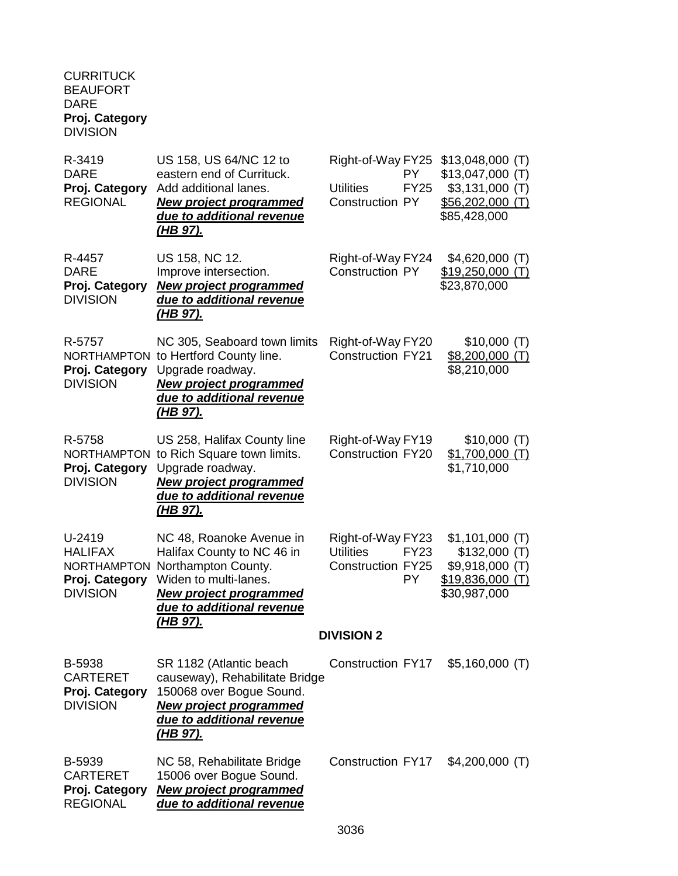#### **CURRITUCK** BEAUFORT DARE **Proj. Category** DIVISION

| R-3419<br><b>DARE</b><br>Proj. Category<br><b>REGIONAL</b>                          | US 158, US 64/NC 12 to<br>eastern end of Currituck.<br>Add additional lanes.<br><b>New project programmed</b><br>due to additional revenue<br>(HB 97).                           | Right-of-Way FY25<br><b>Utilities</b><br><b>Construction PY</b>   | PY<br><b>FY25</b>        | $$13,048,000$ (T)<br>$$13,047,000$ (T)<br>$$3,131,000$ (T)<br>$$56,202,000$ (T)<br>\$85,428,000 |
|-------------------------------------------------------------------------------------|----------------------------------------------------------------------------------------------------------------------------------------------------------------------------------|-------------------------------------------------------------------|--------------------------|-------------------------------------------------------------------------------------------------|
| R-4457<br><b>DARE</b><br>Proj. Category<br><b>DIVISION</b>                          | US 158, NC 12.<br>Improve intersection.<br><b>New project programmed</b><br>due to additional revenue<br><u>(HB 97).</u>                                                         | Right-of-Way FY24<br><b>Construction PY</b>                       |                          | $$4,620,000$ (T)<br>\$19,250,000<br>(T)<br>\$23,870,000                                         |
| R-5757<br><b>NORTHAMPTON</b><br>Proj. Category<br><b>DIVISION</b>                   | NC 305, Seaboard town limits<br>to Hertford County line.<br>Upgrade roadway.<br><b>New project programmed</b><br>due to additional revenue<br><u>(HB 97).</u>                    | Right-of-Way FY20<br><b>Construction FY21</b>                     |                          | \$10,000(T)<br>$$8,200,000$ (T)<br>\$8,210,000                                                  |
| R-5758<br>Proj. Category<br><b>DIVISION</b>                                         | US 258, Halifax County line<br>NORTHAMPTON to Rich Square town limits.<br>Upgrade roadway.<br><b>New project programmed</b><br>due to additional revenue<br><u>(HB 97).</u>      | Right-of-Way FY19<br><b>Construction FY20</b>                     |                          | \$10,000(T)<br>$$1,700,000$ (T)<br>\$1,710,000                                                  |
| U-2419<br><b>HALIFAX</b><br><b>NORTHAMPTON</b><br>Proj. Category<br><b>DIVISION</b> | NC 48, Roanoke Avenue in<br>Halifax County to NC 46 in<br>Northampton County.<br>Widen to multi-lanes.<br><b>New project programmed</b><br>due to additional revenue<br>(HB 97). | Right-of-Way FY23<br><b>Utilities</b><br><b>Construction FY25</b> | <b>FY23</b><br><b>PY</b> | $$1,101,000$ (T)<br>\$132,000(T)<br>\$9,918,000 (T)<br>\$19,836,000 (T)<br>\$30,987,000         |
|                                                                                     |                                                                                                                                                                                  | <b>DIVISION 2</b>                                                 |                          |                                                                                                 |
| <b>B-5938</b><br><b>CARTERET</b><br>Proj. Category<br><b>DIVISION</b>               | SR 1182 (Atlantic beach<br>causeway), Rehabilitate Bridge<br>150068 over Bogue Sound.<br><b>New project programmed</b><br>due to additional revenue<br><u>(HB 97).</u>           | Construction FY17                                                 |                          | $$5,160,000$ (T)                                                                                |
| <b>B-5939</b><br><b>CARTERET</b><br>Proj. Category<br><b>REGIONAL</b>               | NC 58, Rehabilitate Bridge<br>15006 over Bogue Sound.<br><b>New project programmed</b><br>due to additional revenue                                                              | <b>Construction FY17</b>                                          |                          | $$4,200,000$ (T)                                                                                |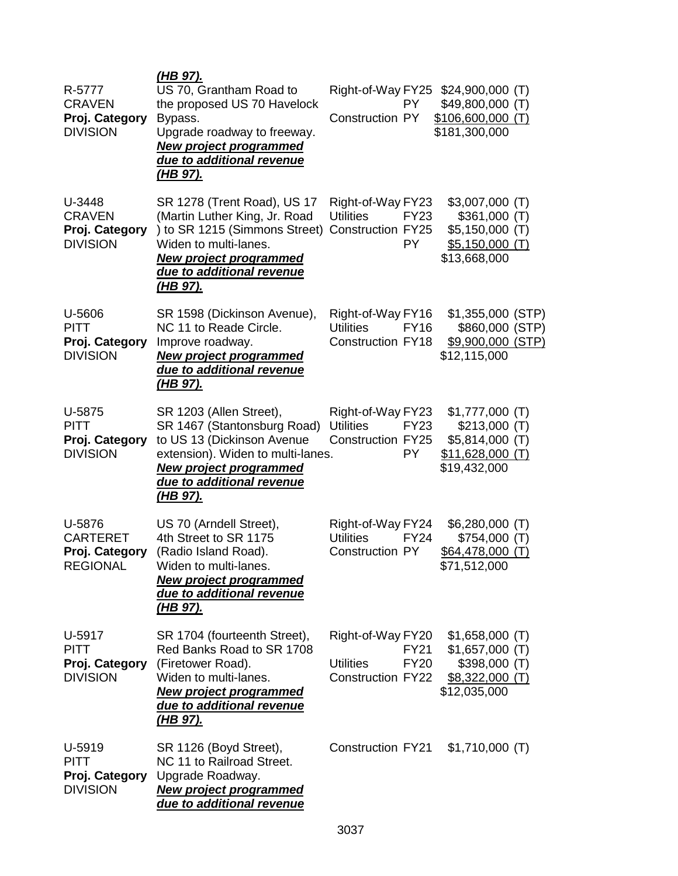| R-5777<br><b>CRAVEN</b><br>Proj. Category<br><b>DIVISION</b>   | <u>(HB 97).</u><br>US 70, Grantham Road to<br>the proposed US 70 Havelock<br>Bypass.<br>Upgrade roadway to freeway.<br><b>New project programmed</b><br>due to additional revenue<br><u>(HB 97).</u>                      | Right-of-Way FY25<br>PY.<br><b>Construction PY</b>                                              | $$24,900,000$ (T)<br>\$49,800,000 (T)<br>\$106,600,000 (T)<br>\$181,300,000                |
|----------------------------------------------------------------|---------------------------------------------------------------------------------------------------------------------------------------------------------------------------------------------------------------------------|-------------------------------------------------------------------------------------------------|--------------------------------------------------------------------------------------------|
| U-3448<br><b>CRAVEN</b><br>Proj. Category<br><b>DIVISION</b>   | SR 1278 (Trent Road), US 17<br>(Martin Luther King, Jr. Road<br>) to SR 1215 (Simmons Street) Construction FY25<br>Widen to multi-lanes.<br><b>New project programmed</b><br>due to additional revenue<br><u>(HB 97).</u> | Right-of-Way FY23<br><b>Utilities</b><br><b>FY23</b><br><b>PY</b>                               | $$3,007,000$ (T)<br>\$361,000(T)<br>$$5,150,000$ (T)<br>$$5,150,000$ (T)<br>\$13,668,000   |
| U-5606<br><b>PITT</b><br>Proj. Category<br><b>DIVISION</b>     | SR 1598 (Dickinson Avenue),<br>NC 11 to Reade Circle.<br>Improve roadway.<br><b>New project programmed</b><br>due to additional revenue<br><u>(HB 97).</u>                                                                | Right-of-Way FY16<br><b>Utilities</b><br><b>FY16</b><br><b>Construction FY18</b>                | \$1,355,000 (STP)<br>\$860,000 (STP)<br>\$9,900,000 (STP)<br>\$12,115,000                  |
| U-5875<br><b>PITT</b><br>Proj. Category<br><b>DIVISION</b>     | SR 1203 (Allen Street),<br>SR 1467 (Stantonsburg Road)<br>to US 13 (Dickinson Avenue<br>extension). Widen to multi-lanes.<br><b>New project programmed</b><br>due to additional revenue<br><u>(HB 97).</u>                | Right-of-Way FY23<br><b>Utilities</b><br><b>FY23</b><br><b>Construction FY25</b><br>PY.         | $$1,777,000$ (T)<br>\$213,000(T)<br>$$5,814,000$ (T)<br>$$11,628,000$ (T)<br>\$19,432,000  |
| U-5876<br><b>CARTERET</b><br>Proj. Category<br><b>REGIONAL</b> | US 70 (Arndell Street),<br>4th Street to SR 1175<br>(Radio Island Road).<br>Widen to multi-lanes.<br><b>New project programmed</b><br>due to additional revenue<br><u>(HB 97).</u>                                        | Right-of-Way FY24<br><b>Utilities</b><br><b>FY24</b><br><b>Construction PY</b>                  | $$6,280,000$ (T)<br>\$754,000(T)<br>$$64,478,000$ (T)<br>\$71,512,000                      |
| U-5917<br><b>PITT</b><br>Proj. Category<br><b>DIVISION</b>     | SR 1704 (fourteenth Street),<br>Red Banks Road to SR 1708<br>(Firetower Road).<br>Widen to multi-lanes.<br><b>New project programmed</b><br>due to additional revenue<br><u>(HB 97).</u>                                  | Right-of-Way FY20<br><b>FY21</b><br><b>Utilities</b><br><b>FY20</b><br><b>Construction FY22</b> | $$1,658,000$ (T)<br>$$1,657,000$ (T)<br>$$398,000$ (T)<br>$$8,322,000$ (T)<br>\$12,035,000 |
| U-5919<br><b>PITT</b><br>Proj. Category<br><b>DIVISION</b>     | SR 1126 (Boyd Street),<br>NC 11 to Railroad Street.<br>Upgrade Roadway.<br><b>New project programmed</b><br>due to additional revenue                                                                                     | <b>Construction FY21</b>                                                                        | $$1,710,000$ (T)                                                                           |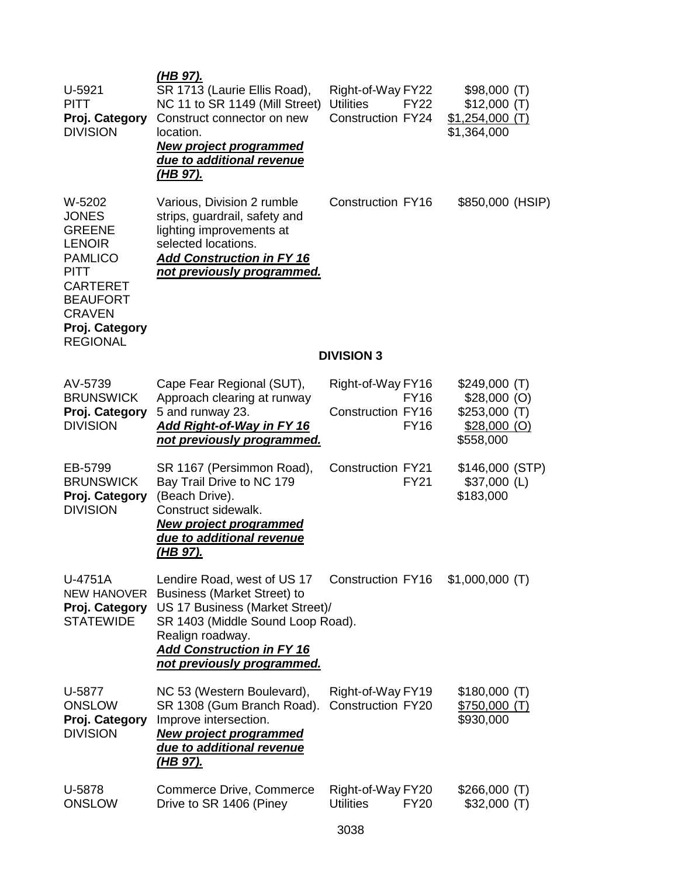| U-5921<br><b>PITT</b><br>Proj. Category<br><b>DIVISION</b>                                                                                                                            | <u>(HB 97).</u><br>SR 1713 (Laurie Ellis Road),<br>NC 11 to SR 1149 (Mill Street)<br>Construct connector on new<br>location.<br><b>New project programmed</b><br>due to additional revenue<br><u>(HB 97).</u>                   | Right-of-Way FY22<br><b>Utilities</b><br><b>Construction FY24</b> | <b>FY22</b>                | \$98,000(T)<br>\$12,000(T)<br>$$1,254,000$ (T)<br>\$1,364,000 |  |
|---------------------------------------------------------------------------------------------------------------------------------------------------------------------------------------|---------------------------------------------------------------------------------------------------------------------------------------------------------------------------------------------------------------------------------|-------------------------------------------------------------------|----------------------------|---------------------------------------------------------------|--|
| W-5202<br><b>JONES</b><br><b>GREENE</b><br><b>LENOIR</b><br><b>PAMLICO</b><br><b>PITT</b><br><b>CARTERET</b><br><b>BEAUFORT</b><br><b>CRAVEN</b><br>Proj. Category<br><b>REGIONAL</b> | Various, Division 2 rumble<br>strips, guardrail, safety and<br>lighting improvements at<br>selected locations.<br><b>Add Construction in FY 16</b><br>not previously programmed.                                                | Construction FY16<br><b>DIVISION 3</b>                            |                            | \$850,000 (HSIP)                                              |  |
| AV-5739                                                                                                                                                                               | Cape Fear Regional (SUT),                                                                                                                                                                                                       | Right-of-Way FY16                                                 |                            | \$249,000(T)                                                  |  |
| <b>BRUNSWICK</b><br>Proj. Category<br><b>DIVISION</b>                                                                                                                                 | Approach clearing at runway<br>5 and runway 23.<br>Add Right-of-Way in FY 16<br><u>not previously programmed.</u>                                                                                                               | Construction FY16                                                 | <b>FY16</b><br><b>FY16</b> | $$28,000$ (O)<br>$$253,000$ (T)<br>$$28,000$ (O)<br>\$558,000 |  |
| EB-5799<br><b>BRUNSWICK</b><br>Proj. Category<br><b>DIVISION</b>                                                                                                                      | SR 1167 (Persimmon Road),<br>Bay Trail Drive to NC 179<br>(Beach Drive).<br>Construct sidewalk.<br><b>New project programmed</b><br>due to additional revenue<br><u>(HB 97).</u>                                                | <b>Construction FY21</b>                                          | <b>FY21</b>                | \$146,000 (STP)<br>$$37,000$ (L)<br>\$183,000                 |  |
| U-4751A<br><b>NEW HANOVER</b><br>Proj. Category<br><b>STATEWIDE</b>                                                                                                                   | Lendire Road, west of US 17<br><b>Business (Market Street) to</b><br>US 17 Business (Market Street)/<br>SR 1403 (Middle Sound Loop Road).<br>Realign roadway.<br><b>Add Construction in FY 16</b><br>not previously programmed. | <b>Construction FY16</b>                                          |                            | $$1,000,000$ (T)                                              |  |
| U-5877<br><b>ONSLOW</b><br>Proj. Category<br><b>DIVISION</b>                                                                                                                          | NC 53 (Western Boulevard),<br>SR 1308 (Gum Branch Road).<br>Improve intersection.<br><b>New project programmed</b><br>due to additional revenue<br><u>(HB 97).</u>                                                              | Right-of-Way FY19<br><b>Construction FY20</b>                     |                            | \$180,000(T)<br><u>\$750,000 (T)</u><br>\$930,000             |  |
| U-5878<br><b>ONSLOW</b>                                                                                                                                                               | Commerce Drive, Commerce<br>Drive to SR 1406 (Piney                                                                                                                                                                             | Right-of-Way FY20<br><b>Utilities</b>                             | <b>FY20</b>                | \$266,000(T)<br>$$32,000$ (T)                                 |  |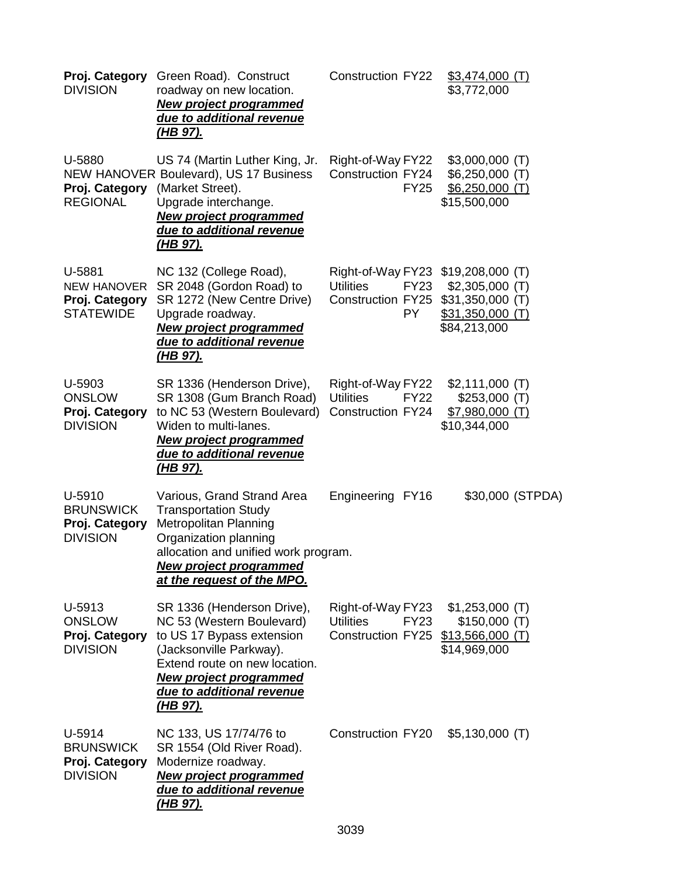| Proj. Category<br><b>DIVISION</b>                                  | Green Road). Construct<br>roadway on new location.<br><b>New project programmed</b><br>due to additional revenue<br><u>(HB 97).</u>                                                                                               | <b>Construction FY22</b>                                                         | $$3,474,000$ (T)<br>\$3,772,000                                                                       |  |
|--------------------------------------------------------------------|-----------------------------------------------------------------------------------------------------------------------------------------------------------------------------------------------------------------------------------|----------------------------------------------------------------------------------|-------------------------------------------------------------------------------------------------------|--|
| U-5880<br>Proj. Category<br><b>REGIONAL</b>                        | US 74 (Martin Luther King, Jr.<br>NEW HANOVER Boulevard), US 17 Business<br>(Market Street).<br>Upgrade interchange.<br><b>New project programmed</b><br>due to additional revenue<br><u>(HB 97).</u>                             | Right-of-Way FY22<br><b>Construction FY24</b><br><b>FY25</b>                     | $$3,000,000$ (T)<br>$$6,250,000$ (T)<br>$$6,250,000$ (T)<br>\$15,500,000                              |  |
| U-5881<br><b>NEW HANOVER</b><br>Proj. Category<br><b>STATEWIDE</b> | NC 132 (College Road),<br>SR 2048 (Gordon Road) to<br>SR 1272 (New Centre Drive)<br>Upgrade roadway.<br><b>New project programmed</b><br>due to additional revenue<br><u>(HB 97).</u>                                             | Right-of-Way FY23<br><b>Utilities</b><br><b>FY23</b><br>Construction FY25<br>PY. | $$19,208,000$ (T)<br>$$2,305,000$ (T)<br>$$31,350,000$ (T)<br><u>\$31,350,000 (T)</u><br>\$84,213,000 |  |
| U-5903<br><b>ONSLOW</b><br>Proj. Category<br><b>DIVISION</b>       | SR 1336 (Henderson Drive),<br>SR 1308 (Gum Branch Road)<br>to NC 53 (Western Boulevard)<br>Widen to multi-lanes.<br><b>New project programmed</b><br>due to additional revenue<br><u>(HB 97).</u>                                 | Right-of-Way FY22<br><b>Utilities</b><br><b>FY22</b><br>Construction FY24        | $$2,111,000$ (T)<br>$$253,000$ (T)<br>$$7,980,000$ (T)<br>\$10,344,000                                |  |
| U-5910<br><b>BRUNSWICK</b><br>Proj. Category<br><b>DIVISION</b>    | Various, Grand Strand Area<br><b>Transportation Study</b><br>Metropolitan Planning<br>Organization planning<br>allocation and unified work program.<br><u>New project programmed</u><br>at the request of the MPO.                | Engineering FY16                                                                 | \$30,000 (STPDA)                                                                                      |  |
| U-5913<br><b>ONSLOW</b><br>Proj. Category<br><b>DIVISION</b>       | SR 1336 (Henderson Drive),<br>NC 53 (Western Boulevard)<br>to US 17 Bypass extension<br>(Jacksonville Parkway).<br>Extend route on new location.<br><b>New project programmed</b><br>due to additional revenue<br><u>(HB 97).</u> | Right-of-Way FY23<br><b>Utilities</b><br>FY23<br><b>Construction FY25</b>        | $$1,253,000$ (T)<br>\$150,000(T)<br>\$13,566,000(T)<br>\$14,969,000                                   |  |
| U-5914<br><b>BRUNSWICK</b><br>Proj. Category<br><b>DIVISION</b>    | NC 133, US 17/74/76 to<br>SR 1554 (Old River Road).<br>Modernize roadway.<br><b>New project programmed</b><br>due to additional revenue<br><u>(HB 97).</u>                                                                        | Construction FY20                                                                | $$5,130,000$ (T)                                                                                      |  |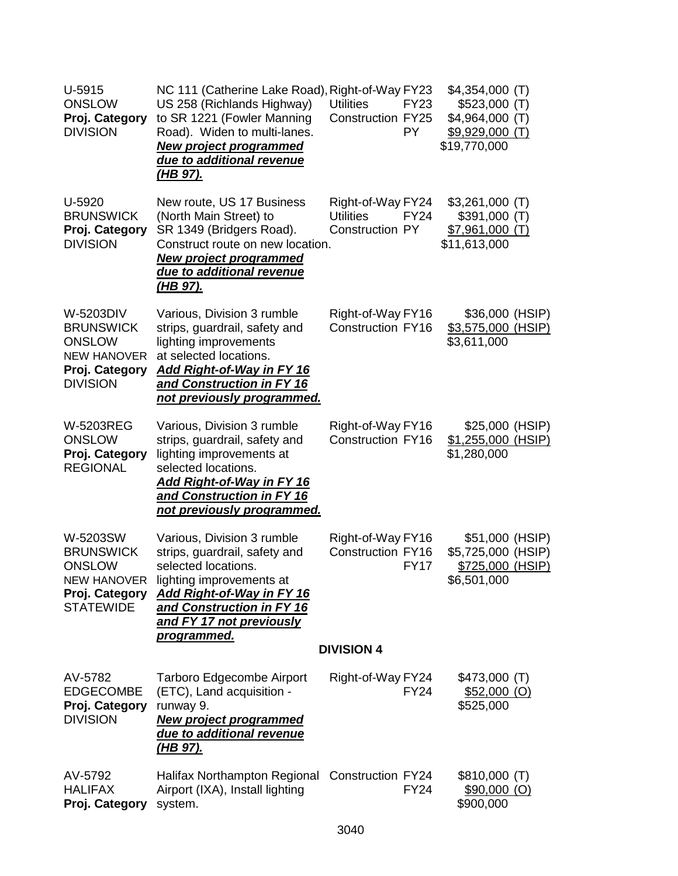| U-5915<br><b>ONSLOW</b><br>Proj. Category<br><b>DIVISION</b>                                              | NC 111 (Catherine Lake Road), Right-of-Way FY23<br>US 258 (Richlands Highway)<br>to SR 1221 (Fowler Manning<br>Road). Widen to multi-lanes.<br><b>New project programmed</b><br>due to additional revenue<br><u>(HB 97).</u>                  | <b>Utilities</b><br><b>FY23</b><br>Construction FY25<br><b>PY</b>              | $$4,354,000$ (T)<br>$$523,000$ (T)<br>$$4,964,000$ (T)<br>\$9,929,000 (T)<br>\$19,770,000 |  |
|-----------------------------------------------------------------------------------------------------------|-----------------------------------------------------------------------------------------------------------------------------------------------------------------------------------------------------------------------------------------------|--------------------------------------------------------------------------------|-------------------------------------------------------------------------------------------|--|
| U-5920<br><b>BRUNSWICK</b><br>Proj. Category<br><b>DIVISION</b>                                           | New route, US 17 Business<br>(North Main Street) to<br>SR 1349 (Bridgers Road).<br>Construct route on new location.<br><b>New project programmed</b><br>due to additional revenue<br><u>(HB 97).</u>                                          | Right-of-Way FY24<br><b>Utilities</b><br><b>FY24</b><br><b>Construction PY</b> | $$3,261,000$ (T)<br>\$391,000(T)<br>$$7,961,000$ (T)<br>\$11,613,000                      |  |
| W-5203DIV<br><b>BRUNSWICK</b><br><b>ONSLOW</b><br><b>NEW HANOVER</b><br>Proj. Category<br><b>DIVISION</b> | Various, Division 3 rumble<br>strips, guardrail, safety and<br>lighting improvements<br>at selected locations.<br>Add Right-of-Way in FY 16<br>and Construction in FY 16<br>not previously programmed.                                        | Right-of-Way FY16<br><b>Construction FY16</b>                                  | \$36,000 (HSIP)<br>\$3,575,000 (HSIP)<br>\$3,611,000                                      |  |
| <b>W-5203REG</b><br><b>ONSLOW</b><br>Proj. Category<br><b>REGIONAL</b>                                    | Various, Division 3 rumble<br>strips, guardrail, safety and<br>lighting improvements at<br>selected locations.<br><b>Add Right-of-Way in FY 16</b><br>and Construction in FY 16<br><u>not previously programmed.</u>                          | Right-of-Way FY16<br><b>Construction FY16</b>                                  | \$25,000 (HSIP)<br>\$1,255,000 (HSIP)<br>\$1,280,000                                      |  |
| W-5203SW<br><b>BRUNSWICK</b><br><b>ONSLOW</b><br>Proj. Category<br><b>STATEWIDE</b>                       | Various, Division 3 rumble<br>strips, guardrail, safety and<br>selected locations.<br>NEW HANOVER lighting improvements at<br><b>Add Right-of-Way in FY 16</b><br>and Construction in FY 16<br>and FY 17 not previously<br><u>programmed.</u> | Right-of-Way FY16<br><b>Construction FY16</b><br><b>FY17</b>                   | \$51,000 (HSIP)<br>\$5,725,000 (HSIP)<br>\$725,000 (HSIP)<br>\$6,501,000                  |  |
|                                                                                                           |                                                                                                                                                                                                                                               | <b>DIVISION 4</b>                                                              |                                                                                           |  |
| AV-5782<br><b>EDGECOMBE</b><br>Proj. Category<br><b>DIVISION</b>                                          | <b>Tarboro Edgecombe Airport</b><br>(ETC), Land acquisition -<br>runway 9.<br><b>New project programmed</b><br>due to additional revenue<br><u>(HB 97).</u>                                                                                   | Right-of-Way FY24<br><b>FY24</b>                                               | \$473,000 (T)<br>$$52,000$ (O)<br>\$525,000                                               |  |
| AV-5792<br><b>HALIFAX</b><br>Proj. Category                                                               | Halifax Northampton Regional Construction FY24<br>Airport (IXA), Install lighting<br>system.                                                                                                                                                  | <b>FY24</b>                                                                    | \$810,000(T)<br>$$90,000$ (O)<br>\$900,000                                                |  |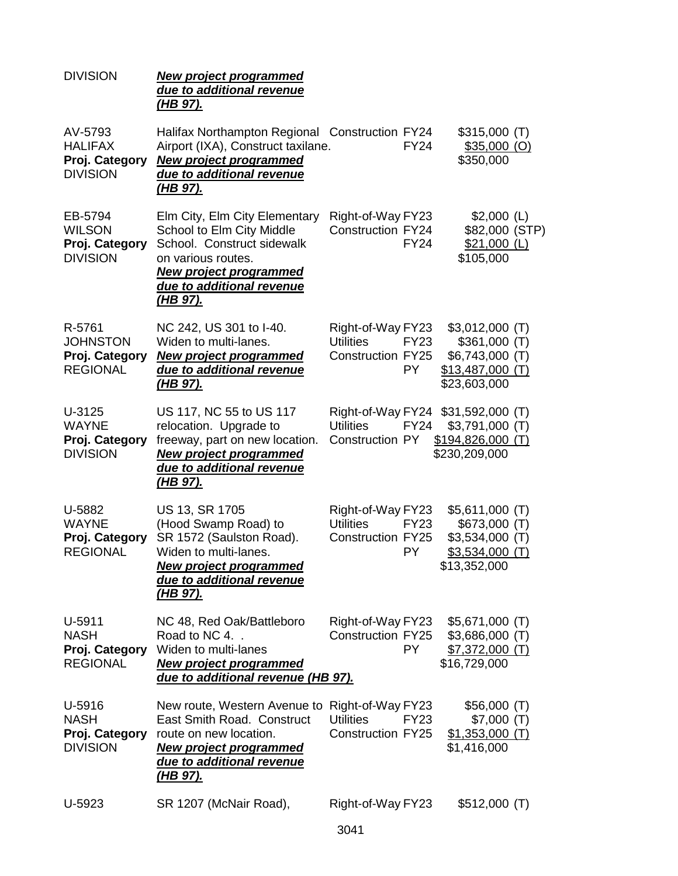| <b>DIVISION</b>                                                | <b>New project programmed</b><br>due to additional revenue<br><u>(HB 97).</u>                                                                                                                   |                                                                   |                          |                                                                                               |  |
|----------------------------------------------------------------|-------------------------------------------------------------------------------------------------------------------------------------------------------------------------------------------------|-------------------------------------------------------------------|--------------------------|-----------------------------------------------------------------------------------------------|--|
| AV-5793<br><b>HALIFAX</b><br>Proj. Category<br><b>DIVISION</b> | Halifax Northampton Regional Construction FY24<br>Airport (IXA), Construct taxilane.<br><b>New project programmed</b><br>due to additional revenue<br><u>(HB 97).</u>                           |                                                                   | <b>FY24</b>              | \$315,000(T)<br>$$35,000$ (O)<br>\$350,000                                                    |  |
| EB-5794<br><b>WILSON</b><br>Proj. Category<br><b>DIVISION</b>  | Elm City, Elm City Elementary<br>School to Elm City Middle<br>School. Construct sidewalk<br>on various routes.<br><b>New project programmed</b><br>due to additional revenue<br><u>(HB 97).</u> | Right-of-Way FY23<br><b>Construction FY24</b>                     | <b>FY24</b>              | $$2,000$ (L)<br>\$82,000 (STP)<br>$$21,000$ (L)<br>\$105,000                                  |  |
| R-5761<br><b>JOHNSTON</b><br>Proj. Category<br><b>REGIONAL</b> | NC 242, US 301 to I-40.<br>Widen to multi-lanes.<br><b>New project programmed</b><br>due to additional revenue<br><u>(HB 97).</u>                                                               | Right-of-Way FY23<br><b>Utilities</b><br><b>Construction FY25</b> | <b>FY23</b><br>PY.       | $$3,012,000$ (T)<br>\$361,000(T)<br>$$6,743,000$ (T)<br>$$13,487,000$ (T)<br>\$23,603,000     |  |
| U-3125<br><b>WAYNE</b><br>Proj. Category<br><b>DIVISION</b>    | US 117, NC 55 to US 117<br>relocation. Upgrade to<br>freeway, part on new location.<br><b>New project programmed</b><br>due to additional revenue<br><u>(HB 97).</u>                            | <b>Utilities</b><br>Construction PY                               | <b>FY24</b>              | Right-of-Way FY24 \$31,592,000 (T)<br>$$3,791,000$ (T)<br>$$194,826,000$ (T)<br>\$230,209,000 |  |
| U-5882<br><b>WAYNE</b><br>Proj. Category<br><b>REGIONAL</b>    | US 13, SR 1705<br>(Hood Swamp Road) to<br>SR 1572 (Saulston Road).<br>Widen to multi-lanes.<br><b>New project programmed</b><br>due to additional revenue<br><u>(HB 97).</u>                    | Right-of-Way FY23<br><b>Utilities</b><br><b>Construction FY25</b> | <b>FY23</b><br><b>PY</b> | $$5,611,000$ (T)<br>\$673,000 (T)<br>$$3,534,000$ (T)<br>$$3,534,000$ (T)<br>\$13,352,000     |  |
| $U-5911$<br><b>NASH</b><br>Proj. Category<br><b>REGIONAL</b>   | NC 48, Red Oak/Battleboro<br>Road to NC 4.<br>Widen to multi-lanes<br><b>New project programmed</b><br>due to additional revenue (HB 97).                                                       | Right-of-Way FY23<br><b>Construction FY25</b>                     | <b>PY</b>                | $$5,671,000$ (T)<br>$$3,686,000$ (T)<br><u>\$7,372,000 (T)</u><br>\$16,729,000                |  |
| U-5916<br><b>NASH</b><br>Proj. Category<br><b>DIVISION</b>     | New route, Western Avenue to Right-of-Way FY23<br>East Smith Road. Construct<br>route on new location.<br><b>New project programmed</b><br>due to additional revenue<br><u>(HB 97).</u>         | <b>Utilities</b><br><b>Construction FY25</b>                      | <b>FY23</b>              | \$56,000(T)<br>\$7,000(T)<br>$$1,353,000$ (T)<br>\$1,416,000                                  |  |
| U-5923                                                         | SR 1207 (McNair Road),                                                                                                                                                                          | Right-of-Way FY23                                                 |                          | \$512,000(T)                                                                                  |  |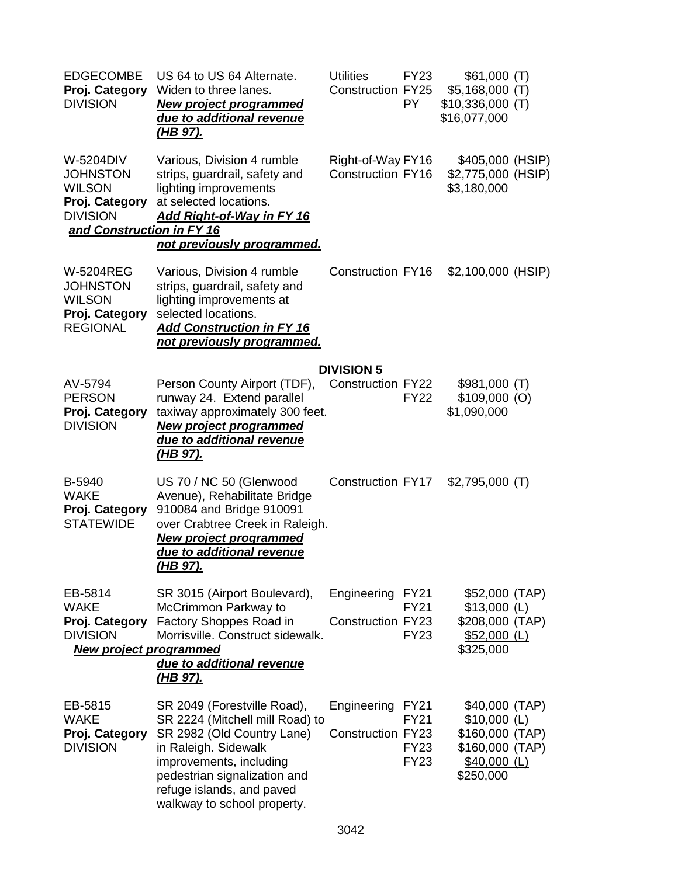| <b>EDGECOMBE</b><br>Proj. Category<br><b>DIVISION</b>                                                           | US 64 to US 64 Alternate.<br>Widen to three lanes.<br>New project programmed<br>due to additional revenue<br><u>(HB 97).</u>                                                                                                                | <b>Utilities</b><br><b>Construction FY25</b>  | <b>FY23</b><br>PY.                        | \$61,000(T)<br>$$5,168,000$ (T)<br>$$10,336,000$ (T)<br>\$16,077,000                               |  |
|-----------------------------------------------------------------------------------------------------------------|---------------------------------------------------------------------------------------------------------------------------------------------------------------------------------------------------------------------------------------------|-----------------------------------------------|-------------------------------------------|----------------------------------------------------------------------------------------------------|--|
| W-5204DIV<br><b>JOHNSTON</b><br><b>WILSON</b><br>Proj. Category<br><b>DIVISION</b><br>and Construction in FY 16 | Various, Division 4 rumble<br>strips, guardrail, safety and<br>lighting improvements<br>at selected locations.<br><b>Add Right-of-Way in FY 16</b><br>not previously programmed.                                                            | Right-of-Way FY16<br><b>Construction FY16</b> |                                           | \$405,000 (HSIP)<br>\$2,775,000 (HSIP)<br>\$3,180,000                                              |  |
| <b>W-5204REG</b><br><b>JOHNSTON</b><br><b>WILSON</b><br>Proj. Category<br><b>REGIONAL</b>                       | Various, Division 4 rumble<br>strips, guardrail, safety and<br>lighting improvements at<br>selected locations.<br>Add Construction in FY 16<br>not previously programmed.                                                                   | <b>Construction FY16</b>                      |                                           | \$2,100,000 (HSIP)                                                                                 |  |
|                                                                                                                 |                                                                                                                                                                                                                                             | <b>DIVISION 5</b>                             |                                           |                                                                                                    |  |
| AV-5794<br><b>PERSON</b><br>Proj. Category<br><b>DIVISION</b>                                                   | Person County Airport (TDF),<br>runway 24. Extend parallel<br>taxiway approximately 300 feet.<br><b>New project programmed</b><br>due to additional revenue<br><u>(HB 97).</u>                                                              | <b>Construction FY22</b>                      | <b>FY22</b>                               | \$981,000(T)<br>$$109,000$ (O)<br>\$1,090,000                                                      |  |
| B-5940<br><b>WAKE</b><br>Proj. Category<br><b>STATEWIDE</b>                                                     | US 70 / NC 50 (Glenwood<br>Avenue), Rehabilitate Bridge<br>910084 and Bridge 910091<br>over Crabtree Creek in Raleigh.<br><b>New project programmed</b><br>due to additional revenue<br>(HB 97).                                            | <b>Construction FY17</b>                      |                                           | $$2,795,000$ (T)                                                                                   |  |
| EB-5814<br><b>WAKE</b><br>Proj. Category<br><b>DIVISION</b><br><b>New project programmed</b>                    | SR 3015 (Airport Boulevard),<br>McCrimmon Parkway to<br>Factory Shoppes Road in<br>Morrisville. Construct sidewalk.<br>due to additional revenue<br><u>(HB 97).</u>                                                                         | Engineering FY21<br><b>Construction FY23</b>  | <b>FY21</b><br><b>FY23</b>                | \$52,000 (TAP)<br>$$13,000$ (L)<br>\$208,000 (TAP)<br>$$52,000$ (L)<br>\$325,000                   |  |
| EB-5815<br><b>WAKE</b><br>Proj. Category<br><b>DIVISION</b>                                                     | SR 2049 (Forestville Road),<br>SR 2224 (Mitchell mill Road) to<br>SR 2982 (Old Country Lane)<br>in Raleigh. Sidewalk<br>improvements, including<br>pedestrian signalization and<br>refuge islands, and paved<br>walkway to school property. | Engineering FY21<br><b>Construction FY23</b>  | <b>FY21</b><br><b>FY23</b><br><b>FY23</b> | \$40,000 (TAP)<br>$$10,000$ (L)<br>\$160,000 (TAP)<br>\$160,000 (TAP)<br>\$40,000 (L)<br>\$250,000 |  |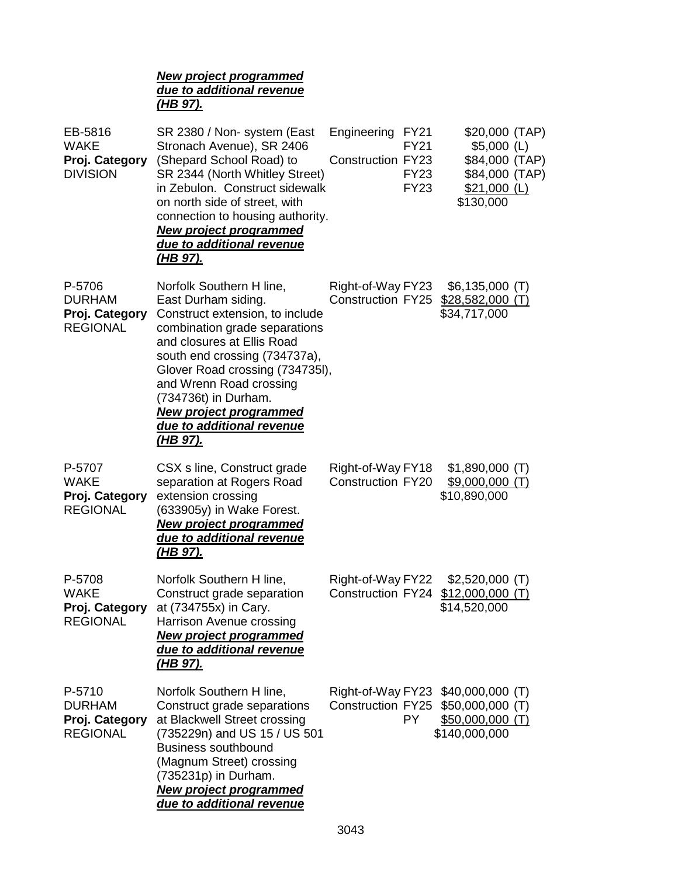|                                                              | <b>New project programmed</b><br>due to additional revenue<br><u>(HB 97).</u>                                                                                                                                                                                                                                                                             |                                                                                                   |                                                                                                  |
|--------------------------------------------------------------|-----------------------------------------------------------------------------------------------------------------------------------------------------------------------------------------------------------------------------------------------------------------------------------------------------------------------------------------------------------|---------------------------------------------------------------------------------------------------|--------------------------------------------------------------------------------------------------|
| EB-5816<br><b>WAKE</b><br>Proj. Category<br><b>DIVISION</b>  | SR 2380 / Non- system (East<br>Stronach Avenue), SR 2406<br>(Shepard School Road) to<br>SR 2344 (North Whitley Street)<br>in Zebulon. Construct sidewalk<br>on north side of street, with<br>connection to housing authority.<br><b>New project programmed</b><br>due to additional revenue<br><u>(HB 97).</u>                                            | Engineering<br>FY <sub>21</sub><br>FY21<br><b>Construction FY23</b><br><b>FY23</b><br><b>FY23</b> | \$20,000 (TAP)<br>$$5,000$ (L)<br>\$84,000 (TAP)<br>\$84,000 (TAP)<br>$$21,000$ (L)<br>\$130,000 |
| P-5706<br><b>DURHAM</b><br>Proj. Category<br><b>REGIONAL</b> | Norfolk Southern H line,<br>East Durham siding.<br>Construct extension, to include<br>combination grade separations<br>and closures at Ellis Road<br>south end crossing (734737a),<br>Glover Road crossing (734735I),<br>and Wrenn Road crossing<br>(734736t) in Durham.<br><b>New project programmed</b><br>due to additional revenue<br><u>(HB 97).</u> | Right-of-Way FY23<br><b>Construction FY25</b>                                                     | $$6,135,000$ (T)<br><u>\$28,582,000 (T)</u><br>\$34,717,000                                      |
| P-5707<br><b>WAKE</b><br>Proj. Category<br><b>REGIONAL</b>   | CSX s line, Construct grade<br>separation at Rogers Road<br>extension crossing<br>(633905y) in Wake Forest.<br><b>New project programmed</b><br>due to additional revenue<br><u>(HB 97).</u>                                                                                                                                                              | Right-of-Way FY18<br><b>Construction FY20</b>                                                     | $$1,890,000$ (T)<br>$$9,000,000$ (T)<br>\$10,890,000                                             |
| P-5708<br><b>WAKE</b><br>Proj. Category<br><b>REGIONAL</b>   | Norfolk Southern H line,<br>Construct grade separation<br>at (734755x) in Cary.<br>Harrison Avenue crossing<br><b>New project programmed</b><br>due to additional revenue<br><u>(HB 97).</u>                                                                                                                                                              | Right-of-Way FY22<br><b>Construction FY24</b>                                                     | $$2,520,000$ (T)<br>$$12,000,000$ (T)<br>\$14,520,000                                            |
| P-5710<br><b>DURHAM</b><br>Proj. Category<br><b>REGIONAL</b> | Norfolk Southern H line,<br>Construct grade separations<br>at Blackwell Street crossing<br>(735229n) and US 15 / US 501<br><b>Business southbound</b><br>(Magnum Street) crossing<br>(735231p) in Durham.<br><b>New project programmed</b><br>due to additional revenue                                                                                   | Right-of-Way FY23<br><b>Construction FY25</b><br>PY.                                              | $$40,000,000$ (T)<br>$$50,000,000$ (T)<br>$$50,000,000$ (T)<br>\$140,000,000                     |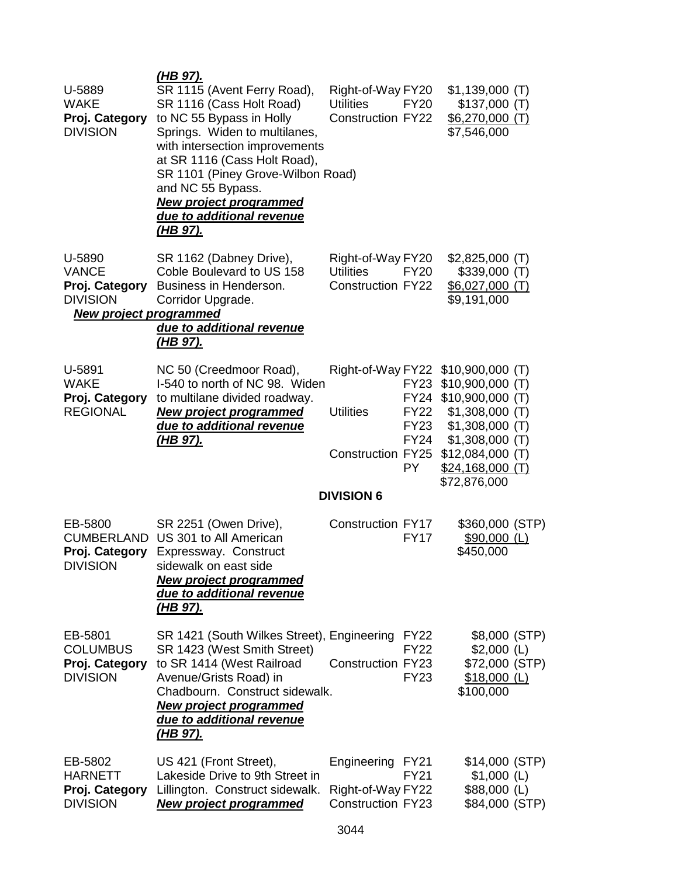| U-5889<br><b>WAKE</b><br>Proj. Category<br><b>DIVISION</b>                                   | <u>(HB 97).</u><br>SR 1115 (Avent Ferry Road),<br>SR 1116 (Cass Holt Road)<br>to NC 55 Bypass in Holly<br>Springs. Widen to multilanes,<br>with intersection improvements<br>at SR 1116 (Cass Holt Road),<br>SR 1101 (Piney Grove-Wilbon Road)<br>and NC 55 Bypass.<br><b>New project programmed</b><br>due to additional revenue<br><u>(HB 97).</u> | Right-of-Way FY20<br><b>Utilities</b><br><b>Construction FY22</b> | <b>FY20</b>                                                     | $$1,139,000$ (T)<br>\$137,000(T)<br>$$6,270,000$ (T)<br>\$7,546,000                                                                                                                                          |  |
|----------------------------------------------------------------------------------------------|------------------------------------------------------------------------------------------------------------------------------------------------------------------------------------------------------------------------------------------------------------------------------------------------------------------------------------------------------|-------------------------------------------------------------------|-----------------------------------------------------------------|--------------------------------------------------------------------------------------------------------------------------------------------------------------------------------------------------------------|--|
| U-5890<br><b>VANCE</b><br>Proj. Category<br><b>DIVISION</b><br><b>New project programmed</b> | SR 1162 (Dabney Drive),<br>Coble Boulevard to US 158<br>Business in Henderson.<br>Corridor Upgrade.<br>due to additional revenue<br><u>(HB 97).</u>                                                                                                                                                                                                  | Right-of-Way FY20<br><b>Utilities</b><br><b>Construction FY22</b> | <b>FY20</b>                                                     | $$2,825,000$ (T)<br>$$339,000$ (T)<br>\$6,027,000 (T)<br>\$9,191,000                                                                                                                                         |  |
| U-5891<br><b>WAKE</b><br>Proj. Category<br><b>REGIONAL</b>                                   | NC 50 (Creedmoor Road),<br>I-540 to north of NC 98. Widen<br>to multilane divided roadway.<br><b>New project programmed</b><br>due to additional revenue<br><u>(HB 97).</u>                                                                                                                                                                          | <b>Utilities</b><br><b>Construction FY25</b><br><b>DIVISION 6</b> | <b>FY23</b><br><b>FY22</b><br><b>FY23</b><br><b>FY24</b><br>PY. | Right-of-Way FY22 \$10,900,000 (T)<br>$$10,900,000$ (T)<br>FY24 \$10,900,000 (T)<br>$$1,308,000$ (T)<br>$$1,308,000$ (T)<br>$$1,308,000$ (T)<br>$$12,084,000$ (T)<br><u>\$24,168,000 (T)</u><br>\$72,876,000 |  |
| EB-5800<br>Proj. Category<br><b>DIVISION</b>                                                 | SR 2251 (Owen Drive),<br><b>CUMBERLAND US 301 to All American</b><br>Expressway. Construct<br>sidewalk on east side<br><b>New project programmed</b><br>due to additional revenue<br><u>(HB 97).</u>                                                                                                                                                 | <b>Construction FY17</b>                                          | <b>FY17</b>                                                     | \$360,000 (STP)<br>$$90,000$ (L)<br>\$450,000                                                                                                                                                                |  |
| EB-5801<br><b>COLUMBUS</b><br>Proj. Category<br><b>DIVISION</b>                              | SR 1421 (South Wilkes Street), Engineering<br>SR 1423 (West Smith Street)<br>to SR 1414 (West Railroad<br>Avenue/Grists Road) in<br>Chadbourn. Construct sidewalk.<br><b>New project programmed</b><br>due to additional revenue<br><u>(HB 97).</u>                                                                                                  | <b>Construction FY23</b>                                          | <b>FY22</b><br><b>FY22</b><br><b>FY23</b>                       | \$8,000 (STP)<br>$$2,000$ (L)<br>\$72,000 (STP)<br>$$18,000$ (L)<br>\$100,000                                                                                                                                |  |
| EB-5802<br><b>HARNETT</b><br>Proj. Category<br><b>DIVISION</b>                               | US 421 (Front Street),<br>Lakeside Drive to 9th Street in<br>Lillington. Construct sidewalk.<br><b>New project programmed</b>                                                                                                                                                                                                                        | Engineering<br>Right-of-Way FY22<br><b>Construction FY23</b>      | FY <sub>21</sub><br><b>FY21</b>                                 | \$14,000 (STP)<br>$$1,000$ (L)<br>$$88,000$ (L)<br>\$84,000 (STP)                                                                                                                                            |  |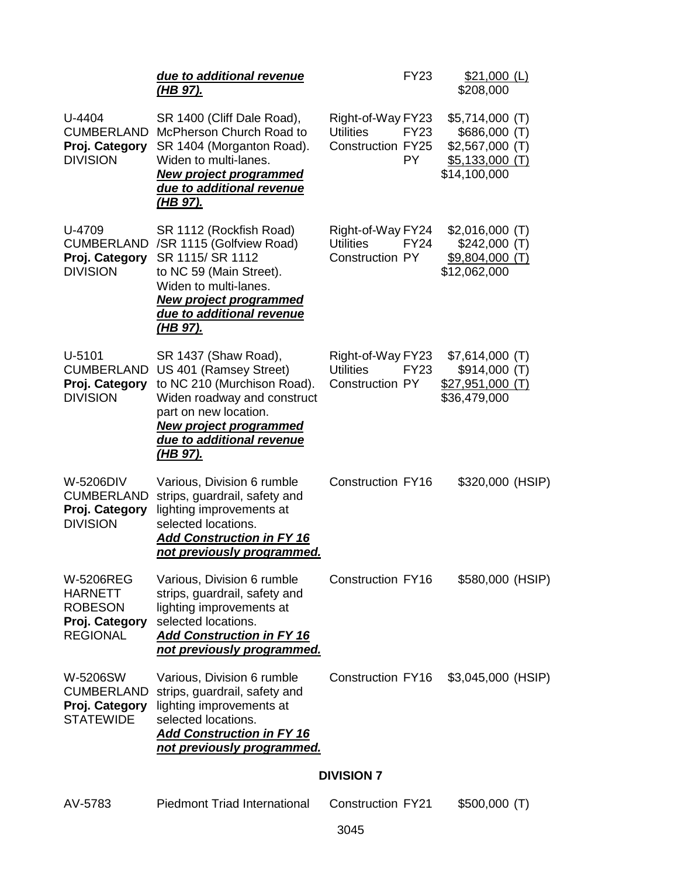|                                                                                           | due to additional revenue<br><u>(HB 97).</u>                                                                                                                                                                           | FY23                                                                                    | $$21,000$ (L)<br>\$208,000                                                                |
|-------------------------------------------------------------------------------------------|------------------------------------------------------------------------------------------------------------------------------------------------------------------------------------------------------------------------|-----------------------------------------------------------------------------------------|-------------------------------------------------------------------------------------------|
| U-4404<br><b>CUMBERLAND</b><br>Proj. Category<br><b>DIVISION</b>                          | SR 1400 (Cliff Dale Road),<br>McPherson Church Road to<br>SR 1404 (Morganton Road).<br>Widen to multi-lanes.<br><b>New project programmed</b><br>due to additional revenue<br><u>(HB 97).</u>                          | Right-of-Way FY23<br><b>FY23</b><br><b>Utilities</b><br><b>Construction FY25</b><br>PY. | $$5,714,000$ (T)<br>\$686,000 (T)<br>$$2,567,000$ (T)<br>$$5,133,000$ (T)<br>\$14,100,000 |
| U-4709<br><b>CUMBERLAND</b><br>Proj. Category<br><b>DIVISION</b>                          | SR 1112 (Rockfish Road)<br>/SR 1115 (Golfview Road)<br>SR 1115/SR 1112<br>to NC 59 (Main Street).<br>Widen to multi-lanes.<br><b>New project programmed</b><br>due to additional revenue<br><u>(HB 97).</u>            | Right-of-Way FY24<br><b>Utilities</b><br><b>FY24</b><br><b>Construction PY</b>          | $$2,016,000$ (T)<br>\$242,000(T)<br>$$9,804,000$ (T)<br>\$12,062,000                      |
| U-5101<br><b>CUMBERLAND</b><br>Proj. Category<br><b>DIVISION</b>                          | SR 1437 (Shaw Road),<br>US 401 (Ramsey Street)<br>to NC 210 (Murchison Road).<br>Widen roadway and construct<br>part on new location.<br><b>New project programmed</b><br>due to additional revenue<br><u>(HB 97).</u> | Right-of-Way FY23<br><b>Utilities</b><br><b>FY23</b><br><b>Construction PY</b>          | $$7,614,000$ (T)<br>\$914,000(T)<br>$$27,951,000$ (T)<br>\$36,479,000                     |
| W-5206DIV<br><b>CUMBERLAND</b><br>Proj. Category<br><b>DIVISION</b>                       | Various, Division 6 rumble<br>strips, guardrail, safety and<br>lighting improvements at<br>selected locations.<br><b>Add Construction in FY 16</b><br>not previously programmed.                                       | <b>Construction FY16</b>                                                                | \$320,000 (HSIP)                                                                          |
| W-5206REG<br><b>HARNETT</b><br><b>ROBESON</b><br><b>Proj. Category</b><br><b>REGIONAL</b> | Various, Division 6 rumble<br>strips, guardrail, safety and<br>lighting improvements at<br>selected locations.<br><b>Add Construction in FY 16</b><br>not previously programmed.                                       | <b>Construction FY16</b>                                                                | \$580,000 (HSIP)                                                                          |
| W-5206SW<br><b>CUMBERLAND</b><br>Proj. Category<br><b>STATEWIDE</b>                       | Various, Division 6 rumble<br>strips, guardrail, safety and<br>lighting improvements at<br>selected locations.<br><b>Add Construction in FY 16</b><br>not previously programmed.                                       | <b>Construction FY16</b>                                                                | \$3,045,000 (HSIP)                                                                        |
|                                                                                           |                                                                                                                                                                                                                        | <b>DIVISION 7</b>                                                                       |                                                                                           |
| AV-5783                                                                                   | <b>Piedmont Triad International</b>                                                                                                                                                                                    | <b>Construction FY21</b>                                                                | \$500,000(T)                                                                              |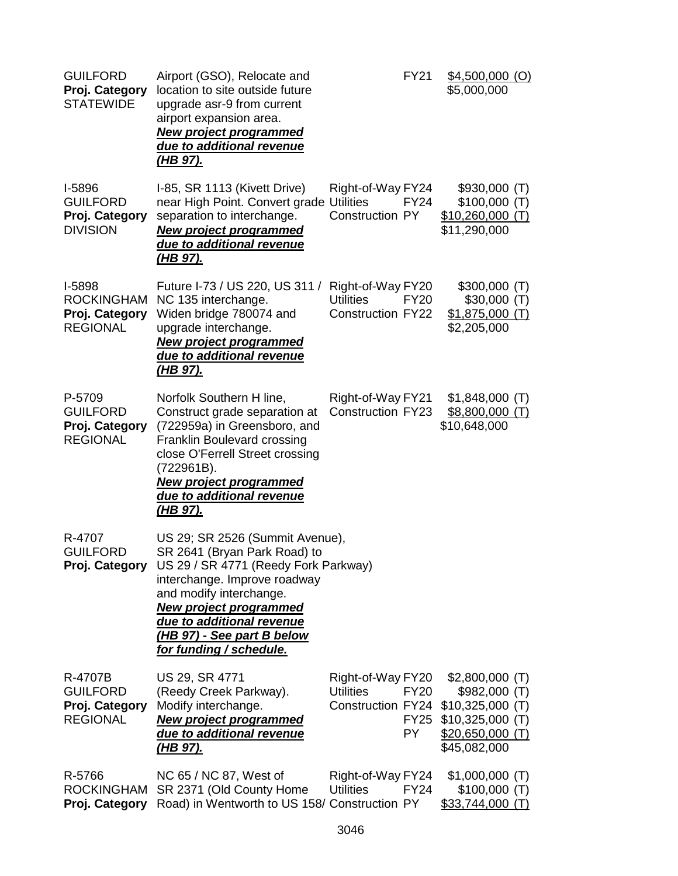| <b>GUILFORD</b><br>Proj. Category<br><b>STATEWIDE</b>            | Airport (GSO), Relocate and<br>location to site outside future<br>upgrade asr-9 from current<br>airport expansion area.<br><b>New project programmed</b><br>due to additional revenue<br><u>(HB 97).</u>                                                                                                 | <b>FY21</b>                                                                                           | $$4,500,000$ (O)<br>\$5,000,000                                                                                        |
|------------------------------------------------------------------|----------------------------------------------------------------------------------------------------------------------------------------------------------------------------------------------------------------------------------------------------------------------------------------------------------|-------------------------------------------------------------------------------------------------------|------------------------------------------------------------------------------------------------------------------------|
| I-5896<br><b>GUILFORD</b><br>Proj. Category<br><b>DIVISION</b>   | I-85, SR 1113 (Kivett Drive)<br>near High Point. Convert grade Utilities<br>separation to interchange.<br><b>New project programmed</b><br>due to additional revenue<br><u>(HB 97).</u>                                                                                                                  | Right-of-Way FY24<br><b>FY24</b><br><b>Construction PY</b>                                            | $$930,000$ (T)<br>\$100,000(T)<br>$$10,260,000$ (T)<br>\$11,290,000                                                    |
| I-5898<br><b>ROCKINGHAM</b><br>Proj. Category<br><b>REGIONAL</b> | Future I-73 / US 220, US 311 /<br>NC 135 interchange.<br>Widen bridge 780074 and<br>upgrade interchange.<br><b>New project programmed</b><br>due to additional revenue<br><u>(HB 97).</u>                                                                                                                | Right-of-Way FY20<br><b>Utilities</b><br><b>FY20</b><br><b>Construction FY22</b>                      | \$300,000(T)<br>\$30,000(T)<br>$$1,875,000$ (T)<br>\$2,205,000                                                         |
| P-5709<br><b>GUILFORD</b><br>Proj. Category<br><b>REGIONAL</b>   | Norfolk Southern H line,<br>Construct grade separation at<br>(722959a) in Greensboro, and<br>Franklin Boulevard crossing<br>close O'Ferrell Street crossing<br>(722961B).<br><b>New project programmed</b><br>due to additional revenue<br><u>(HB 97).</u>                                               | Right-of-Way FY21<br><b>Construction FY23</b>                                                         | $$1,848,000$ (T)<br>$$8,800,000$ (T)<br>\$10,648,000                                                                   |
| R-4707<br><b>GUILFORD</b>                                        | US 29; SR 2526 (Summit Avenue),<br>SR 2641 (Bryan Park Road) to<br>Proj. Category US 29 / SR 4771 (Reedy Fork Parkway)<br>interchange. Improve roadway<br>and modify interchange.<br><b>New project programmed</b><br>due to additional revenue<br>(HB 97) - See part B below<br>for funding / schedule. |                                                                                                       |                                                                                                                        |
| R-4707B<br><b>GUILFORD</b><br>Proj. Category<br><b>REGIONAL</b>  | US 29, SR 4771<br>(Reedy Creek Parkway).<br>Modify interchange.<br><b>New project programmed</b><br>due to additional revenue<br><u>(HB 97).</u>                                                                                                                                                         | Right-of-Way FY20<br><b>Utilities</b><br><b>FY20</b><br>Construction FY24<br><b>FY25</b><br><b>PY</b> | $$2,800,000$ (T)<br>\$982,000 (T)<br>$$10,325,000$ (T)<br>$$10,325,000$ (T)<br><u>\$20,650,000 (T)</u><br>\$45,082,000 |
| R-5766<br><b>ROCKINGHAM</b><br>Proj. Category                    | NC 65 / NC 87, West of<br>SR 2371 (Old County Home<br>Road) in Wentworth to US 158/ Construction PY                                                                                                                                                                                                      | Right-of-Way FY24<br><b>Utilities</b><br><b>FY24</b>                                                  | $$1,000,000$ (T)<br>\$100,000(T)<br>\$33,744,000(T)                                                                    |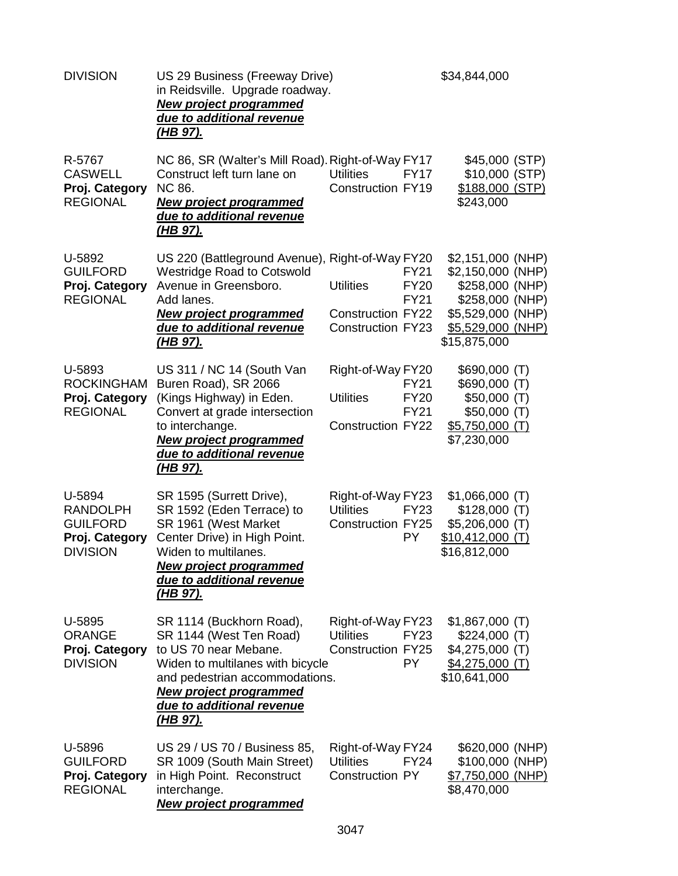| <b>DIVISION</b>                                                                   | US 29 Business (Freeway Drive)<br>in Reidsville. Upgrade roadway.<br><b>New project programmed</b><br>due to additional revenue<br><u>(HB 97).</u>                                                                                  |                                                                          |                                           | \$34,844,000                                                                                                                           |  |
|-----------------------------------------------------------------------------------|-------------------------------------------------------------------------------------------------------------------------------------------------------------------------------------------------------------------------------------|--------------------------------------------------------------------------|-------------------------------------------|----------------------------------------------------------------------------------------------------------------------------------------|--|
| R-5767<br><b>CASWELL</b><br>Proj. Category<br><b>REGIONAL</b>                     | NC 86, SR (Walter's Mill Road). Right-of-Way FY17<br>Construct left turn lane on<br>NC 86.<br><b>New project programmed</b><br>due to additional revenue<br><u>(HB 97).</u>                                                         | <b>Utilities</b><br><b>Construction FY19</b>                             | <b>FY17</b>                               | \$45,000 (STP)<br>\$10,000 (STP)<br>\$188,000 (STP)<br>\$243,000                                                                       |  |
| U-5892<br><b>GUILFORD</b><br>Proj. Category<br><b>REGIONAL</b>                    | US 220 (Battleground Avenue), Right-of-Way FY20<br><b>Westridge Road to Cotswold</b><br>Avenue in Greensboro.<br>Add lanes.<br><b>New project programmed</b><br>due to additional revenue<br><u>(HB 97).</u>                        | <b>Utilities</b><br><b>Construction FY22</b><br><b>Construction FY23</b> | <b>FY21</b><br><b>FY20</b><br><b>FY21</b> | \$2,151,000 (NHP)<br>\$2,150,000 (NHP)<br>\$258,000 (NHP)<br>\$258,000 (NHP)<br>\$5,529,000 (NHP)<br>\$5,529,000 (NHP)<br>\$15,875,000 |  |
| U-5893<br><b>ROCKINGHAM</b><br>Proj. Category<br><b>REGIONAL</b>                  | US 311 / NC 14 (South Van<br>Buren Road), SR 2066<br>(Kings Highway) in Eden.<br>Convert at grade intersection<br>to interchange.<br><b>New project programmed</b><br>due to additional revenue<br>(HB 97).                         | Right-of-Way FY20<br><b>Utilities</b><br><b>Construction FY22</b>        | <b>FY21</b><br><b>FY20</b><br><b>FY21</b> | \$690,000 (T)<br>\$690,000(T)<br>\$50,000(T)<br>\$50,000(T)<br>$$5,750,000$ (T)<br>\$7,230,000                                         |  |
| U-5894<br><b>RANDOLPH</b><br><b>GUILFORD</b><br>Proj. Category<br><b>DIVISION</b> | SR 1595 (Surrett Drive),<br>SR 1592 (Eden Terrace) to<br>SR 1961 (West Market<br>Center Drive) in High Point.<br>Widen to multilanes.<br><b>New project programmed</b><br>due to additional revenue<br><u>(HB 97).</u>              | Right-of-Way FY23<br><b>Utilities</b><br><b>Construction FY25</b>        | <b>FY23</b><br><b>PY</b>                  | $$1,066,000$ (T)<br>\$128,000(T)<br>$$5,206,000$ (T)<br>$$10,412,000$ (T)<br>\$16,812,000                                              |  |
| U-5895<br><b>ORANGE</b><br>Proj. Category<br><b>DIVISION</b>                      | SR 1114 (Buckhorn Road),<br>SR 1144 (West Ten Road)<br>to US 70 near Mebane.<br>Widen to multilanes with bicycle<br>and pedestrian accommodations.<br><b>New project programmed</b><br>due to additional revenue<br><u>(HB 97).</u> | Right-of-Way FY23<br><b>Utilities</b><br><b>Construction FY25</b>        | <b>FY23</b><br>PY.                        | $$1,867,000$ (T)<br>\$224,000(T)<br>\$4,275,000 (T)<br>$$4,275,000$ (T)<br>\$10,641,000                                                |  |
| U-5896<br><b>GUILFORD</b><br>Proj. Category<br><b>REGIONAL</b>                    | US 29 / US 70 / Business 85,<br>SR 1009 (South Main Street)<br>in High Point. Reconstruct<br>interchange.<br><b>New project programmed</b>                                                                                          | Right-of-Way FY24<br><b>Utilities</b><br>Construction PY                 | <b>FY24</b>                               | \$620,000 (NHP)<br>\$100,000 (NHP)<br>\$7,750,000 (NHP)<br>\$8,470,000                                                                 |  |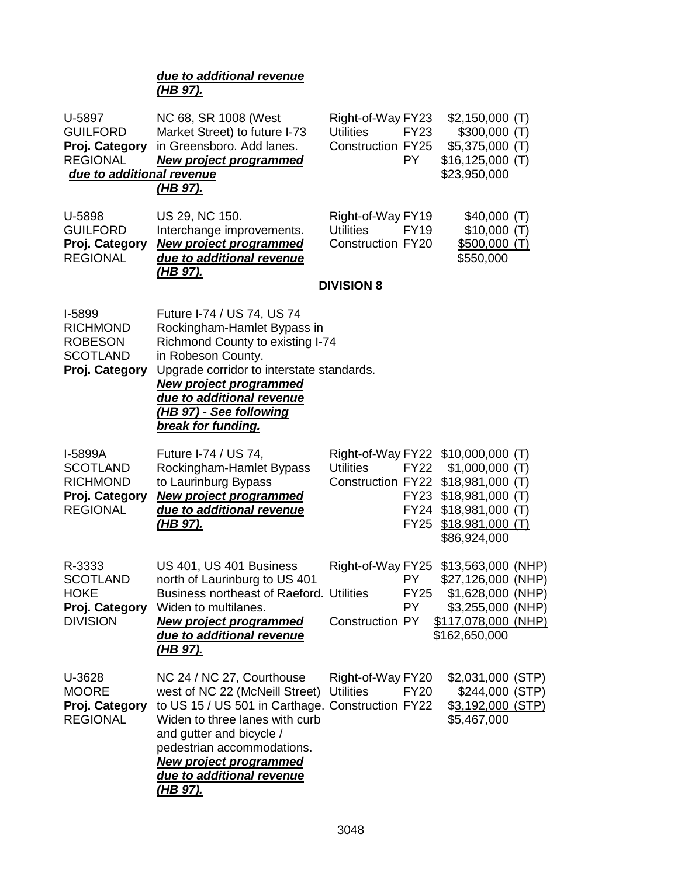## *due to additional revenue (HB 97).*

| U-5897<br><b>GUILFORD</b><br>Proj. Category<br><b>REGIONAL</b><br>due to additional revenue | NC 68, SR 1008 (West<br>Market Street) to future I-73<br>in Greensboro. Add lanes.<br><b>New project programmed</b><br>(HB 97).                                                                                                                                                              | Right-of-Way FY23<br><b>Utilities</b><br><b>Construction FY25</b>                            | <b>FY23</b><br>PY.         | $$2,150,000$ (T)<br>\$300,000(T)<br>$$5,375,000$ (T)<br>$$16,125,000$ (T)<br>\$23,950,000               |                 |
|---------------------------------------------------------------------------------------------|----------------------------------------------------------------------------------------------------------------------------------------------------------------------------------------------------------------------------------------------------------------------------------------------|----------------------------------------------------------------------------------------------|----------------------------|---------------------------------------------------------------------------------------------------------|-----------------|
| U-5898<br><b>GUILFORD</b><br>Proj. Category<br><b>REGIONAL</b>                              | US 29, NC 150.<br>Interchange improvements.<br><b>New project programmed</b><br>due to additional revenue<br><u>(HB 97).</u>                                                                                                                                                                 | Right-of-Way FY19<br><b>Utilities</b><br><b>Construction FY20</b>                            | <b>FY19</b>                | \$40,000(T)<br>\$10,000(T)<br><u>\$500,000 (T)</u><br>\$550,000                                         |                 |
|                                                                                             |                                                                                                                                                                                                                                                                                              | <b>DIVISION 8</b>                                                                            |                            |                                                                                                         |                 |
| I-5899<br><b>RICHMOND</b><br><b>ROBESON</b><br><b>SCOTLAND</b><br>Proj. Category            | Future I-74 / US 74, US 74<br>Rockingham-Hamlet Bypass in<br>Richmond County to existing I-74<br>in Robeson County.<br>Upgrade corridor to interstate standards.<br><b>New project programmed</b><br>due to additional revenue<br>(HB 97) - See following<br>break for funding.              |                                                                                              |                            |                                                                                                         |                 |
| I-5899A<br><b>SCOTLAND</b><br><b>RICHMOND</b><br>Proj. Category<br><b>REGIONAL</b>          | Future I-74 / US 74,<br>Rockingham-Hamlet Bypass<br>to Laurinburg Bypass<br><b>New project programmed</b><br>due to additional revenue<br><u>(HB 97).</u>                                                                                                                                    | Right-of-Way FY22 \$10,000,000 (T)<br><b>Utilities</b><br>Construction FY22 \$18,981,000 (T) | <b>FY22</b><br><b>FY25</b> | $$1,000,000$ (T)<br>FY23 \$18,981,000 (T)<br>FY24 \$18,981,000 (T)<br>$$18,981,000$ (T)<br>\$86,924,000 |                 |
| R-3333                                                                                      | US 401, US 401 Business                                                                                                                                                                                                                                                                      | Right-of-Way FY25                                                                            |                            | \$13,563,000 (NHP)                                                                                      |                 |
| <b>SCOTLAND</b><br><b>HOKE</b><br><b>DIVISION</b>                                           | north of Laurinburg to US 401<br><b>Business northeast of Raeford. Utilities</b><br>Proj. Category Widen to multilanes.<br><b>New project programmed</b><br>due to additional revenue                                                                                                        | <b>Construction PY</b>                                                                       | PY.<br><b>FY25</b><br>PY.  | \$27,126,000 (NHP)<br>\$1,628,000 (NHP)<br>\$3,255,000 (NHP)<br>\$117,078,000 (NHP)<br>\$162,650,000    |                 |
|                                                                                             | <u>(HB 97).</u>                                                                                                                                                                                                                                                                              |                                                                                              |                            |                                                                                                         |                 |
| U-3628<br><b>MOORE</b><br>Proj. Category<br><b>REGIONAL</b>                                 | NC 24 / NC 27, Courthouse<br>west of NC 22 (McNeill Street)<br>to US 15 / US 501 in Carthage. Construction FY22<br>Widen to three lanes with curb<br>and gutter and bicycle /<br>pedestrian accommodations.<br><b>New project programmed</b><br>due to additional revenue<br><u>(HB 97).</u> | Right-of-Way FY20<br><b>Utilities</b>                                                        | <b>FY20</b>                | \$2,031,000 (STP)<br>\$3,192,000 (STP)<br>\$5,467,000                                                   | \$244,000 (STP) |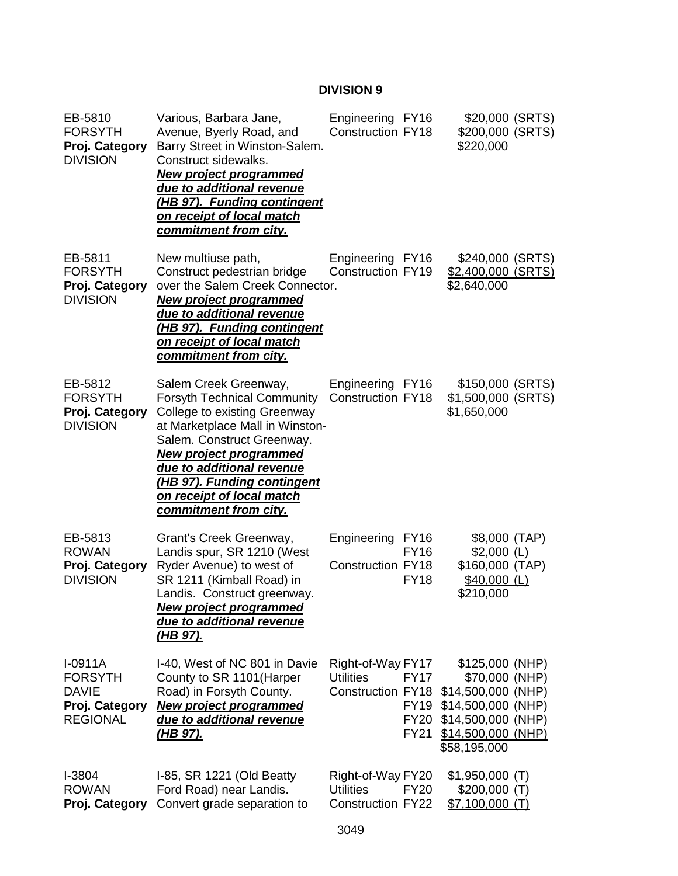## **DIVISION 9**

| EB-5810<br><b>FORSYTH</b><br>Proj. Category<br><b>DIVISION</b>                   | Various, Barbara Jane,<br>Avenue, Byerly Road, and<br>Barry Street in Winston-Salem.<br>Construct sidewalks.<br><b>New project programmed</b><br>due to additional revenue<br><u>(HB 97). Funding contingent</u><br>on receipt of local match<br><u>commitment from city.</u>                                                 | Engineering FY16<br><b>Construction FY18</b>                                                                           | \$20,000 (SRTS)<br>\$200,000 (SRTS)<br>\$220,000                                                                                           |
|----------------------------------------------------------------------------------|-------------------------------------------------------------------------------------------------------------------------------------------------------------------------------------------------------------------------------------------------------------------------------------------------------------------------------|------------------------------------------------------------------------------------------------------------------------|--------------------------------------------------------------------------------------------------------------------------------------------|
| EB-5811<br><b>FORSYTH</b><br>Proj. Category<br><b>DIVISION</b>                   | New multiuse path,<br>Construct pedestrian bridge<br>over the Salem Creek Connector.<br><b>New project programmed</b><br>due to additional revenue<br>(HB 97). Funding contingent<br>on receipt of local match<br>commitment from city.                                                                                       | Engineering FY16<br>Construction FY19                                                                                  | \$240,000 (SRTS)<br>\$2,400,000 (SRTS)<br>\$2,640,000                                                                                      |
| EB-5812<br><b>FORSYTH</b><br>Proj. Category<br><b>DIVISION</b>                   | Salem Creek Greenway,<br><b>Forsyth Technical Community</b><br><b>College to existing Greenway</b><br>at Marketplace Mall in Winston-<br>Salem. Construct Greenway.<br><u>New project programmed</u><br>due to additional revenue<br>(HB 97). Funding contingent<br>on receipt of local match<br><u>commitment from city.</u> | Engineering FY16<br>Construction FY18                                                                                  | \$150,000 (SRTS)<br>\$1,500,000 (SRTS)<br>\$1,650,000                                                                                      |
| EB-5813<br><b>ROWAN</b><br>Proj. Category<br><b>DIVISION</b>                     | Grant's Creek Greenway,<br>Landis spur, SR 1210 (West<br>Ryder Avenue) to west of<br>SR 1211 (Kimball Road) in<br>Landis. Construct greenway.<br><u>New project programmed</u><br>due to additional revenue<br><u>(HB 97).</u>                                                                                                | Engineering<br><b>FY16</b><br><b>FY16</b><br><b>Construction FY18</b><br><b>FY18</b>                                   | \$8,000 (TAP)<br>$$2,000$ (L)<br>\$160,000 (TAP)<br>$$40,000$ (L)<br>\$210,000                                                             |
| $I-0911A$<br><b>FORSYTH</b><br><b>DAVIE</b><br>Proj. Category<br><b>REGIONAL</b> | I-40, West of NC 801 in Davie<br>County to SR 1101 (Harper<br>Road) in Forsyth County.<br><b>New project programmed</b><br>due to additional revenue<br><u>(HB 97).</u>                                                                                                                                                       | Right-of-Way FY17<br><b>Utilities</b><br><b>FY17</b><br><b>Construction FY18</b><br>FY19<br><b>FY20</b><br><b>FY21</b> | \$125,000 (NHP)<br>\$70,000 (NHP)<br>\$14,500,000 (NHP)<br>\$14,500,000 (NHP)<br>\$14,500,000 (NHP)<br>$$14,500,000$ (NHP)<br>\$58,195,000 |
| I-3804<br><b>ROWAN</b><br>Proj. Category                                         | I-85, SR 1221 (Old Beatty<br>Ford Road) near Landis.<br>Convert grade separation to                                                                                                                                                                                                                                           | Right-of-Way FY20<br><b>Utilities</b><br><b>FY20</b><br><b>Construction FY22</b>                                       | $$1,950,000$ (T)<br>$$200,000$ (T)<br>$$7,100,000$ (T)                                                                                     |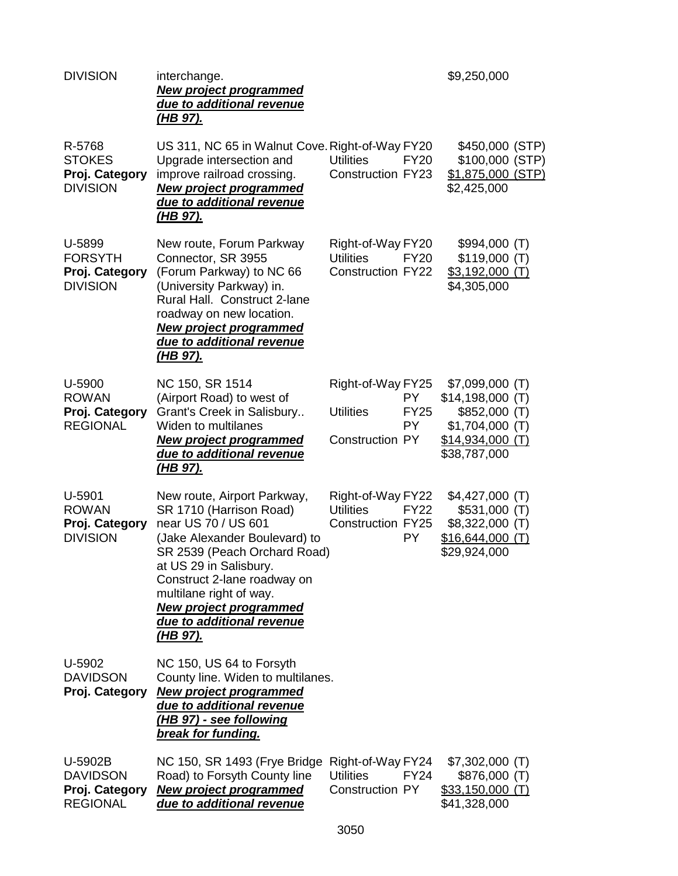| <b>DIVISION</b>                                                 | interchange.<br><b>New project programmed</b><br>due to additional revenue<br><u>(HB 97).</u>                                                                                                                                                                                                                       |                                                                                                    | \$9,250,000                                                                                                |
|-----------------------------------------------------------------|---------------------------------------------------------------------------------------------------------------------------------------------------------------------------------------------------------------------------------------------------------------------------------------------------------------------|----------------------------------------------------------------------------------------------------|------------------------------------------------------------------------------------------------------------|
| R-5768<br><b>STOKES</b><br>Proj. Category<br><b>DIVISION</b>    | US 311, NC 65 in Walnut Cove. Right-of-Way FY20<br>Upgrade intersection and<br>improve railroad crossing.<br><b>New project programmed</b><br>due to additional revenue<br><u>(HB 97).</u>                                                                                                                          | <b>Utilities</b><br><b>FY20</b><br><b>Construction FY23</b>                                        | \$450,000 (STP)<br>\$100,000 (STP)<br>\$1,875,000 (STP)<br>\$2,425,000                                     |
| U-5899<br><b>FORSYTH</b><br>Proj. Category<br><b>DIVISION</b>   | New route, Forum Parkway<br>Connector, SR 3955<br>(Forum Parkway) to NC 66<br>(University Parkway) in.<br>Rural Hall. Construct 2-lane<br>roadway on new location.<br><b>New project programmed</b><br>due to additional revenue<br><u>(HB 97).</u>                                                                 | Right-of-Way FY20<br><b>Utilities</b><br><b>FY20</b><br><b>Construction FY22</b>                   | \$994,000 (T)<br>\$119,000(T)<br><u>\$3,192,000 (T)</u><br>\$4,305,000                                     |
| U-5900<br><b>ROWAN</b><br>Proj. Category<br><b>REGIONAL</b>     | NC 150, SR 1514<br>(Airport Road) to west of<br>Grant's Creek in Salisbury<br><b>Widen to multilanes</b><br><b>New project programmed</b><br>due to additional revenue<br><u>(HB 97).</u>                                                                                                                           | Right-of-Way FY25<br><b>PY</b><br><b>Utilities</b><br><b>FY25</b><br>PY.<br><b>Construction PY</b> | \$7,099,000 (T)<br>\$14,198,000(T)<br>\$852,000 (T)<br>$$1,704,000$ (T)<br>\$14,934,000(T)<br>\$38,787,000 |
| U-5901<br><b>ROWAN</b><br>Proj. Category<br><b>DIVISION</b>     | New route, Airport Parkway,<br>SR 1710 (Harrison Road)<br>near US 70 / US 601<br>(Jake Alexander Boulevard) to<br>SR 2539 (Peach Orchard Road)<br>at US 29 in Salisbury.<br>Construct 2-lane roadway on<br>multilane right of way.<br><b>New project programmed</b><br>due to additional revenue<br><u>(HB 97).</u> | Right-of-Way FY22<br><b>Utilities</b><br><b>FY22</b><br><b>Construction FY25</b><br><b>PY</b>      | \$4,427,000 (T)<br>\$531,000(T)<br>\$8,322,000 (T)<br>$$16,644,000$ (T)<br>\$29,924,000                    |
| U-5902<br><b>DAVIDSON</b><br>Proj. Category                     | NC 150, US 64 to Forsyth<br>County line. Widen to multilanes.<br><b>New project programmed</b><br>due to additional revenue<br>(HB 97) - see following<br>break for funding.                                                                                                                                        |                                                                                                    |                                                                                                            |
| U-5902B<br><b>DAVIDSON</b><br>Proj. Category<br><b>REGIONAL</b> | NC 150, SR 1493 (Frye Bridge<br>Road) to Forsyth County line<br><b>New project programmed</b><br>due to additional revenue                                                                                                                                                                                          | Right-of-Way FY24<br><b>FY24</b><br><b>Utilities</b><br><b>Construction PY</b>                     | \$7,302,000 (T)<br>\$876,000 (T)<br>$$33,150,000$ (T)<br>\$41,328,000                                      |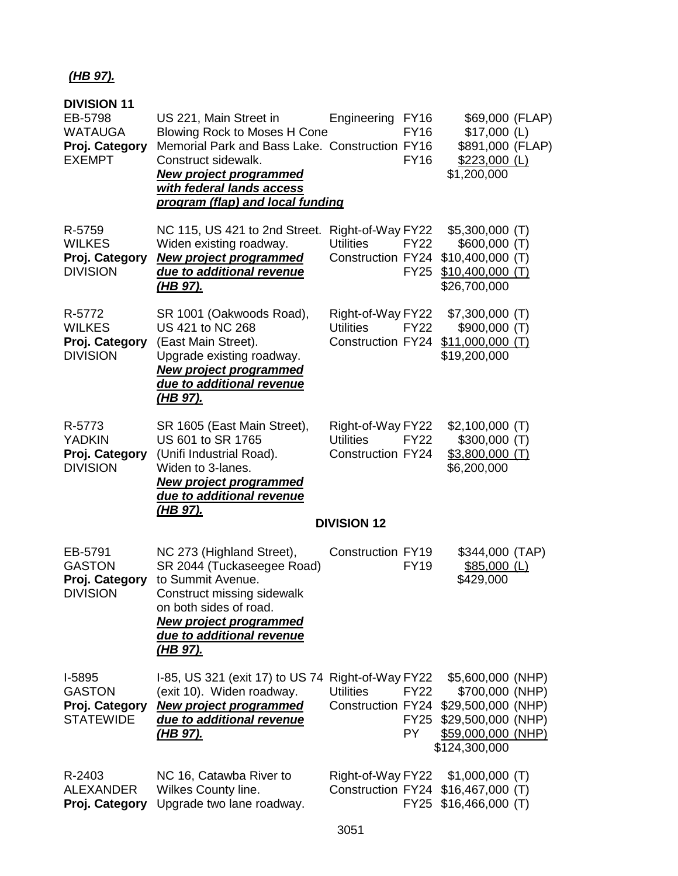## *(HB 97).*

| <b>DIVISION 11</b><br>EB-5798<br><b>WATAUGA</b><br>Proj. Category<br><b>EXEMPT</b> | US 221, Main Street in<br>Blowing Rock to Moses H Cone<br>Memorial Park and Bass Lake. Construction FY16<br>Construct sidewalk.<br><b>New project programmed</b><br>with federal lands access<br>program (flap) and local funding | Engineering FY16<br><b>FY16</b><br><b>FY16</b>                                                         | \$69,000 (FLAP)<br>$$17,000$ (L)<br>\$891,000 (FLAP)<br>$$223,000$ (L)<br>\$1,200,000                                   |  |
|------------------------------------------------------------------------------------|-----------------------------------------------------------------------------------------------------------------------------------------------------------------------------------------------------------------------------------|--------------------------------------------------------------------------------------------------------|-------------------------------------------------------------------------------------------------------------------------|--|
| R-5759<br><b>WILKES</b><br>Proj. Category<br><b>DIVISION</b>                       | NC 115, US 421 to 2nd Street. Right-of-Way FY22<br>Widen existing roadway.<br><b>New project programmed</b><br>due to additional revenue<br><u>(HB 97).</u>                                                                       | <b>Utilities</b><br><b>FY22</b><br>Construction FY24<br><b>FY25</b>                                    | $$5,300,000$ (T)<br>$$600,000$ (T)<br>$$10,400,000$ (T)<br>$$10,400,000$ (T)<br>\$26,700,000                            |  |
| R-5772<br><b>WILKES</b><br>Proj. Category<br><b>DIVISION</b>                       | SR 1001 (Oakwoods Road),<br>US 421 to NC 268<br>(East Main Street).<br>Upgrade existing roadway.<br><b>New project programmed</b><br>due to additional revenue<br><u>(HB 97).</u>                                                 | Right-of-Way FY22<br><b>Utilities</b><br><b>FY22</b><br>Construction FY24                              | \$7,300,000 (T)<br>\$900,000(T)<br>$$11,000,000$ (T)<br>\$19,200,000                                                    |  |
| R-5773<br><b>YADKIN</b><br>Proj. Category<br><b>DIVISION</b>                       | SR 1605 (East Main Street),<br>US 601 to SR 1765<br>(Unifi Industrial Road).<br>Widen to 3-lanes.<br><b>New project programmed</b><br>due to additional revenue<br><u>(HB 97).</u>                                                | Right-of-Way FY22<br><b>Utilities</b><br><b>FY22</b><br><b>Construction FY24</b><br><b>DIVISION 12</b> | $$2,100,000$ (T)<br>$$300,000$ (T)<br>$$3,800,000$ (T)<br>\$6,200,000                                                   |  |
|                                                                                    |                                                                                                                                                                                                                                   |                                                                                                        |                                                                                                                         |  |
| EB-5791<br><b>GASTON</b><br>Proj. Category<br><b>DIVISION</b>                      | NC 273 (Highland Street),<br>SR 2044 (Tuckaseegee Road)<br>to Summit Avenue.<br>Construct missing sidewalk<br>on both sides of road.<br><b>New project programmed</b><br>due to additional revenue<br><u>(HB 97).</u>             | <b>Construction FY19</b><br><b>FY19</b>                                                                | \$344,000 (TAP)<br>$$85,000$ (L)<br>\$429,000                                                                           |  |
| I-5895<br><b>GASTON</b><br>Proj. Category<br><b>STATEWIDE</b>                      | 1-85, US 321 (exit 17) to US 74 Right-of-Way FY22<br>(exit 10). Widen roadway.<br><b>New project programmed</b><br>due to additional revenue<br><u>(HB 97).</u>                                                                   | <b>Utilities</b><br>FY22<br>Construction FY24<br><b>FY25</b><br>PY.                                    | \$5,600,000 (NHP)<br>\$700,000 (NHP)<br>\$29,500,000 (NHP)<br>\$29,500,000 (NHP)<br>\$59,000,000 (NHP)<br>\$124,300,000 |  |
| R-2403<br><b>ALEXANDER</b><br>Proj. Category                                       | NC 16, Catawba River to<br>Wilkes County line.<br>Upgrade two lane roadway.                                                                                                                                                       | Right-of-Way FY22<br><b>Construction FY24</b><br><b>FY25</b>                                           | $$1,000,000$ (T)<br>$$16,467,000$ (T)<br>$$16,466,000$ (T)                                                              |  |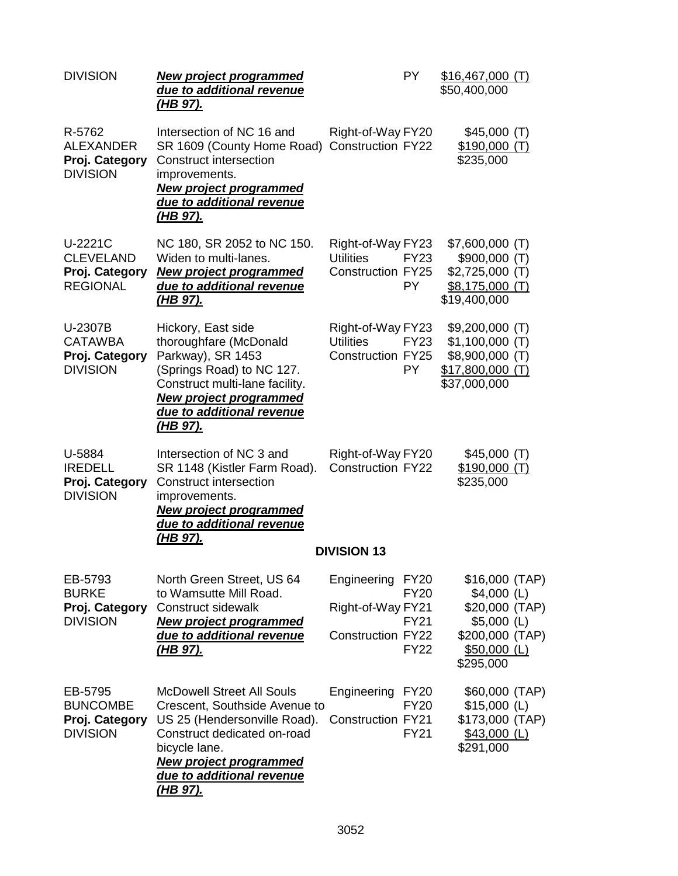| <b>DIVISION</b>                                                  | <b>New project programmed</b><br>due to additional revenue<br><u>(HB 97).</u>                                                                                                                                                      | <b>PY</b>                                                                                                                | \$16,467,000(T)<br>\$50,400,000                                                                     |
|------------------------------------------------------------------|------------------------------------------------------------------------------------------------------------------------------------------------------------------------------------------------------------------------------------|--------------------------------------------------------------------------------------------------------------------------|-----------------------------------------------------------------------------------------------------|
| R-5762<br><b>ALEXANDER</b><br>Proj. Category<br><b>DIVISION</b>  | Intersection of NC 16 and<br>SR 1609 (County Home Road) Construction FY22<br><b>Construct intersection</b><br>improvements.<br><b>New project programmed</b><br>due to additional revenue<br><u>(HB 97).</u>                       | Right-of-Way FY20                                                                                                        | \$45,000 (T)<br>\$190,000(T)<br>\$235,000                                                           |
| U-2221C<br><b>CLEVELAND</b><br>Proj. Category<br><b>REGIONAL</b> | NC 180, SR 2052 to NC 150.<br>Widen to multi-lanes.<br><b>New project programmed</b><br>due to additional revenue<br><u>(HB 97).</u>                                                                                               | Right-of-Way FY23<br><b>Utilities</b><br><b>FY23</b><br><b>Construction FY25</b><br><b>PY</b>                            | \$7,600,000 (T)<br>\$900,000 (T)<br>$$2,725,000$ (T)<br>$$8,175,000$ (T)<br>\$19,400,000            |
| U-2307B<br><b>CATAWBA</b><br>Proj. Category<br><b>DIVISION</b>   | Hickory, East side<br>thoroughfare (McDonald<br>Parkway), SR 1453<br>(Springs Road) to NC 127.<br>Construct multi-lane facility.<br><b>New project programmed</b><br>due to additional revenue<br><u>(HB 97).</u>                  | Right-of-Way FY23<br><b>Utilities</b><br><b>FY23</b><br><b>Construction FY25</b><br><b>PY</b>                            | $$9,200,000$ (T)<br>$$1,100,000$ (T)<br>\$8,900,000 (T)<br>$$17,800,000$ (T)<br>\$37,000,000        |
| U-5884<br><b>IREDELL</b><br>Proj. Category<br><b>DIVISION</b>    | Intersection of NC 3 and<br>SR 1148 (Kistler Farm Road).<br><b>Construct intersection</b><br>improvements.<br><b>New project programmed</b><br>due to additional revenue<br><u>(HB 97).</u>                                        | Right-of-Way FY20<br><b>Construction FY22</b><br><b>DIVISION 13</b>                                                      | \$45,000(T)<br>\$190,000(T)<br>\$235,000                                                            |
| EB-5793<br><b>BURKE</b><br>Proj. Category<br><b>DIVISION</b>     | North Green Street, US 64<br>to Wamsutte Mill Road.<br>Construct sidewalk<br><b>New project programmed</b><br>due to additional revenue<br><u>(HB 97).</u>                                                                         | Engineering<br><b>FY20</b><br><b>FY20</b><br>Right-of-Way FY21<br><b>FY21</b><br><b>Construction FY22</b><br><b>FY22</b> | \$16,000 (TAP)<br>$$4,000$ (L)<br>\$20,000 (TAP)<br>$$5,000$ (L)<br>\$200,000 (TAP)<br>\$50,000 (L) |
| EB-5795<br><b>BUNCOMBE</b><br>Proj. Category<br><b>DIVISION</b>  | <b>McDowell Street All Souls</b><br>Crescent, Southside Avenue to<br>US 25 (Hendersonville Road).<br>Construct dedicated on-road<br>bicycle lane.<br><b>New project programmed</b><br>due to additional revenue<br><u>(HB 97).</u> | Engineering FY20<br><b>FY20</b><br><b>Construction FY21</b><br><b>FY21</b>                                               | \$295,000<br>\$60,000 (TAP)<br>$$15,000$ (L)<br>\$173,000 (TAP)<br>\$43,000 (L)<br>\$291,000        |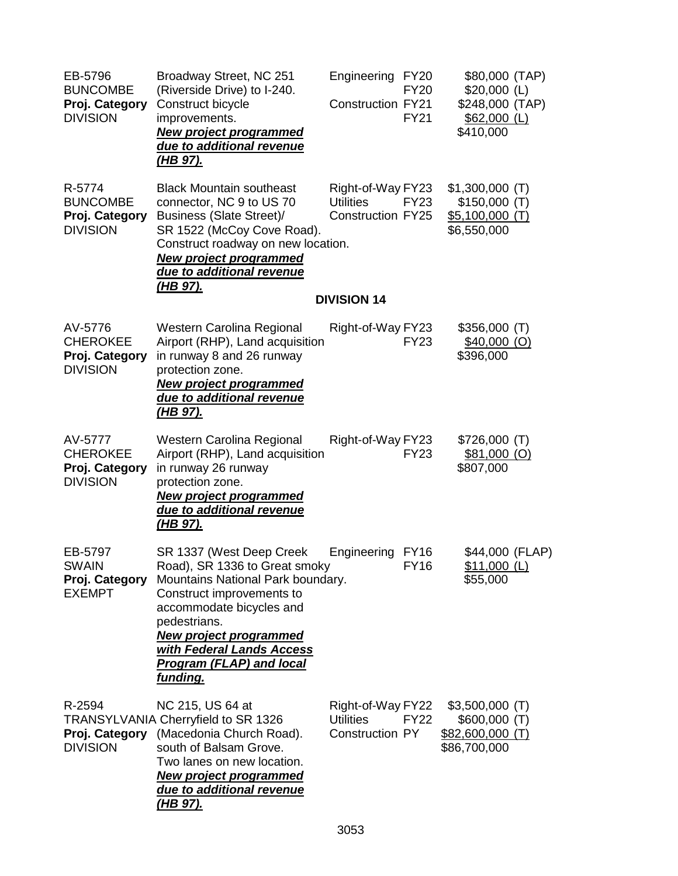| EB-5796<br><b>BUNCOMBE</b><br>Proj. Category<br><b>DIVISION</b> | Broadway Street, NC 251<br>(Riverside Drive) to I-240.<br>Construct bicycle<br>improvements.<br><b>New project programmed</b><br>due to additional revenue<br><u>(HB 97).</u>                                                                                                               | Engineering<br><b>FY20</b><br><b>FY20</b><br><b>Construction FY21</b><br><b>FY21</b> | \$80,000 (TAP)<br>$$20,000$ (L)<br>\$248,000 (TAP)<br>$$62,000$ (L)<br>\$410,000 |  |
|-----------------------------------------------------------------|---------------------------------------------------------------------------------------------------------------------------------------------------------------------------------------------------------------------------------------------------------------------------------------------|--------------------------------------------------------------------------------------|----------------------------------------------------------------------------------|--|
| R-5774<br><b>BUNCOMBE</b><br>Proj. Category<br><b>DIVISION</b>  | <b>Black Mountain southeast</b><br>connector, NC 9 to US 70<br><b>Business (Slate Street)/</b><br>SR 1522 (McCoy Cove Road).<br>Construct roadway on new location.<br><b>New project programmed</b><br>due to additional revenue<br><u>(HB 97).</u>                                         | Right-of-Way FY23<br><b>Utilities</b><br><b>FY23</b><br><b>Construction FY25</b>     | $$1,300,000$ (T)<br>\$150,000(T)<br>$$5,100,000$ (T)<br>\$6,550,000              |  |
|                                                                 |                                                                                                                                                                                                                                                                                             | <b>DIVISION 14</b>                                                                   |                                                                                  |  |
| AV-5776<br><b>CHEROKEE</b><br>Proj. Category<br><b>DIVISION</b> | Western Carolina Regional<br>Airport (RHP), Land acquisition<br>in runway 8 and 26 runway<br>protection zone.<br><b>New project programmed</b><br>due to additional revenue<br><u>(HB 97).</u>                                                                                              | Right-of-Way FY23<br><b>FY23</b>                                                     | \$356,000(T)<br>$$40,000$ (O)<br>\$396,000                                       |  |
| AV-5777<br><b>CHEROKEE</b><br>Proj. Category<br><b>DIVISION</b> | Western Carolina Regional<br>Airport (RHP), Land acquisition<br>in runway 26 runway<br>protection zone.<br><b>New project programmed</b><br>due to additional revenue<br><u>(HB 97).</u>                                                                                                    | Right-of-Way FY23<br><b>FY23</b>                                                     | \$726,000(T)<br>\$81,000 (O)<br>\$807,000                                        |  |
| EB-5797<br><b>SWAIN</b><br>Proj. Category<br><b>EXEMPT</b>      | SR 1337 (West Deep Creek<br>Road), SR 1336 to Great smoky<br>Mountains National Park boundary.<br>Construct improvements to<br>accommodate bicycles and<br>pedestrians.<br><b>New project programmed</b><br>with Federal Lands Access<br><b>Program (FLAP) and local</b><br><u>funding.</u> | Engineering FY16<br><b>FY16</b>                                                      | \$44,000 (FLAP)<br>\$11,000 (L)<br>\$55,000                                      |  |
| R-2594<br>Proj. Category<br><b>DIVISION</b>                     | NC 215, US 64 at<br>TRANSYLVANIA Cherryfield to SR 1326<br>(Macedonia Church Road).<br>south of Balsam Grove.<br>Two lanes on new location.<br><b>New project programmed</b><br>due to additional revenue<br><u>(HB 97).</u>                                                                | Right-of-Way FY22<br><b>Utilities</b><br><b>FY22</b><br><b>Construction PY</b>       | $$3,500,000$ (T)<br>$$600,000$ (T)<br>\$82,600,000 (T)<br>\$86,700,000           |  |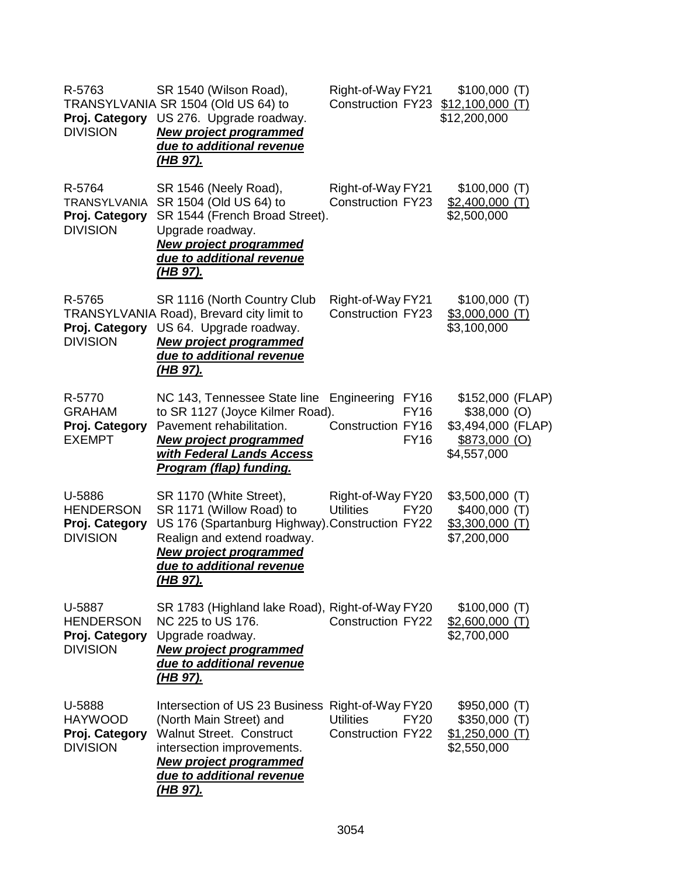| R-5763<br>Proj. Category<br><b>DIVISION</b>                        | SR 1540 (Wilson Road),<br>TRANSYLVANIA SR 1504 (Old US 64) to<br>US 276. Upgrade roadway.<br><b>New project programmed</b><br>due to additional revenue<br><u>(HB 97).</u>                                      | Right-of-Way FY21<br><b>Construction FY23</b>                                    | \$100,000(T)<br>$$12,100,000$ (T)<br>\$12,200,000                                              |  |
|--------------------------------------------------------------------|-----------------------------------------------------------------------------------------------------------------------------------------------------------------------------------------------------------------|----------------------------------------------------------------------------------|------------------------------------------------------------------------------------------------|--|
| R-5764<br><b>TRANSYLVANIA</b><br>Proj. Category<br><b>DIVISION</b> | SR 1546 (Neely Road),<br>SR 1504 (Old US 64) to<br>SR 1544 (French Broad Street).<br>Upgrade roadway.<br><b>New project programmed</b><br>due to additional revenue<br>(HB 97).                                 | Right-of-Way FY21<br><b>Construction FY23</b>                                    | \$100,000(T)<br>$$2,400,000$ (T)<br>\$2,500,000                                                |  |
| R-5765<br>Proj. Category<br><b>DIVISION</b>                        | SR 1116 (North Country Club<br>TRANSYLVANIA Road), Brevard city limit to<br>US 64. Upgrade roadway.<br><b>New project programmed</b><br>due to additional revenue<br>(HB 97).                                   | Right-of-Way FY21<br><b>Construction FY23</b>                                    | \$100,000(T)<br>$$3,000,000$ (T)<br>\$3,100,000                                                |  |
| R-5770<br><b>GRAHAM</b><br>Proj. Category<br><b>EXEMPT</b>         | NC 143, Tennessee State line Engineering FY16<br>to SR 1127 (Joyce Kilmer Road).<br>Pavement rehabilitation.<br><b>New project programmed</b><br>with Federal Lands Access<br><b>Program (flap) funding.</b>    | <b>FY16</b><br>Construction FY16<br><b>FY16</b>                                  | \$152,000 (FLAP)<br>$$38,000$ (O)<br>\$3,494,000 (FLAP)<br><u>\$873,000 (O)</u><br>\$4,557,000 |  |
| U-5886<br><b>HENDERSON</b><br>Proj. Category<br><b>DIVISION</b>    | SR 1170 (White Street),<br>SR 1171 (Willow Road) to<br>US 176 (Spartanburg Highway). Construction FY22<br>Realign and extend roadway.<br><b>New project programmed</b><br>due to additional revenue<br>(HB 97). | Right-of-Way FY20<br><b>Utilities</b><br><b>FY20</b>                             | $$3,500,000$ (T)<br>$$400,000$ (T)<br>$$3,300,000$ (T)<br>\$7,200,000                          |  |
| U-5887<br><b>HENDERSON</b><br>Proj. Category<br><b>DIVISION</b>    | SR 1783 (Highland lake Road), Right-of-Way FY20<br>NC 225 to US 176.<br>Upgrade roadway.<br><b>New project programmed</b><br>due to additional revenue<br><u>(HB 97).</u>                                       | <b>Construction FY22</b>                                                         | \$100,000(T)<br>$$2,600,000$ (T)<br>\$2,700,000                                                |  |
| U-5888<br><b>HAYWOOD</b><br>Proj. Category<br><b>DIVISION</b>      | Intersection of US 23 Business<br>(North Main Street) and<br><b>Walnut Street. Construct</b><br>intersection improvements.<br><b>New project programmed</b><br>due to additional revenue<br><u>(HB 97).</u>     | Right-of-Way FY20<br><b>Utilities</b><br><b>FY20</b><br><b>Construction FY22</b> | \$950,000 (T)<br>$$350,000$ (T)<br>$$1,250,000$ (T)<br>\$2,550,000                             |  |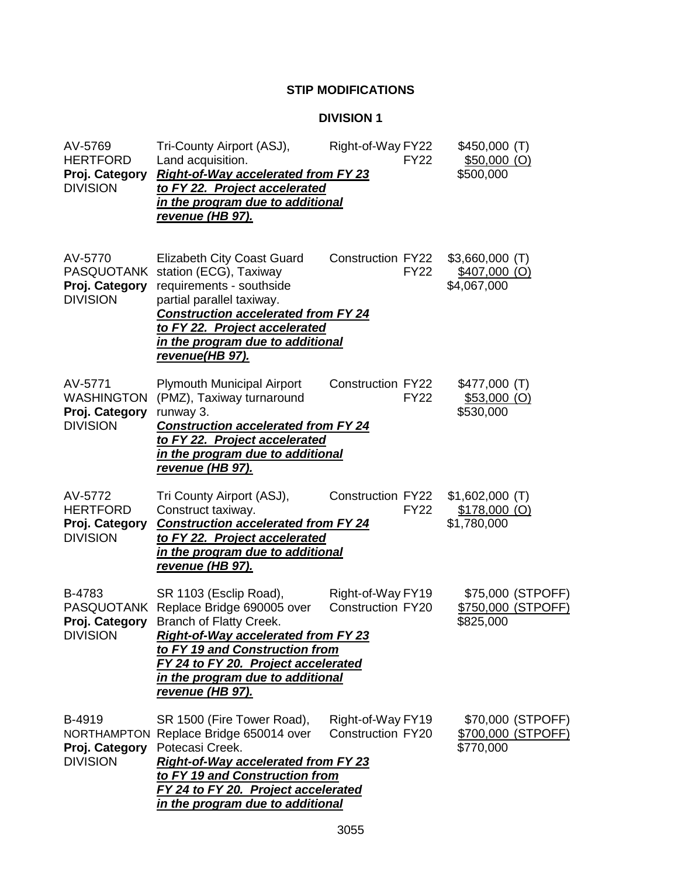## **STIP MODIFICATIONS**

### **DIVISION 1**

| AV-5769<br><b>HERTFORD</b><br>Proj. Category<br><b>DIVISION</b>   | Tri-County Airport (ASJ),<br>Land acquisition.<br><b>Right-of-Way accelerated from FY 23</b><br>to FY 22. Project accelerated<br>in the program due to additional<br>revenue (HB 97).                                                                                        | Right-of-Way FY22<br><b>FY22</b>              | $$450,000$ (T)<br>$$50,000$ (O)<br>\$500,000            |
|-------------------------------------------------------------------|------------------------------------------------------------------------------------------------------------------------------------------------------------------------------------------------------------------------------------------------------------------------------|-----------------------------------------------|---------------------------------------------------------|
| AV-5770<br><b>PASQUOTANK</b><br>Proj. Category<br><b>DIVISION</b> | <b>Elizabeth City Coast Guard</b><br>station (ECG), Taxiway<br>requirements - southside<br>partial parallel taxiway.<br><b>Construction accelerated from FY 24</b><br>to FY 22. Project accelerated<br>in the program due to additional<br>revenue(HB 97).                   | Construction FY22<br><b>FY22</b>              | $$3,660,000$ (T)<br><u>\$407,000 (O)</u><br>\$4,067,000 |
| AV-5771<br><b>WASHINGTON</b><br>Proj. Category<br><b>DIVISION</b> | <b>Plymouth Municipal Airport</b><br>(PMZ), Taxiway turnaround<br>runway 3.<br><b>Construction accelerated from FY 24</b><br>to FY 22. Project accelerated<br>in the program due to additional<br><u>revenue (HB 97).</u>                                                    | <b>Construction FY22</b><br><b>FY22</b>       | \$477,000(T)<br>\$53,000 (O)<br>\$530,000               |
| AV-5772<br><b>HERTFORD</b><br>Proj. Category<br><b>DIVISION</b>   | Tri County Airport (ASJ),<br>Construct taxiway.<br><b>Construction accelerated from FY 24</b><br>to FY 22. Project accelerated<br>in the program due to additional<br><u>revenue (HB 97).</u>                                                                                | <b>Construction FY22</b><br><b>FY22</b>       | $$1,602,000$ (T)<br>$$178,000$ (O)<br>\$1,780,000       |
| B-4783<br><b>PASQUOTANK</b><br>Proj. Category<br><b>DIVISION</b>  | SR 1103 (Esclip Road),<br>Replace Bridge 690005 over<br><b>Branch of Flatty Creek.</b><br><b>Right-of-Way accelerated from FY 23</b><br>to FY 19 and Construction from<br>FY 24 to FY 20. Project accelerated<br>in the program due to additional<br><u>revenue (HB 97).</u> | Right-of-Way FY19<br><b>Construction FY20</b> | \$75,000 (STPOFF)<br>\$750,000 (STPOFF)<br>\$825,000    |
| B-4919<br>Proj. Category<br><b>DIVISION</b>                       | SR 1500 (Fire Tower Road),<br>NORTHAMPTON Replace Bridge 650014 over<br>Potecasi Creek.<br><b>Right-of-Way accelerated from FY 23</b><br>to FY 19 and Construction from<br>FY 24 to FY 20. Project accelerated<br>in the program due to additional                           | Right-of-Way FY19<br><b>Construction FY20</b> | \$70,000 (STPOFF)<br>\$700,000 (STPOFF)<br>\$770,000    |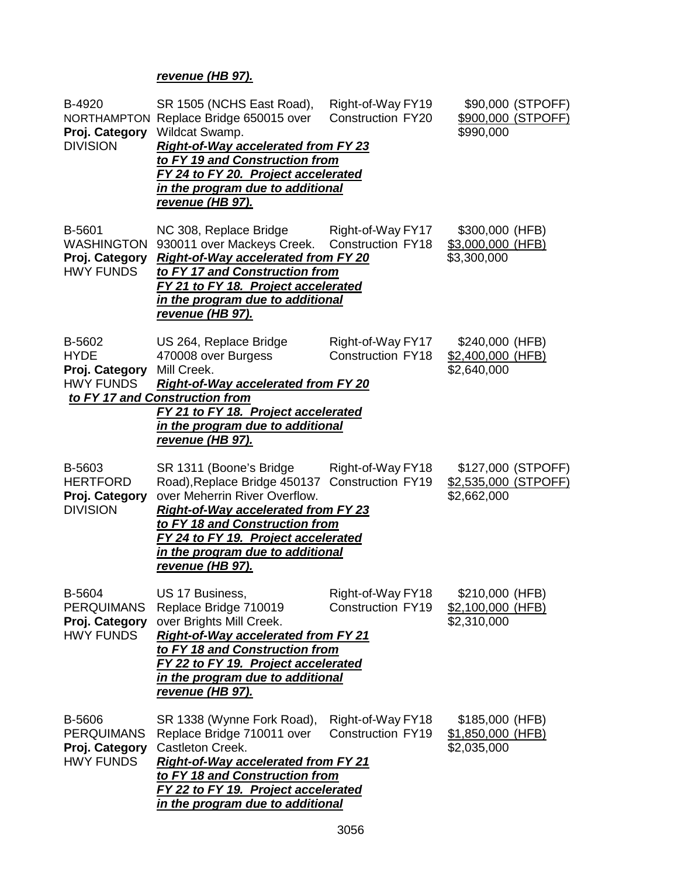### *revenue (HB 97).*

| B-4920<br>Proj. Category<br><b>DIVISION</b>                       | SR 1505 (NCHS East Road),<br>NORTHAMPTON Replace Bridge 650015 over<br>Wildcat Swamp.<br><b>Right-of-Way accelerated from FY 23</b><br>to FY 19 and Construction from<br>FY 24 to FY 20. Project accelerated<br>in the program due to additional<br><u>revenue (HB 97).</u>               | Right-of-Way FY19<br><b>Construction FY20</b> | \$90,000 (STPOFF)<br>\$900,000 (STPOFF)<br>\$990,000             |
|-------------------------------------------------------------------|-------------------------------------------------------------------------------------------------------------------------------------------------------------------------------------------------------------------------------------------------------------------------------------------|-----------------------------------------------|------------------------------------------------------------------|
| B-5601<br><b>WASHINGTON</b><br>Proj. Category<br><b>HWY FUNDS</b> | NC 308, Replace Bridge<br>930011 over Mackeys Creek.<br><b>Right-of-Way accelerated from FY 20</b><br>to FY 17 and Construction from<br>FY 21 to FY 18. Project accelerated<br>in the program due to additional<br>revenue (HB 97).                                                       | Right-of-Way FY17<br><b>Construction FY18</b> | \$300,000 (HFB)<br>\$3,000,000 (HFB)<br>\$3,300,000              |
| B-5602<br><b>HYDE</b><br>Proj. Category<br><b>HWY FUNDS</b>       | US 264, Replace Bridge<br>470008 over Burgess<br>Mill Creek.<br>Right-of-Way accelerated from FY 20<br>to FY 17 and Construction from<br>FY 21 to FY 18. Project accelerated<br>in the program due to additional<br>revenue (HB 97).                                                      | Right-of-Way FY17<br><b>Construction FY18</b> | \$240,000 (HFB)<br>\$2,400,000 (HFB)<br>\$2,640,000              |
| B-5603<br><b>HERTFORD</b><br>Proj. Category<br><b>DIVISION</b>    | SR 1311 (Boone's Bridge<br>Road), Replace Bridge 450137 Construction FY19<br>over Meherrin River Overflow.<br><b>Right-of-Way accelerated from FY 23</b><br>to FY 18 and Construction from<br>FY 24 to FY 19. Project accelerated<br>in the program due to additional<br>revenue (HB 97). | Right-of-Way FY18                             | \$127,000 (STPOFF)<br><u>\$2,535,000 (STPOFF)</u><br>\$2,662,000 |
| B-5604<br><b>PERQUIMANS</b><br>Proj. Category<br><b>HWY FUNDS</b> | US 17 Business,<br>Replace Bridge 710019<br>over Brights Mill Creek.<br><b>Right-of-Way accelerated from FY 21</b><br>to FY 18 and Construction from<br>FY 22 to FY 19. Project accelerated<br>in the program due to additional<br>revenue (HB 97).                                       | Right-of-Way FY18<br><b>Construction FY19</b> | \$210,000 (HFB)<br>\$2,100,000 (HFB)<br>\$2,310,000              |
| B-5606<br><b>PERQUIMANS</b><br>Proj. Category<br><b>HWY FUNDS</b> | SR 1338 (Wynne Fork Road),<br>Replace Bridge 710011 over<br>Castleton Creek.<br><b>Right-of-Way accelerated from FY 21</b><br>to FY 18 and Construction from<br>FY 22 to FY 19. Project accelerated<br>in the program due to additional                                                   | Right-of-Way FY18<br><b>Construction FY19</b> | \$185,000 (HFB)<br>\$1,850,000 (HFB)<br>\$2,035,000              |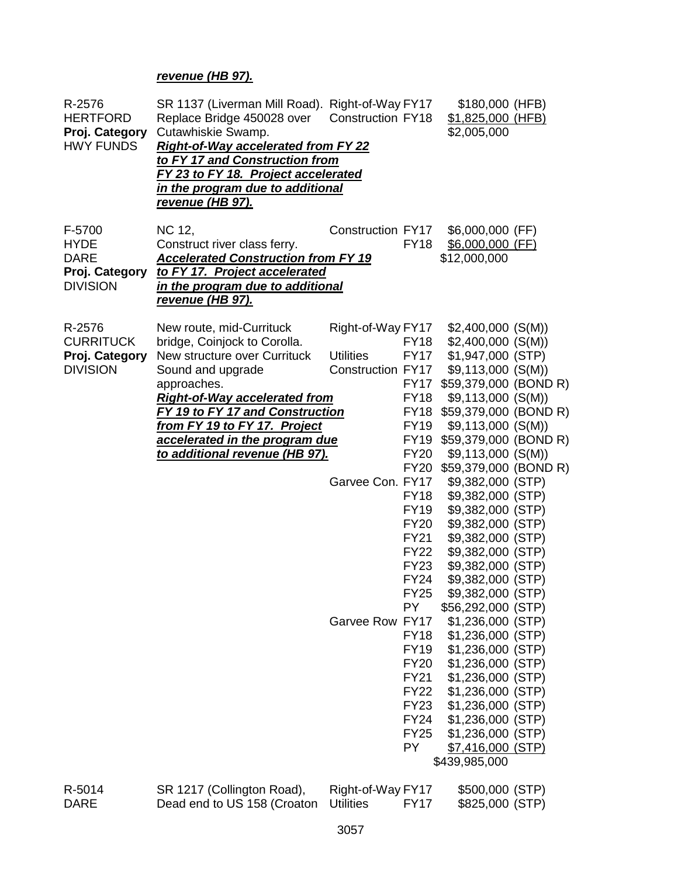## *revenue (HB 97).*

| R-2576<br><b>HERTFORD</b><br>Proj. Category<br><b>HWY FUNDS</b>           | SR 1137 (Liverman Mill Road). Right-of-Way FY17<br>Replace Bridge 450028 over<br>Cutawhiskie Swamp.<br><b>Right-of-Way accelerated from FY 22</b><br>to FY 17 and Construction from<br>FY 23 to FY 18. Project accelerated<br>in the program due to additional<br><u>revenue (HB 97).</u>                   | <b>Construction FY18</b>                                                                          |                                                                                                                                                                                                                                                                                                                                                                                  | \$180,000 (HFB)<br>\$1,825,000 (HFB)<br>\$2,005,000                                                                                                                                                                                                                                                                                                                                                                                                                                                                                                                                                                                                                                                                        |  |
|---------------------------------------------------------------------------|-------------------------------------------------------------------------------------------------------------------------------------------------------------------------------------------------------------------------------------------------------------------------------------------------------------|---------------------------------------------------------------------------------------------------|----------------------------------------------------------------------------------------------------------------------------------------------------------------------------------------------------------------------------------------------------------------------------------------------------------------------------------------------------------------------------------|----------------------------------------------------------------------------------------------------------------------------------------------------------------------------------------------------------------------------------------------------------------------------------------------------------------------------------------------------------------------------------------------------------------------------------------------------------------------------------------------------------------------------------------------------------------------------------------------------------------------------------------------------------------------------------------------------------------------------|--|
| F-5700<br><b>HYDE</b><br><b>DARE</b><br>Proj. Category<br><b>DIVISION</b> | NC 12,<br>Construct river class ferry.<br><b>Accelerated Construction from FY 19</b><br>to FY 17. Project accelerated<br>in the program due to additional<br><u>revenue (HB 97).</u>                                                                                                                        | Construction FY17                                                                                 | <b>FY18</b>                                                                                                                                                                                                                                                                                                                                                                      | \$6,000,000 (FF)<br>\$6,000,000 (FF)<br>\$12,000,000                                                                                                                                                                                                                                                                                                                                                                                                                                                                                                                                                                                                                                                                       |  |
| R-2576<br><b>CURRITUCK</b><br>Proj. Category<br><b>DIVISION</b>           | New route, mid-Currituck<br>bridge, Coinjock to Corolla.<br>New structure over Currituck<br>Sound and upgrade<br>approaches.<br><b>Right-of-Way accelerated from</b><br>FY 19 to FY 17 and Construction<br>from FY 19 to FY 17. Project<br>accelerated in the program due<br>to additional revenue (HB 97). | Right-of-Way FY17<br><b>Utilities</b><br>Construction FY17<br>Garvee Con. FY17<br>Garvee Row FY17 | <b>FY18</b><br><b>FY17</b><br><b>FY17</b><br><b>FY18</b><br><b>FY18</b><br><b>FY19</b><br><b>FY19</b><br><b>FY20</b><br><b>FY20</b><br><b>FY18</b><br><b>FY19</b><br><b>FY20</b><br><b>FY21</b><br><b>FY22</b><br><b>FY23</b><br><b>FY24</b><br><b>FY25</b><br>PY<br><b>FY18</b><br><b>FY20</b><br><b>FY21</b><br><b>FY22</b><br><b>FY23</b><br><b>FY24</b><br><b>FY25</b><br>PY | $$2,400,000$ (S(M))<br>$$2,400,000$ (S(M))<br>\$1,947,000 (STP)<br>$$9,113,000$ (S(M))<br>\$59,379,000 (BOND R)<br>$$9,113,000$ (S(M))<br>\$59,379,000 (BOND R)<br>$$9,113,000$ (S(M))<br>\$59,379,000 (BOND R)<br>$$9,113,000$ (S(M))<br>\$59,379,000 (BOND R)<br>\$9,382,000 (STP)<br>\$9,382,000 (STP)<br>\$9,382,000 (STP)<br>\$9,382,000 (STP)<br>\$9,382,000 (STP)<br>\$9,382,000 (STP)<br>\$9,382,000 (STP)<br>\$9,382,000 (STP)<br>\$9,382,000 (STP)<br>\$56,292,000 (STP)<br>\$1,236,000 (STP)<br>\$1,236,000 (STP)<br>FY19 \$1,236,000 (STP)<br>\$1,236,000 (STP)<br>\$1,236,000 (STP)<br>\$1,236,000 (STP)<br>\$1,236,000 (STP)<br>\$1,236,000 (STP)<br>\$1,236,000 (STP)<br>\$7,416,000 (STP)<br>\$439,985,000 |  |
| R-5014                                                                    | SR 1217 (Collington Road),                                                                                                                                                                                                                                                                                  | Right-of-Way FY17                                                                                 |                                                                                                                                                                                                                                                                                                                                                                                  | \$500,000 (STP)                                                                                                                                                                                                                                                                                                                                                                                                                                                                                                                                                                                                                                                                                                            |  |

DARE Dead end to US 158 (Croaton Utilities FY17 \$825,000 (STP)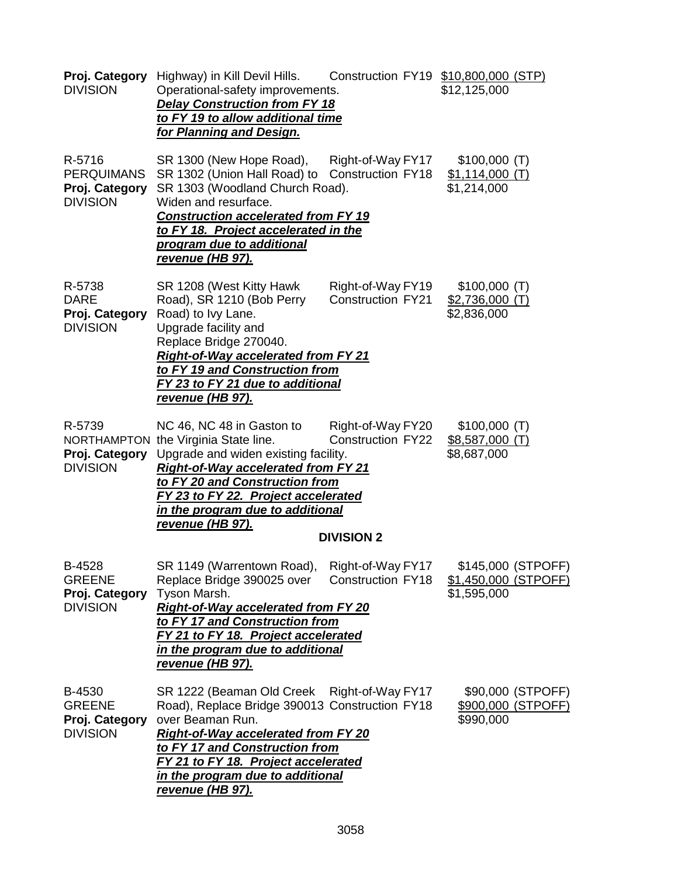| Proj. Category<br><b>DIVISION</b>                                | Highway) in Kill Devil Hills.<br>Operational-safety improvements.<br><b>Delay Construction from FY 18</b><br>to FY 19 to allow additional time<br><u>for Planning and Design.</u>                                                                                                                          |                                               | Construction FY19 \$10,800,000 (STP)<br>\$12,125,000      |
|------------------------------------------------------------------|------------------------------------------------------------------------------------------------------------------------------------------------------------------------------------------------------------------------------------------------------------------------------------------------------------|-----------------------------------------------|-----------------------------------------------------------|
| R-5716<br><b>PERQUIMANS</b><br>Proj. Category<br><b>DIVISION</b> | SR 1300 (New Hope Road),<br>SR 1302 (Union Hall Road) to Construction FY18<br>SR 1303 (Woodland Church Road).<br>Widen and resurface.<br><b>Construction accelerated from FY 19</b><br>to FY 18. Project accelerated in the<br>program due to additional<br>revenue (HB 97).                               | Right-of-Way FY17                             | \$100,000(T)<br>$$1,114,000$ (T)<br>\$1,214,000           |
| R-5738<br><b>DARE</b><br>Proj. Category<br><b>DIVISION</b>       | SR 1208 (West Kitty Hawk<br>Road), SR 1210 (Bob Perry<br>Road) to Ivy Lane.<br>Upgrade facility and<br>Replace Bridge 270040.<br><b>Right-of-Way accelerated from FY 21</b><br>to FY 19 and Construction from<br>FY 23 to FY 21 due to additional<br>revenue (HB 97).                                      | Right-of-Way FY19<br><b>Construction FY21</b> | \$100,000(T)<br>$$2,736,000$ (T)<br>\$2,836,000           |
| R-5739<br>Proj. Category<br><b>DIVISION</b>                      | NC 46, NC 48 in Gaston to Right-of-Way FY20<br>NORTHAMPTON the Virginia State line.<br>Upgrade and widen existing facility.<br><b>Right-of-Way accelerated from FY 21</b><br>to FY 20 and Construction from<br>FY 23 to FY 22. Project accelerated<br>in the program due to additional<br>revenue (HB 97). | <b>Construction FY22</b><br><b>DIVISION 2</b> | \$100,000(T)<br>$$8,587,000$ (T)<br>\$8,687,000           |
| B-4528<br><b>GREENE</b><br>Proj. Category<br><b>DIVISION</b>     | SR 1149 (Warrentown Road),<br>Replace Bridge 390025 over<br>Tyson Marsh.<br><b>Right-of-Way accelerated from FY 20</b><br>to FY 17 and Construction from<br>FY 21 to FY 18. Project accelerated<br>in the program due to additional<br><u>revenue (HB 97).</u>                                             | Right-of-Way FY17<br><b>Construction FY18</b> | \$145,000 (STPOFF)<br>\$1,450,000 (STPOFF)<br>\$1,595,000 |
| B-4530<br><b>GREENE</b><br>Proj. Category<br><b>DIVISION</b>     | SR 1222 (Beaman Old Creek Right-of-Way FY17<br>Road), Replace Bridge 390013 Construction FY18<br>over Beaman Run.<br><b>Right-of-Way accelerated from FY 20</b><br>to FY 17 and Construction from<br>FY 21 to FY 18. Project accelerated<br>in the program due to additional<br><u>revenue (HB 97).</u>    |                                               | \$90,000 (STPOFF)<br>\$900,000 (STPOFF)<br>\$990,000      |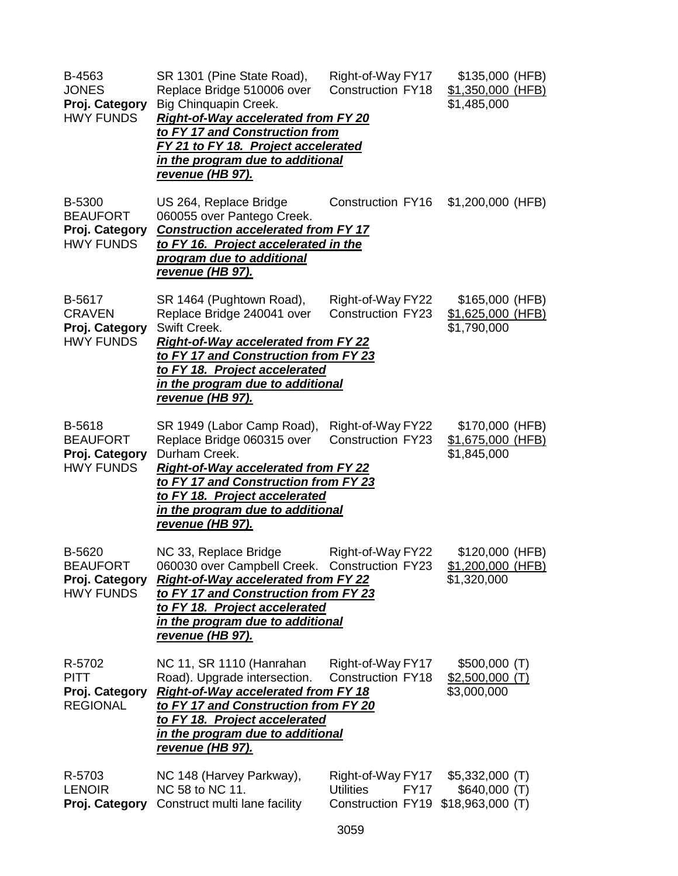| B-4563<br><b>JONES</b><br>Proj. Category<br><b>HWY FUNDS</b>    | SR 1301 (Pine State Road),<br>Replace Bridge 510006 over<br>Big Chinquapin Creek.<br><b>Right-of-Way accelerated from FY 20</b><br>to FY 17 and Construction from<br>FY 21 to FY 18. Project accelerated<br><u>in the program due to additional</u><br><u>revenue (HB 97).</u> | Right-of-Way FY17<br><b>Construction FY18</b>                             | \$135,000 (HFB)<br><u>\$1,350,000 (HFB)</u><br>\$1,485,000 |
|-----------------------------------------------------------------|--------------------------------------------------------------------------------------------------------------------------------------------------------------------------------------------------------------------------------------------------------------------------------|---------------------------------------------------------------------------|------------------------------------------------------------|
| B-5300<br><b>BEAUFORT</b><br>Proj. Category<br><b>HWY FUNDS</b> | US 264, Replace Bridge<br>060055 over Pantego Creek.<br><b>Construction accelerated from FY 17</b><br>to FY 16. Project accelerated in the<br>program due to additional<br><u>revenue (HB 97).</u>                                                                             | Construction FY16                                                         | \$1,200,000 (HFB)                                          |
| B-5617<br><b>CRAVEN</b><br>Proj. Category<br><b>HWY FUNDS</b>   | SR 1464 (Pughtown Road),<br>Replace Bridge 240041 over<br>Swift Creek.<br><b>Right-of-Way accelerated from FY 22</b><br>to FY 17 and Construction from FY 23<br>to FY 18. Project accelerated<br>in the program due to additional<br><u>revenue (HB 97).</u>                   | Right-of-Way FY22<br><b>Construction FY23</b>                             | \$165,000 (HFB)<br>\$1,625,000 (HFB)<br>\$1,790,000        |
| B-5618<br><b>BEAUFORT</b><br>Proj. Category<br><b>HWY FUNDS</b> | SR 1949 (Labor Camp Road),<br>Replace Bridge 060315 over<br>Durham Creek.<br><b>Right-of-Way accelerated from FY 22</b><br>to FY 17 and Construction from FY 23<br>to FY 18. Project accelerated<br>in the program due to additional<br><u>revenue (HB 97).</u>                | Right-of-Way FY22<br><b>Construction FY23</b>                             | \$170,000 (HFB)<br>\$1,675,000 (HFB)<br>\$1,845,000        |
| B-5620<br><b>BEAUFORT</b><br>Proj. Category<br><b>HWY FUNDS</b> | NC 33, Replace Bridge<br>060030 over Campbell Creek. Construction FY23<br><b>Right-of-Way accelerated from FY 22</b><br>to FY 17 and Construction from FY 23<br>to FY 18. Project accelerated<br>in the program due to additional<br>revenue (HB 97).                          | Right-of-Way FY22                                                         | \$120,000 (HFB)<br>\$1,200,000 (HFB)<br>\$1,320,000        |
| R-5702<br><b>PITT</b><br>Proj. Category<br><b>REGIONAL</b>      | NC 11, SR 1110 (Hanrahan<br>Road). Upgrade intersection.<br><b>Right-of-Way accelerated from FY 18</b><br>to FY 17 and Construction from FY 20<br>to FY 18. Project accelerated<br><u>in the program due to additional</u><br><u>revenue (HB 97).</u>                          | Right-of-Way FY17<br><b>Construction FY18</b>                             | \$500,000(T)<br><u>\$2,500,000 (T)</u><br>\$3,000,000      |
| R-5703<br><b>LENOIR</b><br>Proj. Category                       | NC 148 (Harvey Parkway),<br>NC 58 to NC 11.<br>Construct multi lane facility                                                                                                                                                                                                   | Right-of-Way FY17<br><b>Utilities</b><br><b>FY17</b><br>Construction FY19 | $$5,332,000$ (T)<br>\$640,000(T)<br>$$18,963,000$ (T)      |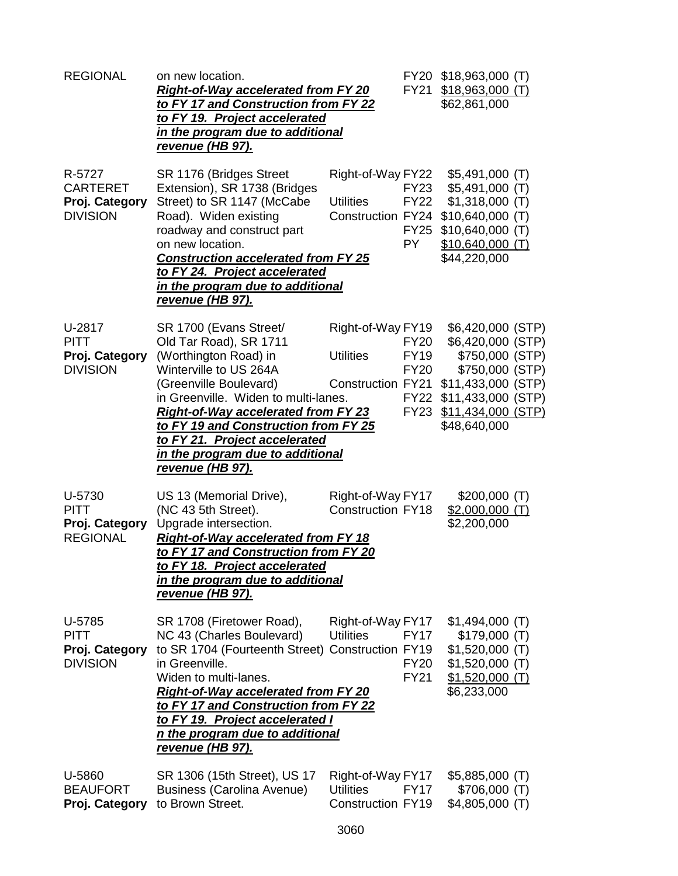| <b>REGIONAL</b>                                                | on new location.<br><b>Right-of-Way accelerated from FY 20</b><br>to FY 17 and Construction from FY 22<br>to FY 19. Project accelerated<br>in the program due to additional<br><u>revenue (HB 97).</u>                                                                                                                                                      |                                                                   |                                                                         | FY20 \$18,963,000 (T)<br>FY21 \$18,963,000 (T)<br>\$62,861,000                                                                                                 |  |
|----------------------------------------------------------------|-------------------------------------------------------------------------------------------------------------------------------------------------------------------------------------------------------------------------------------------------------------------------------------------------------------------------------------------------------------|-------------------------------------------------------------------|-------------------------------------------------------------------------|----------------------------------------------------------------------------------------------------------------------------------------------------------------|--|
| R-5727<br><b>CARTERET</b><br>Proj. Category<br><b>DIVISION</b> | SR 1176 (Bridges Street<br>Extension), SR 1738 (Bridges<br>Street) to SR 1147 (McCabe<br>Road). Widen existing<br>roadway and construct part<br>on new location.<br><b>Construction accelerated from FY 25</b><br>to FY 24. Project accelerated<br>in the program due to additional<br><u>revenue (HB 97).</u>                                              | Right-of-Way FY22<br><b>Utilities</b><br>Construction FY24        | FY23<br><b>FY22</b><br><b>FY25</b><br>PY -                              | $$5,491,000$ (T)<br>$$5,491,000$ (T)<br>$$1,318,000$ (T)<br>$$10,640,000$ (T)<br>$$10,640,000$ (T)<br>$$10,640,000$ (T)<br>\$44,220,000                        |  |
| U-2817<br><b>PITT</b><br>Proj. Category<br><b>DIVISION</b>     | SR 1700 (Evans Street/<br>Old Tar Road), SR 1711<br>(Worthington Road) in<br>Winterville to US 264A<br>(Greenville Boulevard)<br>in Greenville. Widen to multi-lanes.<br><b>Right-of-Way accelerated from FY 23</b><br>to FY 19 and Construction from FY 25<br>to FY 21. Project accelerated<br><u>in the program due to additional</u><br>revenue (HB 97). | Right-of-Way FY19<br><b>Utilities</b><br>Construction FY21        | <b>FY20</b><br><b>FY19</b><br><b>FY20</b><br><b>FY22</b><br><b>FY23</b> | \$6,420,000 (STP)<br>\$6,420,000 (STP)<br>\$750,000 (STP)<br>\$750,000 (STP)<br>\$11,433,000 (STP)<br>\$11,433,000 (STP)<br>\$11,434,000 (STP)<br>\$48,640,000 |  |
| U-5730<br><b>PITT</b><br>Proj. Category<br><b>REGIONAL</b>     | US 13 (Memorial Drive),<br>(NC 43 5th Street).<br>Upgrade intersection.<br><b>Right-of-Way accelerated from FY 18</b><br>to FY 17 and Construction from FY 20<br>to FY 18. Project accelerated<br>in the program due to additional<br>revenue (HB 97).                                                                                                      | Right-of-Way FY17<br><b>Construction FY18</b>                     |                                                                         | \$200,000(T)<br>$$2,000,000$ (T)<br>\$2,200,000                                                                                                                |  |
| U-5785<br><b>PITT</b><br>Proj. Category<br><b>DIVISION</b>     | SR 1708 (Firetower Road),<br>NC 43 (Charles Boulevard)<br>to SR 1704 (Fourteenth Street) Construction FY19<br>in Greenville.<br>Widen to multi-lanes.<br><b>Right-of-Way accelerated from FY 20</b><br>to FY 17 and Construction from FY 22<br>to FY 19. Project accelerated I<br>n the program due to additional<br>revenue (HB 97).                       | Right-of-Way FY17<br><b>Utilities</b>                             | <b>FY17</b><br><b>FY20</b><br><b>FY21</b>                               | $$1,494,000$ (T)<br>\$179,000(T)<br>$$1,520,000$ (T)<br>$$1,520,000$ (T)<br>$$1,520,000$ (T)<br>\$6,233,000                                                    |  |
| U-5860<br><b>BEAUFORT</b><br>Proj. Category                    | SR 1306 (15th Street), US 17<br><b>Business (Carolina Avenue)</b><br>to Brown Street.                                                                                                                                                                                                                                                                       | Right-of-Way FY17<br><b>Utilities</b><br><b>Construction FY19</b> | <b>FY17</b>                                                             | \$5,885,000 (T)<br>\$706,000 (T)<br>$$4,805,000$ (T)                                                                                                           |  |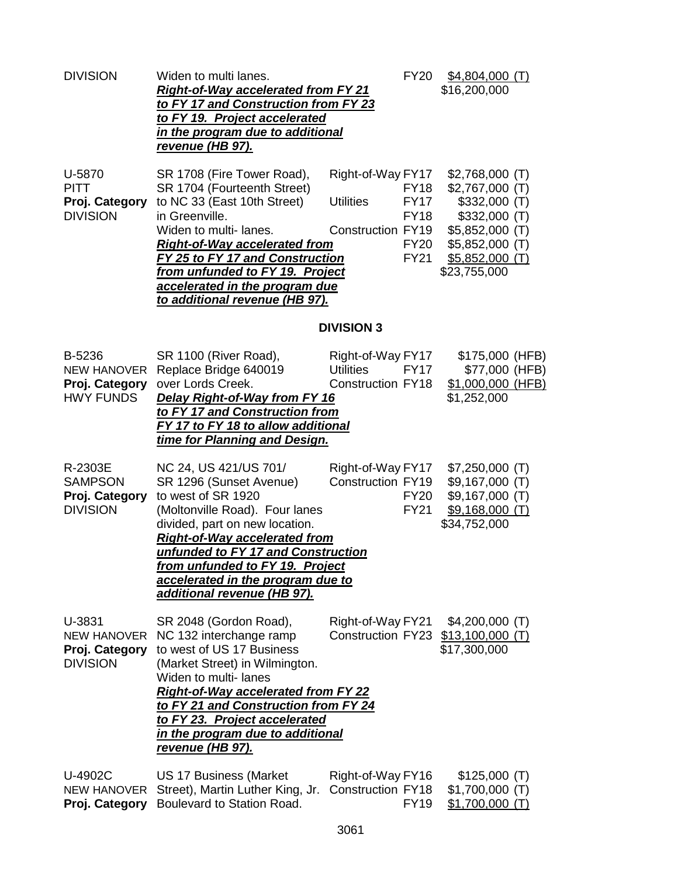| <b>DIVISION</b>                                                    | Widen to multi lanes.<br><b>Right-of-Way accelerated from FY 21</b><br>to FY 17 and Construction from FY 23<br>to FY 19. Project accelerated<br>in the program due to additional<br><u>revenue (HB 97).</u>                                                                                                                            | FY20                                                                                                                                  | $$4,804,000$ (T)<br>\$16,200,000                                                                                                                           |
|--------------------------------------------------------------------|----------------------------------------------------------------------------------------------------------------------------------------------------------------------------------------------------------------------------------------------------------------------------------------------------------------------------------------|---------------------------------------------------------------------------------------------------------------------------------------|------------------------------------------------------------------------------------------------------------------------------------------------------------|
| U-5870<br><b>PITT</b><br>Proj. Category<br><b>DIVISION</b>         | SR 1708 (Fire Tower Road),<br>SR 1704 (Fourteenth Street)<br>to NC 33 (East 10th Street)<br>in Greenville.<br>Widen to multi-lanes.<br>Right-of-Way accelerated from<br>FY 25 to FY 17 and Construction<br>from unfunded to FY 19. Project<br>accelerated in the program due<br>to additional revenue (HB 97).                         | Right-of-Way FY17<br><b>FY18</b><br><b>Utilities</b><br><b>FY17</b><br><b>FY18</b><br>Construction FY19<br><b>FY20</b><br><b>FY21</b> | $$2,768,000$ (T)<br>$$2,767,000$ (T)<br>$$332,000$ (T)<br>$$332,000$ (T)<br>$$5,852,000$ (T)<br>$$5,852,000$ (T)<br><u>\$5,852,000 (T)</u><br>\$23,755,000 |
|                                                                    |                                                                                                                                                                                                                                                                                                                                        | <b>DIVISION 3</b>                                                                                                                     |                                                                                                                                                            |
| B-5236<br><b>NEW HANOVER</b><br>Proj. Category<br><b>HWY FUNDS</b> | SR 1100 (River Road),<br>Replace Bridge 640019<br>over Lords Creek.<br>Delay Right-of-Way from FY 16<br>to FY 17 and Construction from<br>FY 17 to FY 18 to allow additional<br>time for Planning and Design.                                                                                                                          | Right-of-Way FY17<br><b>Utilities</b><br><b>FY17</b><br><b>Construction FY18</b>                                                      | \$175,000 (HFB)<br>\$77,000 (HFB)<br>\$1,000,000 (HFB)<br>\$1,252,000                                                                                      |
| R-2303E<br><b>SAMPSON</b><br>Proj. Category<br><b>DIVISION</b>     | NC 24, US 421/US 701/<br>SR 1296 (Sunset Avenue)<br>to west of SR 1920<br>(Moltonville Road). Four lanes<br>divided, part on new location.<br><b>Right-of-Way accelerated from</b><br>unfunded to FY 17 and Construction<br>from unfunded to FY 19. Project<br>accelerated in the program due to<br>additional revenue (HB 97).        | Right-of-Way FY17<br>Construction FY19<br><b>FY20</b><br><b>FY21</b>                                                                  | $$7,250,000$ (T)<br>$$9,167,000$ (T)<br>$$9,167,000$ (T)<br>$$9,168,000$ (T)<br>\$34,752,000                                                               |
| U-3831<br><b>NEW HANOVER</b><br>Proj. Category<br><b>DIVISION</b>  | SR 2048 (Gordon Road),<br>NC 132 interchange ramp<br>to west of US 17 Business<br>(Market Street) in Wilmington.<br>Widen to multi- lanes<br><b>Right-of-Way accelerated from FY 22</b><br>to FY 21 and Construction from FY 24<br>to FY 23. Project accelerated<br><u>in the program due to additional</u><br><u>revenue (HB 97).</u> | Right-of-Way FY21<br><b>Construction FY23</b>                                                                                         | $$4,200,000$ (T)<br>$$13,100,000$ (T)<br>\$17,300,000                                                                                                      |
| U-4902C<br>NEW HANOVER<br>Proj. Category                           | <b>US 17 Business (Market</b><br>Street), Martin Luther King, Jr.<br>Boulevard to Station Road.                                                                                                                                                                                                                                        | Right-of-Way FY16<br><b>Construction FY18</b><br><b>FY19</b>                                                                          | \$125,000(T)<br>$$1,700,000$ (T)<br>$$1,700,000$ (T)                                                                                                       |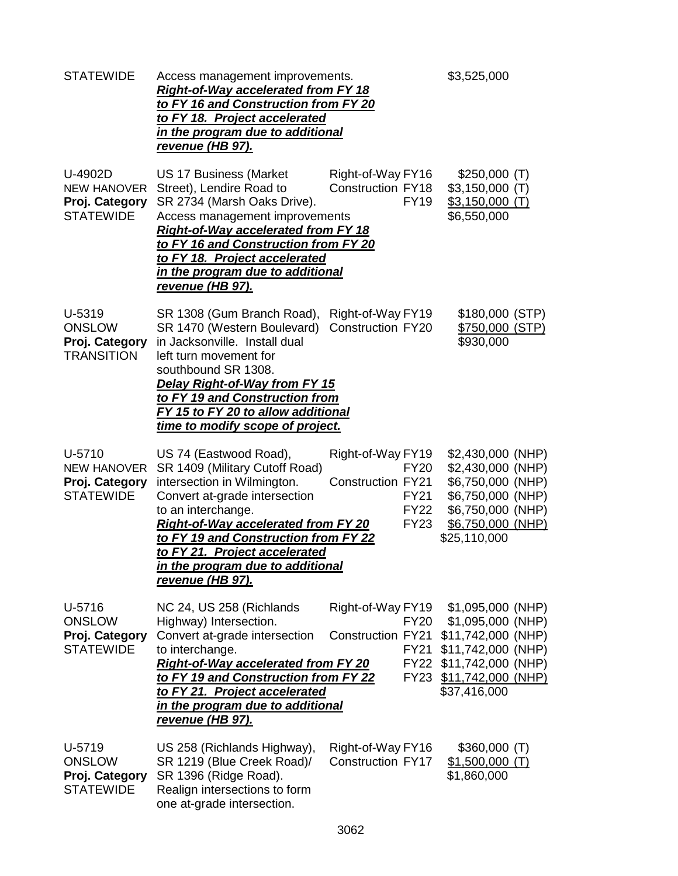| <b>STATEWIDE</b>                                                    | Access management improvements.<br><b>Right-of-Way accelerated from FY 18</b><br>to FY 16 and Construction from FY 20<br>to FY 18. Project accelerated<br>in the program due to additional<br><u>revenue (HB 97).</u>                                                                                                                |                                                                                                           | \$3,525,000                                                                                                                                      |
|---------------------------------------------------------------------|--------------------------------------------------------------------------------------------------------------------------------------------------------------------------------------------------------------------------------------------------------------------------------------------------------------------------------------|-----------------------------------------------------------------------------------------------------------|--------------------------------------------------------------------------------------------------------------------------------------------------|
| U-4902D<br><b>NEW HANOVER</b><br>Proj. Category<br><b>STATEWIDE</b> | <b>US 17 Business (Market</b><br>Street), Lendire Road to<br>SR 2734 (Marsh Oaks Drive).<br>Access management improvements<br><b>Right-of-Way accelerated from FY 18</b><br>to FY 16 and Construction from FY 20<br>to FY 18. Project accelerated<br>in the program due to additional<br><u>revenue (HB 97).</u>                     | Right-of-Way FY16<br><b>Construction FY18</b><br><b>FY19</b>                                              | \$250,000(T)<br>$$3,150,000$ (T)<br>$$3,150,000$ (T)<br>\$6,550,000                                                                              |
| U-5319<br><b>ONSLOW</b><br>Proj. Category<br><b>TRANSITION</b>      | SR 1308 (Gum Branch Road),<br>SR 1470 (Western Boulevard)<br>in Jacksonville. Install dual<br>left turn movement for<br>southbound SR 1308.<br>Delay Right-of-Way from FY 15<br>to FY 19 and Construction from<br>FY 15 to FY 20 to allow additional<br>time to modify scope of project.                                             | Right-of-Way FY19<br><b>Construction FY20</b>                                                             | \$180,000 (STP)<br>\$750,000 (STP)<br>\$930,000                                                                                                  |
| U-5710<br><b>NEW HANOVER</b><br>Proj. Category<br><b>STATEWIDE</b>  | US 74 (Eastwood Road),<br>SR 1409 (Military Cutoff Road)<br>intersection in Wilmington.<br>Convert at-grade intersection<br>to an interchange.<br><b>Right-of-Way accelerated from FY 20</b><br>to FY 19 and Construction from FY 22<br>to FY 21. Project accelerated<br>in the program due to additional<br><u>revenue (HB 97).</u> | Right-of-Way FY19<br><b>FY20</b><br><b>Construction FY21</b><br><b>FY21</b><br><b>FY22</b><br><b>FY23</b> | \$2,430,000 (NHP)<br>\$2,430,000 (NHP)<br>\$6,750,000 (NHP)<br>\$6,750,000 (NHP)<br>\$6,750,000 (NHP)<br>\$6,750,000 (NHP)<br>\$25,110,000       |
| U-5716<br><b>ONSLOW</b><br>Proj. Category<br><b>STATEWIDE</b>       | NC 24, US 258 (Richlands<br>Highway) Intersection.<br>Convert at-grade intersection<br>to interchange.<br><b>Right-of-Way accelerated from FY 20</b><br>to FY 19 and Construction from FY 22<br><u>to FY 21. Project accelerated</u><br>in the program due to additional<br><u>revenue (HB 97).</u>                                  | Right-of-Way FY19<br><b>FY20</b><br><b>Construction FY21</b><br><b>FY21</b><br><b>FY22</b><br><b>FY23</b> | $$1,095,000$ (NHP)<br>\$1,095,000 (NHP)<br>\$11,742,000 (NHP)<br>\$11,742,000 (NHP)<br>\$11,742,000 (NHP)<br>$$11,742,000$ (NHP)<br>\$37,416,000 |
| U-5719<br><b>ONSLOW</b><br>Proj. Category<br><b>STATEWIDE</b>       | US 258 (Richlands Highway),<br>SR 1219 (Blue Creek Road)/<br>SR 1396 (Ridge Road).<br>Realign intersections to form<br>one at-grade intersection.                                                                                                                                                                                    | Right-of-Way FY16<br><b>Construction FY17</b>                                                             | $$360,000$ (T)<br>$$1,500,000$ (T)<br>\$1,860,000                                                                                                |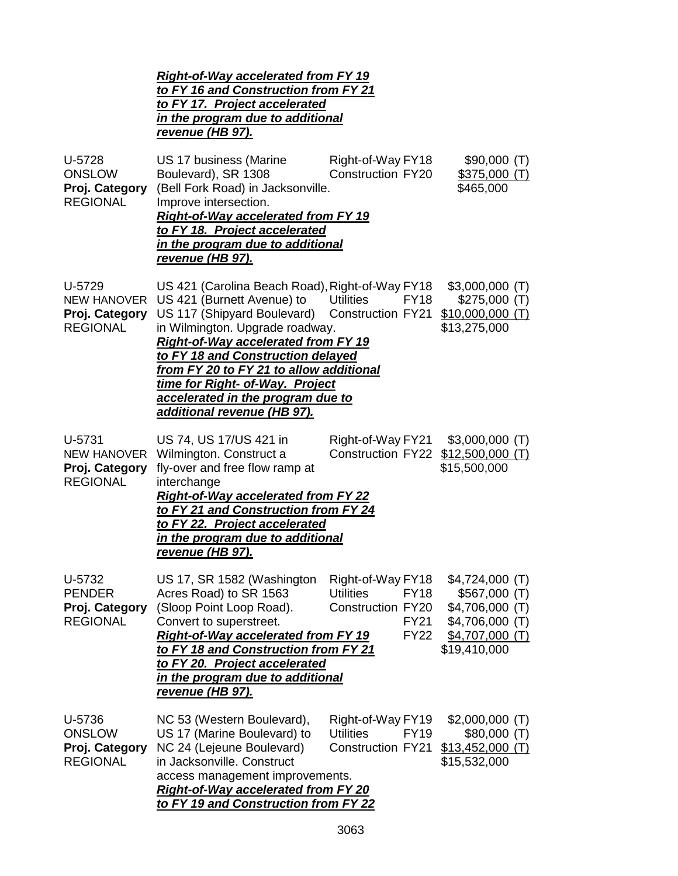|                                                                   | <b>Right-of-Way accelerated from FY 19</b><br>to FY 16 and Construction from FY 21<br>to FY 17. Project accelerated<br><u>in the program due to additional</u><br>revenue (HB 97).                                                                                                                                                                                            |                                                                                                         |                                                                                                             |  |
|-------------------------------------------------------------------|-------------------------------------------------------------------------------------------------------------------------------------------------------------------------------------------------------------------------------------------------------------------------------------------------------------------------------------------------------------------------------|---------------------------------------------------------------------------------------------------------|-------------------------------------------------------------------------------------------------------------|--|
| U-5728<br><b>ONSLOW</b><br>Proj. Category<br><b>REGIONAL</b>      | US 17 business (Marine<br>Boulevard), SR 1308<br>(Bell Fork Road) in Jacksonville.<br>Improve intersection.<br><b>Right-of-Way accelerated from FY 19</b><br>to FY 18. Project accelerated<br>in the program due to additional<br><u>revenue (HB 97).</u>                                                                                                                     | Right-of-Way FY18<br><b>Construction FY20</b>                                                           | \$90,000(T)<br>\$375,000(T)<br>\$465,000                                                                    |  |
| U-5729<br>NEW HANOVER<br>Proj. Category<br><b>REGIONAL</b>        | US 421 (Carolina Beach Road), Right-of-Way FY18<br>US 421 (Burnett Avenue) to<br>US 117 (Shipyard Boulevard)<br>in Wilmington. Upgrade roadway.<br>Right-of-Way accelerated from FY 19<br>to FY 18 and Construction delayed<br>from FY 20 to FY 21 to allow additional<br>time for Right- of-Way. Project<br>accelerated in the program due to<br>additional revenue (HB 97). | <b>Utilities</b><br><b>FY18</b><br>Construction FY21                                                    | $$3,000,000$ (T)<br>\$275,000(T)<br>$$10,000,000$ (T)<br>\$13,275,000                                       |  |
| U-5731<br><b>NEW HANOVER</b><br>Proj. Category<br><b>REGIONAL</b> | US 74, US 17/US 421 in<br>Wilmington. Construct a<br>fly-over and free flow ramp at<br>interchange<br><b>Right-of-Way accelerated from FY 22</b><br>to FY 21 and Construction from FY 24<br>to FY 22. Project accelerated<br>in the program due to additional<br>revenue (HB 97).                                                                                             | Right-of-Way FY21<br><b>Construction FY22</b>                                                           | $$3,000,000$ (T)<br>$$12,500,000$ (T)<br>\$15,500,000                                                       |  |
| U-5732<br><b>PENDER</b><br>Proj. Category<br><b>REGIONAL</b>      | US 17, SR 1582 (Washington<br>Acres Road) to SR 1563<br>(Sloop Point Loop Road).<br>Convert to superstreet.<br><b>Right-of-Way accelerated from FY 19</b><br>to FY 18 and Construction from FY 21<br>to FY 20. Project accelerated<br><u>in the program due to additional</u><br><u>revenue (HB 97).</u>                                                                      | Right-of-Way FY18<br><b>Utilities</b><br><b>FY18</b><br>Construction FY20<br><b>FY21</b><br><b>FY22</b> | $$4,724,000$ (T)<br>\$567,000(T)<br>\$4,706,000 (T)<br>$$4,706,000$ (T)<br>$$4,707,000$ (T)<br>\$19,410,000 |  |
| U-5736<br><b>ONSLOW</b><br>Proj. Category<br><b>REGIONAL</b>      | NC 53 (Western Boulevard),<br>US 17 (Marine Boulevard) to<br>NC 24 (Lejeune Boulevard)<br>in Jacksonville. Construct<br>access management improvements.<br><b>Right-of-Way accelerated from FY 20</b><br>to FY 19 and Construction from FY 22                                                                                                                                 | Right-of-Way FY19<br><b>Utilities</b><br><b>FY19</b><br><b>Construction FY21</b>                        | $$2,000,000$ (T)<br>\$80,000(T)<br>$$13,452,000$ (T)<br>\$15,532,000                                        |  |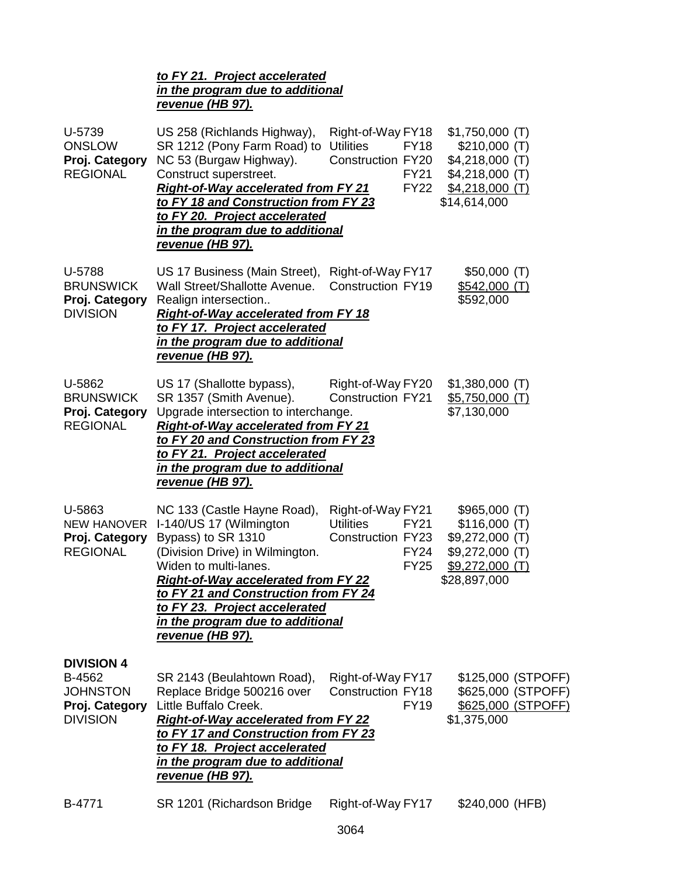| to FY 21. Project accelerated    |
|----------------------------------|
| in the program due to additional |
| revenue (HB 97).                 |

| U-5739<br><b>ONSLOW</b><br>Proj. Category<br><b>REGIONAL</b>                        | US 258 (Richlands Highway),<br>SR 1212 (Pony Farm Road) to<br>NC 53 (Burgaw Highway).<br>Construct superstreet.<br><b>Right-of-Way accelerated from FY 21</b><br>to FY 18 and Construction from FY 23<br>to FY 20. Project accelerated<br>in the program due to additional<br>revenue (HB 97).                          | Right-of-Way FY18<br><b>Utilities</b><br><b>FY18</b><br>Construction FY20<br><b>FY21</b><br><b>FY22</b>        | $$1,750,000$ (T)<br>\$210,000(T)<br>$$4,218,000$ (T)<br>$$4,218,000$ (T)<br>$$4,218,000$ (T)<br>\$14,614,000 |                                                                |
|-------------------------------------------------------------------------------------|-------------------------------------------------------------------------------------------------------------------------------------------------------------------------------------------------------------------------------------------------------------------------------------------------------------------------|----------------------------------------------------------------------------------------------------------------|--------------------------------------------------------------------------------------------------------------|----------------------------------------------------------------|
| U-5788<br><b>BRUNSWICK</b><br>Proj. Category<br><b>DIVISION</b>                     | US 17 Business (Main Street),<br>Wall Street/Shallotte Avenue.<br>Realign intersection<br><b>Right-of-Way accelerated from FY 18</b><br>to FY 17. Project accelerated<br>in the program due to additional<br><u>revenue (HB 97).</u>                                                                                    | Right-of-Way FY17<br><b>Construction FY19</b>                                                                  | \$50,000(T)<br><u>\$542,000 (T)</u><br>\$592,000                                                             |                                                                |
| U-5862<br><b>BRUNSWICK</b><br>Proj. Category<br><b>REGIONAL</b>                     | US 17 (Shallotte bypass),<br>SR 1357 (Smith Avenue).<br>Upgrade intersection to interchange.<br><b>Right-of-Way accelerated from FY 21</b><br>to FY 20 and Construction from FY 23<br>to FY 21. Project accelerated<br>in the program due to additional<br><u>revenue (HB 97).</u>                                      | Right-of-Way FY20<br><b>Construction FY21</b>                                                                  | $$1,380,000$ (T)<br>$$5,750,000$ (T)<br>\$7,130,000                                                          |                                                                |
| U-5863<br><b>NEW HANOVER</b><br>Proj. Category<br><b>REGIONAL</b>                   | NC 133 (Castle Hayne Road),<br>I-140/US 17 (Wilmington<br>Bypass) to SR 1310<br>(Division Drive) in Wilmington.<br>Widen to multi-lanes.<br><b>Right-of-Way accelerated from FY 22</b><br>to FY 21 and Construction from FY 24<br>to FY 23. Project accelerated<br>in the program due to additional<br>revenue (HB 97). | Right-of-Way FY21<br><b>Utilities</b><br><b>FY21</b><br><b>Construction FY23</b><br><b>FY24</b><br><b>FY25</b> | \$965,000(T)<br>\$116,000(T)<br>$$9,272,000$ (T)<br>$$9,272,000$ (T)<br>$$9,272,000$ (T)<br>\$28,897,000     |                                                                |
| <b>DIVISION 4</b><br>B-4562<br><b>JOHNSTON</b><br>Proj. Category<br><b>DIVISION</b> | SR 2143 (Beulahtown Road),<br>Replace Bridge 500216 over<br>Little Buffalo Creek.<br><b>Right-of-Way accelerated from FY 22</b><br>to FY 17 and Construction from FY 23<br>to FY 18. Project accelerated<br>in the program due to additional<br><u>revenue (HB 97).</u>                                                 | Right-of-Way FY17<br><b>Construction FY18</b><br><b>FY19</b>                                                   | \$1,375,000                                                                                                  | \$125,000 (STPOFF)<br>\$625,000 (STPOFF)<br>\$625,000 (STPOFF) |
| B-4771                                                                              | SR 1201 (Richardson Bridge                                                                                                                                                                                                                                                                                              | Right-of-Way FY17                                                                                              | \$240,000 (HFB)                                                                                              |                                                                |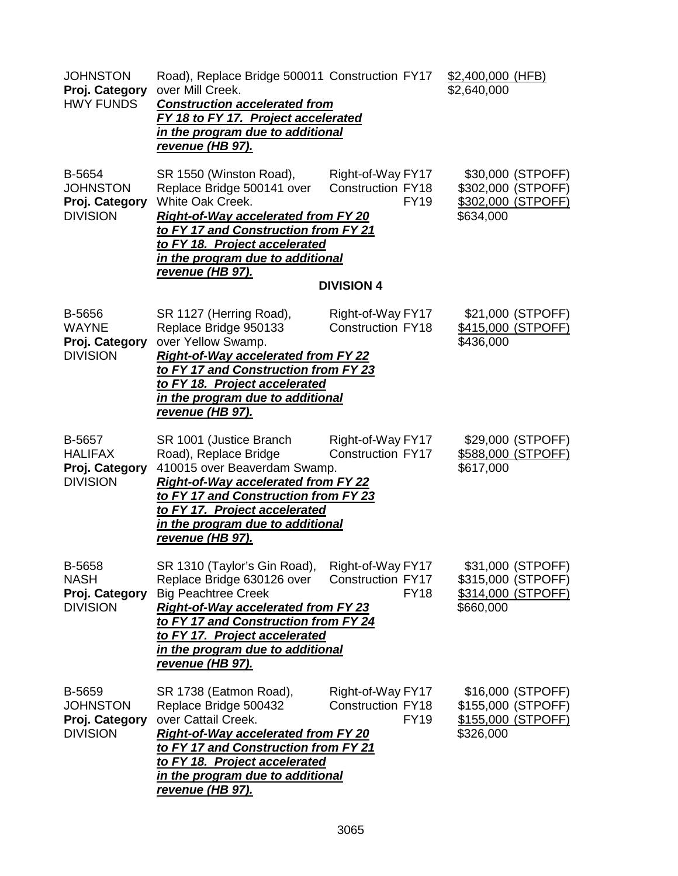| <b>JOHNSTON</b><br>Proj. Category<br><b>HWY FUNDS</b>          | Road), Replace Bridge 500011 Construction FY17<br>over Mill Creek.<br><b>Construction accelerated from</b><br>FY 18 to FY 17. Project accelerated<br>in the program due to additional<br>revenue (HB 97).                                                                                 |                                                                                   | \$2,400,000 (HFB)<br>\$2,640,000                                           |
|----------------------------------------------------------------|-------------------------------------------------------------------------------------------------------------------------------------------------------------------------------------------------------------------------------------------------------------------------------------------|-----------------------------------------------------------------------------------|----------------------------------------------------------------------------|
| B-5654<br><b>JOHNSTON</b><br>Proj. Category<br><b>DIVISION</b> | SR 1550 (Winston Road),<br>Replace Bridge 500141 over<br>White Oak Creek.<br><b>Right-of-Way accelerated from FY 20</b><br>to FY 17 and Construction from FY 21<br>to FY 18. Project accelerated<br>in the program due to additional<br>revenue (HB 97).                                  | Right-of-Way FY17<br><b>Construction FY18</b><br><b>FY19</b><br><b>DIVISION 4</b> | \$30,000 (STPOFF)<br>\$302,000 (STPOFF)<br>\$302,000 (STPOFF)<br>\$634,000 |
| B-5656<br><b>WAYNE</b><br>Proj. Category<br><b>DIVISION</b>    | SR 1127 (Herring Road),<br>Replace Bridge 950133<br>over Yellow Swamp.<br><b>Right-of-Way accelerated from FY 22</b><br>to FY 17 and Construction from FY 23<br>to FY 18. Project accelerated<br>in the program due to additional<br>revenue (HB 97).                                     | Right-of-Way FY17<br><b>Construction FY18</b>                                     | \$21,000 (STPOFF)<br>\$415,000 (STPOFF)<br>\$436,000                       |
| B-5657<br><b>HALIFAX</b><br>Proj. Category<br><b>DIVISION</b>  | SR 1001 (Justice Branch<br>Road), Replace Bridge<br>410015 over Beaverdam Swamp.<br><b>Right-of-Way accelerated from FY 22</b><br>to FY 17 and Construction from FY 23<br>to FY 17. Project accelerated<br>in the program due to additional<br>revenue (HB 97).                           | Right-of-Way FY17<br><b>Construction FY17</b>                                     | \$29,000 (STPOFF)<br>\$588,000 (STPOFF)<br>\$617,000                       |
| B-5658<br><b>NASH</b><br>Proj. Category<br><b>DIVISION</b>     | SR 1310 (Taylor's Gin Road), Right-of-Way FY17<br>Replace Bridge 630126 over<br><b>Big Peachtree Creek</b><br><b>Right-of-Way accelerated from FY 23</b><br>to FY 17 and Construction from FY 24<br>to FY 17. Project accelerated<br>in the program due to additional<br>revenue (HB 97). | <b>Construction FY17</b><br><b>FY18</b>                                           | \$31,000 (STPOFF)<br>\$315,000 (STPOFF)<br>\$314,000 (STPOFF)<br>\$660,000 |
| B-5659<br><b>JOHNSTON</b><br>Proj. Category<br><b>DIVISION</b> | SR 1738 (Eatmon Road),<br>Replace Bridge 500432<br>over Cattail Creek.<br><b>Right-of-Way accelerated from FY 20</b><br>to FY 17 and Construction from FY 21<br>to FY 18. Project accelerated<br>in the program due to additional<br>revenue (HB 97).                                     | Right-of-Way FY17<br><b>Construction FY18</b><br><b>FY19</b>                      | \$16,000 (STPOFF)<br>\$155,000 (STPOFF)<br>\$155,000 (STPOFF)<br>\$326,000 |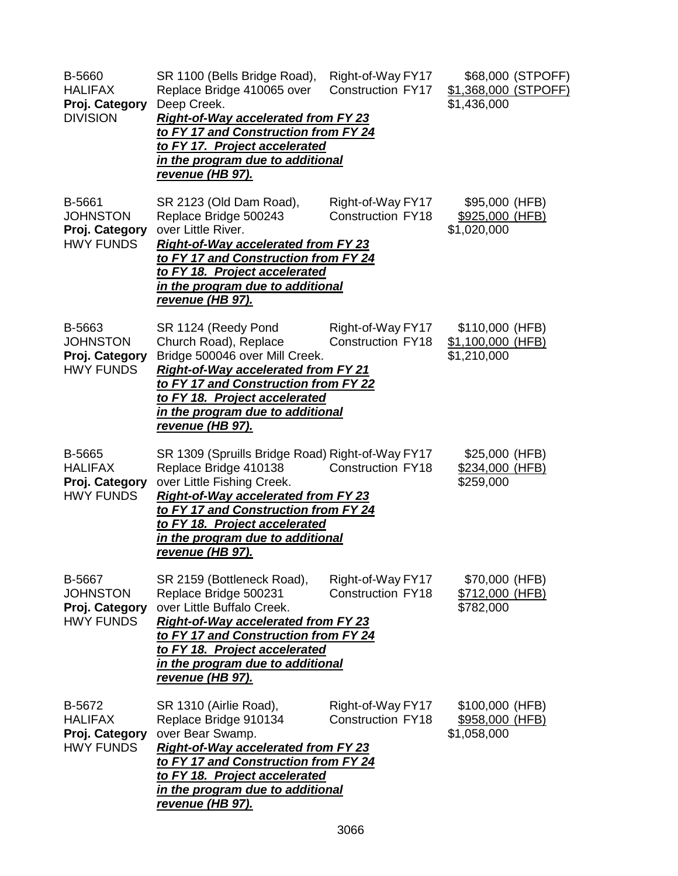| B-5660<br><b>HALIFAX</b><br>Proj. Category<br><b>DIVISION</b>   | SR 1100 (Bells Bridge Road),<br>Replace Bridge 410065 over<br>Deep Creek.<br><b>Right-of-Way accelerated from FY 23</b><br>to FY 17 and Construction from FY 24<br>to FY 17. Project accelerated<br>in the program due to additional<br><u>revenue (HB 97).</u>                               | Right-of-Way FY17<br><b>Construction FY17</b> | \$68,000 (STPOFF)<br>\$1,368,000 (STPOFF)<br>\$1,436,000 |
|-----------------------------------------------------------------|-----------------------------------------------------------------------------------------------------------------------------------------------------------------------------------------------------------------------------------------------------------------------------------------------|-----------------------------------------------|----------------------------------------------------------|
| B-5661<br><b>JOHNSTON</b><br>Proj. Category<br><b>HWY FUNDS</b> | SR 2123 (Old Dam Road),<br>Replace Bridge 500243<br>over Little River.<br><b>Right-of-Way accelerated from FY 23</b><br>to FY 17 and Construction from FY 24<br>to FY 18. Project accelerated<br>in the program due to additional<br><u>revenue (HB 97).</u>                                  | Right-of-Way FY17<br><b>Construction FY18</b> | \$95,000 (HFB)<br>\$925,000 (HFB)<br>\$1,020,000         |
| B-5663<br><b>JOHNSTON</b><br>Proj. Category<br><b>HWY FUNDS</b> | SR 1124 (Reedy Pond<br>Church Road), Replace<br>Bridge 500046 over Mill Creek.<br><b>Right-of-Way accelerated from FY 21</b><br>to FY 17 and Construction from FY 22<br>to FY 18. Project accelerated<br>in the program due to additional<br>revenue (HB 97).                                 | Right-of-Way FY17<br><b>Construction FY18</b> | \$110,000 (HFB)<br>\$1,100,000 (HFB)<br>\$1,210,000      |
| B-5665<br><b>HALIFAX</b><br>Proj. Category<br><b>HWY FUNDS</b>  | SR 1309 (Spruills Bridge Road) Right-of-Way FY17<br>Replace Bridge 410138<br>over Little Fishing Creek.<br><b>Right-of-Way accelerated from FY 23</b><br>to FY 17 and Construction from FY 24<br>to FY 18. Project accelerated<br>in the program due to additional<br><u>revenue (HB 97).</u> | <b>Construction FY18</b>                      | \$25,000 (HFB)<br>\$234,000 (HFB)<br>\$259,000           |
| B-5667<br><b>JOHNSTON</b><br>Proj. Category<br><b>HWY FUNDS</b> | SR 2159 (Bottleneck Road),<br>Replace Bridge 500231<br>over Little Buffalo Creek.<br><b>Right-of-Way accelerated from FY 23</b><br>to FY 17 and Construction from FY 24<br>to FY 18. Project accelerated<br>in the program due to additional<br>revenue (HB 97).                              | Right-of-Way FY17<br><b>Construction FY18</b> | \$70,000 (HFB)<br><u>\$712,000 (HFB)</u><br>\$782,000    |
| B-5672<br><b>HALIFAX</b><br>Proj. Category<br><b>HWY FUNDS</b>  | SR 1310 (Airlie Road),<br>Replace Bridge 910134<br>over Bear Swamp.<br><b>Right-of-Way accelerated from FY 23</b><br>to FY 17 and Construction from FY 24<br>to FY 18. Project accelerated<br><u>in the program due to additional</u><br><u>revenue (HB 97).</u>                              | Right-of-Way FY17<br><b>Construction FY18</b> | \$100,000 (HFB)<br>\$958,000 (HFB)<br>\$1,058,000        |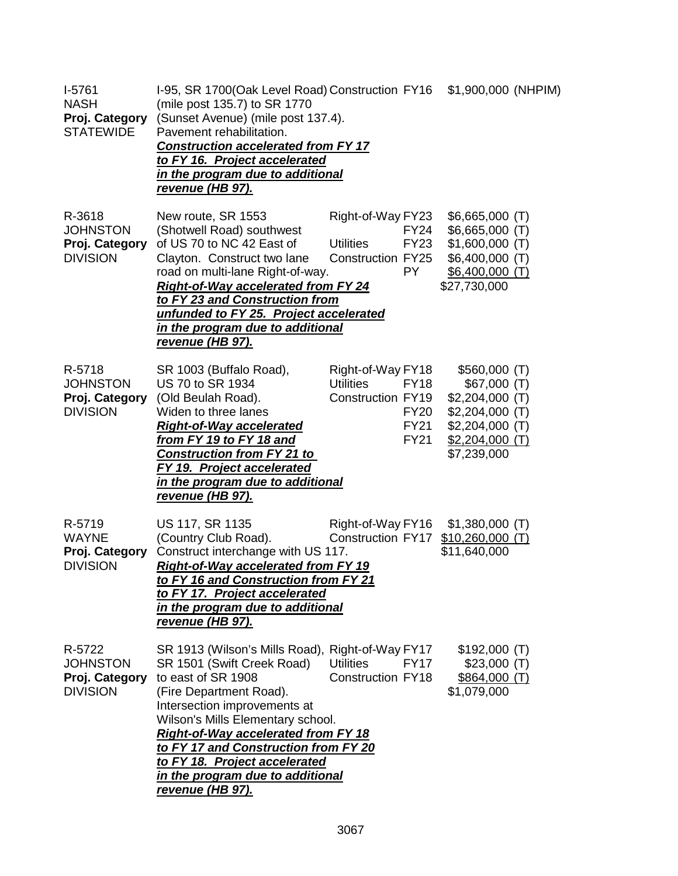| $I-5761$<br><b>NASH</b><br>Proj. Category<br><b>STATEWIDE</b>  | I-95, SR 1700(Oak Level Road) Construction FY16 \$1,900,000 (NHPIM)<br>(mile post 135.7) to SR 1770<br>(Sunset Avenue) (mile post 137.4).<br>Pavement rehabilitation.<br><b>Construction accelerated from FY 17</b><br>to FY 16. Project accelerated<br>in the program due to additional<br>revenue (HB 97).                                                                        |                                                                                                                        |                                                                                                                            |
|----------------------------------------------------------------|-------------------------------------------------------------------------------------------------------------------------------------------------------------------------------------------------------------------------------------------------------------------------------------------------------------------------------------------------------------------------------------|------------------------------------------------------------------------------------------------------------------------|----------------------------------------------------------------------------------------------------------------------------|
| R-3618<br><b>JOHNSTON</b><br>Proj. Category<br><b>DIVISION</b> | New route, SR 1553<br>(Shotwell Road) southwest<br>of US 70 to NC 42 East of<br>Clayton. Construct two lane<br>road on multi-lane Right-of-way.<br><b>Right-of-Way accelerated from FY 24</b><br>to FY 23 and Construction from<br>unfunded to FY 25. Project accelerated<br>in the program due to additional<br><u>revenue (HB 97).</u>                                            | Right-of-Way FY23<br>FY24<br><b>Utilities</b><br><b>FY23</b><br>Construction FY25<br><b>PY</b>                         | $$6,665,000$ (T)<br>$$6,665,000$ (T)<br>$$1,600,000$ (T)<br>\$6,400,000 (T)<br>$$6,400,000$ (T)<br>\$27,730,000            |
| R-5718<br><b>JOHNSTON</b><br>Proj. Category<br><b>DIVISION</b> | SR 1003 (Buffalo Road),<br>US 70 to SR 1934<br>(Old Beulah Road).<br>Widen to three lanes<br><b>Right-of-Way accelerated</b><br>from FY 19 to FY 18 and<br><b>Construction from FY 21 to</b><br>FY 19. Project accelerated<br>in the program due to additional<br>revenue (HB 97).                                                                                                  | Right-of-Way FY18<br><b>Utilities</b><br><b>FY18</b><br>Construction FY19<br><b>FY20</b><br><b>FY21</b><br><b>FY21</b> | \$560,000(T)<br>\$67,000(T)<br>$$2,204,000$ (T)<br>$$2,204,000$ (T)<br>$$2,204,000$ (T)<br>$$2,204,000$ (T)<br>\$7,239,000 |
| R-5719<br><b>WAYNE</b><br>Proj. Category<br><b>DIVISION</b>    | US 117, SR 1135<br>(Country Club Road).<br>Construct interchange with US 117.<br><b>Right-of-Way accelerated from FY 19</b><br>to FY 16 and Construction from FY 21<br>to FY 17. Project accelerated<br>in the program due to additional<br><u>revenue (HB 97).</u>                                                                                                                 | Right-of-Way FY16<br><b>Construction FY17</b>                                                                          | $$1,380,000$ (T)<br>$$10,260,000$ (T)<br>\$11,640,000                                                                      |
| R-5722<br><b>JOHNSTON</b><br>Proj. Category<br><b>DIVISION</b> | SR 1913 (Wilson's Mills Road), Right-of-Way FY17<br>SR 1501 (Swift Creek Road)<br>to east of SR 1908<br>(Fire Department Road).<br>Intersection improvements at<br>Wilson's Mills Elementary school.<br><b>Right-of-Way accelerated from FY 18</b><br>to FY 17 and Construction from FY 20<br>to FY 18. Project accelerated<br>in the program due to additional<br>revenue (HB 97). | <b>Utilities</b><br><b>FY17</b><br><b>Construction FY18</b>                                                            | $$192,000$ (T)<br>$$23,000$ (T)<br>\$864,000(T)<br>\$1,079,000                                                             |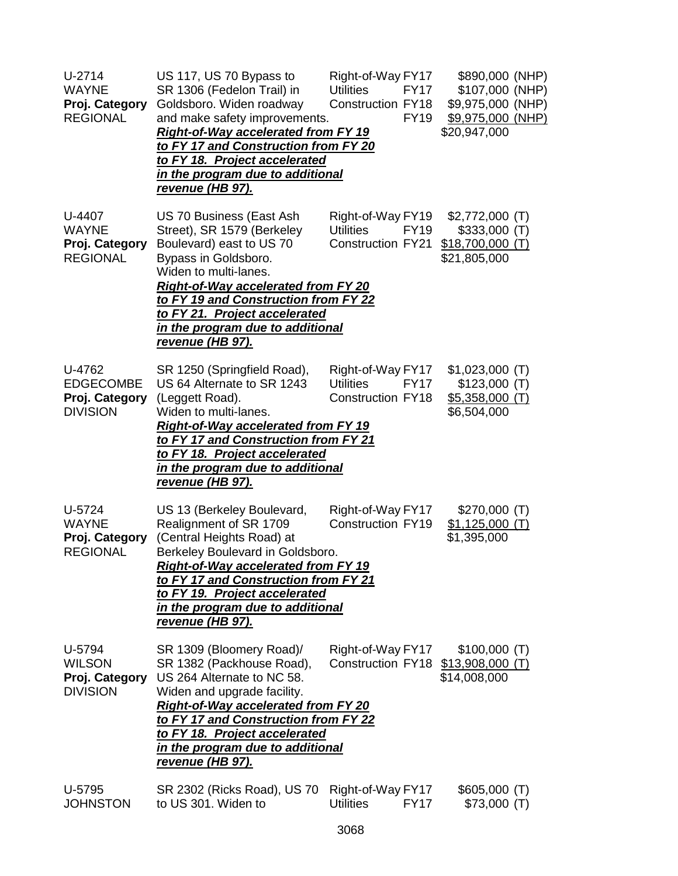| $U-2714$<br><b>WAYNE</b><br>Proj. Category<br><b>REGIONAL</b>   | US 117, US 70 Bypass to<br>SR 1306 (Fedelon Trail) in<br>Goldsboro. Widen roadway<br>and make safety improvements.<br><b>Right-of-Way accelerated from FY 19</b><br>to FY 17 and Construction from FY 20<br>to FY 18. Project accelerated<br>in the program due to additional<br><u>revenue (HB 97).</u>                  | Right-of-Way FY17<br><b>Utilities</b><br><b>FY17</b><br><b>Construction FY18</b><br><b>FY19</b> | \$890,000 (NHP)<br>\$107,000 (NHP)<br>\$9,975,000 (NHP)<br>\$9,975,000 (NHP)<br>\$20,947,000 |
|-----------------------------------------------------------------|---------------------------------------------------------------------------------------------------------------------------------------------------------------------------------------------------------------------------------------------------------------------------------------------------------------------------|-------------------------------------------------------------------------------------------------|----------------------------------------------------------------------------------------------|
| U-4407<br><b>WAYNE</b><br>Proj. Category<br><b>REGIONAL</b>     | US 70 Business (East Ash<br>Street), SR 1579 (Berkeley<br>Boulevard) east to US 70<br>Bypass in Goldsboro.<br>Widen to multi-lanes.<br><b>Right-of-Way accelerated from FY 20</b><br>to FY 19 and Construction from FY 22<br>to FY 21. Project accelerated<br>in the program due to additional<br><u>revenue (HB 97).</u> | Right-of-Way FY19<br><b>Utilities</b><br><b>FY19</b><br><b>Construction FY21</b>                | $$2,772,000$ (T)<br>$$333,000$ (T)<br>$$18,700,000$ (T)<br>\$21,805,000                      |
| U-4762<br><b>EDGECOMBE</b><br>Proj. Category<br><b>DIVISION</b> | SR 1250 (Springfield Road),<br>US 64 Alternate to SR 1243<br>(Leggett Road).<br>Widen to multi-lanes.<br><b>Right-of-Way accelerated from FY 19</b><br>to FY 17 and Construction from FY 21<br>to FY 18. Project accelerated<br>in the program due to additional<br>revenue (HB 97).                                      | Right-of-Way FY17<br><b>Utilities</b><br><b>FY17</b><br><b>Construction FY18</b>                | $$1,023,000$ (T)<br>\$123,000(T)<br>$$5,358,000$ (T)<br>\$6,504,000                          |
| U-5724<br><b>WAYNE</b><br>Proj. Category<br><b>REGIONAL</b>     | US 13 (Berkeley Boulevard,<br>Realignment of SR 1709<br>(Central Heights Road) at<br>Berkeley Boulevard in Goldsboro.<br><b>Right-of-Way accelerated from FY 19</b><br><u>to FY 17 and Construction from FY 21</u><br>to FY 19. Project accelerated<br>in the program due to additional<br>revenue (HB 97).               | Right-of-Way FY17<br><b>Construction FY19</b>                                                   | $$270,000$ (T)<br>$$1,125,000$ (T)<br>\$1,395,000                                            |
| U-5794<br><b>WILSON</b><br>Proj. Category<br><b>DIVISION</b>    | SR 1309 (Bloomery Road)/<br>SR 1382 (Packhouse Road),<br>US 264 Alternate to NC 58.<br>Widen and upgrade facility.<br><b>Right-of-Way accelerated from FY 20</b><br>to FY 17 and Construction from FY 22<br>to FY 18. Project accelerated<br>in the program due to additional<br><u>revenue (HB 97).</u>                  | Right-of-Way FY17<br>Construction FY18 \$13,908,000 (T)                                         | \$100,000(T)<br>\$14,008,000                                                                 |
| U-5795<br><b>JOHNSTON</b>                                       | SR 2302 (Ricks Road), US 70<br>to US 301. Widen to                                                                                                                                                                                                                                                                        | Right-of-Way FY17<br><b>Utilities</b><br><b>FY17</b>                                            | \$605,000(T)<br>\$73,000(T)                                                                  |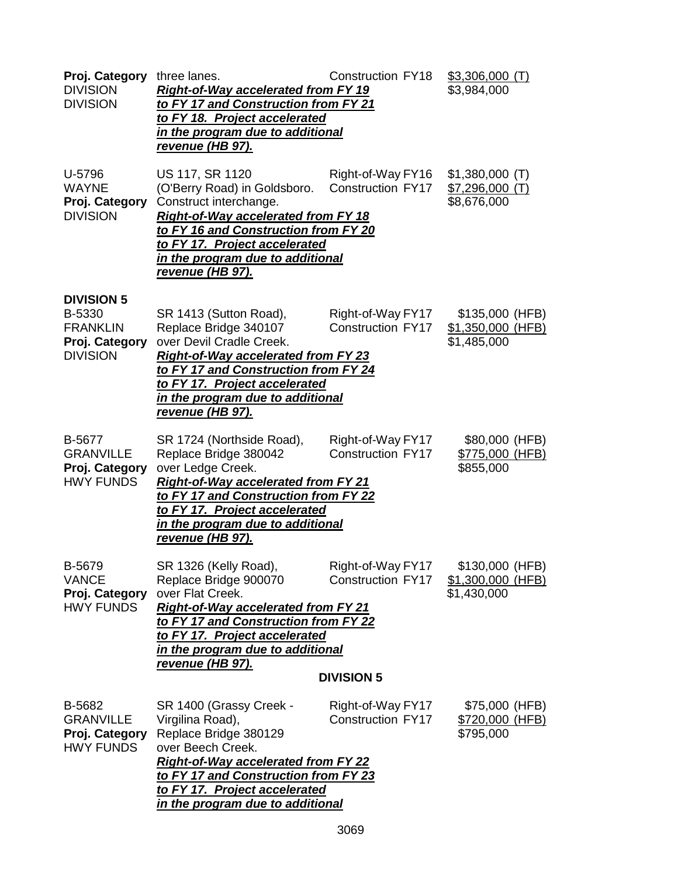| Proj. Category<br><b>DIVISION</b><br><b>DIVISION</b>                                | three lanes.<br><b>Right-of-Way accelerated from FY 19</b><br>to FY 17 and Construction from FY 21<br>to FY 18. Project accelerated<br>in the program due to additional<br><u>revenue (HB 97).</u>                                                                | <b>Construction FY18</b>                                           | $$3,306,000$ (T)<br>\$3,984,000                     |
|-------------------------------------------------------------------------------------|-------------------------------------------------------------------------------------------------------------------------------------------------------------------------------------------------------------------------------------------------------------------|--------------------------------------------------------------------|-----------------------------------------------------|
| U-5796<br><b>WAYNE</b><br>Proj. Category<br><b>DIVISION</b>                         | US 117, SR 1120<br>(O'Berry Road) in Goldsboro.<br>Construct interchange.<br><b>Right-of-Way accelerated from FY 18</b><br>to FY 16 and Construction from FY 20<br>to FY 17. Project accelerated<br>in the program due to additional<br><u>revenue (HB 97).</u>   | Right-of-Way FY16<br><b>Construction FY17</b>                      | $$1,380,000$ (T)<br>$$7,296,000$ (T)<br>\$8,676,000 |
| <b>DIVISION 5</b><br>B-5330<br><b>FRANKLIN</b><br>Proj. Category<br><b>DIVISION</b> | SR 1413 (Sutton Road),<br>Replace Bridge 340107<br>over Devil Cradle Creek.<br><b>Right-of-Way accelerated from FY 23</b><br>to FY 17 and Construction from FY 24<br>to FY 17. Project accelerated<br>in the program due to additional<br><u>revenue (HB 97).</u> | Right-of-Way FY17<br><b>Construction FY17</b>                      | \$135,000 (HFB)<br>\$1,350,000 (HFB)<br>\$1,485,000 |
| B-5677<br><b>GRANVILLE</b><br>Proj. Category<br><b>HWY FUNDS</b>                    | SR 1724 (Northside Road),<br>Replace Bridge 380042<br>over Ledge Creek.<br><b>Right-of-Way accelerated from FY 21</b><br>to FY 17 and Construction from FY 22<br>to FY 17. Project accelerated<br>in the program due to additional<br><u>revenue (HB 97).</u>     | Right-of-Way FY17<br><b>Construction FY17</b>                      | \$80,000 (HFB)<br>\$775,000 (HFB)<br>\$855,000      |
| B-5679<br><b>VANCE</b><br>Proj. Category<br><b>HWY FUNDS</b>                        | SR 1326 (Kelly Road),<br>Replace Bridge 900070<br>over Flat Creek.<br><b>Right-of-Way accelerated from FY 21</b><br>to FY 17 and Construction from FY 22<br>to FY 17. Project accelerated<br>in the program due to additional<br><u>revenue (HB 97).</u>          | Right-of-Way FY17<br><b>Construction FY17</b><br><b>DIVISION 5</b> | \$130,000 (HFB)<br>\$1,300,000 (HFB)<br>\$1,430,000 |
| B-5682<br><b>GRANVILLE</b><br>Proj. Category<br><b>HWY FUNDS</b>                    | SR 1400 (Grassy Creek -<br>Virgilina Road),<br>Replace Bridge 380129<br>over Beech Creek.<br><b>Right-of-Way accelerated from FY 22</b><br>to FY 17 and Construction from FY 23<br>to FY 17. Project accelerated<br>in the program due to additional              | Right-of-Way FY17<br><b>Construction FY17</b>                      | \$75,000 (HFB)<br>\$720,000 (HFB)<br>\$795,000      |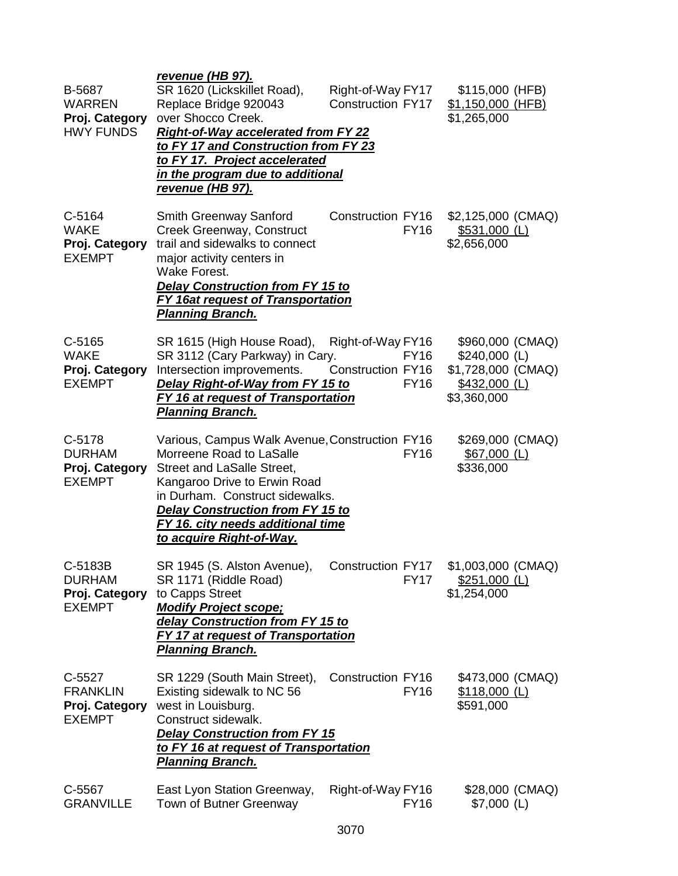| B-5687<br><b>WARREN</b><br>Proj. Category<br><b>HWY FUNDS</b> | <u>revenue (HB 97).</u><br>SR 1620 (Lickskillet Road),<br>Replace Bridge 920043<br>over Shocco Creek.<br><b>Right-of-Way accelerated from FY 22</b><br>to FY 17 and Construction from FY 23<br>to FY 17. Project accelerated<br><u>in the program due to additional</u><br><u>revenue (HB 97).</u> | Right-of-Way FY17<br><b>Construction FY17</b>                        | \$115,000 (HFB)<br>\$1,150,000 (HFB)<br>\$1,265,000                                      |
|---------------------------------------------------------------|----------------------------------------------------------------------------------------------------------------------------------------------------------------------------------------------------------------------------------------------------------------------------------------------------|----------------------------------------------------------------------|------------------------------------------------------------------------------------------|
| C-5164<br><b>WAKE</b><br>Proj. Category<br><b>EXEMPT</b>      | <b>Smith Greenway Sanford</b><br>Creek Greenway, Construct<br>trail and sidewalks to connect<br>major activity centers in<br>Wake Forest.<br><b>Delay Construction from FY 15 to</b><br><b>FY 16at request of Transportation</b><br><b>Planning Branch.</b>                                        | Construction FY16<br><b>FY16</b>                                     | \$2,125,000 (CMAQ)<br>$$531,000$ (L)<br>\$2,656,000                                      |
| $C-5165$<br><b>WAKE</b><br>Proj. Category<br><b>EXEMPT</b>    | SR 1615 (High House Road),<br>SR 3112 (Cary Parkway) in Cary.<br>Intersection improvements.<br>Delay Right-of-Way from FY 15 to<br><b>FY 16 at request of Transportation</b><br><u>Planning Branch.</u>                                                                                            | Right-of-Way FY16<br><b>FY16</b><br>Construction FY16<br><b>FY16</b> | \$960,000 (CMAQ)<br>$$240,000$ (L)<br>\$1,728,000 (CMAQ)<br>\$432,000 (L)<br>\$3,360,000 |
| C-5178<br><b>DURHAM</b><br>Proj. Category<br><b>EXEMPT</b>    | Various, Campus Walk Avenue, Construction FY16<br>Morreene Road to LaSalle<br>Street and LaSalle Street,<br>Kangaroo Drive to Erwin Road<br>in Durham. Construct sidewalks.<br><b>Delay Construction from FY 15 to</b><br>FY 16. city needs additional time<br>to acquire Right-of-Way.            | <b>FY16</b>                                                          | \$269,000 (CMAQ)<br>$$67,000$ (L)<br>\$336,000                                           |
| C-5183B<br><b>DURHAM</b><br>Proj. Category<br><b>EXEMPT</b>   | SR 1945 (S. Alston Avenue),<br>SR 1171 (Riddle Road)<br>to Capps Street<br><b>Modify Project scope:</b><br>delay Construction from FY 15 to<br>FY 17 at request of Transportation<br><u> Planning Branch.</u>                                                                                      | <b>Construction FY17</b><br><b>FY17</b>                              | \$1,003,000 (CMAQ)<br>$$251,000$ (L)<br>\$1,254,000                                      |
| C-5527<br><b>FRANKLIN</b><br>Proj. Category<br><b>EXEMPT</b>  | SR 1229 (South Main Street),<br>Existing sidewalk to NC 56<br>west in Louisburg.<br>Construct sidewalk.<br><b>Delay Construction from FY 15</b><br>to FY 16 at request of Transportation<br><u>Planning Branch.</u>                                                                                | <b>Construction FY16</b><br><b>FY16</b>                              | \$473,000 (CMAQ)<br>$$118,000$ (L)<br>\$591,000                                          |
| C-5567<br><b>GRANVILLE</b>                                    | East Lyon Station Greenway,<br>Town of Butner Greenway                                                                                                                                                                                                                                             | Right-of-Way FY16<br><b>FY16</b>                                     | \$28,000 (CMAQ)<br>$$7,000$ (L)                                                          |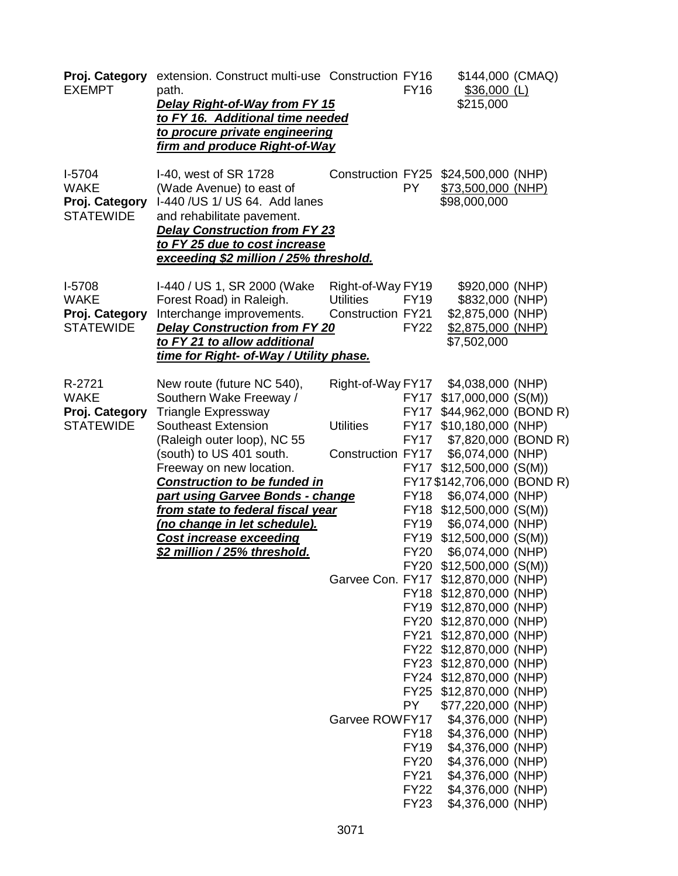| Proj. Category<br><b>EXEMPT</b>                               | extension. Construct multi-use Construction FY16<br>path.<br><b>Delay Right-of-Way from FY 15</b><br>to FY 16. Additional time needed<br>to procure private engineering<br>firm and produce Right-of-Way                            |                                                                   | <b>FY16</b>                                              | \$144,000 (CMAQ)<br>$$36,000$ (L)<br>\$215,000                                                                                                                                                                                                  |  |
|---------------------------------------------------------------|-------------------------------------------------------------------------------------------------------------------------------------------------------------------------------------------------------------------------------------|-------------------------------------------------------------------|----------------------------------------------------------|-------------------------------------------------------------------------------------------------------------------------------------------------------------------------------------------------------------------------------------------------|--|
| $I-5704$<br><b>WAKE</b><br>Proj. Category<br><b>STATEWIDE</b> | I-40, west of SR 1728<br>(Wade Avenue) to east of<br>I-440 /US 1/ US 64. Add lanes<br>and rehabilitate pavement.<br><b>Delay Construction from FY 23</b><br>to FY 25 due to cost increase<br>exceeding \$2 million / 25% threshold. | <b>Construction FY25</b>                                          | PY.                                                      | \$24,500,000 (NHP)<br>\$73,500,000 (NHP)<br>\$98,000,000                                                                                                                                                                                        |  |
| $I-5708$<br><b>WAKE</b><br>Proj. Category<br><b>STATEWIDE</b> | I-440 / US 1, SR 2000 (Wake<br>Forest Road) in Raleigh.<br>Interchange improvements.<br><b>Delay Construction from FY 20</b><br>to FY 21 to allow additional<br>time for Right- of-Way / Utility phase.                             | Right-of-Way FY19<br><b>Utilities</b><br><b>Construction FY21</b> | <b>FY19</b><br><b>FY22</b>                               | \$920,000 (NHP)<br>\$832,000 (NHP)<br>\$2,875,000 (NHP)<br>\$2,875,000 (NHP)<br>\$7,502,000                                                                                                                                                     |  |
| R-2721<br><b>WAKE</b><br>Proj. Category<br><b>STATEWIDE</b>   | New route (future NC 540),<br>Southern Wake Freeway /<br><b>Triangle Expressway</b><br><b>Southeast Extension</b><br>(Raleigh outer loop), NC 55<br>(south) to US 401 south.<br>Freeway on new location.                            | Right-of-Way FY17<br><b>Utilities</b><br>Construction FY17        | <b>FY17</b><br><b>FY17</b>                               | \$4,038,000 (NHP)<br>FY17 \$17,000,000 (S(M))<br>\$44,962,000 (BOND R)<br>FY17 \$10,180,000 (NHP)<br>\$7,820,000 (BOND R)<br>\$6,074,000 (NHP)<br>FY17 \$12,500,000 (S(M))                                                                      |  |
|                                                               | <b>Construction to be funded in</b><br>part using Garvee Bonds - change<br><u>from state to federal fiscal year</u><br>(no change in let schedule).<br><b>Cost increase exceeding</b><br>\$2 million / 25% threshold.               |                                                                   | <b>FY18</b><br><b>FY19</b><br><b>FY19</b><br><b>FY20</b> | FY17 \$142,706,000 (BOND R)<br>\$6,074,000 (NHP)<br>FY18 \$12,500,000 (S(M))<br>\$6,074,000 (NHP)<br>$$12,500,000$ (S(M))<br>\$6,074,000 (NHP)<br>FY20 \$12,500,000 (S(M))                                                                      |  |
|                                                               |                                                                                                                                                                                                                                     |                                                                   |                                                          | Garvee Con. FY17 \$12,870,000 (NHP)<br>FY18 \$12,870,000 (NHP)<br>FY19 \$12,870,000 (NHP)<br>FY20 \$12,870,000 (NHP)<br>FY21 \$12,870,000 (NHP)<br>FY22 \$12,870,000 (NHP)<br>FY23 \$12,870,000 (NHP)                                           |  |
|                                                               |                                                                                                                                                                                                                                     | Garvee ROWFY17                                                    | <b>PY</b><br><b>FY22</b><br><b>FY23</b>                  | FY24 \$12,870,000 (NHP)<br>FY25 \$12,870,000 (NHP)<br>\$77,220,000 (NHP)<br>\$4,376,000 (NHP)<br>FY18 \$4,376,000 (NHP)<br>FY19 \$4,376,000 (NHP)<br>FY20 \$4,376,000 (NHP)<br>FY21 \$4,376,000 (NHP)<br>\$4,376,000 (NHP)<br>\$4,376,000 (NHP) |  |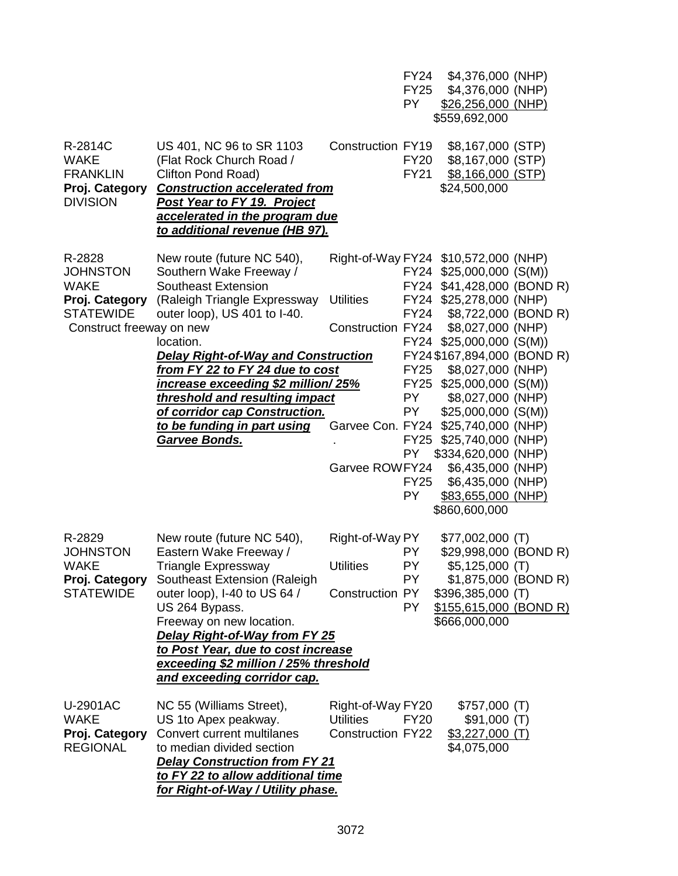|                                                                                |                                                                                                                                                                                                                                                                                                                                          |                                                                   | <b>FY24</b><br><b>FY25</b><br>PY.                                                   | \$4,376,000 (NHP)<br>\$4,376,000 (NHP)<br>\$26,256,000 (NHP)<br>\$559,692,000                                                                                                                                                                                                                                                                   |  |
|--------------------------------------------------------------------------------|------------------------------------------------------------------------------------------------------------------------------------------------------------------------------------------------------------------------------------------------------------------------------------------------------------------------------------------|-------------------------------------------------------------------|-------------------------------------------------------------------------------------|-------------------------------------------------------------------------------------------------------------------------------------------------------------------------------------------------------------------------------------------------------------------------------------------------------------------------------------------------|--|
| R-2814C<br><b>WAKE</b><br><b>FRANKLIN</b><br>Proj. Category<br><b>DIVISION</b> | US 401, NC 96 to SR 1103<br>(Flat Rock Church Road /<br>Clifton Pond Road)<br><b>Construction accelerated from</b><br>Post Year to FY 19. Project<br>accelerated in the program due<br>to additional revenue (HB 97).                                                                                                                    | Construction FY19                                                 | <b>FY20</b><br><b>FY21</b>                                                          | \$8,167,000 (STP)<br>\$8,167,000 (STP)<br>\$8,166,000 (STP)<br>\$24,500,000                                                                                                                                                                                                                                                                     |  |
| R-2828<br><b>JOHNSTON</b><br><b>WAKE</b><br>Proj. Category<br><b>STATEWIDE</b> | New route (future NC 540),<br>Southern Wake Freeway /<br>Southeast Extension<br>(Raleigh Triangle Expressway<br>outer loop), US 401 to I-40.                                                                                                                                                                                             | <b>Utilities</b>                                                  | <b>FY24</b>                                                                         | Right-of-Way FY24 \$10,572,000 (NHP)<br>FY24 \$25,000,000 (S(M))<br>FY24 \$41,428,000 (BOND R)<br>FY24 \$25,278,000 (NHP)<br>\$8,722,000 (BOND R)                                                                                                                                                                                               |  |
| Construct freeway on new                                                       | location.<br><b>Delay Right-of-Way and Construction</b><br>from FY 22 to FY 24 due to cost<br>increase exceeding \$2 million/25%<br>threshold and resulting impact<br>of corridor cap Construction.<br>to be funding in part using<br><u>Garvee Bonds.</u>                                                                               | Construction FY24<br>Garvee ROWFY24                               | <b>FY25</b><br>PY F<br><b>PY</b><br><b>FY25</b><br>PY -<br><b>FY25</b><br><b>PY</b> | \$8,027,000 (NHP)<br>FY24 \$25,000,000 (S(M))<br>FY24 \$167,894,000 (BOND R)<br>\$8,027,000 (NHP)<br>FY25 \$25,000,000 (S(M))<br>\$8,027,000 (NHP)<br>$$25,000,000$ (S(M))<br>Garvee Con. FY24 \$25,740,000 (NHP)<br>\$25,740,000 (NHP)<br>\$334,620,000 (NHP)<br>\$6,435,000 (NHP)<br>\$6,435,000 (NHP)<br>\$83,655,000 (NHP)<br>\$860,600,000 |  |
| R-2829<br><b>JOHNSTON</b><br><b>WAKE</b><br>Proj. Category<br><b>STATEWIDE</b> | New route (future NC 540),<br>Eastern Wake Freeway /<br>Triangle Expressway<br>Southeast Extension (Raleigh<br>outer loop), I-40 to US 64 /<br>US 264 Bypass.<br>Freeway on new location.<br>Delay Right-of-Way from FY 25<br>to Post Year, due to cost increase<br>exceeding \$2 million / 25% threshold<br>and exceeding corridor cap. | Right-of-Way PY<br><b>Utilities</b><br>Construction PY            | PY.<br>PY<br>PY.<br>PY.                                                             | $$77,002,000$ (T)<br>\$29,998,000 (BOND R)<br>$$5,125,000$ (T)<br>\$1,875,000 (BOND R)<br>\$396,385,000 (T)<br>\$155,615,000 (BOND R)<br>\$666,000,000                                                                                                                                                                                          |  |
| U-2901AC<br><b>WAKE</b><br>Proj. Category<br><b>REGIONAL</b>                   | NC 55 (Williams Street),<br>US 1 to Apex peakway.<br>Convert current multilanes<br>to median divided section<br><b>Delay Construction from FY 21</b><br>to FY 22 to allow additional time<br>for Right-of-Way / Utility phase.                                                                                                           | Right-of-Way FY20<br><b>Utilities</b><br><b>Construction FY22</b> | FY20                                                                                | \$757,000 (T)<br>\$91,000 (T)<br>$$3,227,000$ (T)<br>\$4,075,000                                                                                                                                                                                                                                                                                |  |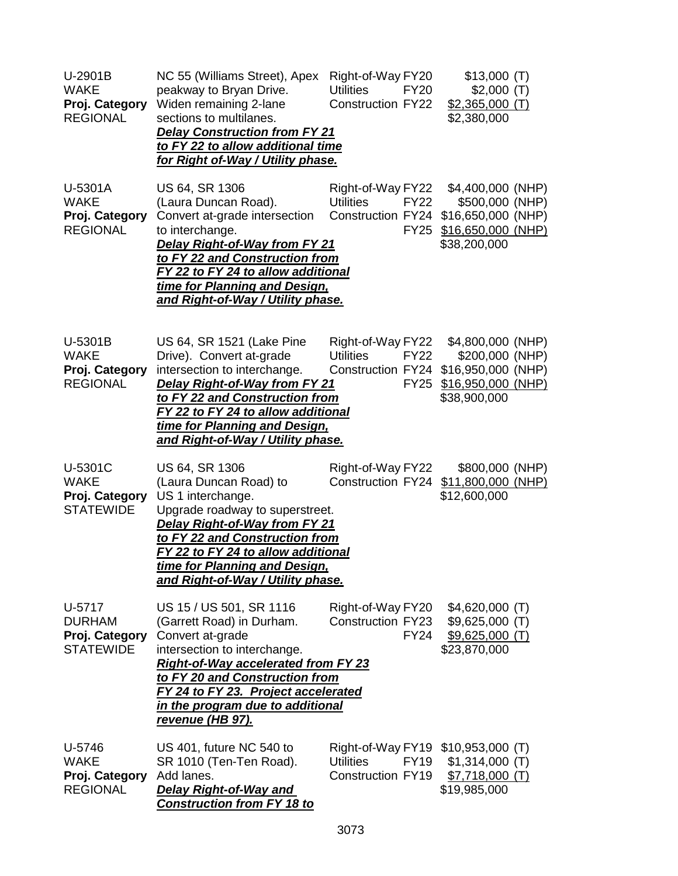| U-2901B<br><b>WAKE</b><br>Proj. Category<br><b>REGIONAL</b>   | NC 55 (Williams Street), Apex<br>peakway to Bryan Drive.<br>Widen remaining 2-lane<br>sections to multilanes.<br><b>Delay Construction from FY 21</b><br>to FY 22 to allow additional time<br><u>for Right of-Way / Utility phase.</u>                                                         | Right-of-Way FY20<br><b>Utilities</b><br><b>FY20</b><br><b>Construction FY22</b>                  | \$13,000(T)<br>\$2,000(T)<br>$$2,365,000$ (T)<br>\$2,380,000                                     |
|---------------------------------------------------------------|------------------------------------------------------------------------------------------------------------------------------------------------------------------------------------------------------------------------------------------------------------------------------------------------|---------------------------------------------------------------------------------------------------|--------------------------------------------------------------------------------------------------|
| U-5301A<br><b>WAKE</b><br>Proj. Category<br><b>REGIONAL</b>   | US 64, SR 1306<br>(Laura Duncan Road).<br>Convert at-grade intersection<br>to interchange.<br><b>Delay Right-of-Way from FY 21</b><br>to FY 22 and Construction from<br>FY 22 to FY 24 to allow additional<br>time for Planning and Design,<br>and Right-of-Way / Utility phase.               | Right-of-Way FY22<br><b>Utilities</b><br><b>FY22</b><br><b>Construction FY24</b><br><b>FY25</b>   | \$4,400,000 (NHP)<br>\$500,000 (NHP)<br>\$16,650,000 (NHP)<br>\$16,650,000 (NHP)<br>\$38,200,000 |
| U-5301B<br><b>WAKE</b><br>Proj. Category<br><b>REGIONAL</b>   | US 64, SR 1521 (Lake Pine<br>Drive). Convert at-grade<br>intersection to interchange.<br>Delay Right-of-Way from FY 21<br>to FY 22 and Construction from<br>FY 22 to FY 24 to allow additional<br>time for Planning and Design,<br>and Right-of-Way / Utility phase.                           | Right-of-Way FY22<br><b>Utilities</b><br><b>FY22</b><br>Construction FY24<br><b>FY25</b>          | \$4,800,000 (NHP)<br>\$200,000 (NHP)<br>\$16,950,000 (NHP)<br>\$16,950,000 (NHP)<br>\$38,900,000 |
| U-5301C<br><b>WAKE</b><br>Proj. Category<br><b>STATEWIDE</b>  | US 64, SR 1306<br>(Laura Duncan Road) to<br>US 1 interchange.<br>Upgrade roadway to superstreet.<br>Delay Right-of-Way from FY 21<br>to FY 22 and Construction from<br><u>FY 22 to FY 24 to allow additional</u><br>time for Planning and Design,<br>and Right-of-Way / Utility phase.         | Right-of-Way FY22<br>Construction FY24                                                            | \$800,000 (NHP)<br>\$11,800,000 (NHP)<br>\$12,600,000                                            |
| U-5717<br><b>DURHAM</b><br>Proj. Category<br><b>STATEWIDE</b> | US 15 / US 501, SR 1116<br>(Garrett Road) in Durham.<br>Convert at-grade<br>intersection to interchange.<br><b>Right-of-Way accelerated from FY 23</b><br>to FY 20 and Construction from<br>FY 24 to FY 23. Project accelerated<br>in the program due to additional<br><u>revenue (HB 97).</u> | Right-of-Way FY20<br><b>Construction FY23</b><br><b>FY24</b>                                      | $$4,620,000$ (T)<br>$$9,625,000$ (T)<br>$$9,625,000$ (T)<br>\$23,870,000                         |
| U-5746<br><b>WAKE</b><br>Proj. Category<br><b>REGIONAL</b>    | US 401, future NC 540 to<br>SR 1010 (Ten-Ten Road).<br>Add lanes.<br><b>Delay Right-of-Way and</b><br><b>Construction from FY 18 to</b>                                                                                                                                                        | Right-of-Way FY19 \$10,953,000 (T)<br><b>Utilities</b><br><b>FY19</b><br><b>Construction FY19</b> | $$1,314,000$ (T)<br>$$7,718,000$ (T)<br>\$19,985,000                                             |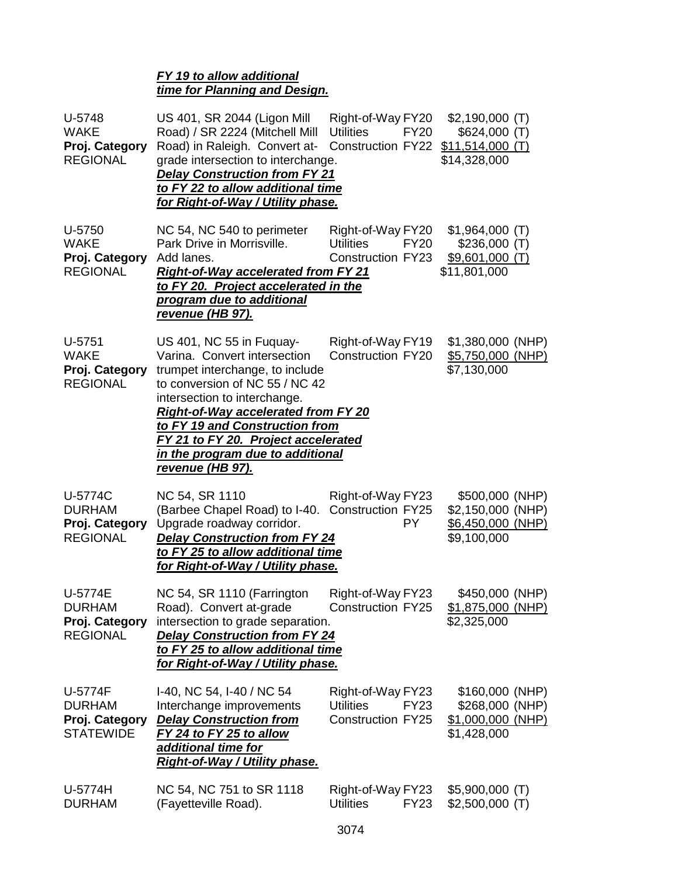# *FY 19 to allow additional time for Planning and Design.*

| U-5748<br><b>WAKE</b><br>Proj. Category<br><b>REGIONAL</b>     | US 401, SR 2044 (Ligon Mill<br>Road) / SR 2224 (Mitchell Mill<br>Road) in Raleigh. Convert at-<br>grade intersection to interchange.<br><b>Delay Construction from FY 21</b><br>to FY 22 to allow additional time<br><u>for Right-of-Way / Utility phase.</u>                                                                                       | Right-of-Way FY20<br><b>Utilities</b><br><b>FY20</b><br>Construction FY22 \$11,514,000 (T) | $$2,190,000$ (T)<br>\$624,000(T)<br>\$14,328,000                         |
|----------------------------------------------------------------|-----------------------------------------------------------------------------------------------------------------------------------------------------------------------------------------------------------------------------------------------------------------------------------------------------------------------------------------------------|--------------------------------------------------------------------------------------------|--------------------------------------------------------------------------|
| U-5750<br><b>WAKE</b><br>Proj. Category<br><b>REGIONAL</b>     | NC 54, NC 540 to perimeter<br>Park Drive in Morrisville.<br>Add lanes.<br><b>Right-of-Way accelerated from FY 21</b><br>to FY 20. Project accelerated in the<br>program due to additional<br>revenue (HB 97).                                                                                                                                       | Right-of-Way FY20<br><b>FY20</b><br><b>Utilities</b><br><b>Construction FY23</b>           | $$1,964,000$ (T)<br>\$236,000(T)<br>\$9,601,000 (T)<br>\$11,801,000      |
| U-5751<br><b>WAKE</b><br>Proj. Category<br><b>REGIONAL</b>     | US 401, NC 55 in Fuquay-<br>Varina. Convert intersection<br>trumpet interchange, to include<br>to conversion of NC 55 / NC 42<br>intersection to interchange.<br><b>Right-of-Way accelerated from FY 20</b><br>to FY 19 and Construction from<br>FY 21 to FY 20. Project accelerated<br><u>in the program due to additional</u><br>revenue (HB 97). | Right-of-Way FY19<br><b>Construction FY20</b>                                              | \$1,380,000 (NHP)<br>\$5,750,000 (NHP)<br>\$7,130,000                    |
| U-5774C<br><b>DURHAM</b><br>Proj. Category<br><b>REGIONAL</b>  | NC 54, SR 1110<br>(Barbee Chapel Road) to I-40. Construction FY25<br>Upgrade roadway corridor.<br><b>Delay Construction from FY 24</b><br>to FY 25 to allow additional time<br>for Right-of-Way / Utility phase.                                                                                                                                    | Right-of-Way FY23<br>PY.                                                                   | \$500,000 (NHP)<br>\$2,150,000 (NHP)<br>\$6,450,000 (NHP)<br>\$9,100,000 |
| U-5774E<br><b>DURHAM</b><br>Proj. Category<br><b>REGIONAL</b>  | NC 54, SR 1110 (Farrington<br>Road). Convert at-grade Construction FY25<br>intersection to grade separation.<br><b>Delay Construction from FY 24</b><br>to FY 25 to allow additional time<br><u>for Right-of-Way / Utility phase.</u>                                                                                                               | Right-of-Way FY23                                                                          | \$450,000 (NHP)<br>\$1,875,000 (NHP)<br>\$2,325,000                      |
| U-5774F<br><b>DURHAM</b><br>Proj. Category<br><b>STATEWIDE</b> | I-40, NC 54, I-40 / NC 54<br>Interchange improvements<br><b>Delay Construction from</b><br>FY 24 to FY 25 to allow<br>additional time for<br><u>Right-of-Way / Utility phase.</u>                                                                                                                                                                   | Right-of-Way FY23<br><b>Utilities</b><br><b>FY23</b><br><b>Construction FY25</b>           | \$160,000 (NHP)<br>\$268,000 (NHP)<br>\$1,000,000 (NHP)<br>\$1,428,000   |
| U-5774H<br><b>DURHAM</b>                                       | NC 54, NC 751 to SR 1118<br>(Fayetteville Road).                                                                                                                                                                                                                                                                                                    | Right-of-Way FY23<br><b>Utilities</b><br><b>FY23</b>                                       | $$5,900,000$ (T)<br>$$2,500,000$ (T)                                     |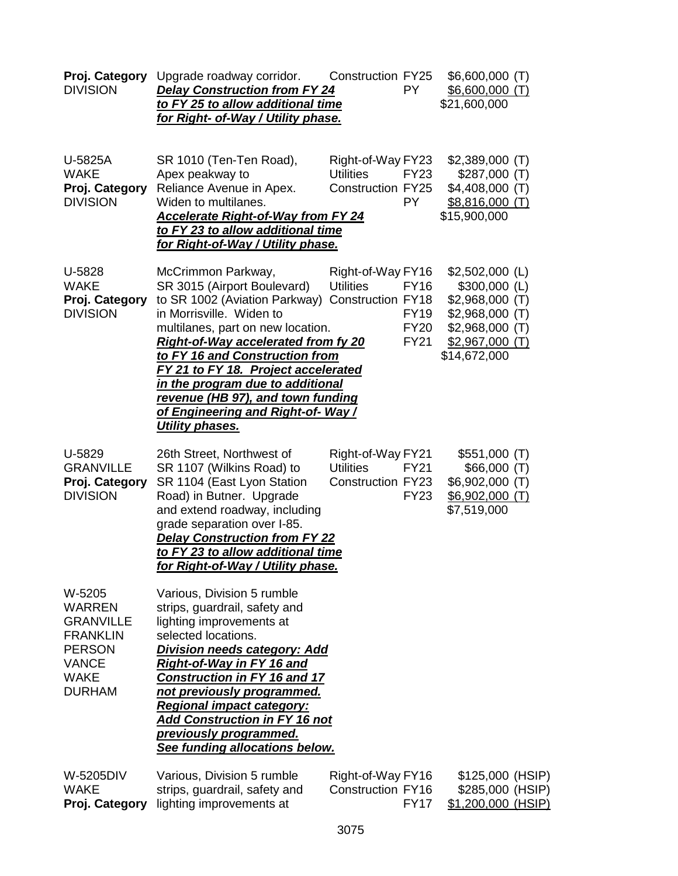| Proj. Category<br><b>DIVISION</b>                                                                                               | Upgrade roadway corridor.<br><b>Delay Construction from FY 24</b><br>to FY 25 to allow additional time<br>for Right- of-Way / Utility phase.                                                                                                                                                                                                                                                                              | <b>Construction FY25</b><br>PY.                                                                                        | \$6,600,000 (T)<br>$$6,600,000$ (T)<br>\$21,600,000                                                                               |
|---------------------------------------------------------------------------------------------------------------------------------|---------------------------------------------------------------------------------------------------------------------------------------------------------------------------------------------------------------------------------------------------------------------------------------------------------------------------------------------------------------------------------------------------------------------------|------------------------------------------------------------------------------------------------------------------------|-----------------------------------------------------------------------------------------------------------------------------------|
| U-5825A<br><b>WAKE</b><br>Proj. Category<br><b>DIVISION</b>                                                                     | SR 1010 (Ten-Ten Road),<br>Apex peakway to<br>Reliance Avenue in Apex.<br>Widen to multilanes.<br><b>Accelerate Right-of-Way from FY 24</b><br>to FY 23 to allow additional time<br>for Right-of-Way / Utility phase.                                                                                                                                                                                                     | Right-of-Way FY23<br><b>Utilities</b><br><b>FY23</b><br><b>Construction FY25</b><br><b>PY</b>                          | $$2,389,000$ (T)<br>\$287,000(T)<br>$$4,408,000$ (T)<br>\$8,816,000(T)<br>\$15,900,000                                            |
| U-5828<br><b>WAKE</b><br>Proj. Category<br><b>DIVISION</b>                                                                      | McCrimmon Parkway,<br>SR 3015 (Airport Boulevard)<br>to SR 1002 (Aviation Parkway)<br>in Morrisville. Widen to<br>multilanes, part on new location.<br><b>Right-of-Way accelerated from fy 20</b><br>to FY 16 and Construction from<br>FY 21 to FY 18. Project accelerated<br>in the program due to additional<br>revenue (HB 97), and town funding<br><u>of Engineering and Right-of-Way /</u><br><b>Utility phases.</b> | Right-of-Way FY16<br><b>Utilities</b><br><b>FY16</b><br>Construction FY18<br><b>FY19</b><br><b>FY20</b><br><b>FY21</b> | $$2,502,000$ (L)<br>$$300,000$ (L)<br>$$2,968,000$ (T)<br>$$2,968,000$ (T)<br>\$2,968,000 (T)<br>$$2,967,000$ (T)<br>\$14,672,000 |
| U-5829<br><b>GRANVILLE</b><br>Proj. Category<br><b>DIVISION</b>                                                                 | 26th Street, Northwest of<br>SR 1107 (Wilkins Road) to<br>SR 1104 (East Lyon Station<br>Road) in Butner. Upgrade<br>and extend roadway, including<br>grade separation over I-85.<br><b>Delay Construction from FY 22</b><br>to FY 23 to allow additional time<br>for Right-of-Way / Utility phase.                                                                                                                        | Right-of-Way FY21<br><b>Utilities</b><br><b>FY21</b><br><b>Construction FY23</b><br><b>FY23</b>                        | \$551,000(T)<br>\$66,000(T)<br>$$6,902,000$ (T)<br>$$6,902,000$ (T)<br>\$7,519,000                                                |
| W-5205<br><b>WARREN</b><br><b>GRANVILLE</b><br><b>FRANKLIN</b><br><b>PERSON</b><br><b>VANCE</b><br><b>WAKE</b><br><b>DURHAM</b> | Various, Division 5 rumble<br>strips, guardrail, safety and<br>lighting improvements at<br>selected locations.<br><b>Division needs category: Add</b><br><b>Right-of-Way in FY 16 and</b><br><b>Construction in FY 16 and 17</b><br>not previously programmed.<br><b>Regional impact category:</b><br><b>Add Construction in FY 16 not</b><br><b>previously programmed.</b><br>See funding allocations below.             |                                                                                                                        |                                                                                                                                   |
| W-5205DIV<br><b>WAKE</b><br>Proj. Category                                                                                      | Various, Division 5 rumble<br>strips, guardrail, safety and<br>lighting improvements at                                                                                                                                                                                                                                                                                                                                   | Right-of-Way FY16<br><b>Construction FY16</b><br><b>FY17</b>                                                           | \$125,000 (HSIP)<br>\$285,000 (HSIP)<br>\$1,200,000 (HSIP)                                                                        |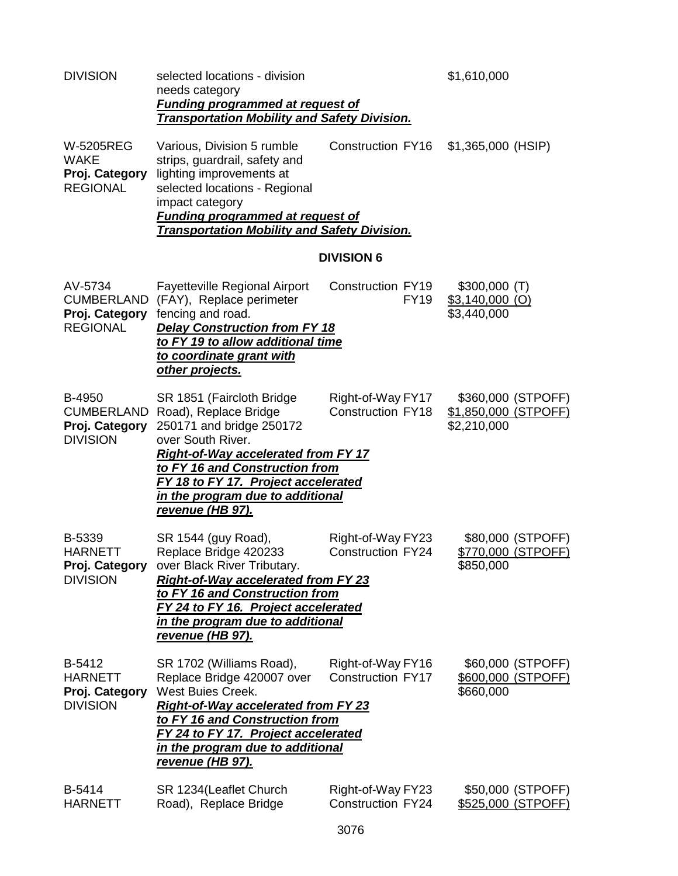| <b>DIVISION</b>                                                      | selected locations - division<br>needs category<br><b>Funding programmed at request of</b><br><b>Transportation Mobility and Safety Division.</b>                                                                                                                                         |                                               | \$1,610,000                                               |
|----------------------------------------------------------------------|-------------------------------------------------------------------------------------------------------------------------------------------------------------------------------------------------------------------------------------------------------------------------------------------|-----------------------------------------------|-----------------------------------------------------------|
| <b>W-5205REG</b><br><b>WAKE</b><br>Proj. Category<br><b>REGIONAL</b> | Various, Division 5 rumble<br>strips, guardrail, safety and<br>lighting improvements at<br>selected locations - Regional<br>impact category<br><b>Funding programmed at request of</b><br><b>Transportation Mobility and Safety Division.</b>                                             | Construction FY16                             | \$1,365,000 (HSIP)                                        |
|                                                                      |                                                                                                                                                                                                                                                                                           | <b>DIVISION 6</b>                             |                                                           |
| AV-5734<br><b>CUMBERLAND</b><br>Proj. Category<br><b>REGIONAL</b>    | <b>Fayetteville Regional Airport</b><br>(FAY), Replace perimeter<br>fencing and road.<br><b>Delay Construction from FY 18</b><br>to FY 19 to allow additional time<br>to coordinate grant with<br>other projects.                                                                         | Construction FY19<br><b>FY19</b>              | $$300,000$ (T)<br>$$3,140,000$ (O)<br>\$3,440,000         |
| <b>B-4950</b><br>CUMBERLAND<br>Proj. Category<br><b>DIVISION</b>     | SR 1851 (Faircloth Bridge<br>Road), Replace Bridge<br>250171 and bridge 250172<br>over South River.<br><b>Right-of-Way accelerated from FY 17</b><br>to FY 16 and Construction from<br>FY 18 to FY 17. Project accelerated<br>in the program due to additional<br><u>revenue (HB 97).</u> | Right-of-Way FY17<br><b>Construction FY18</b> | \$360,000 (STPOFF)<br>\$1,850,000 (STPOFF)<br>\$2,210,000 |
| B-5339<br><b>HARNETT</b><br><b>DIVISION</b>                          | SR 1544 (guy Road),<br>Replace Bridge 420233<br>Proj. Category over Black River Tributary.<br><b>Right-of-Way accelerated from FY 23</b><br>to FY 16 and Construction from<br>FY 24 to FY 16. Project accelerated<br>in the program due to additional<br><u>revenue (HB 97).</u>          | Right-of-Way FY23<br>Construction FY24        | \$80,000 (STPOFF)<br>\$770,000 (STPOFF)<br>\$850,000      |
| B-5412<br><b>HARNETT</b><br>Proj. Category<br><b>DIVISION</b>        | SR 1702 (Williams Road),<br>Replace Bridge 420007 over<br>West Buies Creek.<br><b>Right-of-Way accelerated from FY 23</b><br>to FY 16 and Construction from<br>FY 24 to FY 17. Project accelerated<br>in the program due to additional<br><u>revenue (HB 97).</u>                         | Right-of-Way FY16<br><b>Construction FY17</b> | \$60,000 (STPOFF)<br>\$600,000 (STPOFF)<br>\$660,000      |
| B-5414<br><b>HARNETT</b>                                             | SR 1234 (Leaflet Church<br>Road), Replace Bridge                                                                                                                                                                                                                                          | Right-of-Way FY23<br><b>Construction FY24</b> | \$50,000 (STPOFF)<br>\$525,000 (STPOFF)                   |
|                                                                      |                                                                                                                                                                                                                                                                                           |                                               |                                                           |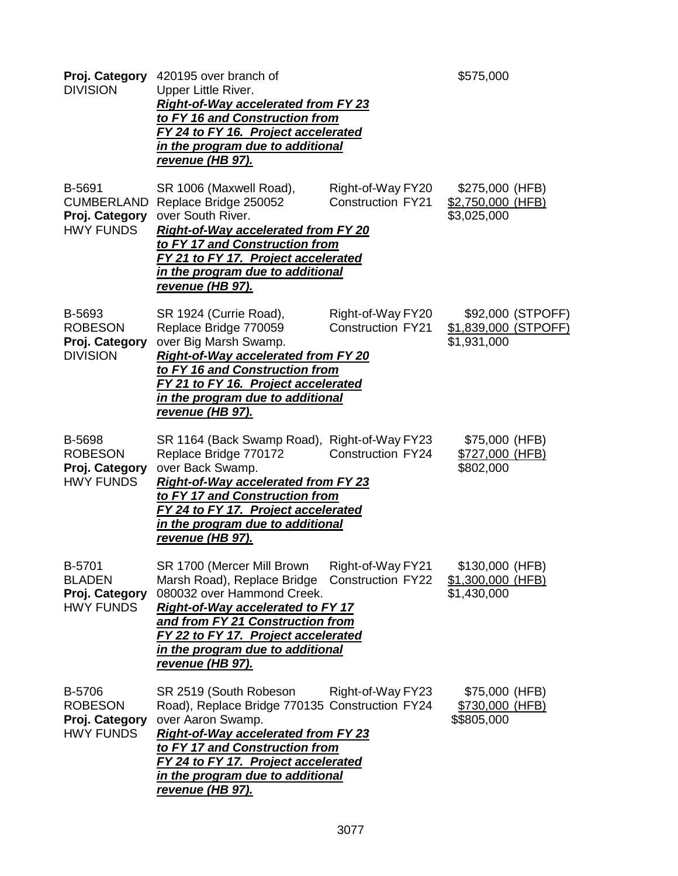| <b>DIVISION</b>                                                   | Proj. Category 420195 over branch of<br>Upper Little River.<br><b>Right-of-Way accelerated from FY 23</b><br>to FY 16 and Construction from<br>FY 24 to FY 16. Project accelerated<br>in the program due to additional<br><u>revenue (HB 97).</u>                                          |                                               | \$575,000                                                |
|-------------------------------------------------------------------|--------------------------------------------------------------------------------------------------------------------------------------------------------------------------------------------------------------------------------------------------------------------------------------------|-----------------------------------------------|----------------------------------------------------------|
| B-5691<br><b>CUMBERLAND</b><br>Proj. Category<br><b>HWY FUNDS</b> | SR 1006 (Maxwell Road),<br>Replace Bridge 250052<br>over South River.<br><b>Right-of-Way accelerated from FY 20</b><br>to FY 17 and Construction from<br>FY 21 to FY 17. Project accelerated<br>in the program due to additional<br><u>revenue (HB 97).</u>                                | Right-of-Way FY20<br><b>Construction FY21</b> | \$275,000 (HFB)<br>\$2,750,000 (HFB)<br>\$3,025,000      |
| B-5693<br><b>ROBESON</b><br>Proj. Category<br><b>DIVISION</b>     | SR 1924 (Currie Road),<br>Replace Bridge 770059<br>over Big Marsh Swamp.<br><b>Right-of-Way accelerated from FY 20</b><br>to FY 16 and Construction from<br>FY 21 to FY 16. Project accelerated<br>in the program due to additional<br><u>revenue (HB 97).</u>                             | Right-of-Way FY20<br><b>Construction FY21</b> | \$92,000 (STPOFF)<br>\$1,839,000 (STPOFF)<br>\$1,931,000 |
| B-5698<br><b>ROBESON</b><br>Proj. Category<br><b>HWY FUNDS</b>    | SR 1164 (Back Swamp Road), Right-of-Way FY23<br>Replace Bridge 770172<br>over Back Swamp.<br><b>Right-of-Way accelerated from FY 23</b><br>to FY 17 and Construction from<br>FY 24 to FY 17. Project accelerated<br>in the program due to additional<br><u>revenue (HB 97).</u>            | Construction FY24                             | \$75,000 (HFB)<br>\$727,000 (HFB)<br>\$802,000           |
| B-5701<br><b>BLADEN</b><br>Proj. Category<br><b>HWY FUNDS</b>     | SR 1700 (Mercer Mill Brown<br>Marsh Road), Replace Bridge<br>080032 over Hammond Creek.<br><b>Right-of-Way accelerated to FY 17</b><br>and from FY 21 Construction from<br>FY 22 to FY 17. Project accelerated<br>in the program due to additional<br>revenue (HB 97).                     | Right-of-Way FY21<br><b>Construction FY22</b> | \$130,000 (HFB)<br>$$1,300,000$ (HFB)<br>\$1,430,000     |
| B-5706<br><b>ROBESON</b><br>Proj. Category<br><b>HWY FUNDS</b>    | SR 2519 (South Robeson<br>Road), Replace Bridge 770135 Construction FY24<br>over Aaron Swamp.<br><b>Right-of-Way accelerated from FY 23</b><br>to FY 17 and Construction from<br>FY 24 to FY 17. Project accelerated<br><u>in the program due to additional</u><br><u>revenue (HB 97).</u> | Right-of-Way FY23                             | \$75,000 (HFB)<br>\$730,000 (HFB)<br>\$\$805,000         |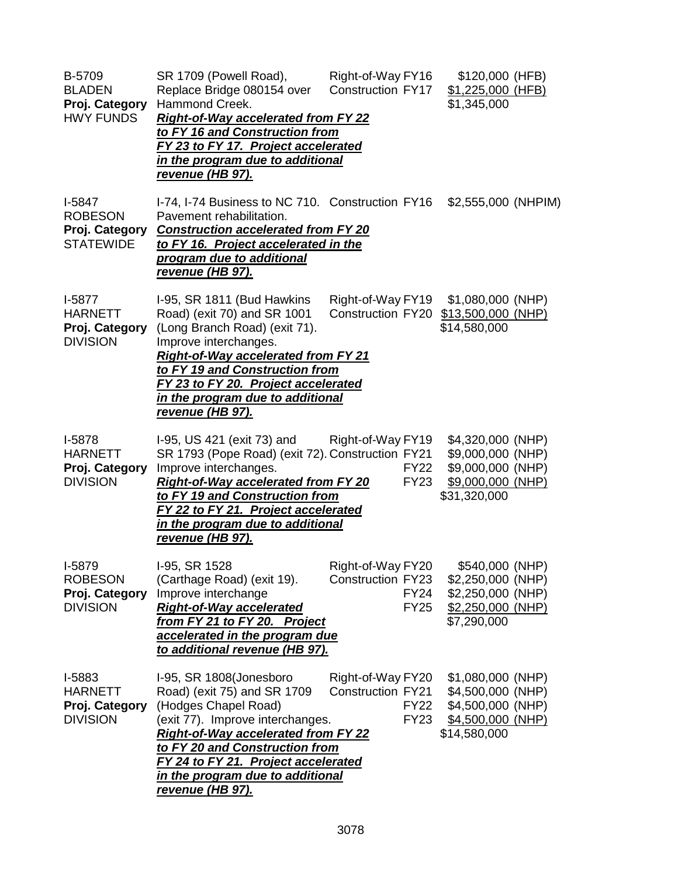| B-5709<br><b>BLADEN</b><br>Proj. Category<br><b>HWY FUNDS</b>    | SR 1709 (Powell Road),<br>Replace Bridge 080154 over<br>Hammond Creek.<br><b>Right-of-Way accelerated from FY 22</b><br>to FY 16 and Construction from<br>FY 23 to FY 17. Project accelerated<br>in the program due to additional<br>revenue (HB 97).                                                           | Right-of-Way FY16<br><b>Construction FY17</b>                               | \$120,000 (HFB)<br>\$1,225,000 (HFB)<br>\$1,345,000                                               |
|------------------------------------------------------------------|-----------------------------------------------------------------------------------------------------------------------------------------------------------------------------------------------------------------------------------------------------------------------------------------------------------------|-----------------------------------------------------------------------------|---------------------------------------------------------------------------------------------------|
| $I-5847$<br><b>ROBESON</b><br>Proj. Category<br><b>STATEWIDE</b> | I-74, I-74 Business to NC 710. Construction FY16<br>Pavement rehabilitation.<br><b>Construction accelerated from FY 20</b><br>to FY 16. Project accelerated in the<br>program due to additional<br><u>revenue (HB 97).</u>                                                                                      |                                                                             | \$2,555,000 (NHPIM)                                                                               |
| $I-5877$<br><b>HARNETT</b><br>Proj. Category<br><b>DIVISION</b>  | I-95, SR 1811 (Bud Hawkins<br>Road) (exit 70) and SR 1001<br>(Long Branch Road) (exit 71).<br>Improve interchanges.<br><b>Right-of-Way accelerated from FY 21</b><br>to FY 19 and Construction from<br>FY 23 to FY 20. Project accelerated<br>in the program due to additional<br><u>revenue (HB 97).</u>       | Right-of-Way FY19                                                           | \$1,080,000 (NHP)<br>Construction FY20 \$13,500,000 (NHP)<br>\$14,580,000                         |
| I-5878<br><b>HARNETT</b><br>Proj. Category<br><b>DIVISION</b>    | I-95, US 421 (exit 73) and Right-of-Way FY19<br>SR 1793 (Pope Road) (exit 72). Construction FY21<br>Improve interchanges.<br><b>Right-of-Way accelerated from FY 20</b><br>to FY 19 and Construction from<br>FY 22 to FY 21. Project accelerated<br>in the program due to additional<br><u>revenue (HB 97).</u> | <b>FY22</b><br><b>FY23</b>                                                  | \$4,320,000 (NHP)<br>\$9,000,000 (NHP)<br>\$9,000,000 (NHP)<br>\$9,000,000 (NHP)<br>\$31,320,000  |
| I-5879<br><b>ROBESON</b><br>Proj. Category<br><b>DIVISION</b>    | I-95, SR 1528<br>(Carthage Road) (exit 19).<br>Improve interchange<br><b>Right-of-Way accelerated</b><br>from FY 21 to FY 20. Project<br>accelerated in the program due<br>to additional revenue (HB 97).                                                                                                       | Right-of-Way FY20<br><b>Construction FY23</b><br><b>FY24</b><br><b>FY25</b> | \$540,000 (NHP)<br>$$2,250,000$ (NHP)<br>\$2,250,000 (NHP)<br>\$2,250,000 (NHP)<br>\$7,290,000    |
| I-5883<br><b>HARNETT</b><br>Proj. Category<br><b>DIVISION</b>    | I-95, SR 1808(Jonesboro<br>Road) (exit 75) and SR 1709<br>(Hodges Chapel Road)<br>(exit 77). Improve interchanges.<br><b>Right-of-Way accelerated from FY 22</b><br>to FY 20 and Construction from<br>FY 24 to FY 21. Project accelerated<br>in the program due to additional<br><u>revenue (HB 97).</u>        | Right-of-Way FY20<br><b>Construction FY21</b><br><b>FY22</b><br><b>FY23</b> | \$1,080,000 (NHP)<br>\$4,500,000 (NHP)<br>\$4,500,000 (NHP)<br>$$4,500,000$ (NHP)<br>\$14,580,000 |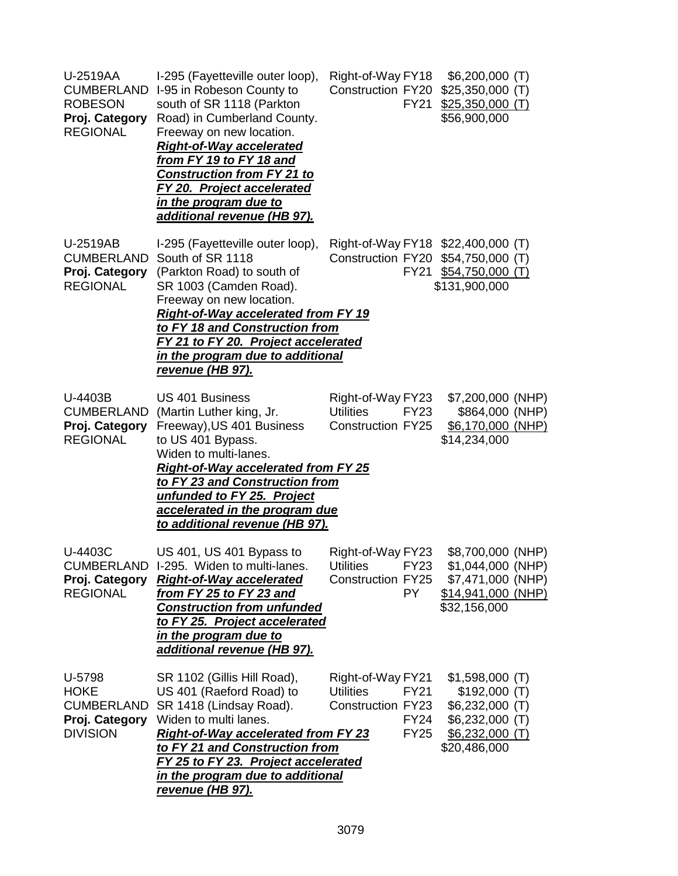| U-2519AA<br><b>CUMBERLAND</b><br><b>ROBESON</b><br>Proj. Category<br><b>REGIONAL</b> | I-295 (Fayetteville outer loop),<br>I-95 in Robeson County to<br>south of SR 1118 (Parkton<br>Road) in Cumberland County.<br>Freeway on new location.<br><b>Right-of-Way accelerated</b><br>from FY 19 to FY 18 and<br><b>Construction from FY 21 to</b><br>FY 20. Project accelerated<br>in the program due to<br>additional revenue (HB 97). | Right-of-Way FY18<br>Construction FY20<br>FY21                                                                 | $$6,200,000$ (T)<br>$$25,350,000$ (T)<br>$$25,350,000$ (T)<br>\$56,900,000                                         |
|--------------------------------------------------------------------------------------|------------------------------------------------------------------------------------------------------------------------------------------------------------------------------------------------------------------------------------------------------------------------------------------------------------------------------------------------|----------------------------------------------------------------------------------------------------------------|--------------------------------------------------------------------------------------------------------------------|
| U-2519AB<br><b>CUMBERLAND</b><br>Proj. Category<br><b>REGIONAL</b>                   | I-295 (Fayetteville outer loop),<br>South of SR 1118<br>(Parkton Road) to south of<br>SR 1003 (Camden Road).<br>Freeway on new location.<br><b>Right-of-Way accelerated from FY 19</b><br>to FY 18 and Construction from<br><u>FY 21 to FY 20. Project accelerated</u><br>in the program due to additional<br>revenue (HB 97).                 |                                                                                                                | Right-of-Way FY18 \$22,400,000 (T)<br>Construction FY20 \$54,750,000 (T)<br>FY21 \$54,750,000 (T)<br>\$131,900,000 |
| U-4403B<br><b>CUMBERLAND</b><br>Proj. Category<br><b>REGIONAL</b>                    | <b>US 401 Business</b><br>(Martin Luther king, Jr.<br>Freeway), US 401 Business<br>to US 401 Bypass.<br>Widen to multi-lanes.<br><b>Right-of-Way accelerated from FY 25</b><br>to FY 23 and Construction from<br>unfunded to FY 25. Project<br>accelerated in the program due<br>to additional revenue (HB 97).                                | Right-of-Way FY23<br><b>Utilities</b><br>FY23<br>Construction FY25                                             | \$7,200,000 (NHP)<br>\$864,000 (NHP)<br>\$6,170,000 (NHP)<br>\$14,234,000                                          |
| U-4403C<br><b>REGIONAL</b>                                                           | US 401, US 401 Bypass to<br>CUMBERLAND 1-295. Widen to multi-lanes.<br>Proj. Category Right-of-Way accelerated<br>from FY 25 to FY 23 and<br><b>Construction from unfunded</b><br>to FY 25. Project accelerated<br>in the program due to<br>additional revenue (HB 97).                                                                        | Right-of-Way FY23<br>Utilities FY23<br>Construction FY25<br>PY.                                                | \$8,700,000 (NHP)<br>\$1,044,000 (NHP)<br>\$7,471,000 (NHP)<br>\$14,941,000 (NHP)<br>\$32,156,000                  |
| U-5798<br><b>HOKE</b><br><b>CUMBERLAND</b><br>Proj. Category<br><b>DIVISION</b>      | SR 1102 (Gillis Hill Road),<br>US 401 (Raeford Road) to<br>SR 1418 (Lindsay Road).<br>Widen to multi lanes.<br><b>Right-of-Way accelerated from FY 23</b><br>to FY 21 and Construction from<br>FY 25 to FY 23. Project accelerated<br>in the program due to additional<br><u>revenue (HB 97).</u>                                              | Right-of-Way FY21<br><b>Utilities</b><br><b>FY21</b><br><b>Construction FY23</b><br><b>FY24</b><br><b>FY25</b> | $$1,598,000$ (T)<br>\$192,000(T)<br>$$6,232,000$ (T)<br>$$6,232,000$ (T)<br>$$6,232,000$ (T)<br>\$20,486,000       |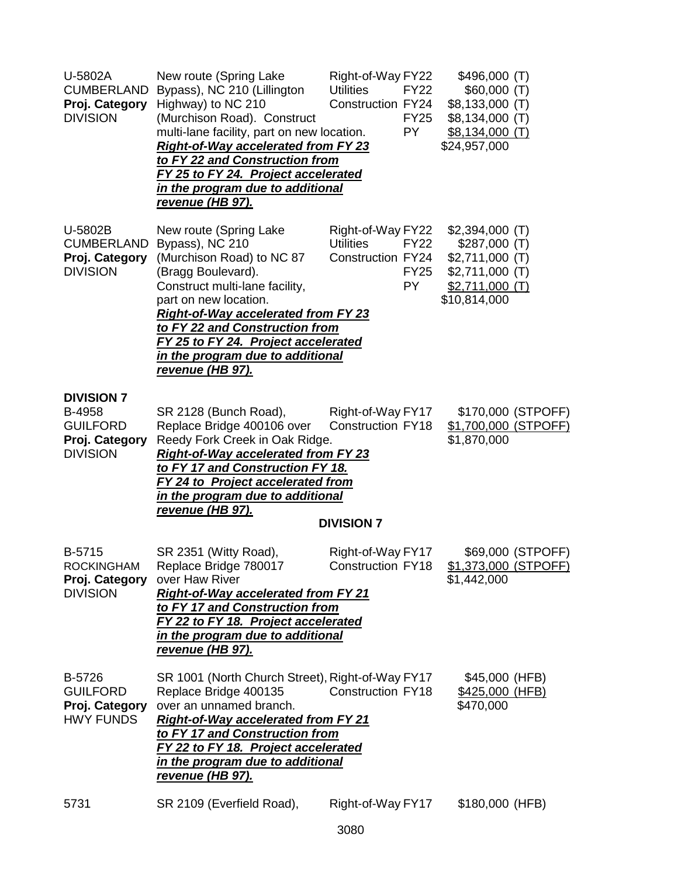| U-5802A<br><b>CUMBERLAND</b><br>Proj. Category<br><b>DIVISION</b>                   | New route (Spring Lake<br>Bypass), NC 210 (Lillington<br>Highway) to NC 210<br>(Murchison Road). Construct<br>multi-lane facility, part on new location.<br><b>Right-of-Way accelerated from FY 23</b><br>to FY 22 and Construction from<br>FY 25 to FY 24. Project accelerated<br>in the program due to additional<br>revenue (HB 97). | Right-of-Way FY22<br><b>Utilities</b><br>Construction FY24         | <b>FY22</b><br><b>FY25</b><br><b>PY</b> | \$496,000 (T)<br>\$60,000(T)<br>$$8,133,000$ (T)<br>\$8,134,000 (T)<br><u>\$8,134,000 (T)</u><br>\$24,957,000 |                    |
|-------------------------------------------------------------------------------------|-----------------------------------------------------------------------------------------------------------------------------------------------------------------------------------------------------------------------------------------------------------------------------------------------------------------------------------------|--------------------------------------------------------------------|-----------------------------------------|---------------------------------------------------------------------------------------------------------------|--------------------|
| U-5802B<br><b>CUMBERLAND</b><br>Proj. Category<br><b>DIVISION</b>                   | New route (Spring Lake<br>Bypass), NC 210<br>(Murchison Road) to NC 87<br>(Bragg Boulevard).<br>Construct multi-lane facility,<br>part on new location.<br><b>Right-of-Way accelerated from FY 23</b><br>to FY 22 and Construction from<br>FY 25 to FY 24. Project accelerated<br>in the program due to additional<br>revenue (HB 97).  | Right-of-Way FY22<br><b>Utilities</b><br>Construction FY24         | <b>FY22</b><br><b>FY25</b><br><b>PY</b> | $$2,394,000$ (T)<br>\$287,000(T)<br>$$2,711,000$ (T)<br>$$2,711,000$ (T)<br>$$2,711,000$ (T)<br>\$10,814,000  |                    |
| <b>DIVISION 7</b><br>B-4958<br><b>GUILFORD</b><br>Proj. Category<br><b>DIVISION</b> | SR 2128 (Bunch Road),<br>Replace Bridge 400106 over<br>Reedy Fork Creek in Oak Ridge.<br><b>Right-of-Way accelerated from FY 23</b><br>to FY 17 and Construction FY 18.<br><b>FY 24 to Project accelerated from</b><br>in the program due to additional<br>revenue (HB 97).                                                             | Right-of-Way FY17<br><b>Construction FY18</b><br><b>DIVISION 7</b> |                                         | \$1,700,000 (STPOFF)<br>\$1,870,000                                                                           | \$170,000 (STPOFF) |
| B-5715<br><b>ROCKINGHAM</b><br>Proj. Category<br><b>DIVISION</b>                    | SR 2351 (Witty Road),<br>Replace Bridge 780017<br>over Haw River<br><b>Right-of-Way accelerated from FY 21</b><br>to FY 17 and Construction from<br>FY 22 to FY 18. Project accelerated<br>in the program due to additional<br>revenue (HB 97).                                                                                         | Right-of-Way FY17<br><b>Construction FY18</b>                      |                                         | \$1,373,000 (STPOFF)<br>\$1,442,000                                                                           | \$69,000 (STPOFF)  |
| B-5726<br><b>GUILFORD</b><br>Proj. Category<br><b>HWY FUNDS</b>                     | SR 1001 (North Church Street), Right-of-Way FY17<br>Replace Bridge 400135<br>over an unnamed branch.<br><b>Right-of-Way accelerated from FY 21</b><br>to FY 17 and Construction from<br>FY 22 to FY 18. Project accelerated<br>in the program due to additional<br>revenue (HB 97).                                                     | <b>Construction FY18</b>                                           |                                         | \$45,000 (HFB)<br>\$425,000 (HFB)<br>\$470,000                                                                |                    |
| 5731                                                                                | SR 2109 (Everfield Road),                                                                                                                                                                                                                                                                                                               | Right-of-Way FY17                                                  |                                         | \$180,000 (HFB)                                                                                               |                    |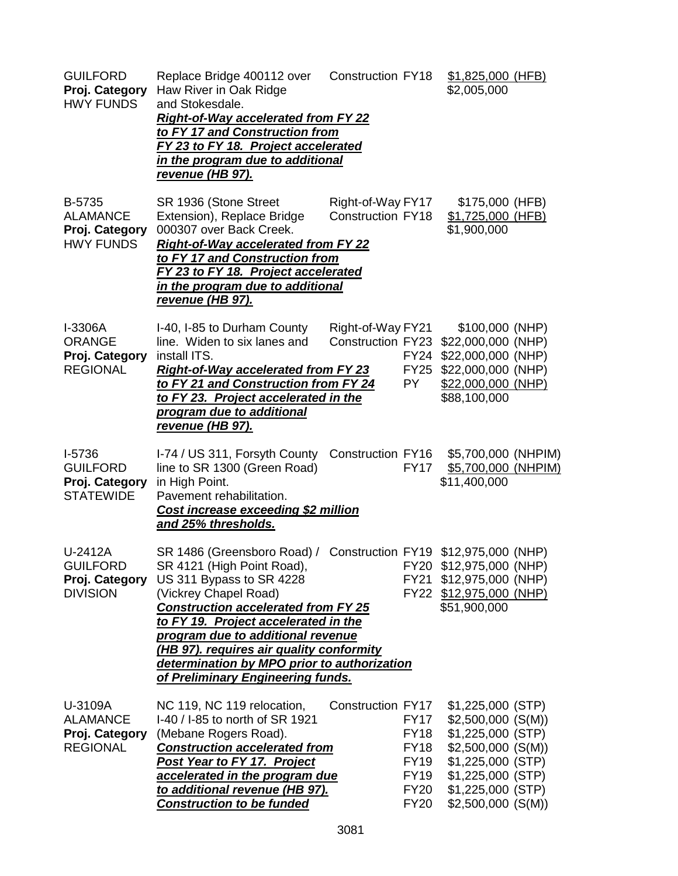| <b>GUILFORD</b><br>Proj. Category<br><b>HWY FUNDS</b>             | Replace Bridge 400112 over<br>Haw River in Oak Ridge<br>and Stokesdale.<br><b>Right-of-Way accelerated from FY 22</b><br>to FY 17 and Construction from<br>FY 23 to FY 18. Project accelerated<br>in the program due to additional<br>revenue (HB 97).                                                                                                                                                                                 | <b>Construction FY18</b>                      |                                                                                                       | \$1,825,000 (HFB)<br>\$2,005,000                                                                                                                                            |  |
|-------------------------------------------------------------------|----------------------------------------------------------------------------------------------------------------------------------------------------------------------------------------------------------------------------------------------------------------------------------------------------------------------------------------------------------------------------------------------------------------------------------------|-----------------------------------------------|-------------------------------------------------------------------------------------------------------|-----------------------------------------------------------------------------------------------------------------------------------------------------------------------------|--|
| B-5735<br><b>ALAMANCE</b><br>Proj. Category<br><b>HWY FUNDS</b>   | SR 1936 (Stone Street<br>Extension), Replace Bridge<br>000307 over Back Creek.<br><b>Right-of-Way accelerated from FY 22</b><br>to FY 17 and Construction from<br>FY 23 to FY 18. Project accelerated<br>in the program due to additional<br><u>revenue (HB 97).</u>                                                                                                                                                                   | Right-of-Way FY17<br><b>Construction FY18</b> |                                                                                                       | \$175,000 (HFB)<br>\$1,725,000 (HFB)<br>\$1,900,000                                                                                                                         |  |
| I-3306A<br><b>ORANGE</b><br>Proj. Category<br><b>REGIONAL</b>     | I-40, I-85 to Durham County<br>line. Widen to six lanes and<br>install ITS.<br><b>Right-of-Way accelerated from FY 23</b><br>to FY 21 and Construction from FY 24<br>to FY 23. Project accelerated in the<br>program due to additional<br><u>revenue (HB 97).</u>                                                                                                                                                                      | Right-of-Way FY21<br><b>Construction FY23</b> | FY24<br><b>FY25</b><br>PY.                                                                            | \$100,000 (NHP)<br>\$22,000,000 (NHP)<br>\$22,000,000 (NHP)<br>\$22,000,000 (NHP)<br>\$22,000,000 (NHP)<br>\$88,100,000                                                     |  |
| $I-5736$<br><b>GUILFORD</b><br>Proj. Category<br><b>STATEWIDE</b> | I-74 / US 311, Forsyth County<br>line to SR 1300 (Green Road)<br>in High Point.<br>Pavement rehabilitation.<br>Cost increase exceeding \$2 million<br>and 25% thresholds.                                                                                                                                                                                                                                                              | Construction FY16                             | <b>FY17</b>                                                                                           | \$5,700,000 (NHPIM)<br>\$5,700,000 (NHPIM)<br>\$11,400,000                                                                                                                  |  |
| U-2412A<br><b>GUILFORD</b><br>Proj. Category<br><b>DIVISION</b>   | SR 1486 (Greensboro Road) / Construction FY19 \$12,975,000 (NHP)<br>SR 4121 (High Point Road), FY20 \$12,975,000 (NHP)<br>US 311 Bypass to SR 4228<br>(Vickrey Chapel Road)<br><b>Construction accelerated from FY 25</b><br>to FY 19. Project accelerated in the<br>program due to additional revenue<br>(HB 97). requires air quality conformity<br>determination by MPO prior to authorization<br>of Preliminary Engineering funds. |                                               |                                                                                                       | FY21 \$12,975,000 (NHP)<br>FY22 \$12,975,000 (NHP)<br>\$51,900,000                                                                                                          |  |
| U-3109A<br><b>ALAMANCE</b><br>Proj. Category<br><b>REGIONAL</b>   | NC 119, NC 119 relocation,<br>I-40 / I-85 to north of SR 1921<br>(Mebane Rogers Road).<br><b>Construction accelerated from</b><br><b>Post Year to FY 17. Project</b><br>accelerated in the program due<br>to additional revenue (HB 97).<br><b>Construction to be funded</b>                                                                                                                                                           | <b>Construction FY17</b>                      | <b>FY17</b><br><b>FY18</b><br><b>FY18</b><br><b>FY19</b><br><b>FY19</b><br><b>FY20</b><br><b>FY20</b> | $$1,225,000$ (STP)<br>$$2,500,000$ (S(M))<br>\$1,225,000 (STP)<br>$$2,500,000$ (S(M))<br>\$1,225,000 (STP)<br>\$1,225,000 (STP)<br>\$1,225,000 (STP)<br>$$2,500,000$ (S(M)) |  |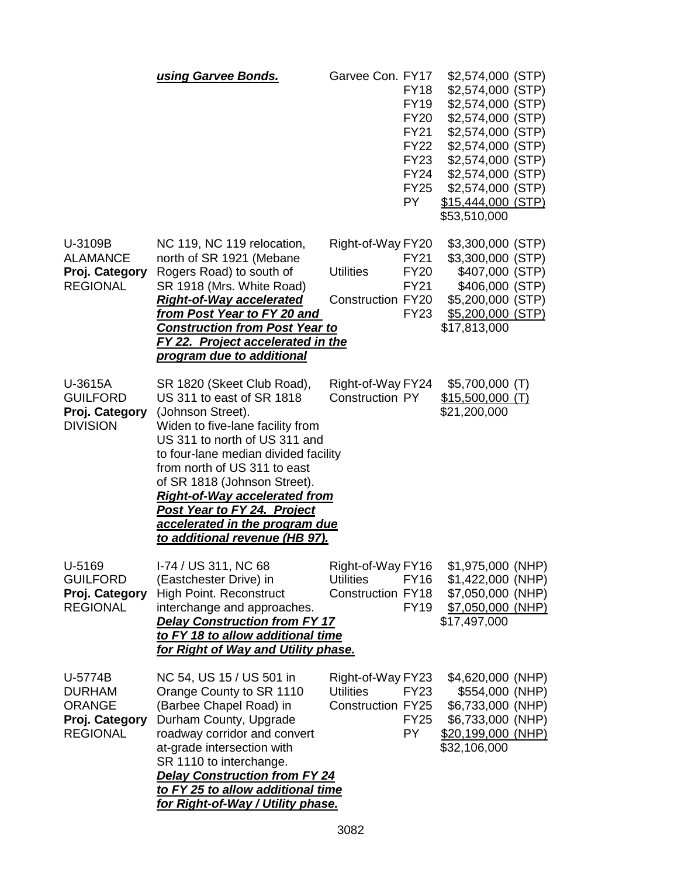|                                                                                | using Garvee Bonds.                                                                                                                                                                                                                                                                                                                                                                                         | Garvee Con. FY17                                                  | <b>FY18</b><br><b>FY19</b><br><b>FY20</b><br><b>FY21</b><br><b>FY22</b><br><b>FY23</b><br><b>FY24</b><br><b>FY25</b><br>PY. | \$2,574,000 (STP)<br>\$2,574,000 (STP)<br>\$2,574,000 (STP)<br>\$2,574,000 (STP)<br>\$2,574,000 (STP)<br>\$2,574,000 (STP)<br>\$2,574,000 (STP)<br>\$2,574,000 (STP)<br>\$2,574,000 (STP)<br>\$15,444,000 (STP)<br>\$53,510,000 |
|--------------------------------------------------------------------------------|-------------------------------------------------------------------------------------------------------------------------------------------------------------------------------------------------------------------------------------------------------------------------------------------------------------------------------------------------------------------------------------------------------------|-------------------------------------------------------------------|-----------------------------------------------------------------------------------------------------------------------------|---------------------------------------------------------------------------------------------------------------------------------------------------------------------------------------------------------------------------------|
| U-3109B<br><b>ALAMANCE</b><br>Proj. Category<br><b>REGIONAL</b>                | NC 119, NC 119 relocation,<br>north of SR 1921 (Mebane<br>Rogers Road) to south of<br>SR 1918 (Mrs. White Road)<br><b>Right-of-Way accelerated</b><br>from Post Year to FY 20 and<br><b>Construction from Post Year to</b><br><b>FY 22. Project accelerated in the</b><br>program due to additional                                                                                                         | Right-of-Way FY20<br><b>Utilities</b><br><b>Construction FY20</b> | <b>FY21</b><br><b>FY20</b><br><b>FY21</b><br><b>FY23</b>                                                                    | \$3,300,000 (STP)<br>\$3,300,000 (STP)<br>\$407,000 (STP)<br>\$406,000 (STP)<br>\$5,200,000 (STP)<br>\$5,200,000 (STP)<br>\$17,813,000                                                                                          |
| U-3615A<br><b>GUILFORD</b><br>Proj. Category<br><b>DIVISION</b>                | SR 1820 (Skeet Club Road),<br>US 311 to east of SR 1818<br>(Johnson Street).<br>Widen to five-lane facility from<br>US 311 to north of US 311 and<br>to four-lane median divided facility<br>from north of US 311 to east<br>of SR 1818 (Johnson Street).<br><b>Right-of-Way accelerated from</b><br><b>Post Year to FY 24. Project</b><br>accelerated in the program due<br>to additional revenue (HB 97). | Right-of-Way FY24<br><b>Construction PY</b>                       |                                                                                                                             | $$5,700,000$ (T)<br>$$15,500,000$ (T)<br>\$21,200,000                                                                                                                                                                           |
| U-5169<br><b>GUILFORD</b><br>Proj. Category<br><b>REGIONAL</b>                 | I-74 / US 311, NC 68<br>(Eastchester Drive) in<br><b>High Point. Reconstruct</b><br>interchange and approaches.<br><b>Delay Construction from FY 17</b><br>to FY 18 to allow additional time<br>for Right of Way and Utility phase.                                                                                                                                                                         | Right-of-Way FY16<br><b>Utilities</b><br><b>Construction FY18</b> | <b>FY16</b><br><b>FY19</b>                                                                                                  | \$1,975,000 (NHP)<br>$$1,422,000$ (NHP)<br>\$7,050,000 (NHP)<br>\$7,050,000 (NHP)<br>\$17,497,000                                                                                                                               |
| U-5774B<br><b>DURHAM</b><br><b>ORANGE</b><br>Proj. Category<br><b>REGIONAL</b> | NC 54, US 15 / US 501 in<br>Orange County to SR 1110<br>(Barbee Chapel Road) in<br>Durham County, Upgrade<br>roadway corridor and convert<br>at-grade intersection with<br>SR 1110 to interchange.<br><b>Delay Construction from FY 24</b><br>to FY 25 to allow additional time<br>for Right-of-Way / Utility phase.                                                                                        | Right-of-Way FY23<br><b>Utilities</b><br><b>Construction FY25</b> | FY23<br><b>FY25</b><br>PY.                                                                                                  | \$4,620,000 (NHP)<br>\$554,000 (NHP)<br>\$6,733,000 (NHP)<br>\$6,733,000 (NHP)<br>\$20,199,000 (NHP)<br>\$32,106,000                                                                                                            |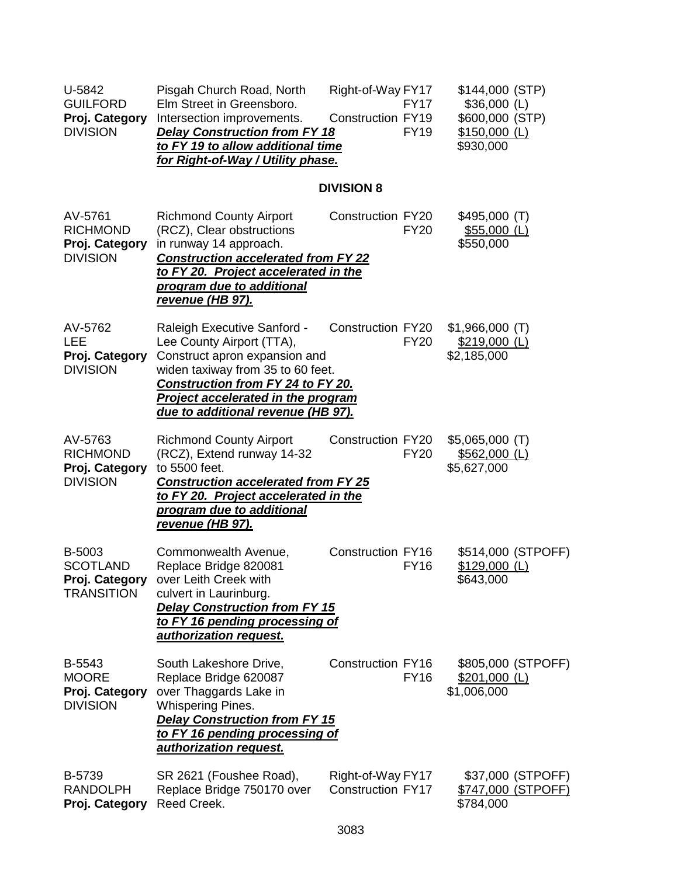| U-5842<br><b>GUILFORD</b><br>Proj. Category<br><b>DIVISION</b>   | Pisgah Church Road, North<br>Elm Street in Greensboro.<br>Intersection improvements.<br><b>Delay Construction from FY 18</b><br>to FY 19 to allow additional time<br>for Right-of-Way / Utility phase.                                          | Right-of-Way FY17<br>Construction FY19        | FY17<br><b>FY19</b> | \$144,000 (STP)<br>$$36,000$ (L)<br>\$600,000 (STP)<br>$$150,000$ (L)<br>\$930,000 |                                         |
|------------------------------------------------------------------|-------------------------------------------------------------------------------------------------------------------------------------------------------------------------------------------------------------------------------------------------|-----------------------------------------------|---------------------|------------------------------------------------------------------------------------|-----------------------------------------|
|                                                                  |                                                                                                                                                                                                                                                 | <b>DIVISION 8</b>                             |                     |                                                                                    |                                         |
| AV-5761<br><b>RICHMOND</b><br>Proj. Category<br><b>DIVISION</b>  | <b>Richmond County Airport</b><br>(RCZ), Clear obstructions<br>in runway 14 approach.<br><b>Construction accelerated from FY 22</b><br>to FY 20. Project accelerated in the<br>program due to additional<br><u>revenue (HB 97).</u>             | <b>Construction FY20</b>                      | <b>FY20</b>         | \$495,000 (T)<br>$$55,000$ (L)<br>\$550,000                                        |                                         |
| AV-5762<br><b>LEE</b><br>Proj. Category<br><b>DIVISION</b>       | Raleigh Executive Sanford -<br>Lee County Airport (TTA),<br>Construct apron expansion and<br>widen taxiway from 35 to 60 feet.<br>Construction from FY 24 to FY 20.<br>Project accelerated in the program<br>due to additional revenue (HB 97). | <b>Construction FY20</b>                      | <b>FY20</b>         | $$1,966,000$ (T)<br>\$219,000 (L)<br>\$2,185,000                                   |                                         |
| AV-5763<br><b>RICHMOND</b><br>Proj. Category<br><b>DIVISION</b>  | <b>Richmond County Airport</b><br>(RCZ), Extend runway 14-32<br>to 5500 feet.<br><b>Construction accelerated from FY 25</b><br>to FY 20. Project accelerated in the<br>program due to additional<br>revenue (HB 97).                            | Construction FY20                             | <b>FY20</b>         | $$5,065,000$ (T)<br>$$562,000$ (L)<br>\$5,627,000                                  |                                         |
| B-5003<br><b>SCOTLAND</b><br>Proj. Category<br><b>TRANSITION</b> | Commonwealth Avenue,<br>Replace Bridge 820081<br>over Leith Creek with<br>culvert in Laurinburg.<br><b>Delay Construction from FY 15</b><br>to FY 16 pending processing of<br>authorization request.                                            | Construction FY16                             | <b>FY16</b>         | \$129,000 (L)<br>\$643,000                                                         | \$514,000 (STPOFF)                      |
| B-5543<br><b>MOORE</b><br>Proj. Category<br><b>DIVISION</b>      | South Lakeshore Drive,<br>Replace Bridge 620087<br>over Thaggards Lake in<br><b>Whispering Pines.</b><br><b>Delay Construction from FY 15</b><br>to FY 16 pending processing of<br>authorization request.                                       | <b>Construction FY16</b>                      | <b>FY16</b>         | \$201,000 (L)<br>\$1,006,000                                                       | \$805,000 (STPOFF)                      |
| B-5739<br><b>RANDOLPH</b><br>Proj. Category                      | SR 2621 (Foushee Road),<br>Replace Bridge 750170 over<br>Reed Creek.                                                                                                                                                                            | Right-of-Way FY17<br><b>Construction FY17</b> |                     | \$784,000                                                                          | \$37,000 (STPOFF)<br>\$747,000 (STPOFF) |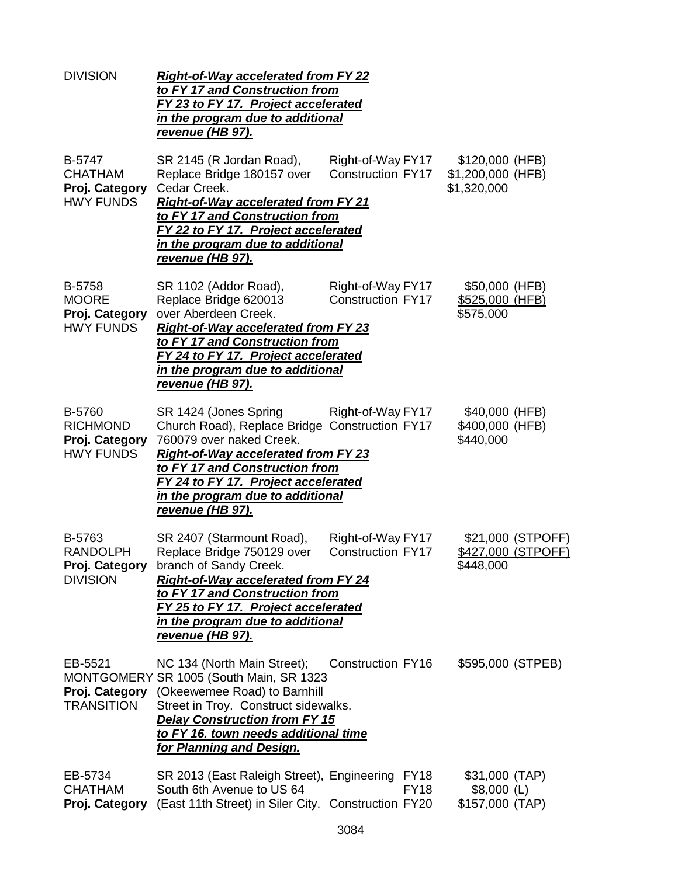| <b>DIVISION</b>                                                 | <b>Right-of-Way accelerated from FY 22</b><br>to FY 17 and Construction from<br>FY 23 to FY 17. Project accelerated<br>in the program due to additional<br>revenue (HB 97).                                                                                                               |                                               |                                                     |                                         |
|-----------------------------------------------------------------|-------------------------------------------------------------------------------------------------------------------------------------------------------------------------------------------------------------------------------------------------------------------------------------------|-----------------------------------------------|-----------------------------------------------------|-----------------------------------------|
| B-5747<br><b>CHATHAM</b><br>Proj. Category<br><b>HWY FUNDS</b>  | SR 2145 (R Jordan Road),<br>Replace Bridge 180157 over<br>Cedar Creek.<br><b>Right-of-Way accelerated from FY 21</b><br>to FY 17 and Construction from<br>FY 22 to FY 17. Project accelerated<br><u>in the program due to additional</u><br><u>revenue (HB 97).</u>                       | Right-of-Way FY17<br>Construction FY17        | \$120,000 (HFB)<br>\$1,200,000 (HFB)<br>\$1,320,000 |                                         |
| B-5758<br><b>MOORE</b><br>Proj. Category<br><b>HWY FUNDS</b>    | SR 1102 (Addor Road),<br>Replace Bridge 620013<br>over Aberdeen Creek.<br>Right-of-Way accelerated from FY 23<br>to FY 17 and Construction from<br>FY 24 to FY 17. Project accelerated<br>in the program due to additional<br>revenue (HB 97).                                            | Right-of-Way FY17<br><b>Construction FY17</b> | \$50,000 (HFB)<br>\$525,000 (HFB)<br>\$575,000      |                                         |
| B-5760<br><b>RICHMOND</b><br>Proj. Category<br><b>HWY FUNDS</b> | SR 1424 (Jones Spring<br>Church Road), Replace Bridge Construction FY17<br>760079 over naked Creek.<br><b>Right-of-Way accelerated from FY 23</b><br>to FY 17 and Construction from<br>FY 24 to FY 17. Project accelerated<br>in the program due to additional<br><u>revenue (HB 97).</u> | Right-of-Way FY17                             | \$40,000 (HFB)<br>\$400,000 (HFB)<br>\$440,000      |                                         |
| B-5763<br><b>RANDOLPH</b><br><b>DIVISION</b>                    | SR 2407 (Starmount Road),<br>Replace Bridge 750129 over<br>Proj. Category branch of Sandy Creek.<br><b>Right-of-Way accelerated from FY 24</b><br>to FY 17 and Construction from<br>FY 25 to FY 17. Project accelerated<br>in the program due to additional<br>re <u>venue (HB 97).</u>   | Right-of-Way FY17<br><b>Construction FY17</b> | \$448,000                                           | \$21,000 (STPOFF)<br>\$427,000 (STPOFF) |
| EB-5521<br><b>TRANSITION</b>                                    | NC 134 (North Main Street);<br>MONTGOMERY SR 1005 (South Main, SR 1323<br>Proj. Category (Okeewemee Road) to Barnhill<br>Street in Troy. Construct sidewalks.<br><b>Delay Construction from FY 15</b><br>to FY 16. town needs additional time<br>for Planning and Design.                 | <b>Construction FY16</b>                      | \$595,000 (STPEB)                                   |                                         |
| EB-5734<br><b>CHATHAM</b><br>Proj. Category                     | SR 2013 (East Raleigh Street), Engineering FY18<br>South 6th Avenue to US 64<br>(East 11th Street) in Siler City. Construction FY20                                                                                                                                                       | <b>FY18</b>                                   | \$31,000 (TAP)<br>$$8,000$ (L)<br>\$157,000 (TAP)   |                                         |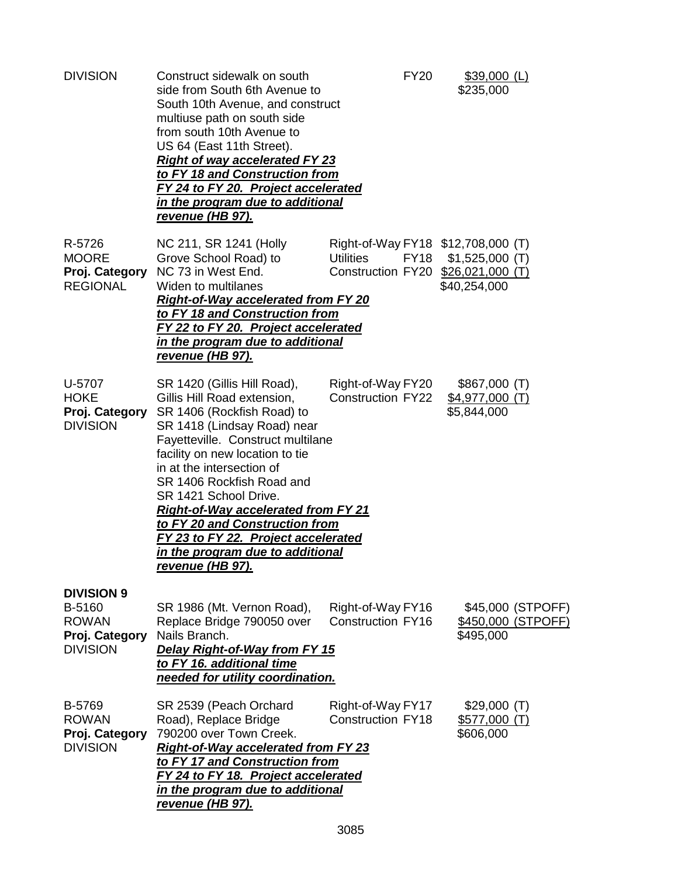| <b>DIVISION</b>                                                                  | Construct sidewalk on south<br>side from South 6th Avenue to<br>South 10th Avenue, and construct<br>multiuse path on south side<br>from south 10th Avenue to<br>US 64 (East 11th Street).<br><b>Right of way accelerated FY 23</b><br>to FY 18 and Construction from<br>FY 24 to FY 20. Project accelerated<br><u>in the program due to additional</u><br>revenue (HB 97).                                                                                        | <b>FY20</b>                                                                                          | \$39,000 (L)<br>\$235,000                            |
|----------------------------------------------------------------------------------|-------------------------------------------------------------------------------------------------------------------------------------------------------------------------------------------------------------------------------------------------------------------------------------------------------------------------------------------------------------------------------------------------------------------------------------------------------------------|------------------------------------------------------------------------------------------------------|------------------------------------------------------|
| R-5726<br><b>MOORE</b><br>Proj. Category<br><b>REGIONAL</b>                      | NC 211, SR 1241 (Holly<br>Grove School Road) to<br>NC 73 in West End.<br>Widen to multilanes<br><b>Right-of-Way accelerated from FY 20</b><br>to FY 18 and Construction from<br>FY 22 to FY 20. Project accelerated<br>in the program due to additional<br><u>revenue (HB 97).</u>                                                                                                                                                                                | Right-of-Way FY18 \$12,708,000 (T)<br><b>Utilities</b><br>FY18<br>Construction FY20 \$26,021,000 (T) | $$1,525,000$ (T)<br>\$40,254,000                     |
| U-5707<br><b>HOKE</b><br>Proj. Category<br><b>DIVISION</b>                       | SR 1420 (Gillis Hill Road),<br>Gillis Hill Road extension,<br>SR 1406 (Rockfish Road) to<br>SR 1418 (Lindsay Road) near<br>Fayetteville. Construct multilane<br>facility on new location to tie<br>in at the intersection of<br>SR 1406 Rockfish Road and<br>SR 1421 School Drive.<br><b>Right-of-Way accelerated from FY 21</b><br>to FY 20 and Construction from<br>FY 23 to FY 22. Project accelerated<br>in the program due to additional<br>revenue (HB 97). | Right-of-Way FY20<br><b>Construction FY22</b>                                                        | \$867,000 (T)<br>\$4,977,000 (T)<br>\$5,844,000      |
| <b>DIVISION 9</b><br>B-5160<br><b>ROWAN</b><br>Proj. Category<br><b>DIVISION</b> | SR 1986 (Mt. Vernon Road),<br>Replace Bridge 790050 over<br>Nails Branch.<br>Delay Right-of-Way from FY 15<br>to FY 16. additional time<br>needed for utility coordination.                                                                                                                                                                                                                                                                                       | Right-of-Way FY16<br><b>Construction FY16</b>                                                        | \$45,000 (STPOFF)<br>\$450,000 (STPOFF)<br>\$495,000 |
| B-5769<br><b>ROWAN</b><br>Proj. Category<br><b>DIVISION</b>                      | SR 2539 (Peach Orchard<br>Road), Replace Bridge<br>790200 over Town Creek.<br><b>Right-of-Way accelerated from FY 23</b><br>to FY 17 and Construction from<br>FY 24 to FY 18. Project accelerated<br>in the program due to additional<br><u>revenue (HB 97).</u>                                                                                                                                                                                                  | Right-of-Way FY17<br><b>Construction FY18</b>                                                        | \$29,000(T)<br>\$577,000(T)<br>\$606,000             |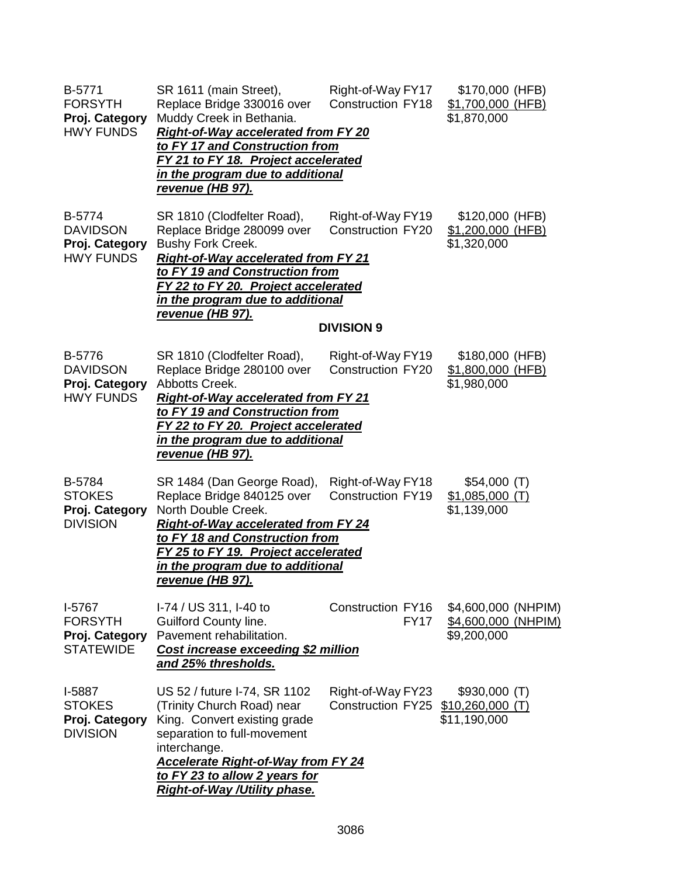| B-5771<br><b>FORSYTH</b><br>Proj. Category<br><b>HWY FUNDS</b>   | SR 1611 (main Street),<br>Replace Bridge 330016 over<br>Muddy Creek in Bethania.<br><b>Right-of-Way accelerated from FY 20</b><br>to FY 17 and Construction from<br>FY 21 to FY 18. Project accelerated<br>in the program due to additional<br><u>revenue (HB 97).</u>     | Right-of-Way FY17<br><b>Construction FY18</b>                      | \$170,000 (HFB)<br>\$1,700,000 (HFB)<br>\$1,870,000       |  |
|------------------------------------------------------------------|----------------------------------------------------------------------------------------------------------------------------------------------------------------------------------------------------------------------------------------------------------------------------|--------------------------------------------------------------------|-----------------------------------------------------------|--|
| B-5774<br><b>DAVIDSON</b><br>Proj. Category<br><b>HWY FUNDS</b>  | SR 1810 (Clodfelter Road),<br>Replace Bridge 280099 over<br><b>Bushy Fork Creek.</b><br><b>Right-of-Way accelerated from FY 21</b><br>to FY 19 and Construction from<br>FY 22 to FY 20. Project accelerated<br>in the program due to additional<br><u>revenue (HB 97).</u> | Right-of-Way FY19<br><b>Construction FY20</b><br><b>DIVISION 9</b> | \$120,000 (HFB)<br>\$1,200,000 (HFB)<br>\$1,320,000       |  |
| B-5776<br><b>DAVIDSON</b><br>Proj. Category<br><b>HWY FUNDS</b>  | SR 1810 (Clodfelter Road),<br>Replace Bridge 280100 over<br>Abbotts Creek.<br><b>Right-of-Way accelerated from FY 21</b><br>to FY 19 and Construction from<br>FY 22 to FY 20. Project accelerated<br><u>in the program due to additional</u><br><u>revenue (HB 97).</u>    | Right-of-Way FY19<br><b>Construction FY20</b>                      | \$180,000 (HFB)<br>\$1,800,000 (HFB)<br>\$1,980,000       |  |
| B-5784<br><b>STOKES</b><br>Proj. Category<br><b>DIVISION</b>     | SR 1484 (Dan George Road),<br>Replace Bridge 840125 over<br>North Double Creek.<br><b>Right-of-Way accelerated from FY 24</b><br>to FY 18 and Construction from<br>FY 25 to FY 19. Project accelerated<br>in the program due to additional<br>revenue (HB 97).             | Right-of-Way FY18<br>Construction FY19                             | \$54,000(T)<br>$$1,085,000$ (T)<br>\$1,139,000            |  |
| $I-5767$<br><b>FORSYTH</b><br>Proj. Category<br><b>STATEWIDE</b> | I-74 / US 311, I-40 to<br>Guilford County line.<br>Pavement rehabilitation.<br>Cost increase exceeding \$2 million<br>and 25% thresholds.                                                                                                                                  | <b>Construction FY16</b><br><b>FY17</b>                            | \$4,600,000 (NHPIM)<br>\$4,600,000 (NHPIM)<br>\$9,200,000 |  |
| I-5887<br><b>STOKES</b><br>Proj. Category<br><b>DIVISION</b>     | US 52 / future I-74, SR 1102<br>(Trinity Church Road) near<br>King. Convert existing grade<br>separation to full-movement<br>interchange.<br><b>Accelerate Right-of-Way from FY 24</b><br>to FY 23 to allow 2 years for<br><b>Right-of-Way /Utility phase.</b>             | Right-of-Way FY23<br><b>Construction FY25</b>                      | $$930,000$ (T)<br>$$10,260,000$ (T)<br>\$11,190,000       |  |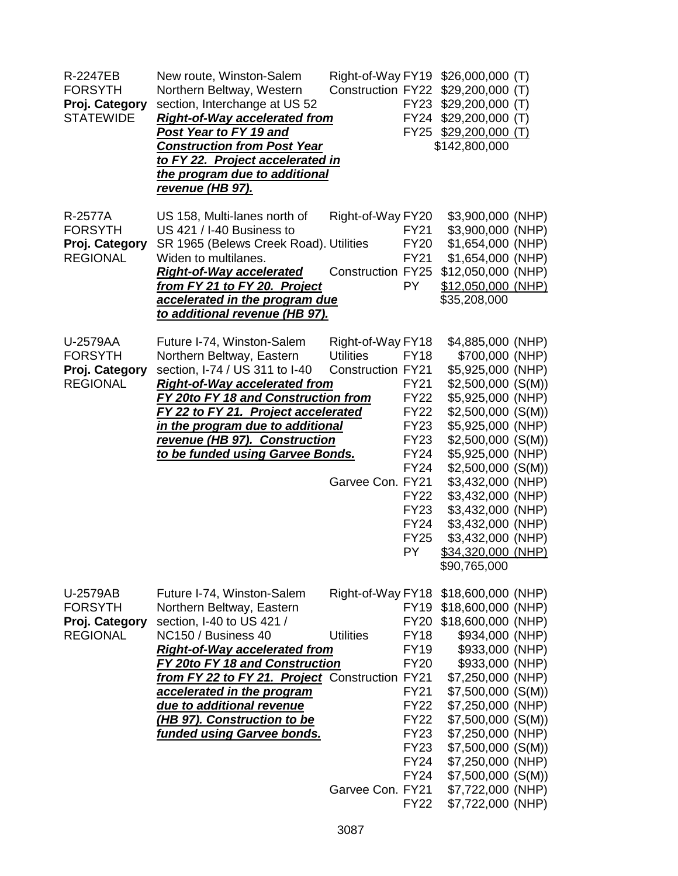| R-2247EB<br><b>FORSYTH</b><br>Proj. Category<br><b>STATEWIDE</b> | New route, Winston-Salem<br>Northern Beltway, Western<br>section, Interchange at US 52<br><b>Right-of-Way accelerated from</b><br><b>Post Year to FY 19 and</b><br><b>Construction from Post Year</b><br>to FY 22. Project accelerated in<br>the program due to additional<br>revenue (HB 97).                                                                                | <b>Construction FY22</b>                                                              | <b>FY23</b><br>FY24                                                                                                                                                                             | Right-of-Way FY19 \$26,000,000 (T)<br>$$29,200,000$ (T)<br>$$29,200,000$ (T)<br>$$29,200,000$ (T)<br>FY25 \$29,200,000 (T)<br>\$142,800,000                                                                                                                                                                                                                       |  |
|------------------------------------------------------------------|-------------------------------------------------------------------------------------------------------------------------------------------------------------------------------------------------------------------------------------------------------------------------------------------------------------------------------------------------------------------------------|---------------------------------------------------------------------------------------|-------------------------------------------------------------------------------------------------------------------------------------------------------------------------------------------------|-------------------------------------------------------------------------------------------------------------------------------------------------------------------------------------------------------------------------------------------------------------------------------------------------------------------------------------------------------------------|--|
| R-2577A<br><b>FORSYTH</b><br>Proj. Category<br><b>REGIONAL</b>   | US 158, Multi-lanes north of<br>US 421 / I-40 Business to<br>SR 1965 (Belews Creek Road). Utilities<br>Widen to multilanes.<br><b>Right-of-Way accelerated</b><br>from FY 21 to FY 20. Project<br>accelerated in the program due<br>to additional revenue (HB 97).                                                                                                            | Right-of-Way FY20<br><b>Construction FY25</b>                                         | <b>FY21</b><br><b>FY20</b><br><b>FY21</b><br>PY.                                                                                                                                                | \$3,900,000 (NHP)<br>\$3,900,000 (NHP)<br>\$1,654,000 (NHP)<br>\$1,654,000 (NHP)<br>\$12,050,000 (NHP)<br>\$12,050,000 (NHP)<br>\$35,208,000                                                                                                                                                                                                                      |  |
| U-2579AA<br><b>FORSYTH</b><br>Proj. Category<br><b>REGIONAL</b>  | Future I-74, Winston-Salem<br>Northern Beltway, Eastern<br>section, I-74 / US 311 to I-40<br><b>Right-of-Way accelerated from</b><br><b>FY 20to FY 18 and Construction from</b><br>FY 22 to FY 21. Project accelerated<br>in the program due to additional<br>revenue (HB 97). Construction<br>to be funded using Garvee Bonds.                                               | Right-of-Way FY18<br><b>Utilities</b><br><b>Construction FY21</b><br>Garvee Con. FY21 | <b>FY18</b><br><b>FY21</b><br><b>FY22</b><br><b>FY22</b><br><b>FY23</b><br><b>FY23</b><br><b>FY24</b><br><b>FY24</b><br><b>FY22</b><br><b>FY23</b><br><b>FY24</b><br><b>FY25</b><br>PY.         | \$4,885,000 (NHP)<br>\$700,000 (NHP)<br>\$5,925,000 (NHP)<br>\$2,500,000(S(M))<br>\$5,925,000 (NHP)<br>$$2,500,000$ (S(M))<br>\$5,925,000 (NHP)<br>\$2,500,000(S(M))<br>\$5,925,000 (NHP)<br>$$2,500,000$ (S(M))<br>\$3,432,000 (NHP)<br>\$3,432,000 (NHP)<br>\$3,432,000 (NHP)<br>\$3,432,000 (NHP)<br>\$3,432,000 (NHP)<br>\$34,320,000 (NHP)<br>\$90,765,000   |  |
| U-2579AB<br><b>FORSYTH</b><br>Proj. Category<br><b>REGIONAL</b>  | Future I-74, Winston-Salem<br>Northern Beltway, Eastern<br>section, I-40 to US 421 /<br>NC150 / Business 40<br><b>Right-of-Way accelerated from</b><br><b>FY 20to FY 18 and Construction</b><br>from FY 22 to FY 21. Project Construction FY21<br>accelerated in the program<br>due to additional revenue<br>(HB 97). Construction to be<br><b>funded using Garvee bonds.</b> | <b>Utilities</b><br>Garvee Con. FY21                                                  | <b>FY19</b><br><b>FY20</b><br><b>FY18</b><br><b>FY19</b><br><b>FY20</b><br><b>FY21</b><br><b>FY22</b><br><b>FY22</b><br><b>FY23</b><br><b>FY23</b><br><b>FY24</b><br><b>FY24</b><br><b>FY22</b> | Right-of-Way FY18 \$18,600,000 (NHP)<br>\$18,600,000 (NHP)<br>\$18,600,000 (NHP)<br>\$934,000 (NHP)<br>\$933,000 (NHP)<br>\$933,000 (NHP)<br>\$7,250,000 (NHP)<br>$$7,500,000$ (S(M))<br>\$7,250,000 (NHP)<br>$$7,500,000$ (S(M))<br>\$7,250,000 (NHP)<br>$$7,500,000$ (S(M))<br>\$7,250,000 (NHP)<br>\$7,500,000(S(M))<br>\$7,722,000 (NHP)<br>\$7,722,000 (NHP) |  |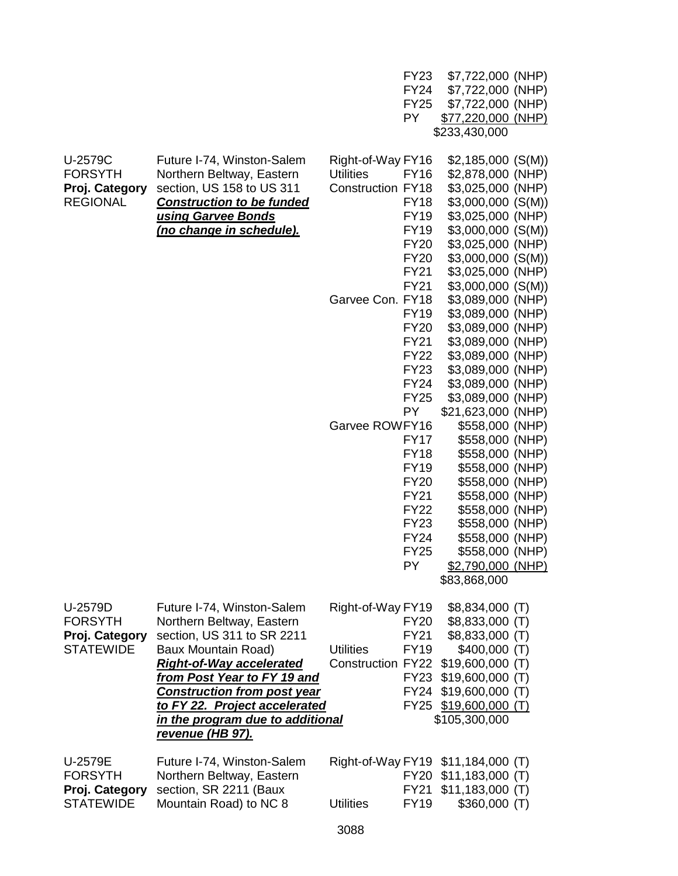|                  |                                                             |                          | <b>FY23</b> | \$7,722,000 (NHP)     |  |
|------------------|-------------------------------------------------------------|--------------------------|-------------|-----------------------|--|
|                  |                                                             |                          | <b>FY24</b> | \$7,722,000 (NHP)     |  |
|                  |                                                             |                          | <b>FY25</b> | \$7,722,000 (NHP)     |  |
|                  |                                                             |                          | <b>PY</b>   | \$77,220,000 (NHP)    |  |
|                  |                                                             |                          |             | \$233,430,000         |  |
|                  |                                                             |                          |             |                       |  |
| U-2579C          | Future I-74, Winston-Salem                                  | Right-of-Way FY16        |             | $$2,185,000$ (S(M))   |  |
| <b>FORSYTH</b>   | Northern Beltway, Eastern                                   | <b>Utilities</b>         | <b>FY16</b> | \$2,878,000 (NHP)     |  |
| Proj. Category   | section, US 158 to US 311                                   | <b>Construction FY18</b> |             | \$3,025,000 (NHP)     |  |
| <b>REGIONAL</b>  | <b>Construction to be funded</b>                            |                          | <b>FY18</b> | $$3,000,000$ (S(M))   |  |
|                  | using Garvee Bonds                                          |                          | <b>FY19</b> | \$3,025,000 (NHP)     |  |
|                  | <u>(no change in schedule).</u>                             |                          | <b>FY19</b> | $$3,000,000$ (S(M))   |  |
|                  |                                                             |                          | <b>FY20</b> | \$3,025,000 (NHP)     |  |
|                  |                                                             |                          | <b>FY20</b> | \$3,000,000 (S(M))    |  |
|                  |                                                             |                          | <b>FY21</b> | \$3,025,000 (NHP)     |  |
|                  |                                                             |                          |             |                       |  |
|                  |                                                             |                          | <b>FY21</b> | $$3,000,000$ (S(M))   |  |
|                  |                                                             | Garvee Con. FY18         |             | \$3,089,000 (NHP)     |  |
|                  |                                                             |                          | <b>FY19</b> | \$3,089,000 (NHP)     |  |
|                  |                                                             |                          | <b>FY20</b> | \$3,089,000 (NHP)     |  |
|                  |                                                             |                          | <b>FY21</b> | \$3,089,000 (NHP)     |  |
|                  |                                                             |                          | <b>FY22</b> | \$3,089,000 (NHP)     |  |
|                  |                                                             |                          | <b>FY23</b> | \$3,089,000 (NHP)     |  |
|                  |                                                             |                          | <b>FY24</b> | \$3,089,000 (NHP)     |  |
|                  |                                                             |                          | <b>FY25</b> | \$3,089,000 (NHP)     |  |
|                  |                                                             |                          | <b>PY</b>   | \$21,623,000 (NHP)    |  |
|                  |                                                             | Garvee ROWFY16           |             | \$558,000 (NHP)       |  |
|                  |                                                             |                          | <b>FY17</b> | \$558,000 (NHP)       |  |
|                  |                                                             |                          | <b>FY18</b> | \$558,000 (NHP)       |  |
|                  |                                                             |                          | <b>FY19</b> | \$558,000 (NHP)       |  |
|                  |                                                             |                          | <b>FY20</b> | \$558,000 (NHP)       |  |
|                  |                                                             |                          | <b>FY21</b> | \$558,000 (NHP)       |  |
|                  |                                                             |                          | <b>FY22</b> | \$558,000 (NHP)       |  |
|                  |                                                             |                          | <b>FY23</b> | \$558,000 (NHP)       |  |
|                  |                                                             |                          | <b>FY24</b> | \$558,000 (NHP)       |  |
|                  |                                                             |                          | <b>FY25</b> | \$558,000 (NHP)       |  |
|                  |                                                             |                          | PY.         | \$2,790,000 (NHP)     |  |
|                  |                                                             |                          |             | \$83,868,000          |  |
|                  |                                                             |                          |             |                       |  |
| U-2579D          | Future I-74, Winston-Salem                                  | Right-of-Way FY19        |             | $$8,834,000$ (T)      |  |
| <b>FORSYTH</b>   | Northern Beltway, Eastern                                   |                          | <b>FY20</b> | \$8,833,000 (T)       |  |
| Proj. Category   | section, US 311 to SR 2211                                  |                          | <b>FY21</b> | \$8,833,000 (T)       |  |
| <b>STATEWIDE</b> | <b>Baux Mountain Road)</b>                                  | <b>Utilities</b>         | <b>FY19</b> | $$400,000$ (T)        |  |
|                  | <b>Right-of-Way accelerated</b>                             | <b>Construction FY22</b> |             | $$19,600,000$ (T)     |  |
|                  | from Post Year to FY 19 and                                 |                          | <b>FY23</b> | $$19,600,000$ (T)     |  |
|                  |                                                             |                          | <b>FY24</b> | $$19,600,000$ (T)     |  |
|                  | <b>Construction from post year</b>                          |                          |             |                       |  |
|                  | to FY 22. Project accelerated                               |                          |             | FY25 \$19,600,000 (T) |  |
|                  | in the program due to additional<br><u>revenue (HB 97).</u> |                          |             | \$105,300,000         |  |
|                  |                                                             |                          |             |                       |  |
| U-2579E          | Future I-74, Winston-Salem                                  | Right-of-Way FY19        |             | $$11,184,000$ (T)     |  |
| <b>FORSYTH</b>   | Northern Beltway, Eastern                                   |                          | <b>FY20</b> | $$11,183,000$ (T)     |  |
| Proj. Category   | section, SR 2211 (Baux                                      |                          | <b>FY21</b> | $$11,183,000$ (T)     |  |
| <b>STATEWIDE</b> | Mountain Road) to NC 8                                      | <b>Utilities</b>         | <b>FY19</b> | $$360,000$ (T)        |  |
|                  |                                                             |                          |             |                       |  |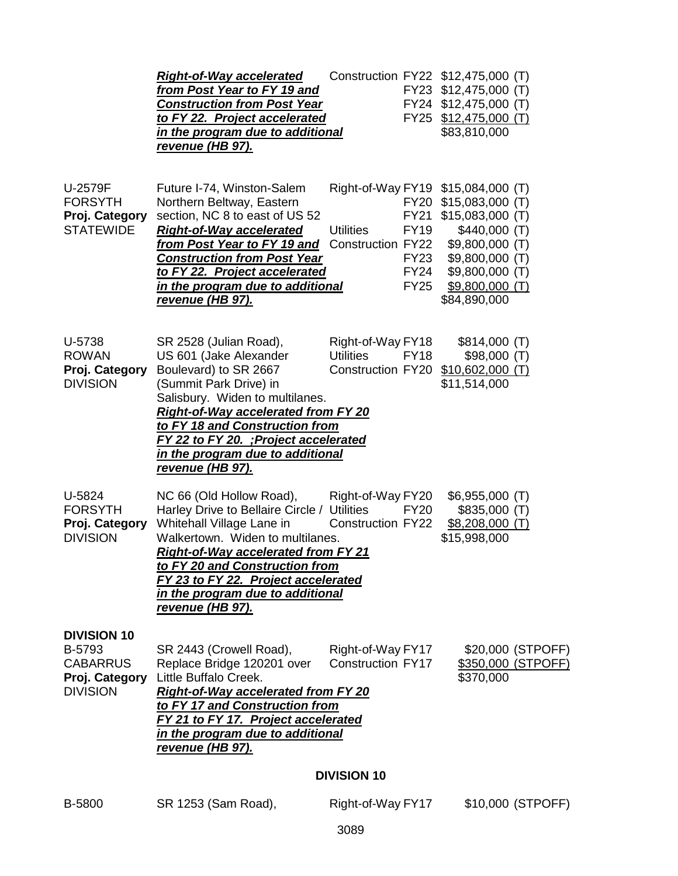|                                                                                      | <b>Right-of-Way accelerated</b><br>from Post Year to FY 19 and<br><b>Construction from Post Year</b><br>to FY 22. Project accelerated<br>in the program due to additional<br><u>revenue (HB 97).</u>                                                                                                                                  |                                                                                           | Construction FY22 \$12,475,000 (T)<br>FY23 \$12,475,000 (T)<br>FY24 \$12,475,000 (T)<br>FY25 \$12,475,000 (T)<br>\$83,810,000                                                                                    |
|--------------------------------------------------------------------------------------|---------------------------------------------------------------------------------------------------------------------------------------------------------------------------------------------------------------------------------------------------------------------------------------------------------------------------------------|-------------------------------------------------------------------------------------------|------------------------------------------------------------------------------------------------------------------------------------------------------------------------------------------------------------------|
| U-2579F<br><b>FORSYTH</b><br>Proj. Category<br><b>STATEWIDE</b>                      | Future I-74, Winston-Salem<br>Northern Beltway, Eastern<br>section, NC 8 to east of US 52<br><b>Right-of-Way accelerated</b><br><u>from Post Year to FY 19 and </u><br><b>Construction from Post Year</b><br>to FY 22. Project accelerated<br>in the program due to additional<br><u>revenue (HB 97).</u>                             | <b>Utilities</b><br><b>FY19</b><br><b>Construction FY22</b><br><b>FY24</b><br><b>FY25</b> | Right-of-Way FY19 \$15,084,000 (T)<br>FY20 \$15,083,000 (T)<br>FY21 \$15,083,000 (T)<br>\$440,000(T)<br>\$9,800,000 (T)<br><b>FY23</b><br>\$9,800,000 (T)<br>\$9,800,000 (T)<br>$$9,800,000$ (T)<br>\$84,890,000 |
| U-5738<br><b>ROWAN</b><br>Proj. Category<br><b>DIVISION</b>                          | SR 2528 (Julian Road),<br>US 601 (Jake Alexander<br>Boulevard) to SR 2667<br>(Summit Park Drive) in<br>Salisbury. Widen to multilanes.<br><b>Right-of-Way accelerated from FY 20</b><br>to FY 18 and Construction from<br>FY 22 to FY 20. ; Project accelerated<br><u>in the program due to additional</u><br><u>revenue (HB 97).</u> | Right-of-Way FY18<br><b>Utilities</b><br><b>FY18</b><br>Construction FY20                 | \$814,000 (T)<br>\$98,000(T)<br>$$10,602,000$ (T)<br>\$11,514,000                                                                                                                                                |
| U-5824<br><b>FORSYTH</b><br>Proj. Category<br><b>DIVISION</b>                        | NC 66 (Old Hollow Road),<br>Harley Drive to Bellaire Circle / Utilities<br>Whitehall Village Lane in<br>Walkertown. Widen to multilanes.<br><b>Right-of-Way accelerated from FY 21</b><br>to FY 20 and Construction from<br>FY 23 to FY 22. Project accelerated<br>in the program due to additional<br>revenue (HB 97).               | Right-of-Way FY20<br><b>FY20</b><br>Construction FY22                                     | $$6,955,000$ (T)<br>\$835,000(T)<br>$$8,208,000$ (T)<br>\$15,998,000                                                                                                                                             |
| <b>DIVISION 10</b><br>B-5793<br><b>CABARRUS</b><br>Proj. Category<br><b>DIVISION</b> | SR 2443 (Crowell Road),<br>Replace Bridge 120201 over<br>Little Buffalo Creek.<br><b>Right-of-Way accelerated from FY 20</b><br>to FY 17 and Construction from<br>FY 21 to FY 17. Project accelerated<br>in the program due to additional<br><u>revenue (HB 97).</u>                                                                  | Right-of-Way FY17<br><b>Construction FY17</b><br><b>DIVISION 10</b>                       | \$20,000 (STPOFF)<br>\$350,000 (STPOFF)<br>\$370,000                                                                                                                                                             |
| B-5800                                                                               | SR 1253 (Sam Road),                                                                                                                                                                                                                                                                                                                   | Right-of-Way FY17                                                                         | \$10,000 (STPOFF)                                                                                                                                                                                                |
|                                                                                      |                                                                                                                                                                                                                                                                                                                                       |                                                                                           |                                                                                                                                                                                                                  |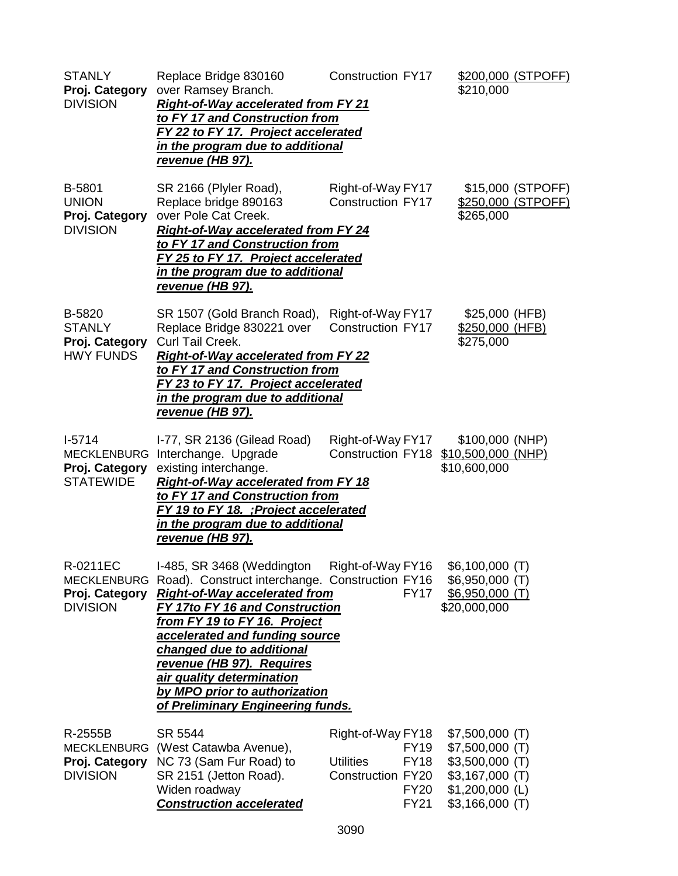| <b>STANLY</b><br>Proj. Category<br><b>DIVISION</b>                   | Replace Bridge 830160<br>over Ramsey Branch.<br><b>Right-of-Way accelerated from FY 21</b><br>to FY 17 and Construction from<br>FY 22 to FY 17. Project accelerated<br>in the program due to additional<br>revenue (HB 97).                                                                                                                                                                          | <b>Construction FY17</b>                                   |                                                          | \$210,000                                                                                                           | \$200,000 (STPOFF)                      |
|----------------------------------------------------------------------|------------------------------------------------------------------------------------------------------------------------------------------------------------------------------------------------------------------------------------------------------------------------------------------------------------------------------------------------------------------------------------------------------|------------------------------------------------------------|----------------------------------------------------------|---------------------------------------------------------------------------------------------------------------------|-----------------------------------------|
| B-5801<br><b>UNION</b><br>Proj. Category<br><b>DIVISION</b>          | SR 2166 (Plyler Road),<br>Replace bridge 890163<br>over Pole Cat Creek.<br><b>Right-of-Way accelerated from FY 24</b><br>to FY 17 and Construction from<br>FY 25 to FY 17. Project accelerated<br>in the program due to additional<br><u>revenue (HB 97).</u>                                                                                                                                        | Right-of-Way FY17<br><b>Construction FY17</b>              |                                                          | \$265,000                                                                                                           | \$15,000 (STPOFF)<br>\$250,000 (STPOFF) |
| B-5820<br><b>STANLY</b><br>Proj. Category<br><b>HWY FUNDS</b>        | SR 1507 (Gold Branch Road),<br>Replace Bridge 830221 over<br>Curl Tail Creek.<br><b>Right-of-Way accelerated from FY 22</b><br>to FY 17 and Construction from<br>FY 23 to FY 17. Project accelerated<br><u>in the program due to additional</u><br><u>revenue (HB 97).</u>                                                                                                                           | Right-of-Way FY17<br><b>Construction FY17</b>              |                                                          | \$25,000 (HFB)<br>\$250,000 (HFB)<br>\$275,000                                                                      |                                         |
| $1-5714$<br><b>MECKLENBURG</b><br>Proj. Category<br><b>STATEWIDE</b> | I-77, SR 2136 (Gilead Road)<br>Interchange. Upgrade<br>existing interchange.<br><b>Right-of-Way accelerated from FY 18</b><br>to FY 17 and Construction from<br>FY 19 to FY 18. ; Project accelerated<br>in the program due to additional<br><u>revenue (HB 97).</u>                                                                                                                                 | Right-of-Way FY17<br>Construction FY18                     |                                                          | \$100,000 (NHP)<br>\$10,500,000 (NHP)<br>\$10,600,000                                                               |                                         |
| R-0211EC<br><b>MECKLENBURG</b><br>Proj. Category<br><b>DIVISION</b>  | I-485, SR 3468 (Weddington<br>Road). Construct interchange. Construction FY16<br><b>Right-of-Way accelerated from</b><br>FY 17to FY 16 and Construction<br>from FY 19 to FY 16. Project<br>accelerated and funding source<br><b>changed due to additional</b><br>revenue (HB 97). Requires<br><u>air quality determination</u><br>by MPO prior to authorization<br>of Preliminary Engineering funds. | Right-of-Way FY16                                          | <b>FY17</b>                                              | $$6,100,000$ (T)<br>\$6,950,000 (T)<br>$$6,950,000$ (T)<br>\$20,000,000                                             |                                         |
| R-2555B<br><b>MECKLENBURG</b><br>Proj. Category<br><b>DIVISION</b>   | SR 5544<br>(West Catawba Avenue),<br>NC 73 (Sam Fur Road) to<br>SR 2151 (Jetton Road).<br>Widen roadway<br><b>Construction accelerated</b>                                                                                                                                                                                                                                                           | Right-of-Way FY18<br><b>Utilities</b><br>Construction FY20 | <b>FY19</b><br><b>FY18</b><br><b>FY20</b><br><b>FY21</b> | $$7,500,000$ (T)<br>$$7,500,000$ (T)<br>$$3,500,000$ (T)<br>$$3,167,000$ (T)<br>\$1,200,000 (L)<br>$$3,166,000$ (T) |                                         |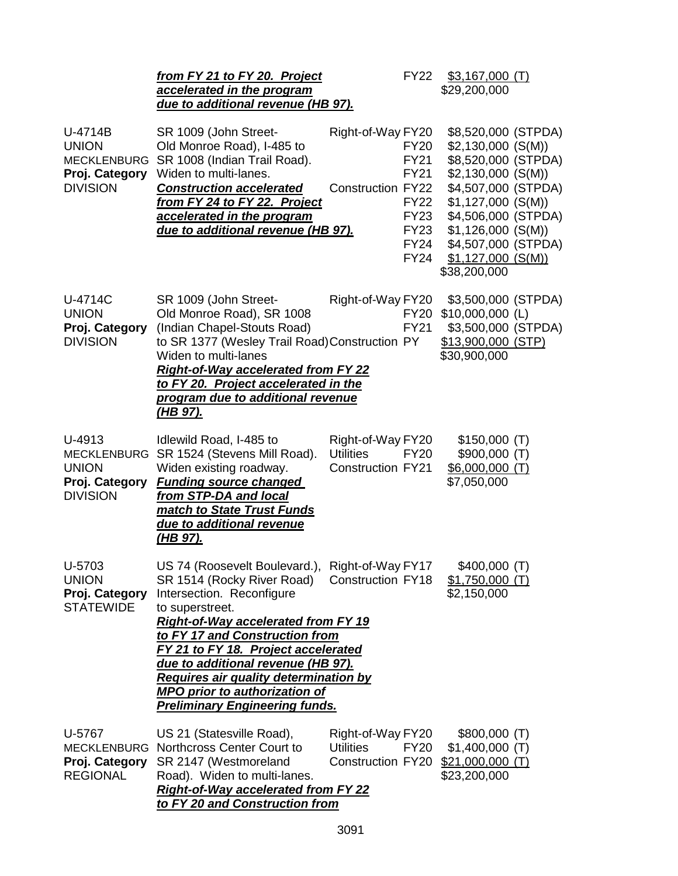|                                                                                    | from FY 21 to FY 20. Project<br>accelerated in the program<br>due to additional revenue (HB 97).                                                                                                                                                                                                                                                                                                                                                     |                                                                   | <b>FY22</b>                                                                                                          | $$3,167,000$ (T)<br>\$29,200,000                                                                                                                                                                                                             |  |
|------------------------------------------------------------------------------------|------------------------------------------------------------------------------------------------------------------------------------------------------------------------------------------------------------------------------------------------------------------------------------------------------------------------------------------------------------------------------------------------------------------------------------------------------|-------------------------------------------------------------------|----------------------------------------------------------------------------------------------------------------------|----------------------------------------------------------------------------------------------------------------------------------------------------------------------------------------------------------------------------------------------|--|
| U-4714B<br><b>UNION</b><br><b>MECKLENBURG</b><br>Proj. Category<br><b>DIVISION</b> | SR 1009 (John Street-<br>Old Monroe Road), I-485 to<br>SR 1008 (Indian Trail Road).<br>Widen to multi-lanes.<br><b>Construction accelerated</b><br>from FY 24 to FY 22. Project<br>accelerated in the program<br>due to additional revenue (HB 97).                                                                                                                                                                                                  | Right-of-Way FY20<br><b>Construction FY22</b>                     | <b>FY20</b><br><b>FY21</b><br><b>FY21</b><br><b>FY22</b><br><b>FY23</b><br><b>FY23</b><br><b>FY24</b><br><b>FY24</b> | \$8,520,000 (STPDA)<br>$$2,130,000$ (S(M))<br>\$8,520,000 (STPDA)<br>\$2,130,000(S(M))<br>\$4,507,000 (STPDA)<br>\$1,127,000(S(M))<br>\$4,506,000 (STPDA)<br>\$1,126,000(S(M))<br>\$4,507,000 (STPDA)<br>$$1,127,000$ (S(M))<br>\$38,200,000 |  |
| U-4714C<br><b>UNION</b><br>Proj. Category<br><b>DIVISION</b>                       | SR 1009 (John Street-<br>Old Monroe Road), SR 1008<br>(Indian Chapel-Stouts Road)<br>to SR 1377 (Wesley Trail Road) Construction PY<br>Widen to multi-lanes<br><b>Right-of-Way accelerated from FY 22</b><br>to FY 20. Project accelerated in the<br>program due to additional revenue<br><u>(HB 97).</u>                                                                                                                                            | Right-of-Way FY20                                                 | <b>FY20</b><br><b>FY21</b>                                                                                           | \$3,500,000 (STPDA)<br>$$10,000,000$ (L)<br>\$3,500,000 (STPDA)<br>\$13,900,000 (STP)<br>\$30,900,000                                                                                                                                        |  |
| U-4913<br>MECKLENBURG<br><b>UNION</b><br>Proj. Category<br><b>DIVISION</b>         | Idlewild Road, I-485 to<br>SR 1524 (Stevens Mill Road).<br>Widen existing roadway.<br><b>Funding source changed</b><br>from STP-DA and local<br><b>match to State Trust Funds</b><br>due to additional revenue<br><u>(HB 97).</u>                                                                                                                                                                                                                    | Right-of-Way FY20<br><b>Utilities</b><br><b>Construction FY21</b> | <b>FY20</b>                                                                                                          | \$150,000(T)<br>\$900,000(T)<br>$$6,000,000$ (T)<br>\$7,050,000                                                                                                                                                                              |  |
| U-5703<br><b>UNION</b><br>Proj. Category<br><b>STATEWIDE</b>                       | US 74 (Roosevelt Boulevard.), Right-of-Way FY17<br>SR 1514 (Rocky River Road) Construction FY18<br>Intersection. Reconfigure<br>to superstreet.<br><b>Right-of-Way accelerated from FY 19</b><br>to FY 17 and Construction from<br>FY 21 to FY 18. Project accelerated<br><u>due to additional revenue (HB 97).</u><br><b>Requires air quality determination by</b><br><b>MPO prior to authorization of</b><br><b>Preliminary Engineering funds.</b> |                                                                   |                                                                                                                      | $$400,000$ (T)<br>$$1,750,000$ (T)<br>\$2,150,000                                                                                                                                                                                            |  |
| U-5767<br>Proj. Category<br><b>REGIONAL</b>                                        | US 21 (Statesville Road),<br>MECKLENBURG Northcross Center Court to<br>SR 2147 (Westmoreland<br>Road). Widen to multi-lanes.<br><b>Right-of-Way accelerated from FY 22</b><br>to FY 20 and Construction from                                                                                                                                                                                                                                         | Right-of-Way FY20<br><b>Utilities</b><br>Construction FY20        | <b>FY20</b>                                                                                                          | \$800,000(T)<br>$$1,400,000$ (T)<br>$$21,000,000$ (T)<br>\$23,200,000                                                                                                                                                                        |  |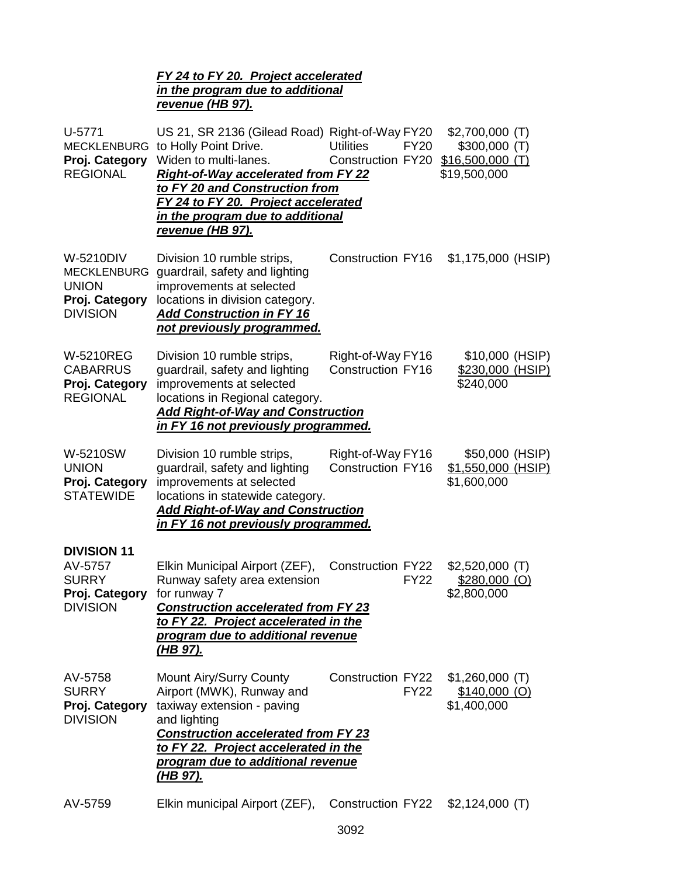### *FY 24 to FY 20. Project accelerated in the program due to additional revenue (HB 97).*

| U-5771<br><b>MECKLENBURG</b><br>Proj. Category<br><b>REGIONAL</b>                           | US 21, SR 2136 (Gilead Road) Right-of-Way FY20<br>to Holly Point Drive.<br>Widen to multi-lanes.<br><b>Right-of-Way accelerated from FY 22</b><br>to FY 20 and Construction from<br>FY 24 to FY 20. Project accelerated<br>in the program due to additional<br><u>revenue (HB 97).</u> | <b>Utilities</b><br><b>FY20</b><br>Construction FY20 | $$2,700,000$ (T)<br>$$300,000$ (T)<br>$$16,500,000$ (T)<br>\$19,500,000 |
|---------------------------------------------------------------------------------------------|----------------------------------------------------------------------------------------------------------------------------------------------------------------------------------------------------------------------------------------------------------------------------------------|------------------------------------------------------|-------------------------------------------------------------------------|
| <b>W-5210DIV</b><br><b>MECKLENBURG</b><br><b>UNION</b><br>Proj. Category<br><b>DIVISION</b> | Division 10 rumble strips,<br>guardrail, safety and lighting<br>improvements at selected<br>locations in division category.<br><b>Add Construction in FY 16</b><br>not previously programmed.                                                                                          | <b>Construction FY16</b>                             | \$1,175,000 (HSIP)                                                      |
| <b>W-5210REG</b><br><b>CABARRUS</b><br>Proj. Category<br><b>REGIONAL</b>                    | Division 10 rumble strips,<br>guardrail, safety and lighting<br>improvements at selected<br>locations in Regional category.<br><b>Add Right-of-Way and Construction</b><br>in FY 16 not previously programmed.                                                                         | Right-of-Way FY16<br><b>Construction FY16</b>        | \$10,000 (HSIP)<br>\$230,000 (HSIP)<br>\$240,000                        |
| W-5210SW<br><b>UNION</b><br>Proj. Category<br><b>STATEWIDE</b>                              | Division 10 rumble strips,<br>guardrail, safety and lighting<br>improvements at selected<br>locations in statewide category.<br><b>Add Right-of-Way and Construction</b><br>in FY 16 not previously programmed.                                                                        | Right-of-Way FY16<br><b>Construction FY16</b>        | \$50,000 (HSIP)<br>\$1,550,000 (HSIP)<br>\$1,600,000                    |
| <b>DIVISION 11</b><br>AV-5757<br><b>SURRY</b><br>Proj. Category<br><b>DIVISION</b>          | Elkin Municipal Airport (ZEF),<br>Runway safety area extension<br>for runway 7<br><b>Construction accelerated from FY 23</b><br>to FY 22. Project accelerated in the<br>program due to additional revenue<br>(HB 97).                                                                  | <b>Construction FY22</b><br><b>FY22</b>              | $$2,520,000$ (T)<br>$$280,000$ (O)<br>\$2,800,000                       |
| AV-5758<br><b>SURRY</b><br>Proj. Category<br><b>DIVISION</b>                                | Mount Airy/Surry County<br>Airport (MWK), Runway and<br>taxiway extension - paving<br>and lighting<br><b>Construction accelerated from FY 23</b><br>to FY 22. Project accelerated in the<br>program due to additional revenue<br><u>(HB 97).</u>                                       | <b>Construction FY22</b><br><b>FY22</b>              | $$1,260,000$ (T)<br>$$140,000$ (O)<br>\$1,400,000                       |
| AV-5759                                                                                     | Elkin municipal Airport (ZEF),                                                                                                                                                                                                                                                         | Construction FY22                                    | $$2,124,000$ (T)                                                        |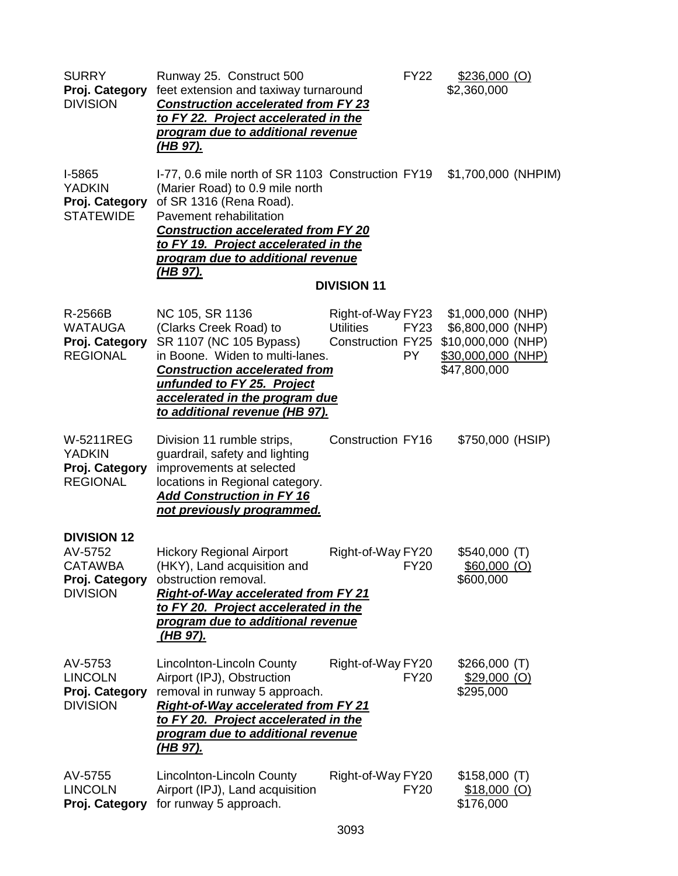| <b>SURRY</b><br>Proj. Category<br><b>DIVISION</b>                                    | Runway 25. Construct 500<br>feet extension and taxiway turnaround<br><b>Construction accelerated from FY 23</b><br>to FY 22. Project accelerated in the<br>program due to additional revenue<br><u>(HB 97).</u>                                                                   |                                                            | <b>FY22</b>       | $$236,000$ (O)<br>\$2,360,000                                                                      |  |
|--------------------------------------------------------------------------------------|-----------------------------------------------------------------------------------------------------------------------------------------------------------------------------------------------------------------------------------------------------------------------------------|------------------------------------------------------------|-------------------|----------------------------------------------------------------------------------------------------|--|
| I-5865<br><b>YADKIN</b><br>Proj. Category<br><b>STATEWIDE</b>                        | I-77, 0.6 mile north of SR 1103 Construction FY19<br>(Marier Road) to 0.9 mile north<br>of SR 1316 (Rena Road).<br>Pavement rehabilitation<br><b>Construction accelerated from FY 20</b><br>to FY 19. Project accelerated in the<br>program due to additional revenue<br>(HB 97). | <b>DIVISION 11</b>                                         |                   | \$1,700,000 (NHPIM)                                                                                |  |
| R-2566B<br><b>WATAUGA</b><br>Proj. Category<br><b>REGIONAL</b>                       | NC 105, SR 1136<br>(Clarks Creek Road) to<br>SR 1107 (NC 105 Bypass)<br>in Boone. Widen to multi-lanes.<br><b>Construction accelerated from</b><br>unfunded to FY 25. Project<br>accelerated in the program due<br><u>to additional revenue (HB 97).</u>                          | Right-of-Way FY23<br><b>Utilities</b><br>Construction FY25 | FY23<br><b>PY</b> | \$1,000,000 (NHP)<br>\$6,800,000 (NHP)<br>\$10,000,000 (NHP)<br>\$30,000,000 (NHP)<br>\$47,800,000 |  |
| <b>W-5211REG</b><br><b>YADKIN</b><br>Proj. Category<br><b>REGIONAL</b>               | Division 11 rumble strips,<br>guardrail, safety and lighting<br>improvements at selected<br>locations in Regional category.<br><b>Add Construction in FY 16</b><br>not previously programmed.                                                                                     | <b>Construction FY16</b>                                   |                   | \$750,000 (HSIP)                                                                                   |  |
| <b>DIVISION 12</b><br>AV-5752<br><b>CATAWBA</b><br>Proj. Category<br><b>DIVISION</b> | <b>Hickory Regional Airport</b><br>(HKY), Land acquisition and<br>obstruction removal.<br><b>Right-of-Way accelerated from FY 21</b><br>to FY 20. Project accelerated in the<br>program due to additional revenue<br><u>(HB 97).</u>                                              | Right-of-Way FY20                                          | <b>FY20</b>       | \$540,000 (T)<br>$$60,000$ (O)<br>\$600,000                                                        |  |
| AV-5753<br><b>LINCOLN</b><br>Proj. Category<br><b>DIVISION</b>                       | Lincolnton-Lincoln County<br>Airport (IPJ), Obstruction<br>removal in runway 5 approach.<br><b>Right-of-Way accelerated from FY 21</b><br>to FY 20. Project accelerated in the<br><b>program due to additional revenue</b><br><u>(HB 97).</u>                                     | Right-of-Way FY20                                          | <b>FY20</b>       | \$266,000 (T)<br>$$29,000$ (O)<br>\$295,000                                                        |  |
| AV-5755<br><b>LINCOLN</b><br>Proj. Category                                          | Lincolnton-Lincoln County<br>Airport (IPJ), Land acquisition<br>for runway 5 approach.                                                                                                                                                                                            | Right-of-Way FY20                                          | <b>FY20</b>       | \$158,000(T)<br>$$18,000$ (O)<br>\$176,000                                                         |  |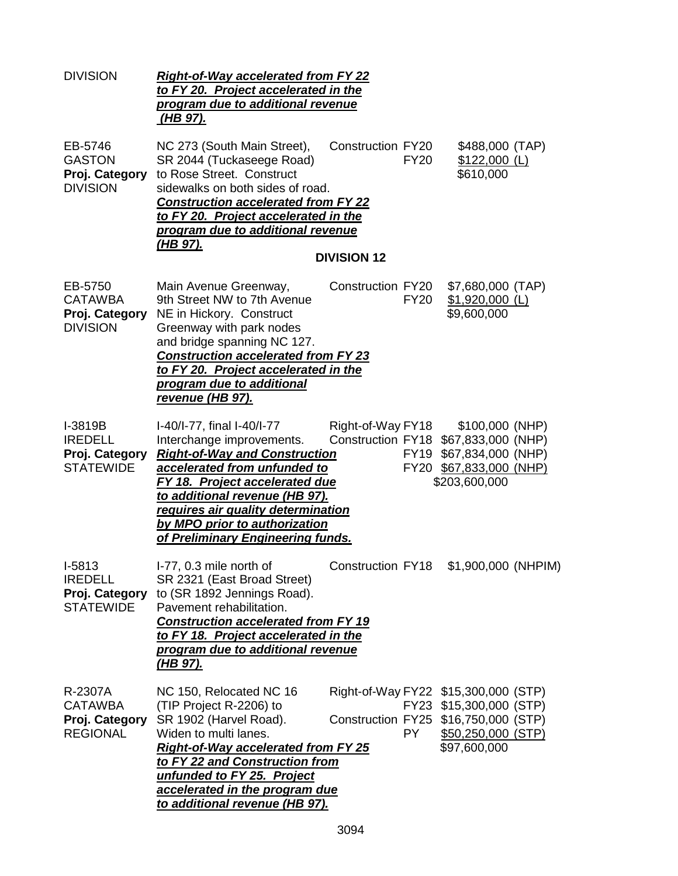| <b>DIVISION</b>                                                  | <b>Right-of-Way accelerated from FY 22</b><br>to FY 20. Project accelerated in the<br>program due to additional revenue<br><u>(HB 97).</u>                                                                                                                                                                             |                                                |             |                                                                                                                                               |  |
|------------------------------------------------------------------|------------------------------------------------------------------------------------------------------------------------------------------------------------------------------------------------------------------------------------------------------------------------------------------------------------------------|------------------------------------------------|-------------|-----------------------------------------------------------------------------------------------------------------------------------------------|--|
| EB-5746<br><b>GASTON</b><br>Proj. Category<br><b>DIVISION</b>    | NC 273 (South Main Street),<br>SR 2044 (Tuckaseege Road)<br>to Rose Street. Construct<br>sidewalks on both sides of road.<br><b>Construction accelerated from FY 22</b><br>to FY 20. Project accelerated in the<br>program due to additional revenue<br><u>(HB 97).</u>                                                | <b>Construction FY20</b><br><b>DIVISION 12</b> | <b>FY20</b> | \$488,000 (TAP)<br>$$122,000$ (L)<br>\$610,000                                                                                                |  |
| EB-5750<br><b>CATAWBA</b><br>Proj. Category<br><b>DIVISION</b>   | Main Avenue Greenway,<br>9th Street NW to 7th Avenue<br>NE in Hickory. Construct<br>Greenway with park nodes<br>and bridge spanning NC 127.<br><b>Construction accelerated from FY 23</b><br>to FY 20. Project accelerated in the<br>program due to additional<br><u>revenue (HB 97).</u>                              | Construction FY20                              | <b>FY20</b> | \$7,680,000 (TAP)<br>\$1,920,000 (L)<br>\$9,600,000                                                                                           |  |
| I-3819B<br><b>IREDELL</b><br>Proj. Category<br><b>STATEWIDE</b>  | I-40/I-77, final I-40/I-77<br>Interchange improvements.<br><b>Right-of-Way and Construction</b><br>accelerated from unfunded to<br><b>FY 18. Project accelerated due</b><br>to additional revenue (HB 97).<br>requires air quality determination<br>by MPO prior to authorization<br>of Preliminary Engineering funds. | Right-of-Way FY18                              |             | $$100,000$ (NHP)<br>Construction FY18 \$67,833,000 (NHP)<br>FY19 \$67,834,000 (NHP)<br>FY20 \$67,833,000 (NHP)<br>\$203,600,000               |  |
| $I-5813$<br><b>IREDELL</b><br>Proj. Category<br><b>STATEWIDE</b> | I-77, 0.3 mile north of<br>SR 2321 (East Broad Street)<br>to (SR 1892 Jennings Road).<br>Pavement rehabilitation.<br><b>Construction accelerated from FY 19</b><br>to FY 18. Project accelerated in the<br>program due to additional revenue<br><u>(HB 97).</u>                                                        |                                                |             | Construction FY18 \$1,900,000 (NHPIM)                                                                                                         |  |
| R-2307A<br><b>CATAWBA</b><br>Proj. Category<br><b>REGIONAL</b>   | NC 150, Relocated NC 16<br>(TIP Project R-2206) to<br>SR 1902 (Harvel Road).<br>Widen to multi lanes.<br><b>Right-of-Way accelerated from FY 25</b><br>to FY 22 and Construction from<br>unfunded to FY 25. Project<br>accelerated in the program due<br>to additional revenue (HB 97).                                |                                                | PY.         | Right-of-Way FY22 \$15,300,000 (STP)<br>FY23 \$15,300,000 (STP)<br>Construction FY25 \$16,750,000 (STP)<br>\$50,250,000 (STP)<br>\$97,600,000 |  |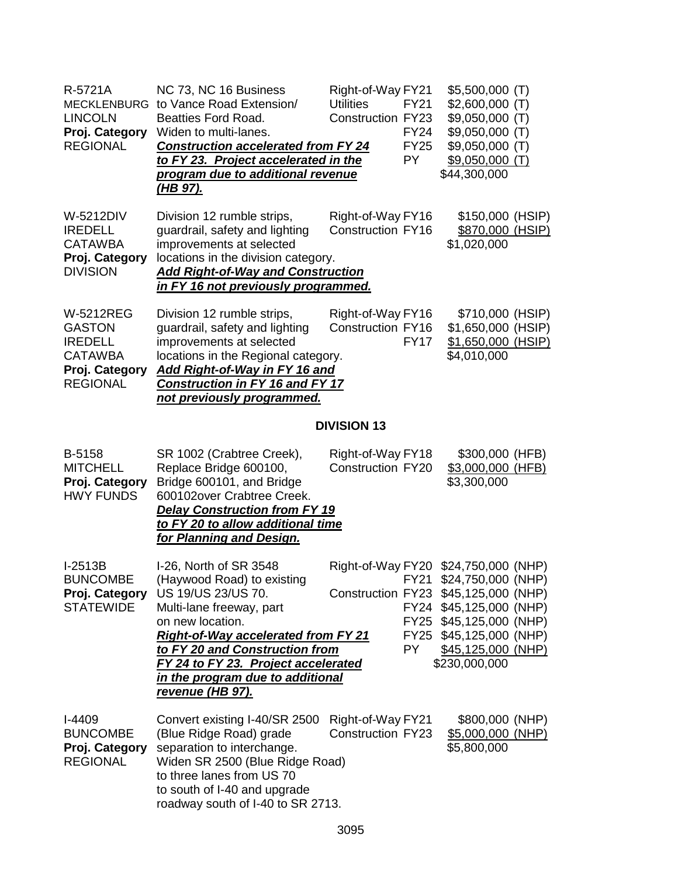| R-5721A<br><b>LINCOLN</b><br>Proj. Category<br><b>REGIONAL</b>                                             | NC 73, NC 16 Business<br>MECKLENBURG to Vance Road Extension/<br><b>Beatties Ford Road.</b><br>Widen to multi-lanes.<br><b>Construction accelerated from FY 24</b><br>to FY 23. Project accelerated in the<br>program due to additional revenue<br><u>(HB 97).</u>                                               | Right-of-Way FY21<br><b>Utilities</b><br><b>Construction FY23</b> | <b>FY21</b><br><b>FY24</b><br><b>FY25</b><br><b>PY</b> | $$5,500,000$ (T)<br>$$2,600,000$ (T)<br>$$9,050,000$ (T)<br>$$9,050,000$ (T)<br>$$9,050,000$ (T)<br>$$9,050,000$ (T)<br>\$44,300,000                                                                                        |  |
|------------------------------------------------------------------------------------------------------------|------------------------------------------------------------------------------------------------------------------------------------------------------------------------------------------------------------------------------------------------------------------------------------------------------------------|-------------------------------------------------------------------|--------------------------------------------------------|-----------------------------------------------------------------------------------------------------------------------------------------------------------------------------------------------------------------------------|--|
| W-5212DIV<br><b>IREDELL</b><br><b>CATAWBA</b><br>Proj. Category<br><b>DIVISION</b>                         | Division 12 rumble strips,<br>guardrail, safety and lighting<br>improvements at selected<br>locations in the division category.<br><b>Add Right-of-Way and Construction</b><br>in FY 16 not previously programmed.                                                                                               | Right-of-Way FY16<br><b>Construction FY16</b>                     |                                                        | \$150,000 (HSIP)<br>\$870,000 (HSIP)<br>\$1,020,000                                                                                                                                                                         |  |
| <b>W-5212REG</b><br><b>GASTON</b><br><b>IREDELL</b><br><b>CATAWBA</b><br>Proj. Category<br><b>REGIONAL</b> | Division 12 rumble strips,<br>guardrail, safety and lighting<br>improvements at selected<br>locations in the Regional category.<br>Add Right-of-Way in FY 16 and<br><b>Construction in FY 16 and FY 17</b><br>not previously programmed.                                                                         | Right-of-Way FY16<br><b>Construction FY16</b>                     | <b>FY17</b>                                            | \$710,000 (HSIP)<br>\$1,650,000 (HSIP)<br>\$1,650,000 (HSIP)<br>\$4,010,000                                                                                                                                                 |  |
|                                                                                                            |                                                                                                                                                                                                                                                                                                                  | <b>DIVISION 13</b>                                                |                                                        |                                                                                                                                                                                                                             |  |
| B-5158<br><b>MITCHELL</b><br>Proj. Category<br><b>HWY FUNDS</b>                                            | SR 1002 (Crabtree Creek),<br>Replace Bridge 600100,<br>Bridge 600101, and Bridge<br>600102over Crabtree Creek.<br><b>Delay Construction from FY 19</b><br>to FY 20 to allow additional time<br>for Planning and Design.                                                                                          | Right-of-Way FY18<br><b>Construction FY20</b>                     |                                                        | \$300,000 (HFB)<br>\$3,000,000 (HFB)<br>\$3,300,000                                                                                                                                                                         |  |
| $I-2513B$<br><b>BUNCOMBE</b><br>Proj. Category<br><b>STATEWIDE</b>                                         | I-26, North of SR 3548<br>(Haywood Road) to existing<br>US 19/US 23/US 70.<br>Multi-lane freeway, part<br>on new location.<br><b>Right-of-Way accelerated from FY 21</b><br>to FY 20 and Construction from<br>FY 24 to FY 23. Project accelerated<br>in the program due to additional<br><u>revenue (HB 97).</u> |                                                                   | FY25<br>PY.                                            | Right-of-Way FY20 \$24,750,000 (NHP)<br>FY21 \$24,750,000 (NHP)<br>Construction FY23 \$45,125,000 (NHP)<br>FY24 \$45,125,000 (NHP)<br>FY25 \$45,125,000 (NHP)<br>\$45,125,000 (NHP)<br>$$45,125,000$ (NHP)<br>\$230,000,000 |  |
| $I-4409$<br><b>BUNCOMBE</b><br>Proj. Category<br><b>REGIONAL</b>                                           | Convert existing I-40/SR 2500<br>(Blue Ridge Road) grade<br>separation to interchange.<br>Widen SR 2500 (Blue Ridge Road)<br>to three lanes from US 70<br>to south of I-40 and upgrade<br>roadway south of I-40 to SR 2713.                                                                                      | Right-of-Way FY21<br><b>Construction FY23</b>                     |                                                        | \$800,000 (NHP)<br>\$5,000,000 (NHP)<br>\$5,800,000                                                                                                                                                                         |  |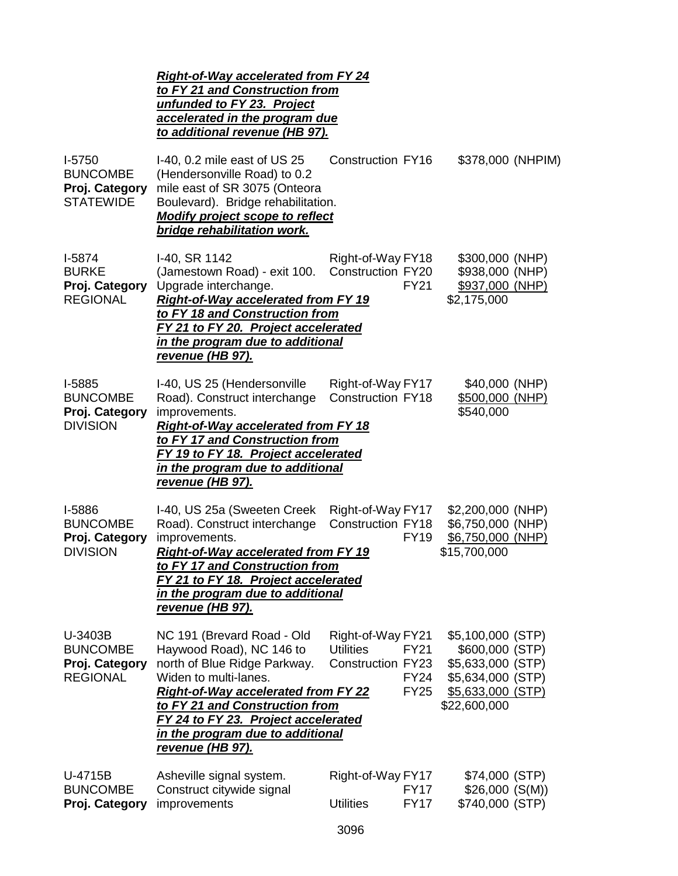|                                                                   | <b>Right-of-Way accelerated from FY 24</b><br>to FY 21 and Construction from<br>unfunded to FY 23. Project<br>accelerated in the program due<br>to additional revenue (HB 97).                                                                                                                 |                                                                                                                |                                                                                                                            |
|-------------------------------------------------------------------|------------------------------------------------------------------------------------------------------------------------------------------------------------------------------------------------------------------------------------------------------------------------------------------------|----------------------------------------------------------------------------------------------------------------|----------------------------------------------------------------------------------------------------------------------------|
| $I-5750$<br><b>BUNCOMBE</b><br>Proj. Category<br><b>STATEWIDE</b> | I-40, 0.2 mile east of US 25<br>(Hendersonville Road) to 0.2<br>mile east of SR 3075 (Onteora<br>Boulevard). Bridge rehabilitation.<br><b>Modify project scope to reflect</b><br>bridge rehabilitation work.                                                                                   | <b>Construction FY16</b>                                                                                       | \$378,000 (NHPIM)                                                                                                          |
| $I-5874$<br><b>BURKE</b><br>Proj. Category<br><b>REGIONAL</b>     | I-40, SR 1142<br>(Jamestown Road) - exit 100.<br>Upgrade interchange.<br><b>Right-of-Way accelerated from FY 19</b><br>to FY 18 and Construction from<br>FY 21 to FY 20. Project accelerated<br>in the program due to additional<br><u>revenue (HB 97).</u>                                    | Right-of-Way FY18<br><b>Construction FY20</b><br><b>FY21</b>                                                   | \$300,000 (NHP)<br>\$938,000 (NHP)<br>\$937,000 (NHP)<br>\$2,175,000                                                       |
| I-5885<br><b>BUNCOMBE</b><br>Proj. Category<br><b>DIVISION</b>    | I-40, US 25 (Hendersonville<br>Road). Construct interchange<br>improvements.<br><b>Right-of-Way accelerated from FY 18</b><br>to FY 17 and Construction from<br>FY 19 to FY 18. Project accelerated<br>in the program due to additional<br><u>revenue (HB 97).</u>                             | Right-of-Way FY17<br><b>Construction FY18</b>                                                                  | \$40,000 (NHP)<br>\$500,000 (NHP)<br>\$540,000                                                                             |
| I-5886<br><b>BUNCOMBE</b><br>Proj. Category<br><b>DIVISION</b>    | I-40, US 25a (Sweeten Creek<br>Road). Construct interchange<br>improvements.<br><b>Right-of-Way accelerated from FY 19</b><br>to FY 17 and Construction from<br>FY 21 to FY 18. Project accelerated<br>in the program due to additional<br><u>revenue (HB 97).</u>                             | Right-of-Way FY17<br><b>Construction FY18</b><br><b>FY19</b>                                                   | \$2,200,000 (NHP)<br>\$6,750,000 (NHP)<br>\$6,750,000 (NHP)<br>\$15,700,000                                                |
| U-3403B<br><b>BUNCOMBE</b><br>Proj. Category<br><b>REGIONAL</b>   | NC 191 (Brevard Road - Old<br>Haywood Road), NC 146 to<br>north of Blue Ridge Parkway.<br>Widen to multi-lanes.<br><b>Right-of-Way accelerated from FY 22</b><br>to FY 21 and Construction from<br>FY 24 to FY 23. Project accelerated<br>in the program due to additional<br>revenue (HB 97). | Right-of-Way FY21<br><b>Utilities</b><br><b>FY21</b><br><b>Construction FY23</b><br><b>FY24</b><br><b>FY25</b> | \$5,100,000 (STP)<br>\$600,000 (STP)<br>\$5,633,000 (STP)<br>\$5,634,000 (STP)<br><u>\$5,633,000 (STP)</u><br>\$22,600,000 |
| U-4715B<br><b>BUNCOMBE</b><br>Proj. Category                      | Asheville signal system.<br>Construct citywide signal<br>improvements                                                                                                                                                                                                                          | Right-of-Way FY17<br><b>FY17</b><br><b>Utilities</b><br><b>FY17</b><br>3096                                    | \$74,000 (STP)<br>\$26,000(S(M))<br>\$740,000 (STP)                                                                        |
|                                                                   |                                                                                                                                                                                                                                                                                                |                                                                                                                |                                                                                                                            |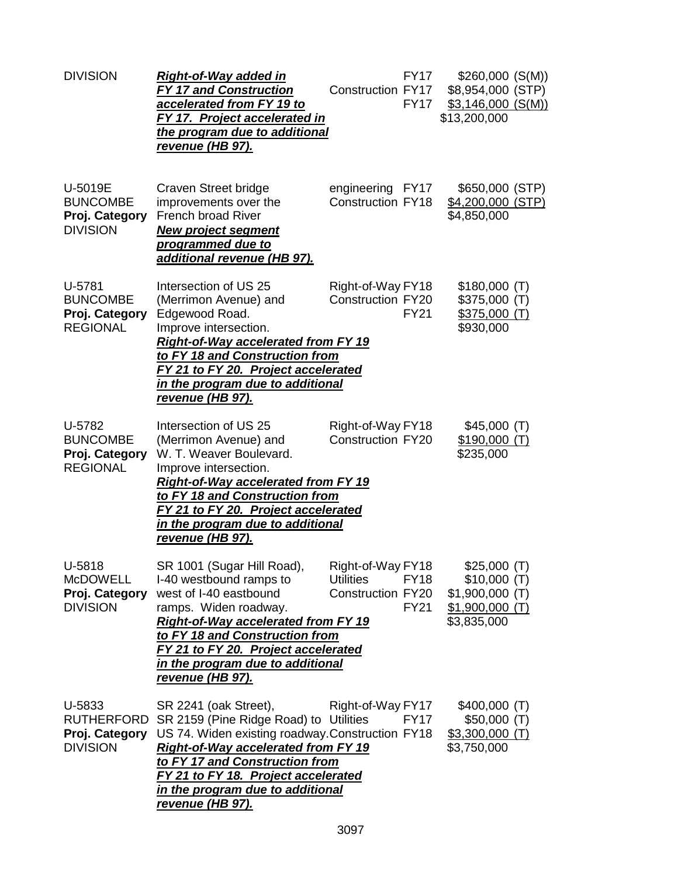| <b>DIVISION</b>                                                  | <b>Right-of-Way added in</b><br><b>FY 17 and Construction</b><br>accelerated from FY 19 to<br>FY 17. Project accelerated in<br>the program due to additional<br><u>revenue (HB 97).</u>                                                                                                           | <b>FY17</b><br><b>Construction FY17</b><br><b>FY17</b>                                          | $$260,000$ (S(M))<br>\$8,954,000 (STP)<br>\$3,146,000(S(M))<br>\$13,200,000       |  |
|------------------------------------------------------------------|---------------------------------------------------------------------------------------------------------------------------------------------------------------------------------------------------------------------------------------------------------------------------------------------------|-------------------------------------------------------------------------------------------------|-----------------------------------------------------------------------------------|--|
| U-5019E<br><b>BUNCOMBE</b><br>Proj. Category<br><b>DIVISION</b>  | Craven Street bridge<br>improvements over the<br>French broad River<br><b>New project segment</b><br>programmed due to<br>additional revenue (HB 97).                                                                                                                                             | engineering FY17<br><b>Construction FY18</b>                                                    | \$650,000 (STP)<br>\$4,200,000 (STP)<br>\$4,850,000                               |  |
| U-5781<br><b>BUNCOMBE</b><br>Proj. Category<br><b>REGIONAL</b>   | Intersection of US 25<br>(Merrimon Avenue) and<br>Edgewood Road.<br>Improve intersection.<br><b>Right-of-Way accelerated from FY 19</b><br>to FY 18 and Construction from<br>FY 21 to FY 20. Project accelerated<br>in the program due to additional<br><u>revenue (HB 97).</u>                   | Right-of-Way FY18<br><b>Construction FY20</b><br><b>FY21</b>                                    | \$180,000(T)<br>\$375,000(T)<br>\$375,000(T)<br>\$930,000                         |  |
| U-5782<br><b>BUNCOMBE</b><br>Proj. Category<br><b>REGIONAL</b>   | Intersection of US 25<br>(Merrimon Avenue) and<br>W. T. Weaver Boulevard.<br>Improve intersection.<br><b>Right-of-Way accelerated from FY 19</b><br>to FY 18 and Construction from<br>FY 21 to FY 20. Project accelerated<br>in the program due to additional<br><u>revenue (HB 97).</u>          | Right-of-Way FY18<br><b>Construction FY20</b>                                                   | \$45,000(T)<br>\$190,000(T)<br>\$235,000                                          |  |
| U-5818<br><b>McDOWELL</b><br>Proj. Category<br><b>DIVISION</b>   | SR 1001 (Sugar Hill Road),<br>I-40 westbound ramps to<br>west of I-40 eastbound<br>ramps. Widen roadway.<br><b>Right-of-Way accelerated from FY 19</b><br>to FY 18 and Construction from<br>FY 21 to FY 20. Project accelerated<br>in the program due to additional<br><u>revenue (HB 97).</u>    | Right-of-Way FY18<br><b>Utilities</b><br><b>FY18</b><br><b>Construction FY20</b><br><b>FY21</b> | \$25,000(T)<br>\$10,000(T)<br>$$1,900,000$ (T)<br>$$1,900,000$ (T)<br>\$3,835,000 |  |
| U-5833<br><b>RUTHERFORD</b><br>Proj. Category<br><b>DIVISION</b> | SR 2241 (oak Street),<br>SR 2159 (Pine Ridge Road) to Utilities<br>US 74. Widen existing roadway.Construction FY18<br><b>Right-of-Way accelerated from FY 19</b><br>to FY 17 and Construction from<br>FY 21 to FY 18. Project accelerated<br>in the program due to additional<br>revenue (HB 97). | Right-of-Way FY17<br><b>FY17</b>                                                                | $$400,000$ (T)<br>\$50,000(T)<br>$$3,300,000$ (T)<br>\$3,750,000                  |  |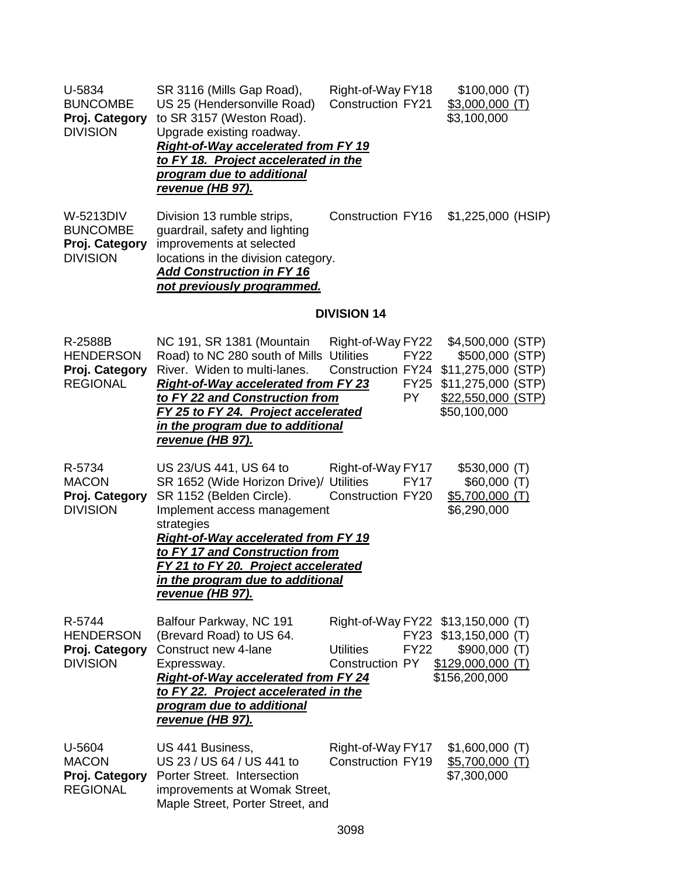| U-5834<br><b>BUNCOMBE</b><br>Proj. Category<br><b>DIVISION</b>    | SR 3116 (Mills Gap Road),<br>US 25 (Hendersonville Road)<br>to SR 3157 (Weston Road).<br>Upgrade existing roadway.<br><b>Right-of-Way accelerated from FY 19</b><br>to FY 18. Project accelerated in the<br>program due to additional<br><u>revenue (HB 97).</u>                                                                 | Right-of-Way FY18<br><b>Construction FY21</b> |                                         | \$100,000(T)<br>$$3,000,000$ (T)<br>\$3,100,000                                                                        |  |
|-------------------------------------------------------------------|----------------------------------------------------------------------------------------------------------------------------------------------------------------------------------------------------------------------------------------------------------------------------------------------------------------------------------|-----------------------------------------------|-----------------------------------------|------------------------------------------------------------------------------------------------------------------------|--|
| W-5213DIV<br><b>BUNCOMBE</b><br>Proj. Category<br><b>DIVISION</b> | Division 13 rumble strips,<br>guardrail, safety and lighting<br>improvements at selected<br>locations in the division category.<br><b>Add Construction in FY 16</b><br>not previously programmed.                                                                                                                                | Construction FY16                             |                                         | \$1,225,000 (HSIP)                                                                                                     |  |
|                                                                   |                                                                                                                                                                                                                                                                                                                                  | <b>DIVISION 14</b>                            |                                         |                                                                                                                        |  |
| R-2588B<br><b>HENDERSON</b><br>Proj. Category<br><b>REGIONAL</b>  | NC 191, SR 1381 (Mountain<br>Road) to NC 280 south of Mills Utilities<br>River. Widen to multi-lanes.<br><b>Right-of-Way accelerated from FY 23</b><br>to FY 22 and Construction from<br>FY 25 to FY 24. Project accelerated<br><u>in the program due to additional</u><br><u>revenue (HB 97).</u>                               | Right-of-Way FY22<br><b>Construction FY24</b> | <b>FY22</b><br><b>FY25</b><br><b>PY</b> | \$4,500,000 (STP)<br>\$500,000 (STP)<br>\$11,275,000 (STP)<br>\$11,275,000 (STP)<br>\$22,550,000 (STP)<br>\$50,100,000 |  |
| R-5734<br><b>MACON</b><br>Proj. Category<br><b>DIVISION</b>       | US 23/US 441, US 64 to<br>SR 1652 (Wide Horizon Drive)/ Utilities<br>SR 1152 (Belden Circle).<br>Implement access management<br>strategies<br><b>Right-of-Way accelerated from FY 19</b><br>to FY 17 and Construction from<br>FY 21 to FY 20. Project accelerated<br>in the program due to additional<br><u>revenue (HB 97).</u> | Right-of-Way FY17<br><b>Construction FY20</b> | <b>FY17</b>                             | $$530,000$ (T)<br>\$60,000(T)<br>$$5,700,000$ (T)<br>\$6,290,000                                                       |  |
| R-5744<br><b>HENDERSON</b><br>Proj. Category<br><b>DIVISION</b>   | Balfour Parkway, NC 191<br>(Brevard Road) to US 64.<br>Construct new 4-lane<br>Expressway.<br><b>Right-of-Way accelerated from FY 24</b><br>to FY 22. Project accelerated in the<br>program due to additional<br><u>revenue (HB 97).</u>                                                                                         | <b>Utilities</b><br>Construction PY           | <b>FY22</b>                             | Right-of-Way FY22 \$13,150,000 (T)<br>FY23 \$13,150,000 (T)<br>\$900,000 (T)<br>$$129,000,000$ (T)<br>\$156,200,000    |  |
| U-5604<br><b>MACON</b><br>Proj. Category<br><b>REGIONAL</b>       | US 441 Business,<br>US 23 / US 64 / US 441 to<br>Porter Street. Intersection<br>improvements at Womak Street,<br>Maple Street, Porter Street, and                                                                                                                                                                                | Right-of-Way FY17<br><b>Construction FY19</b> |                                         | $$1,600,000$ (T)<br>\$5,700,000 (T)<br>\$7,300,000                                                                     |  |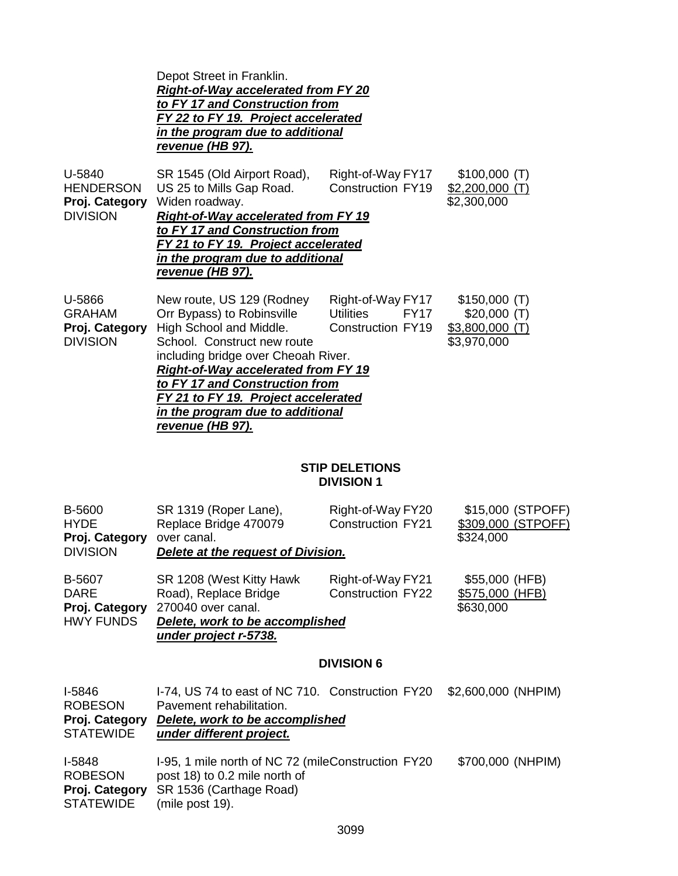Depot Street in Franklin. *Right-of-Way accelerated from FY 20 to FY 17 and Construction from FY 22 to FY 19. Project accelerated in the program due to additional revenue (HB 97).*

| U-5840<br><b>HENDERSON</b><br>Proj. Category                 | SR 1545 (Old Airport Road),<br>US 25 to Mills Gap Road.                                                                                                                                                                                                                                                             | Right-of-Way FY17<br><b>Construction FY19</b>                                         | \$100,000(T)<br>\$2,200,000                                    |  |
|--------------------------------------------------------------|---------------------------------------------------------------------------------------------------------------------------------------------------------------------------------------------------------------------------------------------------------------------------------------------------------------------|---------------------------------------------------------------------------------------|----------------------------------------------------------------|--|
| <b>DIVISION</b>                                              | \$2,300,000<br>Widen roadway.<br>Right-of-Way accelerated from FY 19<br>to FY 17 and Construction from<br>FY 21 to FY 19. Project accelerated<br>in the program due to additional<br>revenue (HB 97).                                                                                                               |                                                                                       |                                                                |  |
| U-5866<br><b>GRAHAM</b><br>Proj. Category<br><b>DIVISION</b> | New route, US 129 (Rodney<br>Orr Bypass) to Robinsville<br>High School and Middle.<br>School. Construct new route<br>including bridge over Cheoah River.<br><b>Right-of-Way accelerated from FY 19</b><br>to FY 17 and Construction from<br>FY 21 to FY 19. Project accelerated<br>in the program due to additional | Right-of-Way FY17<br><b>Utilities</b><br>FY <sub>17</sub><br><b>Construction FY19</b> | \$150,000(T)<br>\$20,000(T)<br>$$3,800,000$ (T)<br>\$3,970,000 |  |

*revenue (HB 97).*

#### **STIP DELETIONS DIVISION 1**

| B-5600           | SR 1319 (Roper Lane),              | Right-of-Way FY20        | \$15,000 (STPOFF)  |
|------------------|------------------------------------|--------------------------|--------------------|
| <b>HYDE</b>      | Replace Bridge 470079              | <b>Construction FY21</b> | \$309,000 (STPOFF) |
| Proj. Category   | over canal.                        |                          | \$324,000          |
| <b>DIVISION</b>  | Delete at the request of Division. |                          |                    |
| B-5607           | SR 1208 (West Kitty Hawk           | Right-of-Way FY21        | \$55,000 (HFB)     |
| <b>DARE</b>      | Road), Replace Bridge              | <b>Construction FY22</b> | \$575,000 (HFB)    |
| Proj. Category   | 270040 over canal.                 |                          | \$630,000          |
| <b>HWY FUNDS</b> | Delete, work to be accomplished    |                          |                    |
|                  | under project r-5738.              |                          |                    |

## **DIVISION 6**

| <b>I-5846</b><br><b>ROBESON</b><br>Proj. Category<br><b>STATEWIDE</b> | I-74, US 74 to east of NC 710. Construction FY20<br>Pavement rehabilitation.<br>Delete, work to be accomplished<br>under different project. | \$2,600,000 (NHPIM) |
|-----------------------------------------------------------------------|---------------------------------------------------------------------------------------------------------------------------------------------|---------------------|
| <b>I-5848</b><br><b>ROBESON</b><br>Proj. Category<br><b>STATEWIDE</b> | 1-95, 1 mile north of NC 72 (mileConstruction FY20)<br>post 18) to 0.2 mile north of<br>SR 1536 (Carthage Road)<br>(mile post 19).          | \$700,000 (NHPIM)   |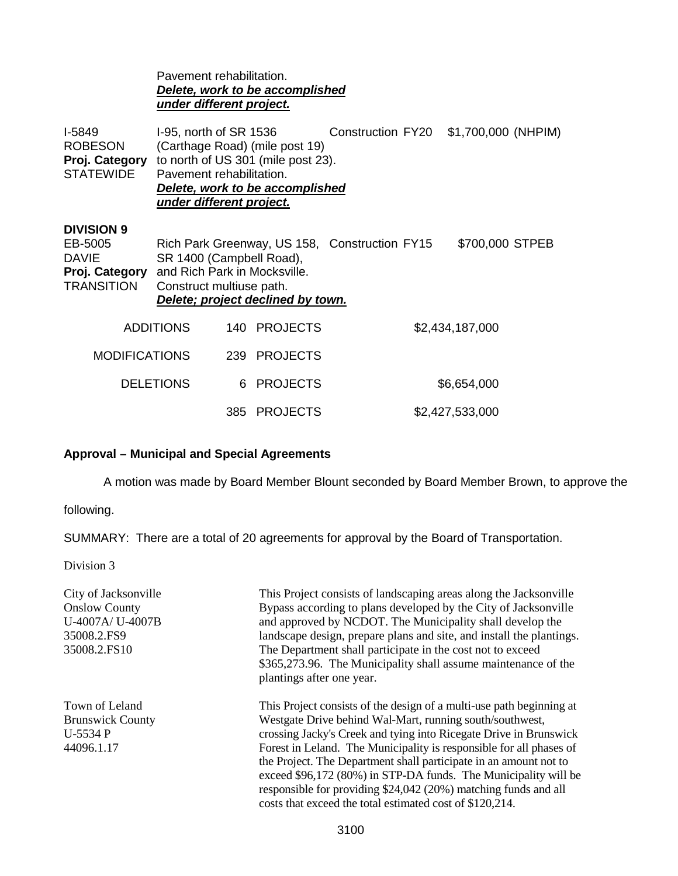|                                                                                     | Pavement rehabilitation.<br>under different project.                                                                                                                                                                                         |  | <b>Delete, work to be accomplished</b> |  |  |                 |  |
|-------------------------------------------------------------------------------------|----------------------------------------------------------------------------------------------------------------------------------------------------------------------------------------------------------------------------------------------|--|----------------------------------------|--|--|-----------------|--|
| <b>I-5849</b><br><b>ROBESON</b><br>Proj. Category<br><b>STATEWIDE</b>               | I-95, north of SR 1536<br>Construction FY20<br>\$1,700,000 (NHPIM)<br>(Carthage Road) (mile post 19)<br>to north of US 301 (mile post 23).<br>Pavement rehabilitation.<br><b>Delete, work to be accomplished</b><br>under different project. |  |                                        |  |  |                 |  |
| <b>DIVISION 9</b><br>EB-5005<br><b>DAVIE</b><br>Proj. Category<br><b>TRANSITION</b> | \$700,000 STPEB<br>Rich Park Greenway, US 158, Construction FY15<br>SR 1400 (Campbell Road),<br>and Rich Park in Mocksville.<br>Construct multiuse path.<br>Delete; project declined by town.                                                |  |                                        |  |  |                 |  |
|                                                                                     | <b>ADDITIONS</b>                                                                                                                                                                                                                             |  | 140 PROJECTS                           |  |  | \$2,434,187,000 |  |
| <b>MODIFICATIONS</b>                                                                |                                                                                                                                                                                                                                              |  | 239 PROJECTS                           |  |  |                 |  |
|                                                                                     | <b>DELETIONS</b>                                                                                                                                                                                                                             |  | 6 PROJECTS                             |  |  | \$6,654,000     |  |
|                                                                                     |                                                                                                                                                                                                                                              |  | 385 PROJECTS                           |  |  | \$2,427,533,000 |  |

# **Approval – Municipal and Special Agreements**

A motion was made by Board Member Blount seconded by Board Member Brown, to approve the

following.

SUMMARY: There are a total of 20 agreements for approval by the Board of Transportation.

Division 3

| City of Jacksonville<br><b>Onslow County</b><br>U-4007A/ U-4007B<br>35008.2.FS9<br>35008.2.FS10 | This Project consists of landscaping areas along the Jacksonville<br>Bypass according to plans developed by the City of Jacksonville<br>and approved by NCDOT. The Municipality shall develop the<br>landscape design, prepare plans and site, and install the plantings.<br>The Department shall participate in the cost not to exceed<br>\$365,273.96. The Municipality shall assume maintenance of the<br>plantings after one year.                                                                                                              |
|-------------------------------------------------------------------------------------------------|-----------------------------------------------------------------------------------------------------------------------------------------------------------------------------------------------------------------------------------------------------------------------------------------------------------------------------------------------------------------------------------------------------------------------------------------------------------------------------------------------------------------------------------------------------|
| Town of Leland<br><b>Brunswick County</b><br>U-5534 P<br>44096.1.17                             | This Project consists of the design of a multi-use path beginning at<br>Westgate Drive behind Wal-Mart, running south/southwest,<br>crossing Jacky's Creek and tying into Ricegate Drive in Brunswick<br>Forest in Leland. The Municipality is responsible for all phases of<br>the Project. The Department shall participate in an amount not to<br>exceed \$96,172 (80%) in STP-DA funds. The Municipality will be<br>responsible for providing \$24,042 (20%) matching funds and all<br>costs that exceed the total estimated cost of \$120,214. |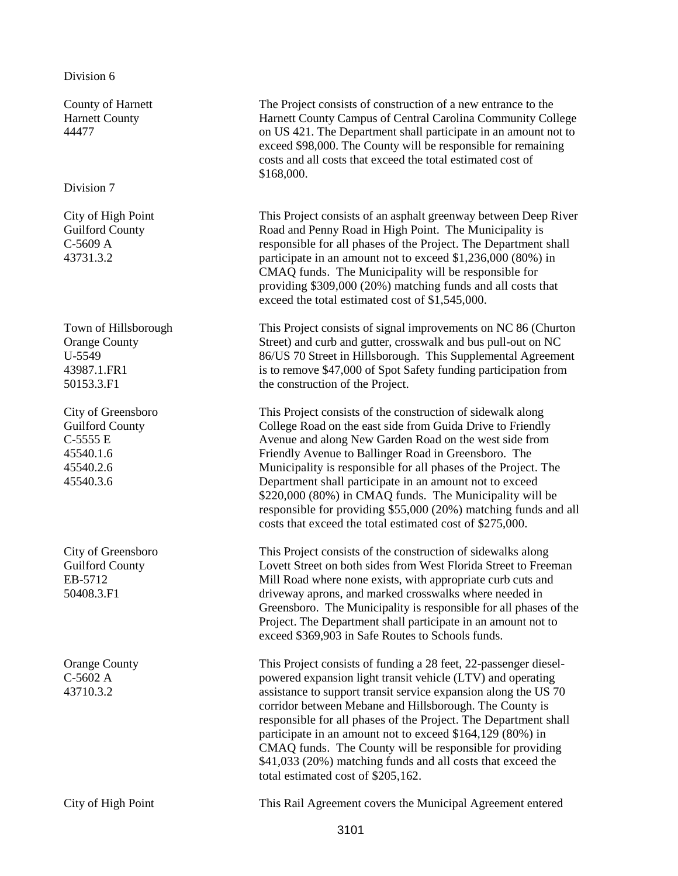#### Division 6

County of Harnett Harnett County 44477

Division 7

City of High Point Guilford County C-5609 A 43731.3.2

Town of Hillsborough Orange County U-5549 43987.1.FR1 50153.3.F1

City of Greensboro Guilford County C-5555 E 45540.1.6 45540.2.6 45540.3.6

City of Greensboro Guilford County EB-5712 50408.3.F1

Orange County C-5602 A 43710.3.2

The Project consists of construction of a new entrance to the Harnett County Campus of Central Carolina Community College on US 421. The Department shall participate in an amount not to exceed \$98,000. The County will be responsible for remaining costs and all costs that exceed the total estimated cost of \$168,000.

This Project consists of an asphalt greenway between Deep River Road and Penny Road in High Point. The Municipality is responsible for all phases of the Project. The Department shall participate in an amount not to exceed \$1,236,000 (80%) in CMAQ funds. The Municipality will be responsible for providing \$309,000 (20%) matching funds and all costs that exceed the total estimated cost of \$1,545,000.

This Project consists of signal improvements on NC 86 (Churton Street) and curb and gutter, crosswalk and bus pull-out on NC 86/US 70 Street in Hillsborough. This Supplemental Agreement is to remove \$47,000 of Spot Safety funding participation from the construction of the Project.

This Project consists of the construction of sidewalk along College Road on the east side from Guida Drive to Friendly Avenue and along New Garden Road on the west side from Friendly Avenue to Ballinger Road in Greensboro. The Municipality is responsible for all phases of the Project. The Department shall participate in an amount not to exceed \$220,000 (80%) in CMAQ funds. The Municipality will be responsible for providing \$55,000 (20%) matching funds and all costs that exceed the total estimated cost of \$275,000.

This Project consists of the construction of sidewalks along Lovett Street on both sides from West Florida Street to Freeman Mill Road where none exists, with appropriate curb cuts and driveway aprons, and marked crosswalks where needed in Greensboro. The Municipality is responsible for all phases of the Project. The Department shall participate in an amount not to exceed \$369,903 in Safe Routes to Schools funds.

This Project consists of funding a 28 feet, 22-passenger dieselpowered expansion light transit vehicle (LTV) and operating assistance to support transit service expansion along the US 70 corridor between Mebane and Hillsborough. The County is responsible for all phases of the Project. The Department shall participate in an amount not to exceed \$164,129 (80%) in CMAQ funds. The County will be responsible for providing \$41,033 (20%) matching funds and all costs that exceed the total estimated cost of \$205,162.

City of High Point This Rail Agreement covers the Municipal Agreement entered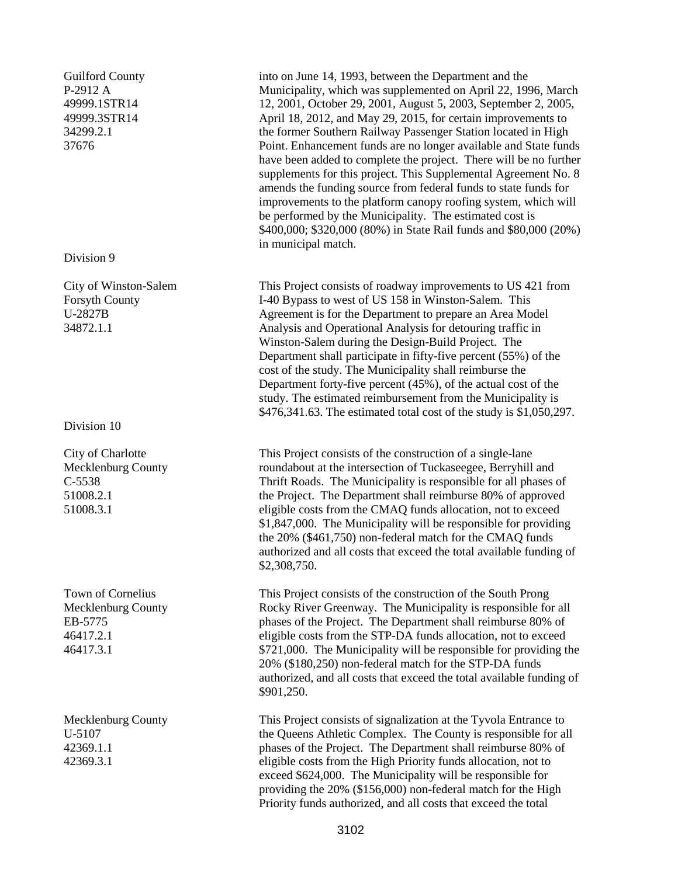Guilford County P-2912 A 49999.1STR14 49999.3STR14 34299.2.1 37676

#### Division 9

City of Winston-Salem Forsyth County U-2827B 34872.1.1

Division 10

City of Charlotte Mecklenburg County C-5538 51008.2.1 51008.3.1

Town of Cornelius Mecklenburg County EB-5775 46417.2.1 46417.3.1

Mecklenburg County U-5107 42369.1.1 42369.3.1

into on June 14, 1993, between the Department and the Municipality, which was supplemented on April 22, 1996, March 12, 2001, October 29, 2001, August 5, 2003, September 2, 2005, April 18, 2012, and May 29, 2015, for certain improvements to the former Southern Railway Passenger Station located in High Point. Enhancement funds are no longer available and State funds have been added to complete the project. There will be no further supplements for this project. This Supplemental Agreement No. 8 amends the funding source from federal funds to state funds for improvements to the platform canopy roofing system, which will be performed by the Municipality. The estimated cost is \$400,000; \$320,000 (80%) in State Rail funds and \$80,000 (20%) in municipal match.

This Project consists of roadway improvements to US 421 from I-40 Bypass to west of US 158 in Winston-Salem. This Agreement is for the Department to prepare an Area Model Analysis and Operational Analysis for detouring traffic in Winston-Salem during the Design-Build Project. The Department shall participate in fifty-five percent (55%) of the cost of the study. The Municipality shall reimburse the Department forty-five percent (45%), of the actual cost of the study. The estimated reimbursement from the Municipality is \$476,341.63. The estimated total cost of the study is \$1,050,297.

This Project consists of the construction of a single-lane roundabout at the intersection of Tuckaseegee, Berryhill and Thrift Roads. The Municipality is responsible for all phases of the Project. The Department shall reimburse 80% of approved eligible costs from the CMAQ funds allocation, not to exceed \$1,847,000. The Municipality will be responsible for providing the 20% (\$461,750) non-federal match for the CMAQ funds authorized and all costs that exceed the total available funding of \$2,308,750.

This Project consists of the construction of the South Prong Rocky River Greenway. The Municipality is responsible for all phases of the Project. The Department shall reimburse 80% of eligible costs from the STP-DA funds allocation, not to exceed \$721,000. The Municipality will be responsible for providing the 20% (\$180,250) non-federal match for the STP-DA funds authorized, and all costs that exceed the total available funding of \$901,250.

This Project consists of signalization at the Tyvola Entrance to the Queens Athletic Complex. The County is responsible for all phases of the Project. The Department shall reimburse 80% of eligible costs from the High Priority funds allocation, not to exceed \$624,000. The Municipality will be responsible for providing the 20% (\$156,000) non-federal match for the High Priority funds authorized, and all costs that exceed the total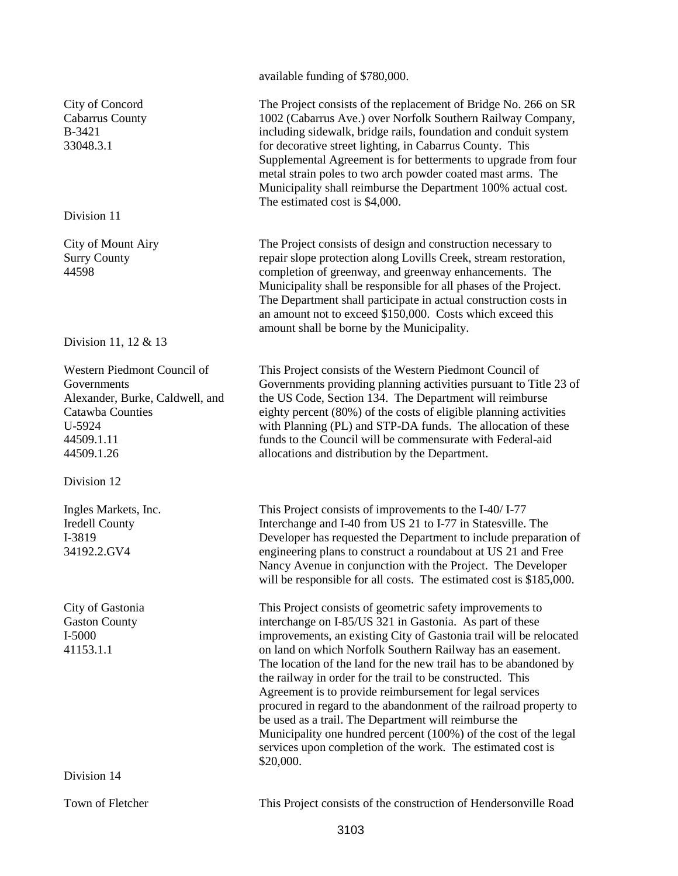City of Concord Cabarrus County B-3421 33048.3.1 Division 11 City of Mount Airy Surry County 44598

Division 11, 12 & 13

Western Piedmont Council of Governments Alexander, Burke, Caldwell, and Catawba Counties U-5924 44509.1.11 44509.1.26

Division 12

Ingles Markets, Inc. Iredell County I-3819 34192.2.GV4

City of Gastonia Gaston County I-5000 41153.1.1

Division 14

available funding of \$780,000.

The Project consists of the replacement of Bridge No. 266 on SR 1002 (Cabarrus Ave.) over Norfolk Southern Railway Company, including sidewalk, bridge rails, foundation and conduit system for decorative street lighting, in Cabarrus County. This Supplemental Agreement is for betterments to upgrade from four metal strain poles to two arch powder coated mast arms. The Municipality shall reimburse the Department 100% actual cost. The estimated cost is \$4,000.

The Project consists of design and construction necessary to repair slope protection along Lovills Creek, stream restoration, completion of greenway, and greenway enhancements. The Municipality shall be responsible for all phases of the Project. The Department shall participate in actual construction costs in an amount not to exceed \$150,000. Costs which exceed this amount shall be borne by the Municipality.

This Project consists of the Western Piedmont Council of Governments providing planning activities pursuant to Title 23 of the US Code, Section 134. The Department will reimburse eighty percent (80%) of the costs of eligible planning activities with Planning (PL) and STP-DA funds. The allocation of these funds to the Council will be commensurate with Federal-aid allocations and distribution by the Department.

This Project consists of improvements to the I-40/ I-77 Interchange and I-40 from US 21 to I-77 in Statesville. The Developer has requested the Department to include preparation of engineering plans to construct a roundabout at US 21 and Free Nancy Avenue in conjunction with the Project. The Developer will be responsible for all costs. The estimated cost is \$185,000.

This Project consists of geometric safety improvements to interchange on I-85/US 321 in Gastonia. As part of these improvements, an existing City of Gastonia trail will be relocated on land on which Norfolk Southern Railway has an easement. The location of the land for the new trail has to be abandoned by the railway in order for the trail to be constructed. This Agreement is to provide reimbursement for legal services procured in regard to the abandonment of the railroad property to be used as a trail. The Department will reimburse the Municipality one hundred percent (100%) of the cost of the legal services upon completion of the work. The estimated cost is \$20,000.

Town of Fletcher This Project consists of the construction of Hendersonville Road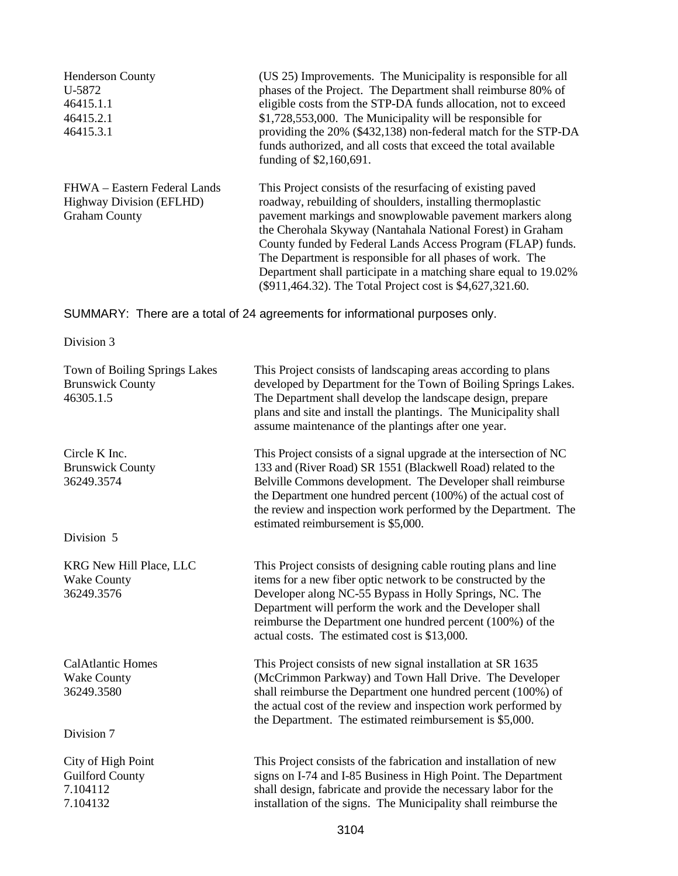| <b>Henderson County</b>         | (US 25) Improvements. The Municipality is responsible for all    |
|---------------------------------|------------------------------------------------------------------|
| U-5872                          | phases of the Project. The Department shall reimburse 80% of     |
| 46415.1.1                       | eligible costs from the STP-DA funds allocation, not to exceed   |
| 46415.2.1                       | \$1,728,553,000. The Municipality will be responsible for        |
| 46415.3.1                       | providing the 20% (\$432,138) non-federal match for the STP-DA   |
|                                 | funds authorized, and all costs that exceed the total available  |
|                                 | funding of \$2,160,691.                                          |
| FHWA – Eastern Federal Lands    | This Project consists of the resurfacing of existing paved       |
| <b>Highway Division (EFLHD)</b> | roadway, rebuilding of shoulders, installing thermoplastic       |
| <b>Graham County</b>            | pavement markings and snowplowable pavement markers along        |
|                                 | the Cherohala Skyway (Nantahala National Forest) in Graham       |
|                                 | County funded by Federal Lands Access Program (FLAP) funds.      |
|                                 | The Department is responsible for all phases of work. The        |
|                                 | Department shall participate in a matching share equal to 19.02% |
|                                 | (\$911,464.32). The Total Project cost is \$4,627,321.60.        |

SUMMARY: There are a total of 24 agreements for informational purposes only.

Division 3

| Town of Boiling Springs Lakes<br><b>Brunswick County</b><br>46305.1.5 | This Project consists of landscaping areas according to plans<br>developed by Department for the Town of Boiling Springs Lakes.<br>The Department shall develop the landscape design, prepare<br>plans and site and install the plantings. The Municipality shall<br>assume maintenance of the plantings after one year.                                                        |  |  |
|-----------------------------------------------------------------------|---------------------------------------------------------------------------------------------------------------------------------------------------------------------------------------------------------------------------------------------------------------------------------------------------------------------------------------------------------------------------------|--|--|
| Circle K Inc.<br><b>Brunswick County</b><br>36249.3574                | This Project consists of a signal upgrade at the intersection of NC<br>133 and (River Road) SR 1551 (Blackwell Road) related to the<br>Belville Commons development. The Developer shall reimburse<br>the Department one hundred percent (100%) of the actual cost of<br>the review and inspection work performed by the Department. The<br>estimated reimbursement is \$5,000. |  |  |
| Division 5                                                            |                                                                                                                                                                                                                                                                                                                                                                                 |  |  |
| KRG New Hill Place, LLC<br><b>Wake County</b><br>36249.3576           | This Project consists of designing cable routing plans and line<br>items for a new fiber optic network to be constructed by the<br>Developer along NC-55 Bypass in Holly Springs, NC. The<br>Department will perform the work and the Developer shall<br>reimburse the Department one hundred percent (100%) of the<br>actual costs. The estimated cost is \$13,000.            |  |  |
| <b>CalAtlantic Homes</b><br><b>Wake County</b><br>36249.3580          | This Project consists of new signal installation at SR 1635<br>(McCrimmon Parkway) and Town Hall Drive. The Developer<br>shall reimburse the Department one hundred percent (100%) of<br>the actual cost of the review and inspection work performed by<br>the Department. The estimated reimbursement is \$5,000.                                                              |  |  |
| Division 7                                                            |                                                                                                                                                                                                                                                                                                                                                                                 |  |  |
| City of High Point<br><b>Guilford County</b><br>7.104112<br>7.104132  | This Project consists of the fabrication and installation of new<br>signs on I-74 and I-85 Business in High Point. The Department<br>shall design, fabricate and provide the necessary labor for the<br>installation of the signs. The Municipality shall reimburse the                                                                                                         |  |  |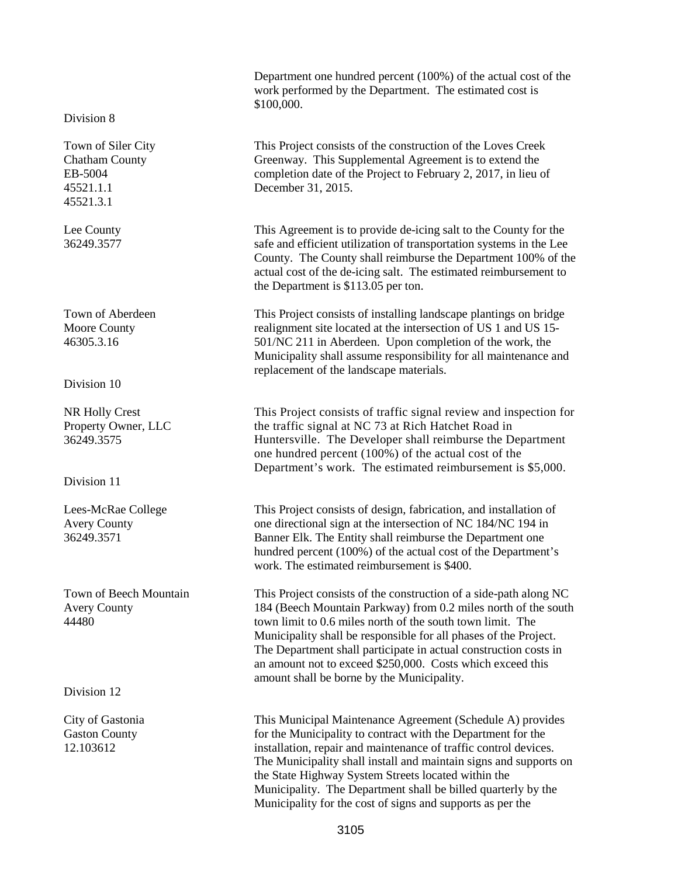Department one hundred percent (100%) of the actual cost of the work performed by the Department. The estimated cost is \$100,000.

This Project consists of the construction of the Loves Creek Greenway. This Supplemental Agreement is to extend the completion date of the Project to February 2, 2017, in lieu of December 31, 2015.

This Agreement is to provide de-icing salt to the County for the safe and efficient utilization of transportation systems in the Lee County. The County shall reimburse the Department 100% of the actual cost of the de-icing salt. The estimated reimbursement to the Department is \$113.05 per ton.

This Project consists of installing landscape plantings on bridge realignment site located at the intersection of US 1 and US 15- 501/NC 211 in Aberdeen. Upon completion of the work, the Municipality shall assume responsibility for all maintenance and replacement of the landscape materials.

This Project consists of traffic signal review and inspection for the traffic signal at NC 73 at Rich Hatchet Road in Huntersville. The Developer shall reimburse the Department one hundred percent (100%) of the actual cost of the Department's work. The estimated reimbursement is \$5,000.

This Project consists of design, fabrication, and installation of one directional sign at the intersection of NC 184/NC 194 in Banner Elk. The Entity shall reimburse the Department one hundred percent (100%) of the actual cost of the Department's work. The estimated reimbursement is \$400.

This Project consists of the construction of a side-path along NC 184 (Beech Mountain Parkway) from 0.2 miles north of the south town limit to 0.6 miles north of the south town limit. The Municipality shall be responsible for all phases of the Project. The Department shall participate in actual construction costs in an amount not to exceed \$250,000. Costs which exceed this amount shall be borne by the Municipality.

This Municipal Maintenance Agreement (Schedule A) provides for the Municipality to contract with the Department for the installation, repair and maintenance of traffic control devices. The Municipality shall install and maintain signs and supports on the State Highway System Streets located within the Municipality. The Department shall be billed quarterly by the Municipality for the cost of signs and supports as per the

Division 8

Town of Siler City Chatham County EB-5004 45521.1.1 45521.3.1

Lee County 36249.3577

Town of Aberdeen Moore County 46305.3.16

Division 10

NR Holly Crest Property Owner, LLC 36249.3575

Division 11

Lees-McRae College Avery County 36249.3571

Town of Beech Mountain Avery County 44480

Division 12

City of Gastonia Gaston County 12.103612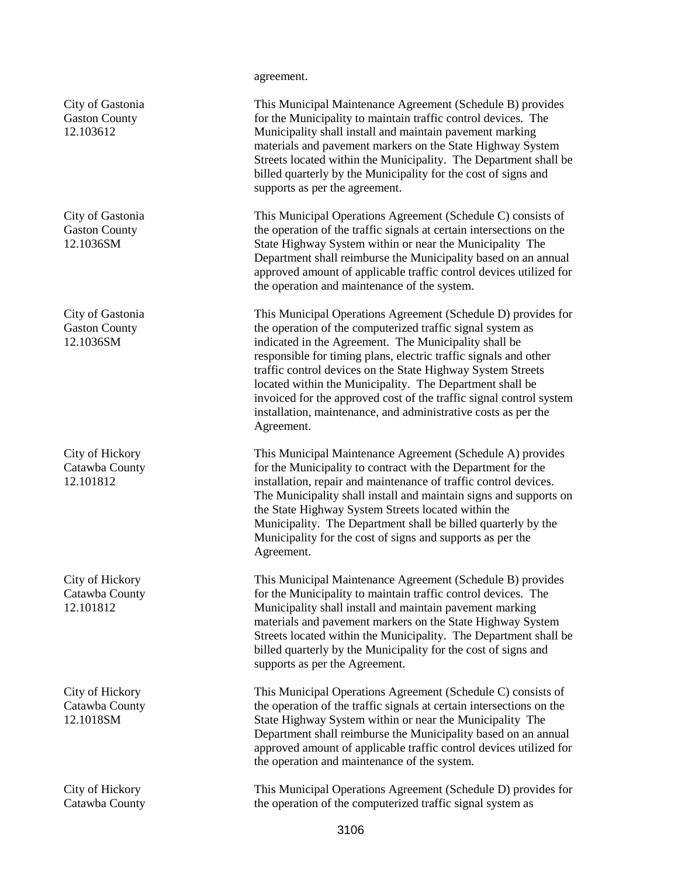City of Gastonia Gaston County 12.103612

City of Gastonia Gaston County 12.1036SM

City of Gastonia Gaston County 12.1036SM

City of Hickory Catawba County 12.101812

City of Hickory Catawba County 12.101812

City of Hickory Catawba County 12.1018SM

City of Hickory Catawba County

#### agreement.

This Municipal Maintenance Agreement (Schedule B) provides for the Municipality to maintain traffic control devices. The Municipality shall install and maintain pavement marking materials and pavement markers on the State Highway System Streets located within the Municipality. The Department shall be billed quarterly by the Municipality for the cost of signs and supports as per the agreement.

This Municipal Operations Agreement (Schedule C) consists of the operation of the traffic signals at certain intersections on the State Highway System within or near the Municipality The Department shall reimburse the Municipality based on an annual approved amount of applicable traffic control devices utilized for the operation and maintenance of the system.

This Municipal Operations Agreement (Schedule D) provides for the operation of the computerized traffic signal system as indicated in the Agreement. The Municipality shall be responsible for timing plans, electric traffic signals and other traffic control devices on the State Highway System Streets located within the Municipality. The Department shall be invoiced for the approved cost of the traffic signal control system installation, maintenance, and administrative costs as per the Agreement.

This Municipal Maintenance Agreement (Schedule A) provides for the Municipality to contract with the Department for the installation, repair and maintenance of traffic control devices. The Municipality shall install and maintain signs and supports on the State Highway System Streets located within the Municipality. The Department shall be billed quarterly by the Municipality for the cost of signs and supports as per the Agreement.

This Municipal Maintenance Agreement (Schedule B) provides for the Municipality to maintain traffic control devices. The Municipality shall install and maintain pavement marking materials and pavement markers on the State Highway System Streets located within the Municipality. The Department shall be billed quarterly by the Municipality for the cost of signs and supports as per the Agreement.

This Municipal Operations Agreement (Schedule C) consists of the operation of the traffic signals at certain intersections on the State Highway System within or near the Municipality The Department shall reimburse the Municipality based on an annual approved amount of applicable traffic control devices utilized for the operation and maintenance of the system.

This Municipal Operations Agreement (Schedule D) provides for the operation of the computerized traffic signal system as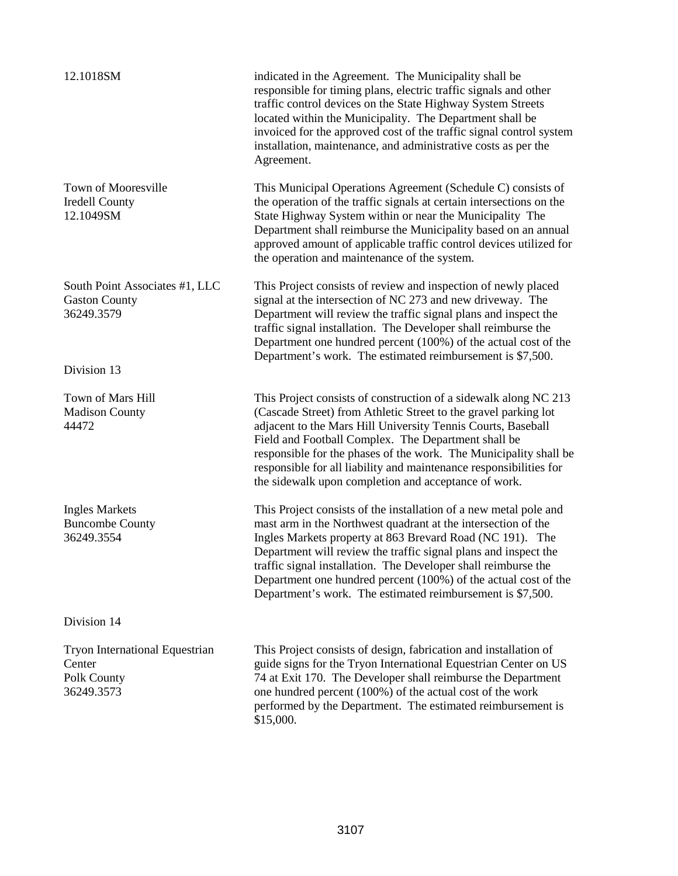| 12.1018SM                                                                    | indicated in the Agreement. The Municipality shall be<br>responsible for timing plans, electric traffic signals and other<br>traffic control devices on the State Highway System Streets<br>located within the Municipality. The Department shall be<br>invoiced for the approved cost of the traffic signal control system<br>installation, maintenance, and administrative costs as per the<br>Agreement.                                                           |
|------------------------------------------------------------------------------|-----------------------------------------------------------------------------------------------------------------------------------------------------------------------------------------------------------------------------------------------------------------------------------------------------------------------------------------------------------------------------------------------------------------------------------------------------------------------|
| Town of Mooresville<br><b>Iredell County</b><br>12.1049SM                    | This Municipal Operations Agreement (Schedule C) consists of<br>the operation of the traffic signals at certain intersections on the<br>State Highway System within or near the Municipality The<br>Department shall reimburse the Municipality based on an annual<br>approved amount of applicable traffic control devices utilized for<br>the operation and maintenance of the system.                                                                              |
| South Point Associates #1, LLC<br><b>Gaston County</b><br>36249.3579         | This Project consists of review and inspection of newly placed<br>signal at the intersection of NC 273 and new driveway. The<br>Department will review the traffic signal plans and inspect the<br>traffic signal installation. The Developer shall reimburse the<br>Department one hundred percent (100%) of the actual cost of the<br>Department's work. The estimated reimbursement is \$7,500.                                                                    |
| Division 13                                                                  |                                                                                                                                                                                                                                                                                                                                                                                                                                                                       |
| Town of Mars Hill<br><b>Madison County</b><br>44472                          | This Project consists of construction of a sidewalk along NC 213<br>(Cascade Street) from Athletic Street to the gravel parking lot<br>adjacent to the Mars Hill University Tennis Courts, Baseball<br>Field and Football Complex. The Department shall be<br>responsible for the phases of the work. The Municipality shall be<br>responsible for all liability and maintenance responsibilities for<br>the sidewalk upon completion and acceptance of work.         |
| <b>Ingles Markets</b><br><b>Buncombe County</b><br>36249.3554                | This Project consists of the installation of a new metal pole and<br>mast arm in the Northwest quadrant at the intersection of the<br>Ingles Markets property at 863 Brevard Road (NC 191). The<br>Department will review the traffic signal plans and inspect the<br>traffic signal installation. The Developer shall reimburse the<br>Department one hundred percent (100%) of the actual cost of the<br>Department's work. The estimated reimbursement is \$7,500. |
| Division 14                                                                  |                                                                                                                                                                                                                                                                                                                                                                                                                                                                       |
| <b>Tryon International Equestrian</b><br>Center<br>Polk County<br>36249.3573 | This Project consists of design, fabrication and installation of<br>guide signs for the Tryon International Equestrian Center on US<br>74 at Exit 170. The Developer shall reimburse the Department<br>one hundred percent (100%) of the actual cost of the work<br>performed by the Department. The estimated reimbursement is<br>\$15,000.                                                                                                                          |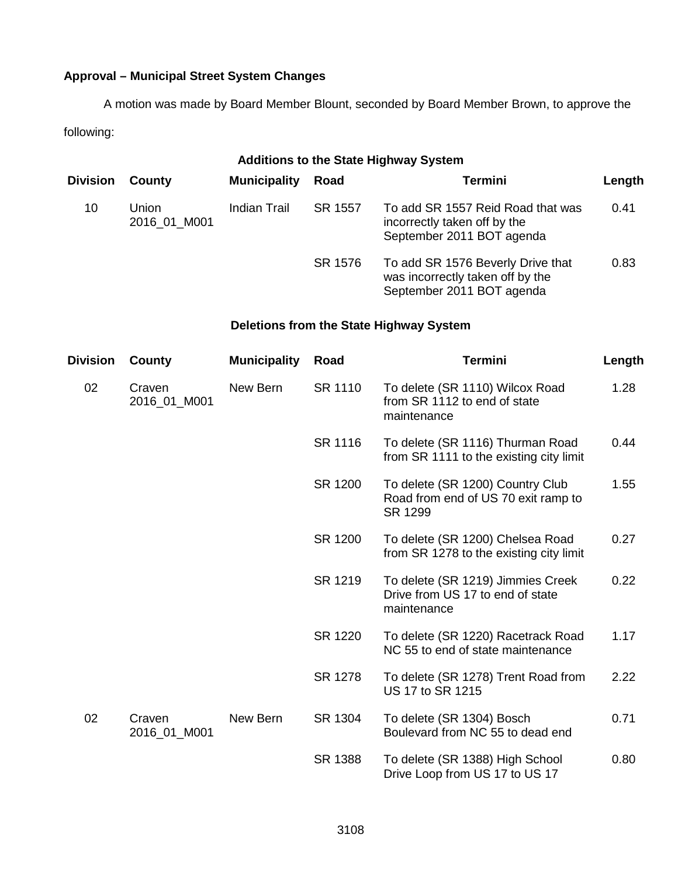# **Approval – Municipal Street System Changes**

A motion was made by Board Member Blount, seconded by Board Member Brown, to approve the following:

| <b>Additions to the State Highway System</b> |                       |                     |         |                                                                                                    |        |  |
|----------------------------------------------|-----------------------|---------------------|---------|----------------------------------------------------------------------------------------------------|--------|--|
| <b>Division</b>                              | County                | <b>Municipality</b> | Road    | Termini                                                                                            | Length |  |
| 10                                           | Union<br>2016 01 M001 | Indian Trail        | SR 1557 | To add SR 1557 Reid Road that was<br>incorrectly taken off by the<br>September 2011 BOT agenda     | 0.41   |  |
|                                              |                       |                     | SR 1576 | To add SR 1576 Beverly Drive that<br>was incorrectly taken off by the<br>September 2011 BOT agenda | 0.83   |  |

# **Deletions from the State Highway System**

| <b>Division</b> | County                 | <b>Municipality</b> | Road    | <b>Termini</b>                                                                       | Length |
|-----------------|------------------------|---------------------|---------|--------------------------------------------------------------------------------------|--------|
| 02              | Craven<br>2016_01_M001 | New Bern            | SR 1110 | To delete (SR 1110) Wilcox Road<br>from SR 1112 to end of state<br>maintenance       | 1.28   |
|                 |                        |                     | SR 1116 | To delete (SR 1116) Thurman Road<br>from SR 1111 to the existing city limit          | 0.44   |
|                 |                        |                     | SR 1200 | To delete (SR 1200) Country Club<br>Road from end of US 70 exit ramp to<br>SR 1299   | 1.55   |
|                 |                        |                     | SR 1200 | To delete (SR 1200) Chelsea Road<br>from SR 1278 to the existing city limit          | 0.27   |
|                 |                        |                     | SR 1219 | To delete (SR 1219) Jimmies Creek<br>Drive from US 17 to end of state<br>maintenance | 0.22   |
|                 |                        |                     | SR 1220 | To delete (SR 1220) Racetrack Road<br>NC 55 to end of state maintenance              | 1.17   |
|                 |                        |                     | SR 1278 | To delete (SR 1278) Trent Road from<br>US 17 to SR 1215                              | 2.22   |
| 02              | Craven<br>2016_01_M001 | New Bern            | SR 1304 | To delete (SR 1304) Bosch<br>Boulevard from NC 55 to dead end                        | 0.71   |
|                 |                        |                     | SR 1388 | To delete (SR 1388) High School<br>Drive Loop from US 17 to US 17                    | 0.80   |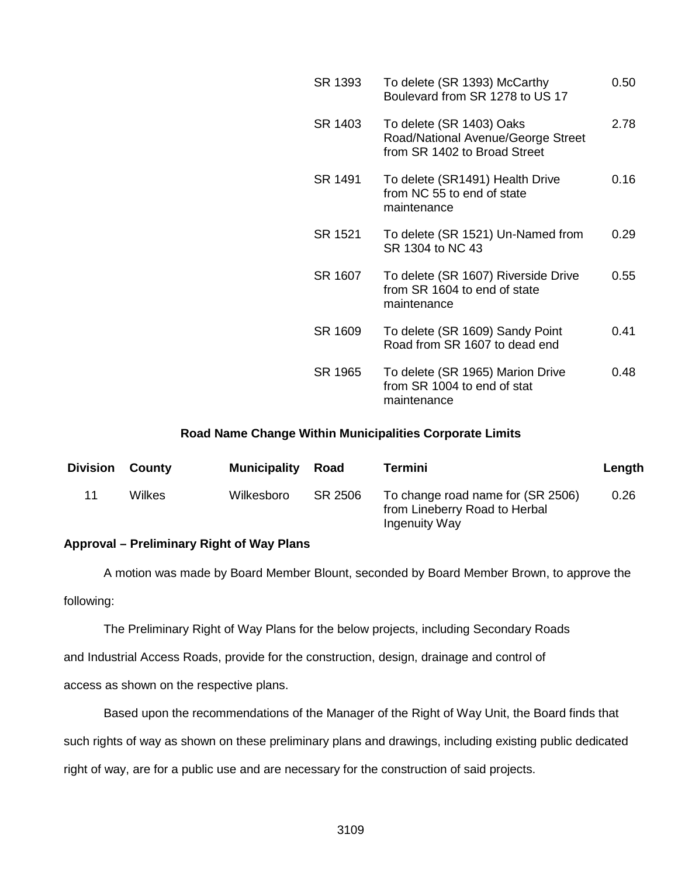| SR 1393 | To delete (SR 1393) McCarthy<br>Boulevard from SR 1278 to US 17                                | 0.50 |
|---------|------------------------------------------------------------------------------------------------|------|
| SR 1403 | To delete (SR 1403) Oaks<br>Road/National Avenue/George Street<br>from SR 1402 to Broad Street | 2.78 |
| SR 1491 | To delete (SR1491) Health Drive<br>from NC 55 to end of state<br>maintenance                   | 0.16 |
| SR 1521 | To delete (SR 1521) Un-Named from<br>SR 1304 to NC 43                                          | 0.29 |
| SR 1607 | To delete (SR 1607) Riverside Drive<br>from SR 1604 to end of state<br>maintenance             | 0.55 |
| SR 1609 | To delete (SR 1609) Sandy Point<br>Road from SR 1607 to dead end                               | 0.41 |
| SR 1965 | To delete (SR 1965) Marion Drive<br>from SR 1004 to end of stat<br>maintenance                 | 0.48 |
|         |                                                                                                |      |

# **Road Name Change Within Municipalities Corporate Limits**

| <b>Division</b> | County | <b>Municipality</b> | Road    | Termini                                                                             | Length |
|-----------------|--------|---------------------|---------|-------------------------------------------------------------------------------------|--------|
| 11              | Wilkes | Wilkesboro          | SR 2506 | To change road name for (SR 2506)<br>from Lineberry Road to Herbal<br>Ingenuity Way | 0.26   |

### **Approval – Preliminary Right of Way Plans**

A motion was made by Board Member Blount, seconded by Board Member Brown, to approve the following:

The Preliminary Right of Way Plans for the below projects, including Secondary Roads

and Industrial Access Roads, provide for the construction, design, drainage and control of

access as shown on the respective plans.

Based upon the recommendations of the Manager of the Right of Way Unit, the Board finds that

such rights of way as shown on these preliminary plans and drawings, including existing public dedicated

right of way, are for a public use and are necessary for the construction of said projects.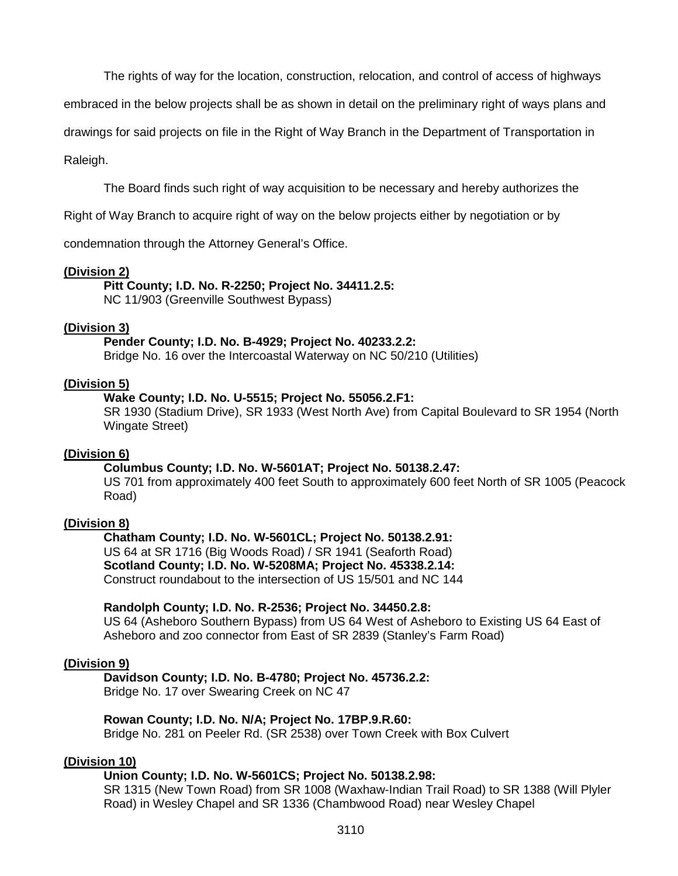The rights of way for the location, construction, relocation, and control of access of highways

embraced in the below projects shall be as shown in detail on the preliminary right of ways plans and

drawings for said projects on file in the Right of Way Branch in the Department of Transportation in

#### Raleigh.

The Board finds such right of way acquisition to be necessary and hereby authorizes the

Right of Way Branch to acquire right of way on the below projects either by negotiation or by

condemnation through the Attorney General's Office.

#### **(Division 2)**

**Pitt County; I.D. No. R-2250; Project No. 34411.2.5:**

NC 11/903 (Greenville Southwest Bypass)

#### **(Division 3)**

**Pender County; I.D. No. B-4929; Project No. 40233.2.2:**

Bridge No. 16 over the Intercoastal Waterway on NC 50/210 (Utilities)

### **(Division 5)**

**Wake County; I.D. No. U-5515; Project No. 55056.2.F1:**

SR 1930 (Stadium Drive), SR 1933 (West North Ave) from Capital Boulevard to SR 1954 (North Wingate Street)

#### **(Division 6)**

#### **Columbus County; I.D. No. W-5601AT; Project No. 50138.2.47:**

US 701 from approximately 400 feet South to approximately 600 feet North of SR 1005 (Peacock Road)

#### **(Division 8)**

**Chatham County; I.D. No. W-5601CL; Project No. 50138.2.91:** US 64 at SR 1716 (Big Woods Road) / SR 1941 (Seaforth Road) **Scotland County; I.D. No. W-5208MA; Project No. 45338.2.14:** Construct roundabout to the intersection of US 15/501 and NC 144

#### **Randolph County; I.D. No. R-2536; Project No. 34450.2.8:**

US 64 (Asheboro Southern Bypass) from US 64 West of Asheboro to Existing US 64 East of Asheboro and zoo connector from East of SR 2839 (Stanley's Farm Road)

#### **(Division 9)**

**Davidson County; I.D. No. B-4780; Project No. 45736.2.2:**

Bridge No. 17 over Swearing Creek on NC 47

#### **Rowan County; I.D. No. N/A; Project No. 17BP.9.R.60:**

Bridge No. 281 on Peeler Rd. (SR 2538) over Town Creek with Box Culvert

#### **(Division 10)**

#### **Union County; I.D. No. W-5601CS; Project No. 50138.2.98:**

SR 1315 (New Town Road) from SR 1008 (Waxhaw-Indian Trail Road) to SR 1388 (Will Plyler Road) in Wesley Chapel and SR 1336 (Chambwood Road) near Wesley Chapel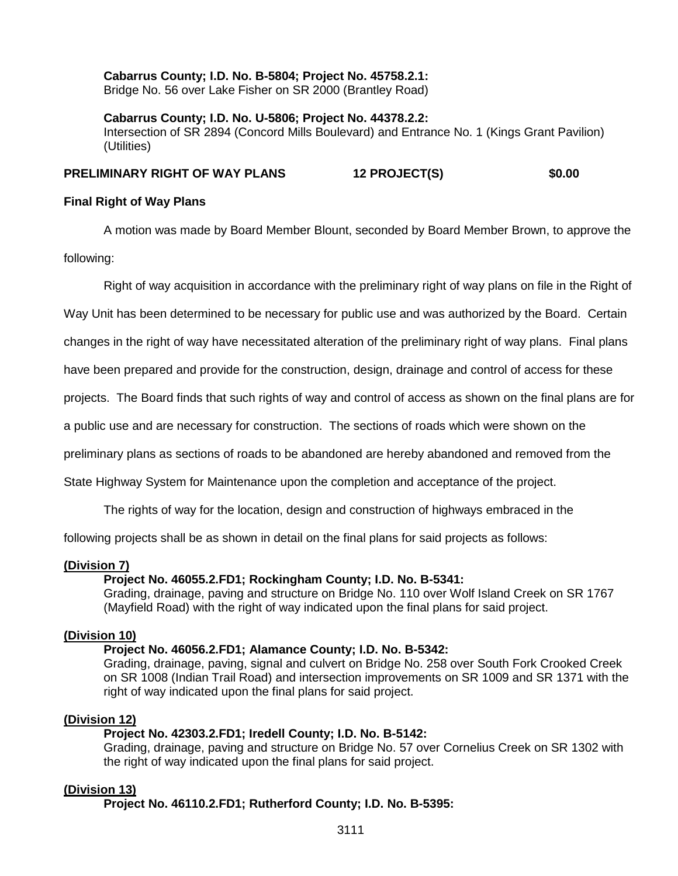**Cabarrus County; I.D. No. B-5804; Project No. 45758.2.1:** Bridge No. 56 over Lake Fisher on SR 2000 (Brantley Road)

**Cabarrus County; I.D. No. U-5806; Project No. 44378.2.2:** Intersection of SR 2894 (Concord Mills Boulevard) and Entrance No. 1 (Kings Grant Pavilion) (Utilities)

### **PRELIMINARY RIGHT OF WAY PLANS 12 PROJECT(S) \$0.00**

### **Final Right of Way Plans**

A motion was made by Board Member Blount, seconded by Board Member Brown, to approve the

following:

Right of way acquisition in accordance with the preliminary right of way plans on file in the Right of

Way Unit has been determined to be necessary for public use and was authorized by the Board. Certain

changes in the right of way have necessitated alteration of the preliminary right of way plans. Final plans

have been prepared and provide for the construction, design, drainage and control of access for these

projects. The Board finds that such rights of way and control of access as shown on the final plans are for

a public use and are necessary for construction. The sections of roads which were shown on the

preliminary plans as sections of roads to be abandoned are hereby abandoned and removed from the

State Highway System for Maintenance upon the completion and acceptance of the project.

The rights of way for the location, design and construction of highways embraced in the

following projects shall be as shown in detail on the final plans for said projects as follows:

#### **(Division 7)**

#### **Project No. 46055.2.FD1; Rockingham County; I.D. No. B-5341:**

Grading, drainage, paving and structure on Bridge No. 110 over Wolf Island Creek on SR 1767 (Mayfield Road) with the right of way indicated upon the final plans for said project.

#### **(Division 10)**

#### **Project No. 46056.2.FD1; Alamance County; I.D. No. B-5342:**

Grading, drainage, paving, signal and culvert on Bridge No. 258 over South Fork Crooked Creek on SR 1008 (Indian Trail Road) and intersection improvements on SR 1009 and SR 1371 with the right of way indicated upon the final plans for said project.

#### **(Division 12)**

#### **Project No. 42303.2.FD1; Iredell County; I.D. No. B-5142:**

Grading, drainage, paving and structure on Bridge No. 57 over Cornelius Creek on SR 1302 with the right of way indicated upon the final plans for said project.

#### **(Division 13)**

**Project No. 46110.2.FD1; Rutherford County; I.D. No. B-5395:**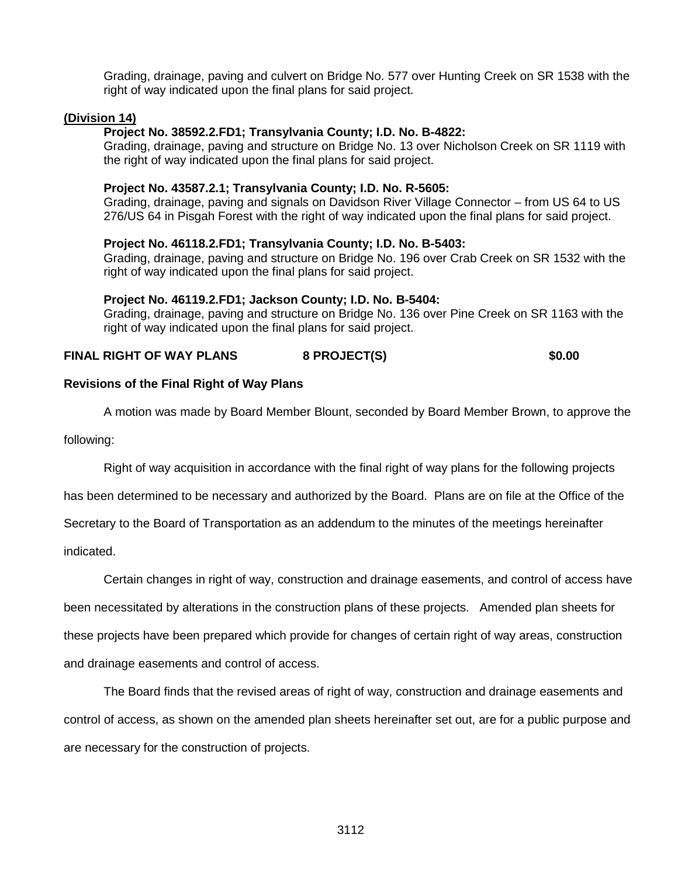Grading, drainage, paving and culvert on Bridge No. 577 over Hunting Creek on SR 1538 with the right of way indicated upon the final plans for said project.

#### **(Division 14)**

#### **Project No. 38592.2.FD1; Transylvania County; I.D. No. B-4822:**

Grading, drainage, paving and structure on Bridge No. 13 over Nicholson Creek on SR 1119 with the right of way indicated upon the final plans for said project.

#### **Project No. 43587.2.1; Transylvania County; I.D. No. R-5605:**

Grading, drainage, paving and signals on Davidson River Village Connector – from US 64 to US 276/US 64 in Pisgah Forest with the right of way indicated upon the final plans for said project.

#### **Project No. 46118.2.FD1; Transylvania County; I.D. No. B-5403:**

Grading, drainage, paving and structure on Bridge No. 196 over Crab Creek on SR 1532 with the right of way indicated upon the final plans for said project.

#### **Project No. 46119.2.FD1; Jackson County; I.D. No. B-5404:**

Grading, drainage, paving and structure on Bridge No. 136 over Pine Creek on SR 1163 with the right of way indicated upon the final plans for said project.

### **FINAL RIGHT OF WAY PLANS 8 PROJECT(S) \$0.00**

#### **Revisions of the Final Right of Way Plans**

A motion was made by Board Member Blount, seconded by Board Member Brown, to approve the

following:

Right of way acquisition in accordance with the final right of way plans for the following projects

has been determined to be necessary and authorized by the Board. Plans are on file at the Office of the

Secretary to the Board of Transportation as an addendum to the minutes of the meetings hereinafter

indicated.

Certain changes in right of way, construction and drainage easements, and control of access have been necessitated by alterations in the construction plans of these projects. Amended plan sheets for these projects have been prepared which provide for changes of certain right of way areas, construction and drainage easements and control of access.

The Board finds that the revised areas of right of way, construction and drainage easements and control of access, as shown on the amended plan sheets hereinafter set out, are for a public purpose and are necessary for the construction of projects.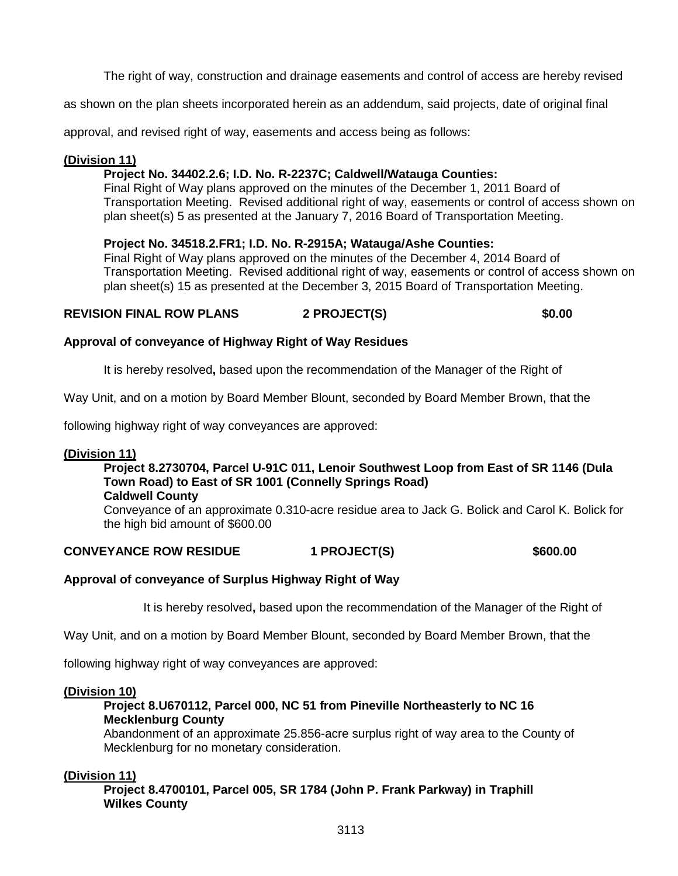The right of way, construction and drainage easements and control of access are hereby revised

as shown on the plan sheets incorporated herein as an addendum, said projects, date of original final

approval, and revised right of way, easements and access being as follows:

# **(Division 11)**

# **Project No. 34402.2.6; I.D. No. R-2237C; Caldwell/Watauga Counties:**

Final Right of Way plans approved on the minutes of the December 1, 2011 Board of Transportation Meeting. Revised additional right of way, easements or control of access shown on plan sheet(s) 5 as presented at the January 7, 2016 Board of Transportation Meeting.

# **Project No. 34518.2.FR1; I.D. No. R-2915A; Watauga/Ashe Counties:**

Final Right of Way plans approved on the minutes of the December 4, 2014 Board of Transportation Meeting. Revised additional right of way, easements or control of access shown on plan sheet(s) 15 as presented at the December 3, 2015 Board of Transportation Meeting.

# **REVISION FINAL ROW PLANS 2 PROJECT(S) \$0.00**

# **Approval of conveyance of Highway Right of Way Residues**

It is hereby resolved**,** based upon the recommendation of the Manager of the Right of

Way Unit, and on a motion by Board Member Blount, seconded by Board Member Brown, that the

following highway right of way conveyances are approved:

# **(Division 11)**

# **Project 8.2730704, Parcel U-91C 011, Lenoir Southwest Loop from East of SR 1146 (Dula Town Road) to East of SR 1001 (Connelly Springs Road)**

**Caldwell County**

Conveyance of an approximate 0.310-acre residue area to Jack G. Bolick and Carol K. Bolick for the high bid amount of \$600.00

# CONVEYANCE ROW RESIDUE 1 PROJECT(S) \$600.00

# **Approval of conveyance of Surplus Highway Right of Way**

It is hereby resolved**,** based upon the recommendation of the Manager of the Right of

Way Unit, and on a motion by Board Member Blount, seconded by Board Member Brown, that the

following highway right of way conveyances are approved:

# **(Division 10)**

# **Project 8.U670112, Parcel 000, NC 51 from Pineville Northeasterly to NC 16 Mecklenburg County**

Abandonment of an approximate 25.856-acre surplus right of way area to the County of Mecklenburg for no monetary consideration.

# **(Division 11)**

**Project 8.4700101, Parcel 005, SR 1784 (John P. Frank Parkway) in Traphill Wilkes County**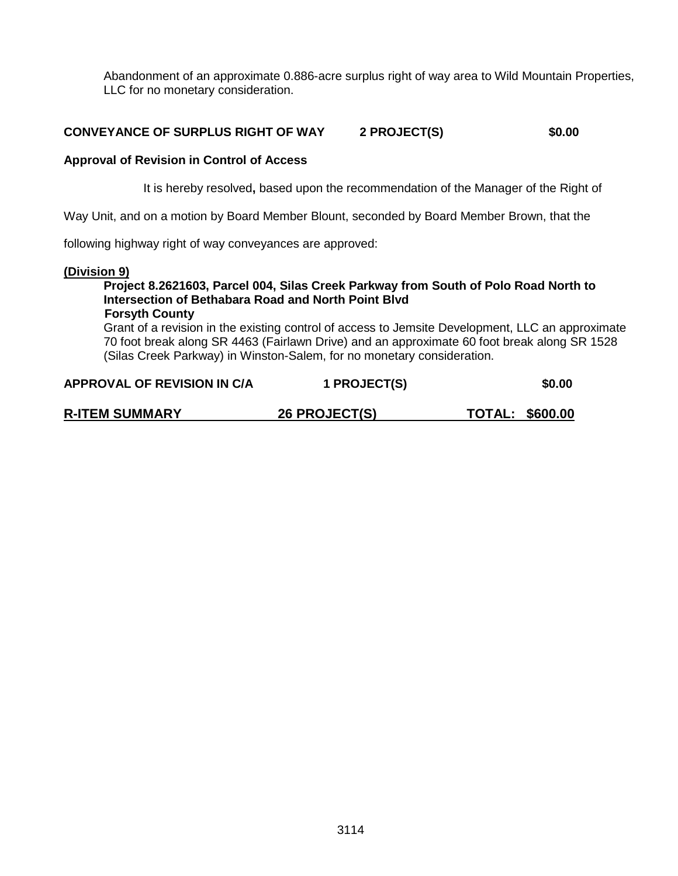Abandonment of an approximate 0.886-acre surplus right of way area to Wild Mountain Properties, LLC for no monetary consideration.

# **CONVEYANCE OF SURPLUS RIGHT OF WAY 2 PROJECT(S) \$0.00**

### **Approval of Revision in Control of Access**

It is hereby resolved**,** based upon the recommendation of the Manager of the Right of

Way Unit, and on a motion by Board Member Blount, seconded by Board Member Brown, that the

following highway right of way conveyances are approved:

#### **(Division 9)**

#### **Project 8.2621603, Parcel 004, Silas Creek Parkway from South of Polo Road North to Intersection of Bethabara Road and North Point Blvd Forsyth County**

Grant of a revision in the existing control of access to Jemsite Development, LLC an approximate 70 foot break along SR 4463 (Fairlawn Drive) and an approximate 60 foot break along SR 1528 (Silas Creek Parkway) in Winston-Salem, for no monetary consideration.

| APPROVAL OF REVISION IN C/A | 1 PROJECT(S)         | \$0.00                 |
|-----------------------------|----------------------|------------------------|
| <b>R-ITEM SUMMARY</b>       | <b>26 PROJECT(S)</b> | <b>TOTAL: \$600.00</b> |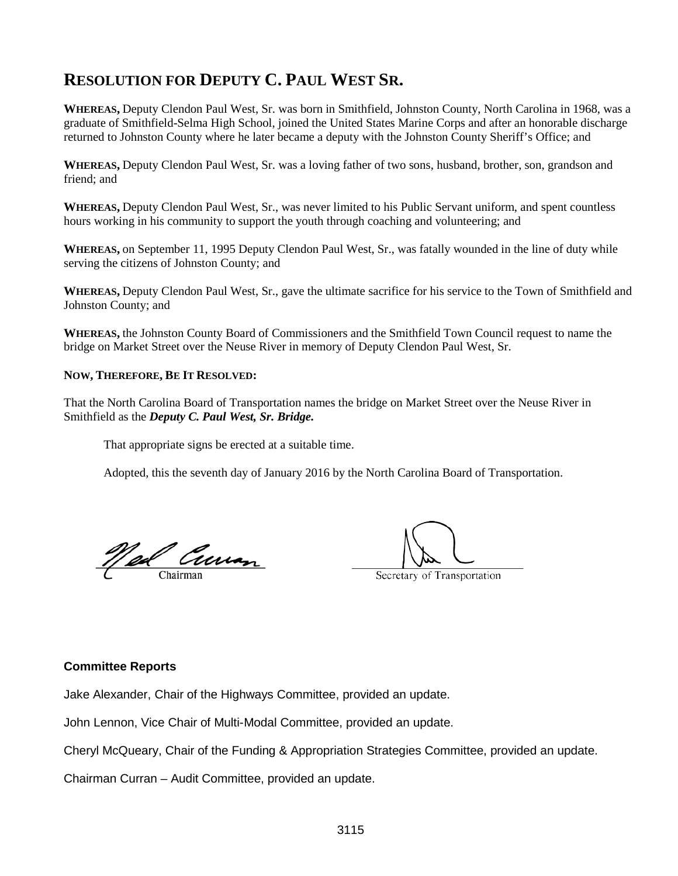# **RESOLUTION FOR DEPUTY C. PAUL WEST SR.**

**WHEREAS,** Deputy Clendon Paul West, Sr. was born in Smithfield, Johnston County, North Carolina in 1968, was a graduate of Smithfield-Selma High School, joined the United States Marine Corps and after an honorable discharge returned to Johnston County where he later became a deputy with the Johnston County Sheriff's Office; and

**WHEREAS,** Deputy Clendon Paul West, Sr. was a loving father of two sons, husband, brother, son, grandson and friend; and

**WHEREAS,** Deputy Clendon Paul West, Sr., was never limited to his Public Servant uniform, and spent countless hours working in his community to support the youth through coaching and volunteering; and

**WHEREAS,** on September 11, 1995 Deputy Clendon Paul West, Sr., was fatally wounded in the line of duty while serving the citizens of Johnston County; and

**WHEREAS,** Deputy Clendon Paul West, Sr., gave the ultimate sacrifice for his service to the Town of Smithfield and Johnston County; and

**WHEREAS,** the Johnston County Board of Commissioners and the Smithfield Town Council request to name the bridge on Market Street over the Neuse River in memory of Deputy Clendon Paul West, Sr.

#### **NOW, THEREFORE, BE IT RESOLVED:**

That the North Carolina Board of Transportation names the bridge on Market Street over the Neuse River in Smithfield as the *Deputy C. Paul West, Sr. Bridge.*

That appropriate signs be erected at a suitable time.

Adopted, this the seventh day of January 2016 by the North Carolina Board of Transportation.

<u>Ned Curran</u>

Secretary of Transportation

#### **Committee Reports**

Jake Alexander, Chair of the Highways Committee, provided an update.

John Lennon, Vice Chair of Multi-Modal Committee, provided an update.

Cheryl McQueary, Chair of the Funding & Appropriation Strategies Committee, provided an update.

Chairman Curran – Audit Committee, provided an update.